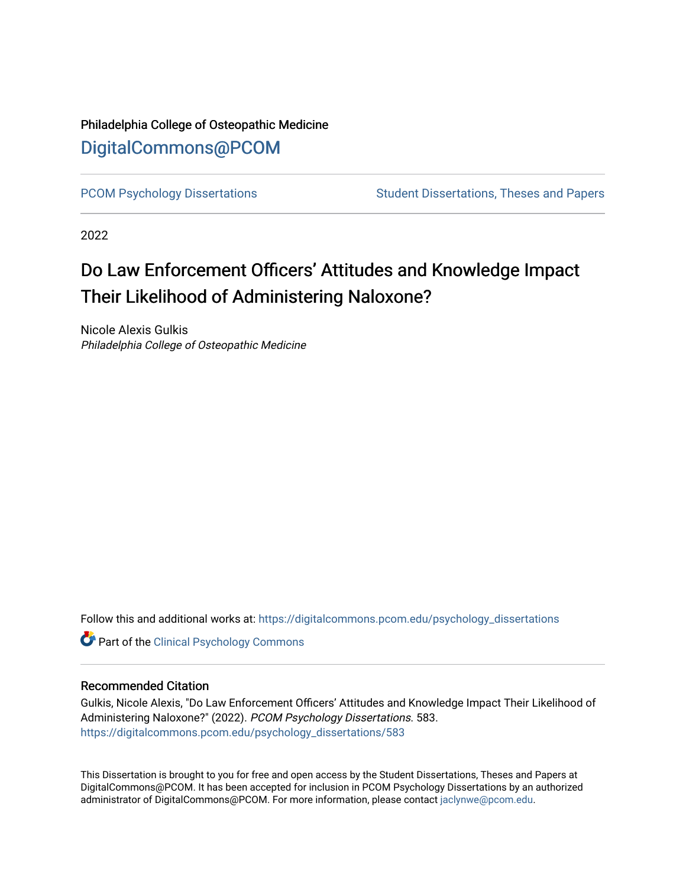## Philadelphia College of Osteopathic Medicine [DigitalCommons@PCOM](https://digitalcommons.pcom.edu/)

[PCOM Psychology Dissertations](https://digitalcommons.pcom.edu/psychology_dissertations) Student Dissertations, Theses and Papers

2022

# Do Law Enforcement Officers' Attitudes and Knowledge Impact Their Likelihood of Administering Naloxone?

Nicole Alexis Gulkis Philadelphia College of Osteopathic Medicine

Follow this and additional works at: [https://digitalcommons.pcom.edu/psychology\\_dissertations](https://digitalcommons.pcom.edu/psychology_dissertations?utm_source=digitalcommons.pcom.edu%2Fpsychology_dissertations%2F583&utm_medium=PDF&utm_campaign=PDFCoverPages)

**Part of the Clinical Psychology Commons** 

#### Recommended Citation

Gulkis, Nicole Alexis, "Do Law Enforcement Officers' Attitudes and Knowledge Impact Their Likelihood of Administering Naloxone?" (2022). PCOM Psychology Dissertations. 583. [https://digitalcommons.pcom.edu/psychology\\_dissertations/583](https://digitalcommons.pcom.edu/psychology_dissertations/583?utm_source=digitalcommons.pcom.edu%2Fpsychology_dissertations%2F583&utm_medium=PDF&utm_campaign=PDFCoverPages) 

This Dissertation is brought to you for free and open access by the Student Dissertations, Theses and Papers at DigitalCommons@PCOM. It has been accepted for inclusion in PCOM Psychology Dissertations by an authorized administrator of DigitalCommons@PCOM. For more information, please contact [jaclynwe@pcom.edu.](mailto:jaclynwe@pcom.edu)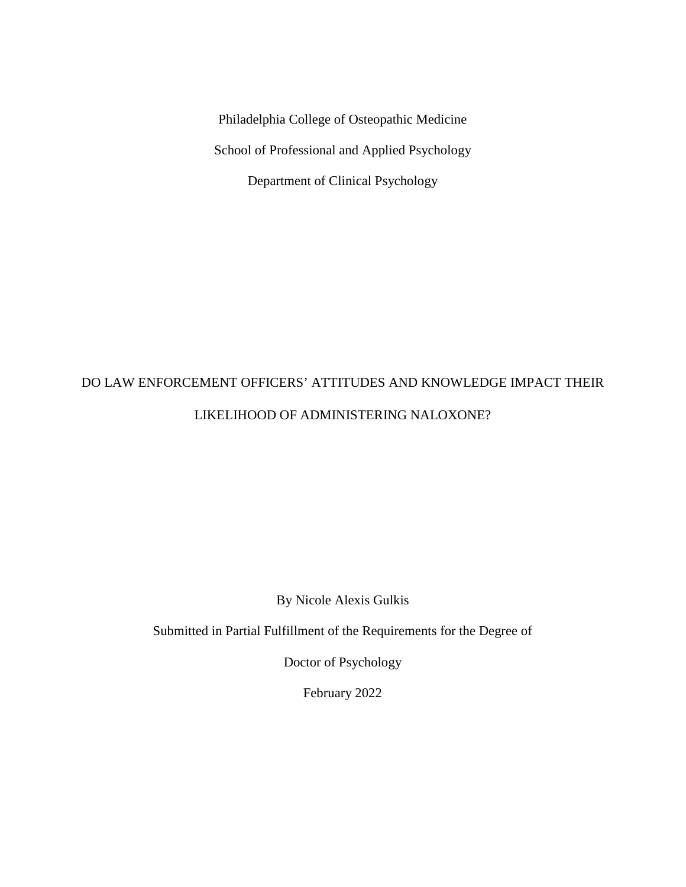Philadelphia College of Osteopathic Medicine School of Professional and Applied Psychology Department of Clinical Psychology

# DO LAW ENFORCEMENT OFFICERS' ATTITUDES AND KNOWLEDGE IMPACT THEIR LIKELIHOOD OF ADMINISTERING NALOXONE?

By Nicole Alexis Gulkis

Submitted in Partial Fulfillment of the Requirements for the Degree of

Doctor of Psychology

February 2022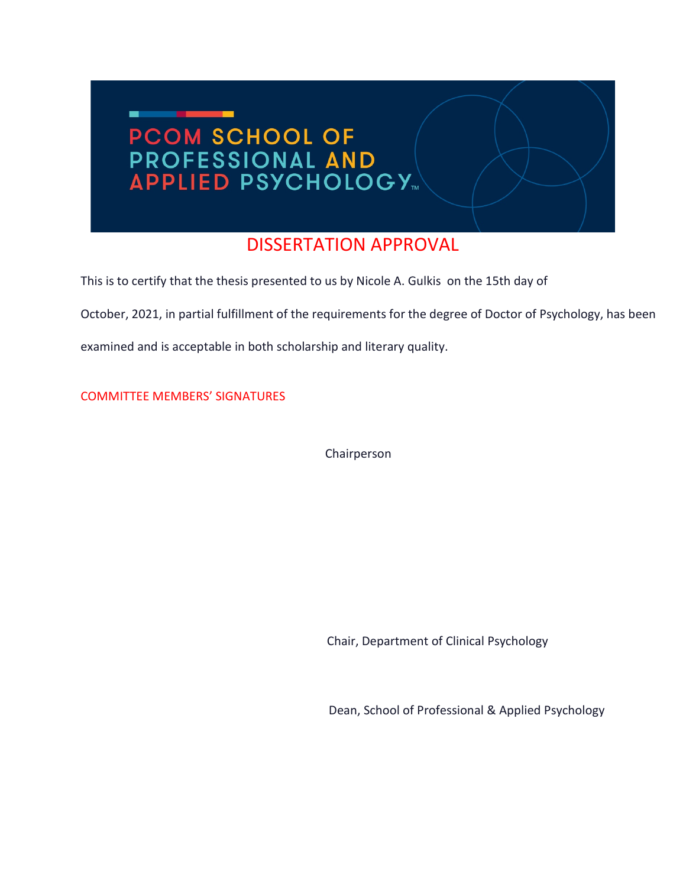

## DISSERTATION APPROVAL

This is to certify that the thesis presented to us by Nicole A. Gulkis on the 15th day of

October, 2021, in partial fulfillment of the requirements for the degree of Doctor of Psychology, has been

examined and is acceptable in both scholarship and literary quality.

COMMITTEE MEMBERS' SIGNATURES

Chairperson

Chair, Department of Clinical Psychology

Dean, School of Professional & Applied Psychology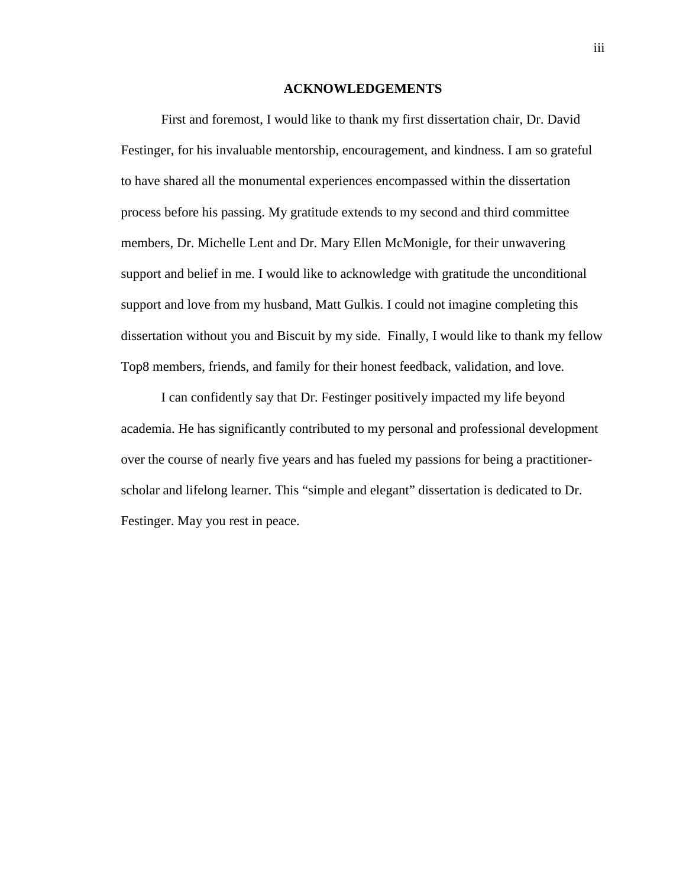#### **ACKNOWLEDGEMENTS**

First and foremost, I would like to thank my first dissertation chair, Dr. David Festinger, for his invaluable mentorship, encouragement, and kindness. I am so grateful to have shared all the monumental experiences encompassed within the dissertation process before his passing. My gratitude extends to my second and third committee members, Dr. Michelle Lent and Dr. Mary Ellen McMonigle, for their unwavering support and belief in me. I would like to acknowledge with gratitude the unconditional support and love from my husband, Matt Gulkis. I could not imagine completing this dissertation without you and Biscuit by my side. Finally, I would like to thank my fellow Top8 members, friends, and family for their honest feedback, validation, and love.

I can confidently say that Dr. Festinger positively impacted my life beyond academia. He has significantly contributed to my personal and professional development over the course of nearly five years and has fueled my passions for being a practitionerscholar and lifelong learner. This "simple and elegant" dissertation is dedicated to Dr. Festinger. May you rest in peace.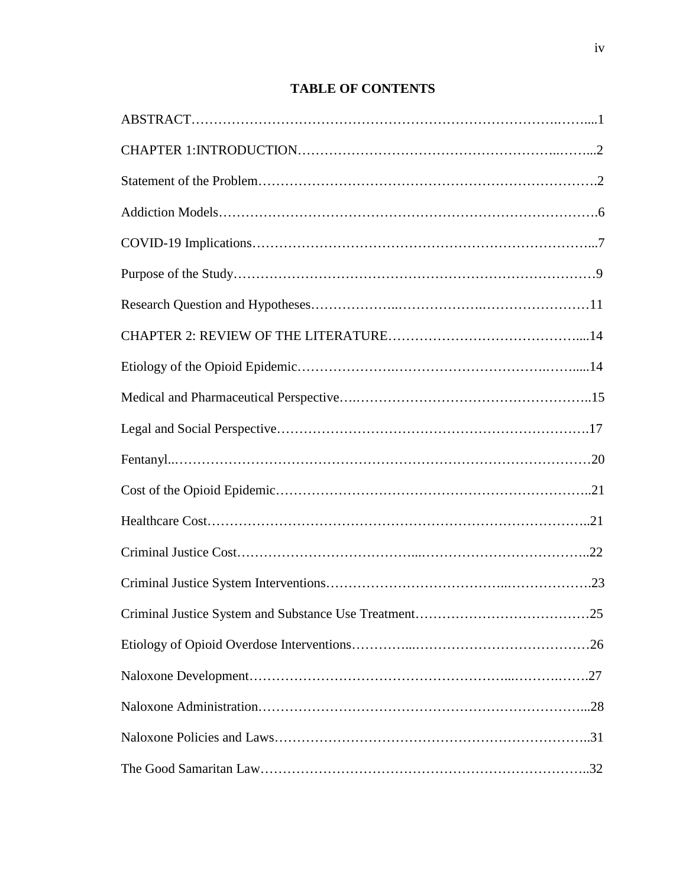### **TABLE OF CONTENTS**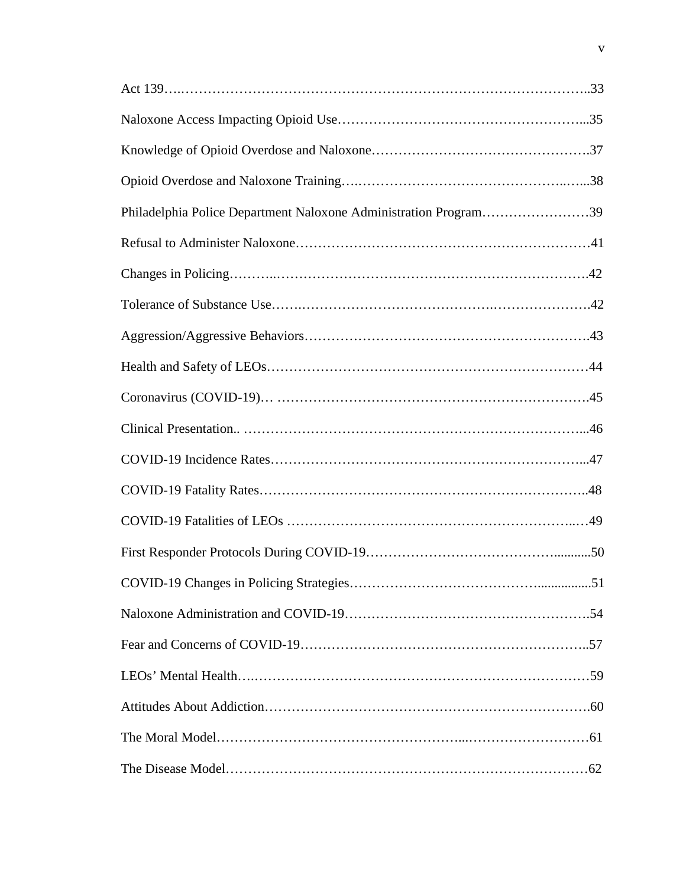| Philadelphia Police Department Naloxone Administration Program39 |
|------------------------------------------------------------------|
|                                                                  |
|                                                                  |
|                                                                  |
|                                                                  |
|                                                                  |
|                                                                  |
|                                                                  |
|                                                                  |
|                                                                  |
|                                                                  |
|                                                                  |
|                                                                  |
|                                                                  |
|                                                                  |
|                                                                  |
|                                                                  |
|                                                                  |
|                                                                  |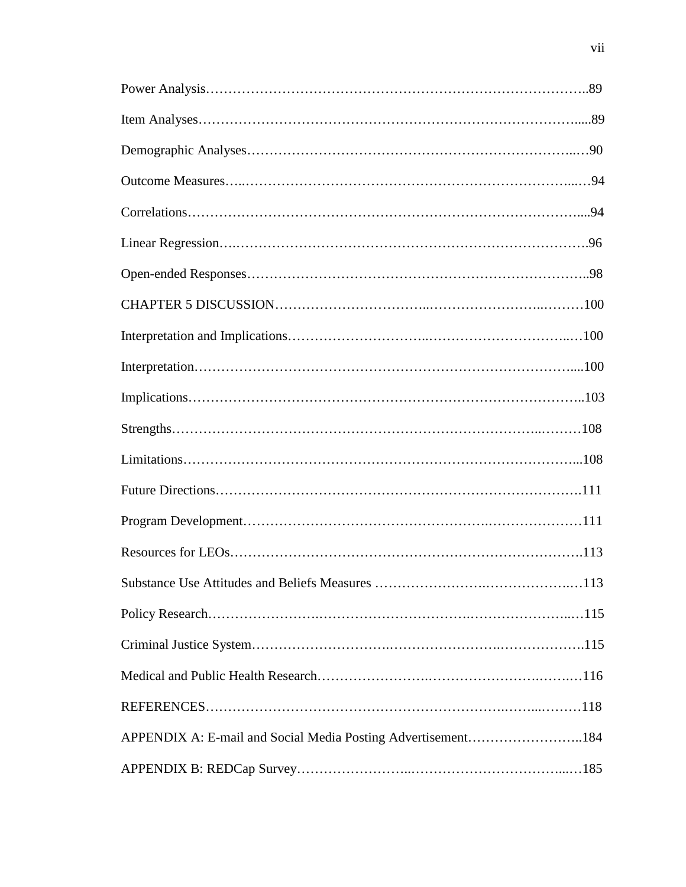| APPENDIX A: E-mail and Social Media Posting Advertisement184 |  |
|--------------------------------------------------------------|--|
|                                                              |  |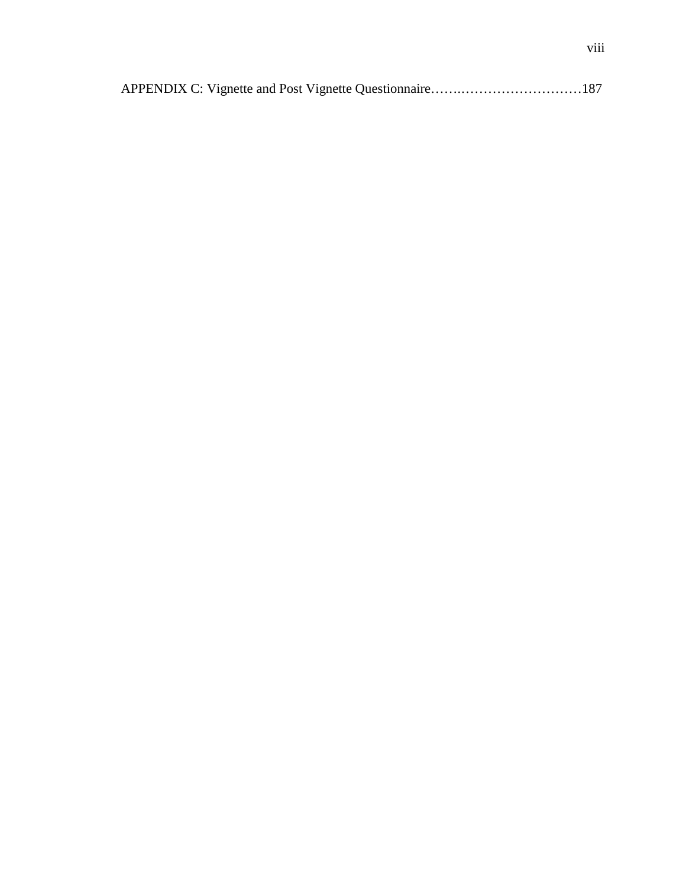|--|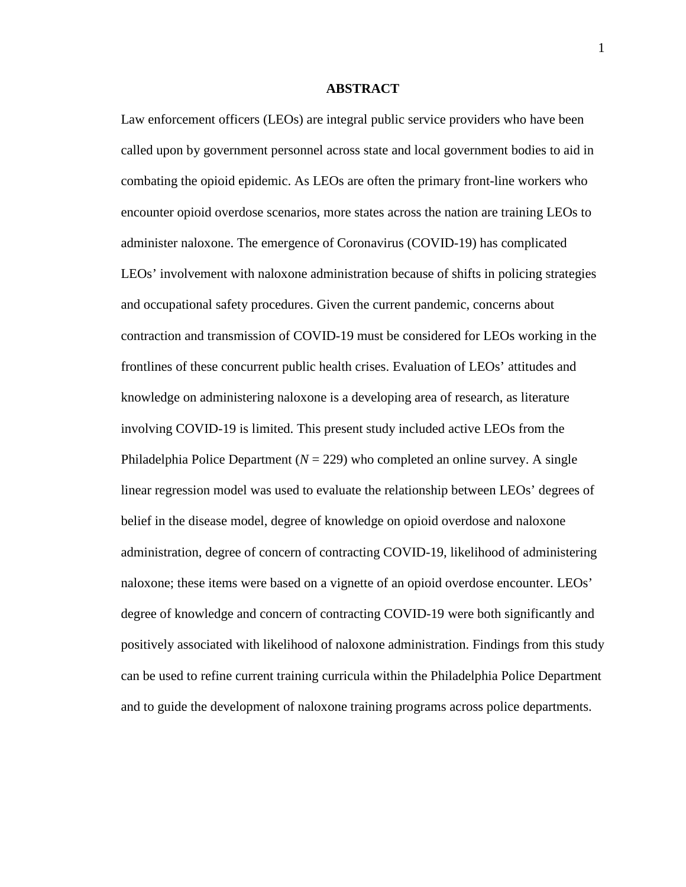#### **ABSTRACT**

Law enforcement officers (LEOs) are integral public service providers who have been called upon by government personnel across state and local government bodies to aid in combating the opioid epidemic. As LEOs are often the primary front-line workers who encounter opioid overdose scenarios, more states across the nation are training LEOs to administer naloxone. The emergence of Coronavirus (COVID-19) has complicated LEOs' involvement with naloxone administration because of shifts in policing strategies and occupational safety procedures. Given the current pandemic, concerns about contraction and transmission of COVID-19 must be considered for LEOs working in the frontlines of these concurrent public health crises. Evaluation of LEOs' attitudes and knowledge on administering naloxone is a developing area of research, as literature involving COVID-19 is limited. This present study included active LEOs from the Philadelphia Police Department  $(N = 229)$  who completed an online survey. A single linear regression model was used to evaluate the relationship between LEOs' degrees of belief in the disease model, degree of knowledge on opioid overdose and naloxone administration, degree of concern of contracting COVID-19, likelihood of administering naloxone; these items were based on a vignette of an opioid overdose encounter. LEOs' degree of knowledge and concern of contracting COVID-19 were both significantly and positively associated with likelihood of naloxone administration. Findings from this study can be used to refine current training curricula within the Philadelphia Police Department and to guide the development of naloxone training programs across police departments.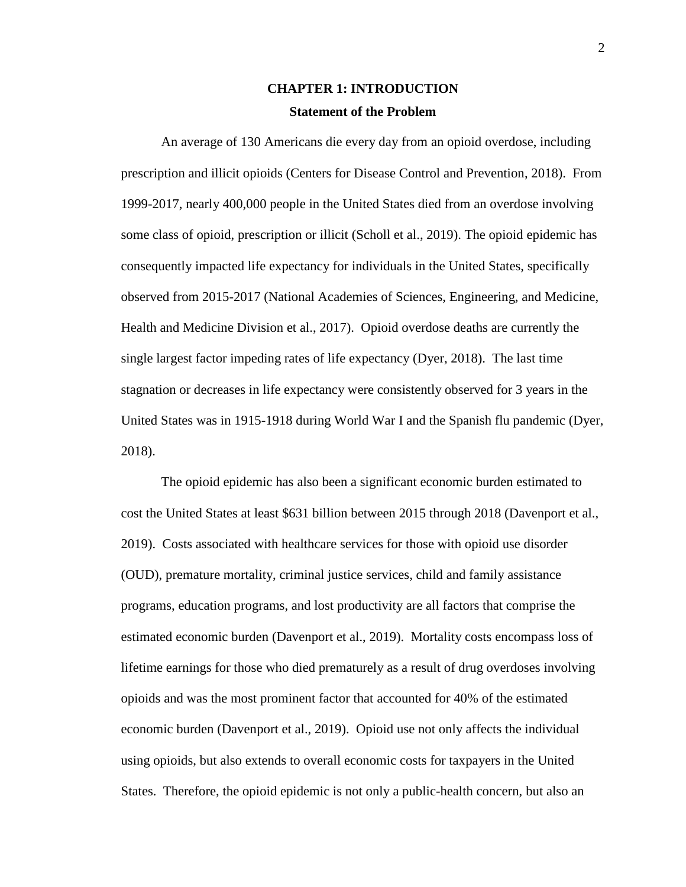### **CHAPTER 1: INTRODUCTION Statement of the Problem**

An average of 130 Americans die every day from an opioid overdose, including prescription and illicit opioids (Centers for Disease Control and Prevention, 2018). From 1999-2017, nearly 400,000 people in the United States died from an overdose involving some class of opioid, prescription or illicit (Scholl et al., 2019). The opioid epidemic has consequently impacted life expectancy for individuals in the United States, specifically observed from 2015-2017 (National Academies of Sciences, Engineering, and Medicine, Health and Medicine Division et al., 2017). Opioid overdose deaths are currently the single largest factor impeding rates of life expectancy (Dyer, 2018). The last time stagnation or decreases in life expectancy were consistently observed for 3 years in the United States was in 1915-1918 during World War I and the Spanish flu pandemic (Dyer, 2018).

The opioid epidemic has also been a significant economic burden estimated to cost the United States at least \$631 billion between 2015 through 2018 (Davenport et al., 2019). Costs associated with healthcare services for those with opioid use disorder (OUD), premature mortality, criminal justice services, child and family assistance programs, education programs, and lost productivity are all factors that comprise the estimated economic burden (Davenport et al., 2019). Mortality costs encompass loss of lifetime earnings for those who died prematurely as a result of drug overdoses involving opioids and was the most prominent factor that accounted for 40% of the estimated economic burden (Davenport et al., 2019). Opioid use not only affects the individual using opioids, but also extends to overall economic costs for taxpayers in the United States. Therefore, the opioid epidemic is not only a public-health concern, but also an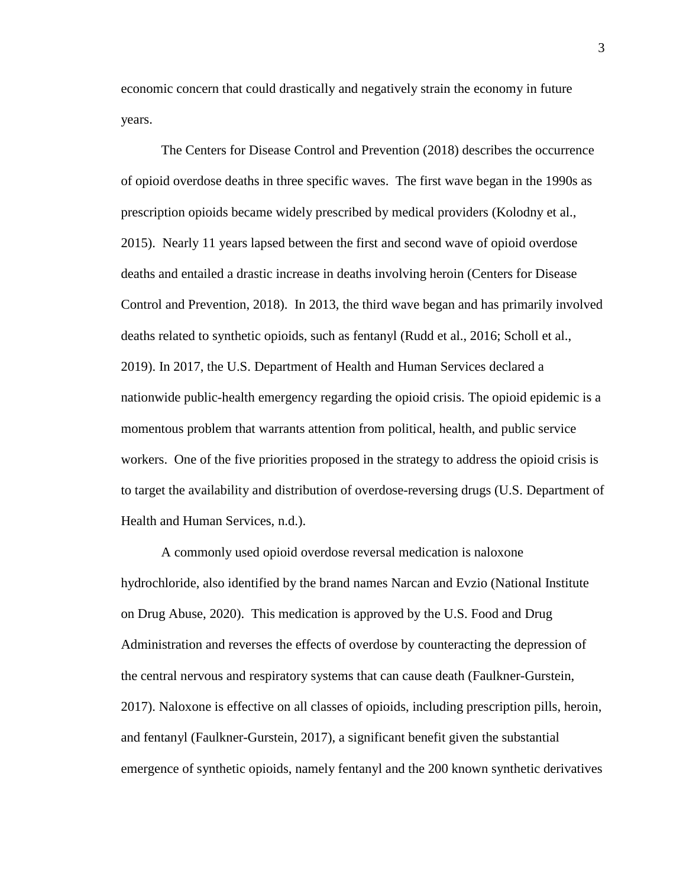economic concern that could drastically and negatively strain the economy in future years.

The Centers for Disease Control and Prevention (2018) describes the occurrence of opioid overdose deaths in three specific waves. The first wave began in the 1990s as prescription opioids became widely prescribed by medical providers (Kolodny et al., 2015). Nearly 11 years lapsed between the first and second wave of opioid overdose deaths and entailed a drastic increase in deaths involving heroin (Centers for Disease Control and Prevention, 2018). In 2013, the third wave began and has primarily involved deaths related to synthetic opioids, such as fentanyl (Rudd et al., 2016; Scholl et al., 2019). In 2017, the U.S. Department of Health and Human Services declared a nationwide public-health emergency regarding the opioid crisis. The opioid epidemic is a momentous problem that warrants attention from political, health, and public service workers. One of the five priorities proposed in the strategy to address the opioid crisis is to target the availability and distribution of overdose-reversing drugs (U.S. Department of Health and Human Services, n.d.).

A commonly used opioid overdose reversal medication is naloxone hydrochloride, also identified by the brand names Narcan and Evzio (National Institute on Drug Abuse, 2020). This medication is approved by the U.S. Food and Drug Administration and reverses the effects of overdose by counteracting the depression of the central nervous and respiratory systems that can cause death (Faulkner-Gurstein, 2017). Naloxone is effective on all classes of opioids, including prescription pills, heroin, and fentanyl (Faulkner-Gurstein, 2017), a significant benefit given the substantial emergence of synthetic opioids, namely fentanyl and the 200 known synthetic derivatives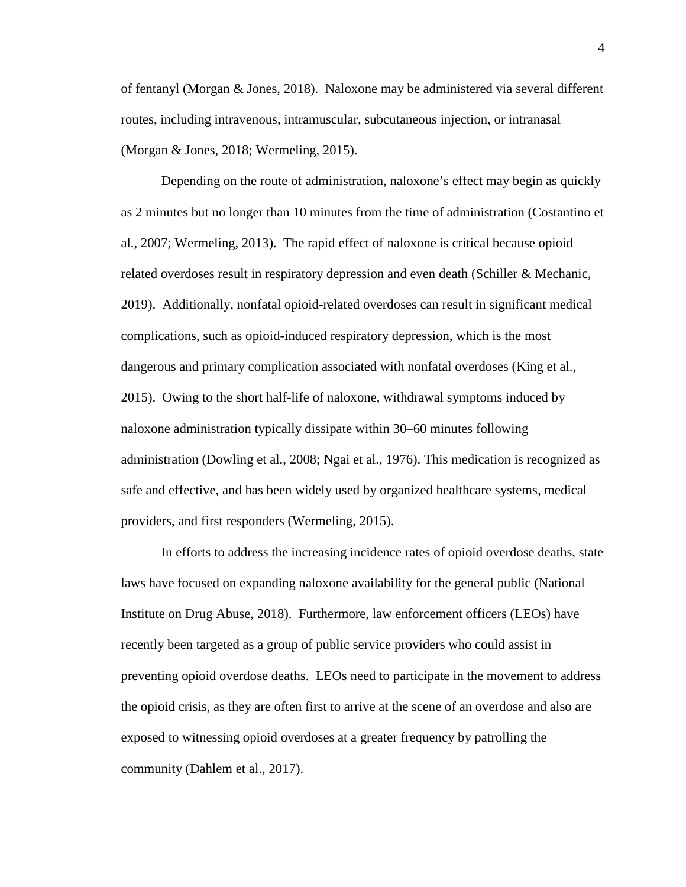of fentanyl (Morgan & Jones, 2018). Naloxone may be administered via several different routes, including intravenous, intramuscular, subcutaneous injection, or intranasal (Morgan & Jones, 2018; Wermeling, 2015).

Depending on the route of administration, naloxone's effect may begin as quickly as 2 minutes but no longer than 10 minutes from the time of administration (Costantino et al., 2007; Wermeling, 2013). The rapid effect of naloxone is critical because opioid related overdoses result in respiratory depression and even death (Schiller & Mechanic, 2019). Additionally, nonfatal opioid-related overdoses can result in significant medical complications, such as opioid-induced respiratory depression, which is the most dangerous and primary complication associated with nonfatal overdoses (King et al., 2015). Owing to the short half-life of naloxone, withdrawal symptoms induced by naloxone administration typically dissipate within 30–60 minutes following administration (Dowling et al., 2008; Ngai et al., 1976). This medication is recognized as safe and effective, and has been widely used by organized healthcare systems, medical providers, and first responders (Wermeling, 2015).

In efforts to address the increasing incidence rates of opioid overdose deaths, state laws have focused on expanding naloxone availability for the general public (National Institute on Drug Abuse, 2018). Furthermore, law enforcement officers (LEOs) have recently been targeted as a group of public service providers who could assist in preventing opioid overdose deaths. LEOs need to participate in the movement to address the opioid crisis, as they are often first to arrive at the scene of an overdose and also are exposed to witnessing opioid overdoses at a greater frequency by patrolling the community (Dahlem et al., 2017).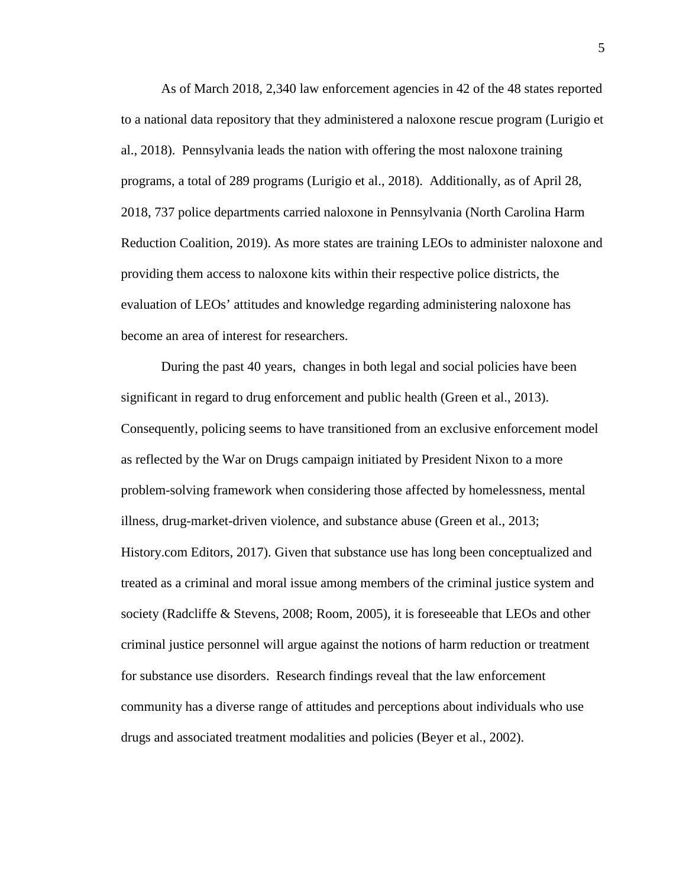As of March 2018, 2,340 law enforcement agencies in 42 of the 48 states reported to a national data repository that they administered a naloxone rescue program (Lurigio et al., 2018). Pennsylvania leads the nation with offering the most naloxone training programs, a total of 289 programs (Lurigio et al., 2018). Additionally, as of April 28, 2018, 737 police departments carried naloxone in Pennsylvania (North Carolina Harm Reduction Coalition, 2019). As more states are training LEOs to administer naloxone and providing them access to naloxone kits within their respective police districts, the evaluation of LEOs' attitudes and knowledge regarding administering naloxone has become an area of interest for researchers.

During the past 40 years, changes in both legal and social policies have been significant in regard to drug enforcement and public health (Green et al., 2013). Consequently, policing seems to have transitioned from an exclusive enforcement model as reflected by the War on Drugs campaign initiated by President Nixon to a more problem-solving framework when considering those affected by homelessness, mental illness, drug-market-driven violence, and substance abuse (Green et al., 2013; History.com Editors, 2017). Given that substance use has long been conceptualized and treated as a criminal and moral issue among members of the criminal justice system and society (Radcliffe & Stevens, 2008; Room, 2005), it is foreseeable that LEOs and other criminal justice personnel will argue against the notions of harm reduction or treatment for substance use disorders. Research findings reveal that the law enforcement community has a diverse range of attitudes and perceptions about individuals who use drugs and associated treatment modalities and policies (Beyer et al., 2002).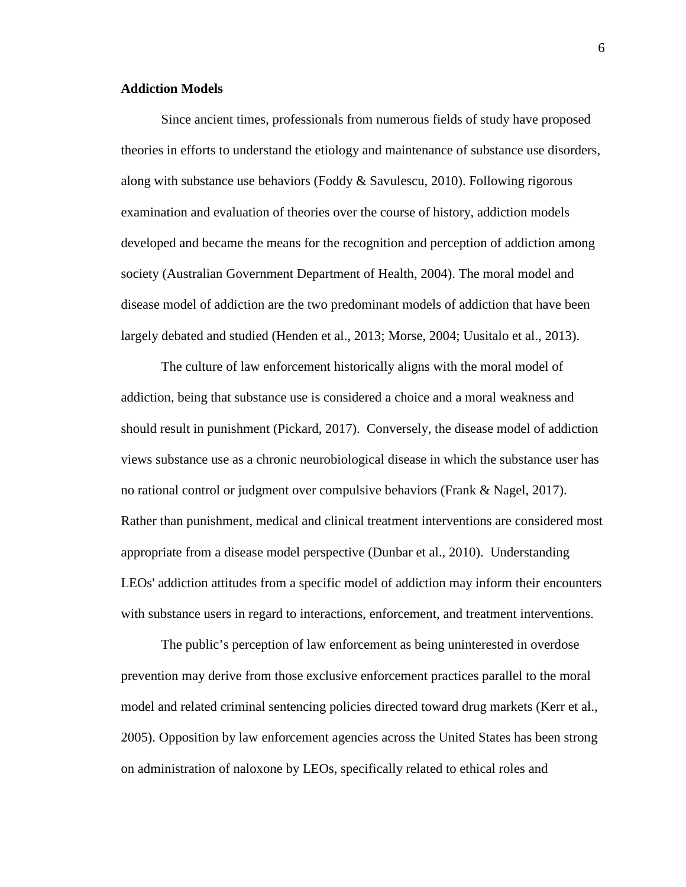#### **Addiction Models**

Since ancient times, professionals from numerous fields of study have proposed theories in efforts to understand the etiology and maintenance of substance use disorders, along with substance use behaviors (Foddy & Savulescu, 2010). Following rigorous examination and evaluation of theories over the course of history, addiction models developed and became the means for the recognition and perception of addiction among society (Australian Government Department of Health, 2004). The moral model and disease model of addiction are the two predominant models of addiction that have been largely debated and studied (Henden et al., 2013; Morse, 2004; Uusitalo et al., 2013).

The culture of law enforcement historically aligns with the moral model of addiction, being that substance use is considered a choice and a moral weakness and should result in punishment (Pickard, 2017). Conversely, the disease model of addiction views substance use as a chronic neurobiological disease in which the substance user has no rational control or judgment over compulsive behaviors (Frank & Nagel, 2017). Rather than punishment, medical and clinical treatment interventions are considered most appropriate from a disease model perspective (Dunbar et al., 2010). Understanding LEOs' addiction attitudes from a specific model of addiction may inform their encounters with substance users in regard to interactions, enforcement, and treatment interventions.

The public's perception of law enforcement as being uninterested in overdose prevention may derive from those exclusive enforcement practices parallel to the moral model and related criminal sentencing policies directed toward drug markets (Kerr et al., 2005). Opposition by law enforcement agencies across the United States has been strong on administration of naloxone by LEOs, specifically related to ethical roles and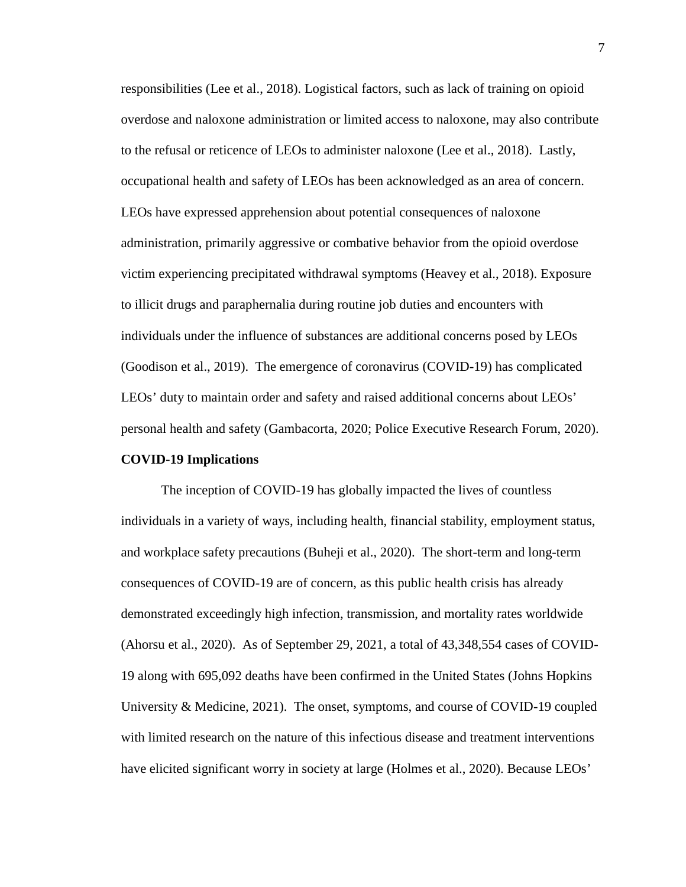responsibilities (Lee et al., 2018). Logistical factors, such as lack of training on opioid overdose and naloxone administration or limited access to naloxone, may also contribute to the refusal or reticence of LEOs to administer naloxone (Lee et al., 2018). Lastly, occupational health and safety of LEOs has been acknowledged as an area of concern. LEOs have expressed apprehension about potential consequences of naloxone administration, primarily aggressive or combative behavior from the opioid overdose victim experiencing precipitated withdrawal symptoms (Heavey et al., 2018). Exposure to illicit drugs and paraphernalia during routine job duties and encounters with individuals under the influence of substances are additional concerns posed by LEOs (Goodison et al., 2019). The emergence of coronavirus (COVID-19) has complicated LEOs' duty to maintain order and safety and raised additional concerns about LEOs' personal health and safety (Gambacorta, 2020; Police Executive Research Forum, 2020).

#### **COVID-19 Implications**

The inception of COVID-19 has globally impacted the lives of countless individuals in a variety of ways, including health, financial stability, employment status, and workplace safety precautions (Buheji et al., 2020). The short-term and long-term consequences of COVID-19 are of concern, as this public health crisis has already demonstrated exceedingly high infection, transmission, and mortality rates worldwide (Ahorsu et al., 2020). As of September 29, 2021, a total of 43,348,554 cases of COVID-19 along with 695,092 deaths have been confirmed in the United States (Johns Hopkins University & Medicine, 2021). The onset, symptoms, and course of COVID-19 coupled with limited research on the nature of this infectious disease and treatment interventions have elicited significant worry in society at large (Holmes et al., 2020). Because LEOs'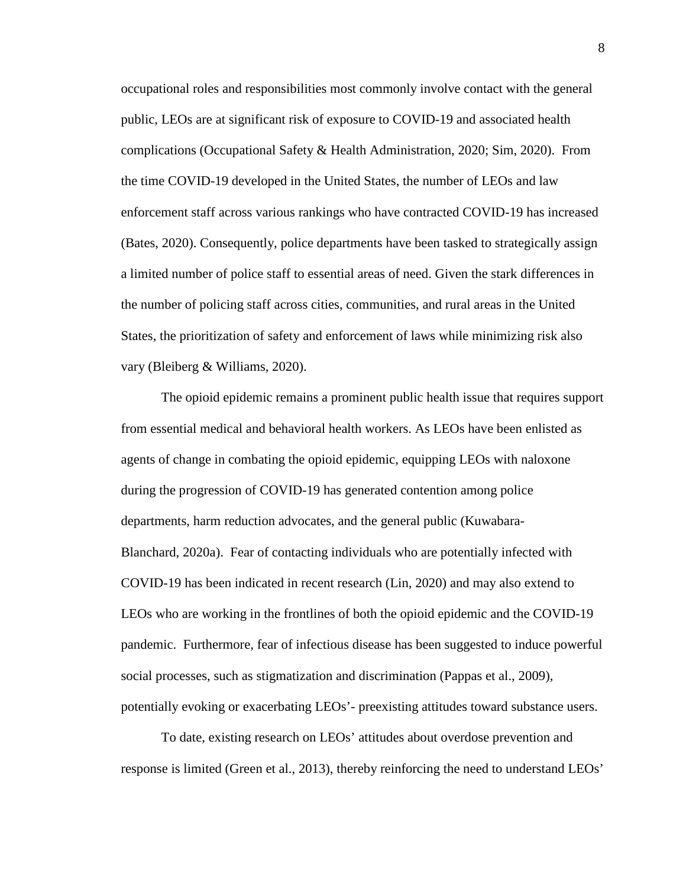occupational roles and responsibilities most commonly involve contact with the general public, LEOs are at significant risk of exposure to COVID-19 and associated health complications (Occupational Safety & Health Administration, 2020; Sim, 2020). From the time COVID-19 developed in the United States, the number of LEOs and law enforcement staff across various rankings who have contracted COVID-19 has increased (Bates, 2020). Consequently, police departments have been tasked to strategically assign a limited number of police staff to essential areas of need. Given the stark differences in the number of policing staff across cities, communities, and rural areas in the United States, the prioritization of safety and enforcement of laws while minimizing risk also vary (Bleiberg & Williams, 2020).

The opioid epidemic remains a prominent public health issue that requires support from essential medical and behavioral health workers. As LEOs have been enlisted as agents of change in combating the opioid epidemic, equipping LEOs with naloxone during the progression of COVID-19 has generated contention among police departments, harm reduction advocates, and the general public (Kuwabara-Blanchard, 2020a). Fear of contacting individuals who are potentially infected with COVID-19 has been indicated in recent research (Lin, 2020) and may also extend to LEOs who are working in the frontlines of both the opioid epidemic and the COVID-19 pandemic. Furthermore, fear of infectious disease has been suggested to induce powerful social processes, such as stigmatization and discrimination (Pappas et al., 2009), potentially evoking or exacerbating LEOs'- preexisting attitudes toward substance users.

To date, existing research on LEOs' attitudes about overdose prevention and response is limited (Green et al., 2013), thereby reinforcing the need to understand LEOs'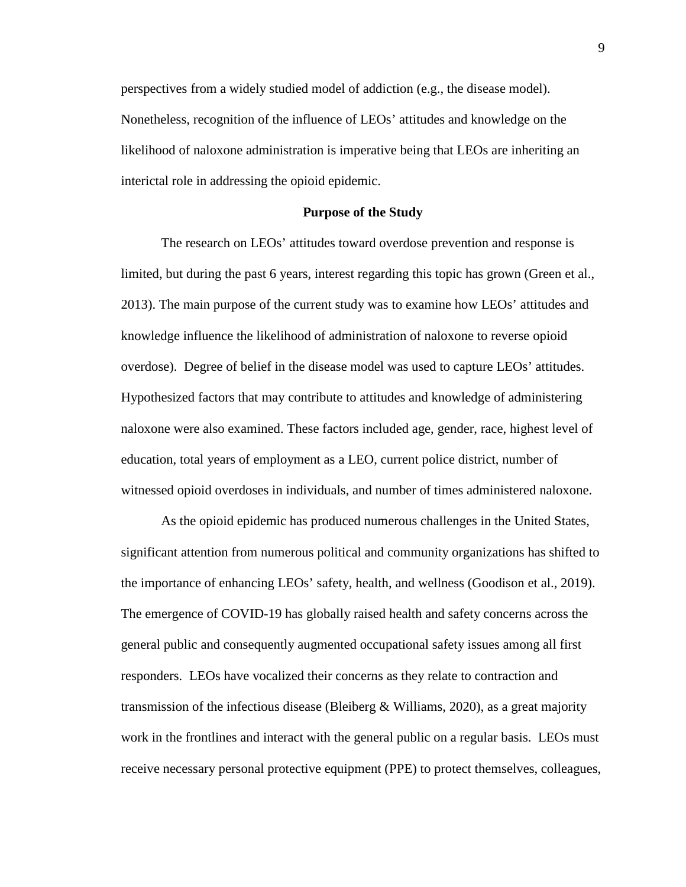perspectives from a widely studied model of addiction (e.g., the disease model). Nonetheless, recognition of the influence of LEOs' attitudes and knowledge on the likelihood of naloxone administration is imperative being that LEOs are inheriting an interictal role in addressing the opioid epidemic.

#### **Purpose of the Study**

The research on LEOs' attitudes toward overdose prevention and response is limited, but during the past 6 years, interest regarding this topic has grown (Green et al., 2013). The main purpose of the current study was to examine how LEOs' attitudes and knowledge influence the likelihood of administration of naloxone to reverse opioid overdose). Degree of belief in the disease model was used to capture LEOs' attitudes. Hypothesized factors that may contribute to attitudes and knowledge of administering naloxone were also examined. These factors included age, gender, race, highest level of education, total years of employment as a LEO, current police district, number of witnessed opioid overdoses in individuals, and number of times administered naloxone.

As the opioid epidemic has produced numerous challenges in the United States, significant attention from numerous political and community organizations has shifted to the importance of enhancing LEOs' safety, health, and wellness (Goodison et al., 2019). The emergence of COVID-19 has globally raised health and safety concerns across the general public and consequently augmented occupational safety issues among all first responders. LEOs have vocalized their concerns as they relate to contraction and transmission of the infectious disease (Bleiberg & Williams, 2020), as a great majority work in the frontlines and interact with the general public on a regular basis. LEOs must receive necessary personal protective equipment (PPE) to protect themselves, colleagues,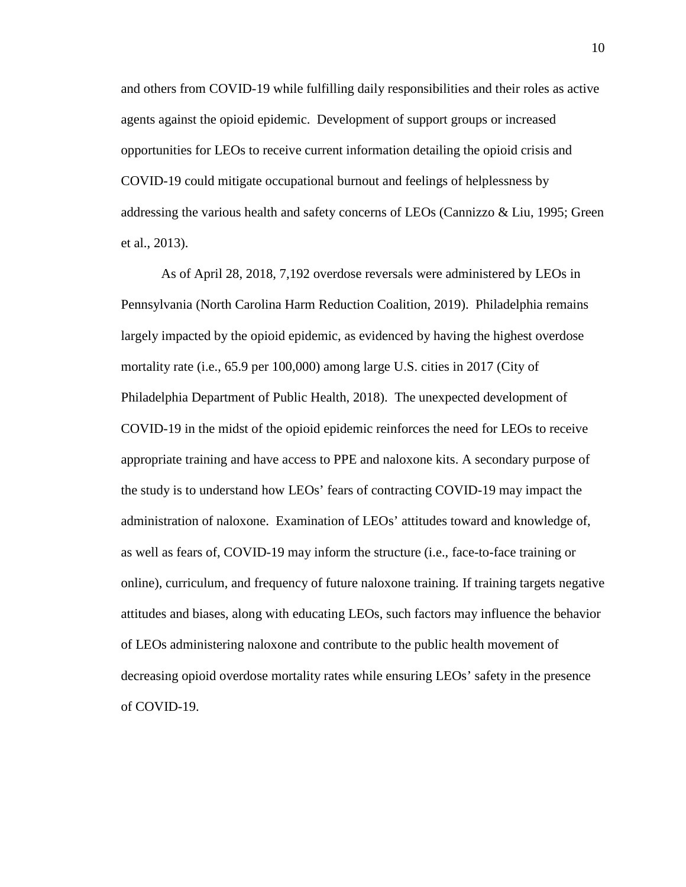and others from COVID-19 while fulfilling daily responsibilities and their roles as active agents against the opioid epidemic. Development of support groups or increased opportunities for LEOs to receive current information detailing the opioid crisis and COVID-19 could mitigate occupational burnout and feelings of helplessness by addressing the various health and safety concerns of LEOs (Cannizzo & Liu, 1995; Green et al., 2013).

As of April 28, 2018, 7,192 overdose reversals were administered by LEOs in Pennsylvania (North Carolina Harm Reduction Coalition, 2019). Philadelphia remains largely impacted by the opioid epidemic, as evidenced by having the highest overdose mortality rate (i.e., 65.9 per 100,000) among large U.S. cities in 2017 (City of Philadelphia Department of Public Health, 2018). The unexpected development of COVID-19 in the midst of the opioid epidemic reinforces the need for LEOs to receive appropriate training and have access to PPE and naloxone kits. A secondary purpose of the study is to understand how LEOs' fears of contracting COVID-19 may impact the administration of naloxone. Examination of LEOs' attitudes toward and knowledge of, as well as fears of, COVID-19 may inform the structure (i.e., face-to-face training or online), curriculum, and frequency of future naloxone training. If training targets negative attitudes and biases, along with educating LEOs, such factors may influence the behavior of LEOs administering naloxone and contribute to the public health movement of decreasing opioid overdose mortality rates while ensuring LEOs' safety in the presence of COVID-19.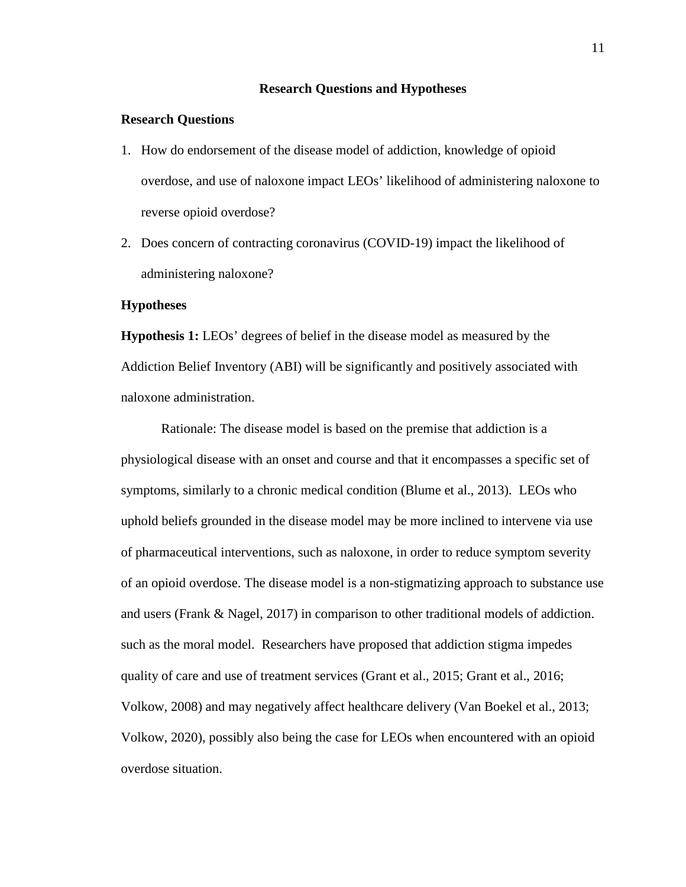#### **Research Questions and Hypotheses**

#### **Research Questions**

- 1. How do endorsement of the disease model of addiction, knowledge of opioid overdose, and use of naloxone impact LEOs' likelihood of administering naloxone to reverse opioid overdose?
- 2. Does concern of contracting coronavirus (COVID-19) impact the likelihood of administering naloxone?

#### **Hypotheses**

**Hypothesis 1:** LEOs' degrees of belief in the disease model as measured by the Addiction Belief Inventory (ABI) will be significantly and positively associated with naloxone administration.

Rationale: The disease model is based on the premise that addiction is a physiological disease with an onset and course and that it encompasses a specific set of symptoms, similarly to a chronic medical condition (Blume et al., 2013). LEOs who uphold beliefs grounded in the disease model may be more inclined to intervene via use of pharmaceutical interventions, such as naloxone, in order to reduce symptom severity of an opioid overdose. The disease model is a non-stigmatizing approach to substance use and users (Frank & Nagel, 2017) in comparison to other traditional models of addiction. such as the moral model. Researchers have proposed that addiction stigma impedes quality of care and use of treatment services (Grant et al., 2015; Grant et al., 2016; Volkow, 2008) and may negatively affect healthcare delivery (Van Boekel et al., 2013; Volkow, 2020), possibly also being the case for LEOs when encountered with an opioid overdose situation.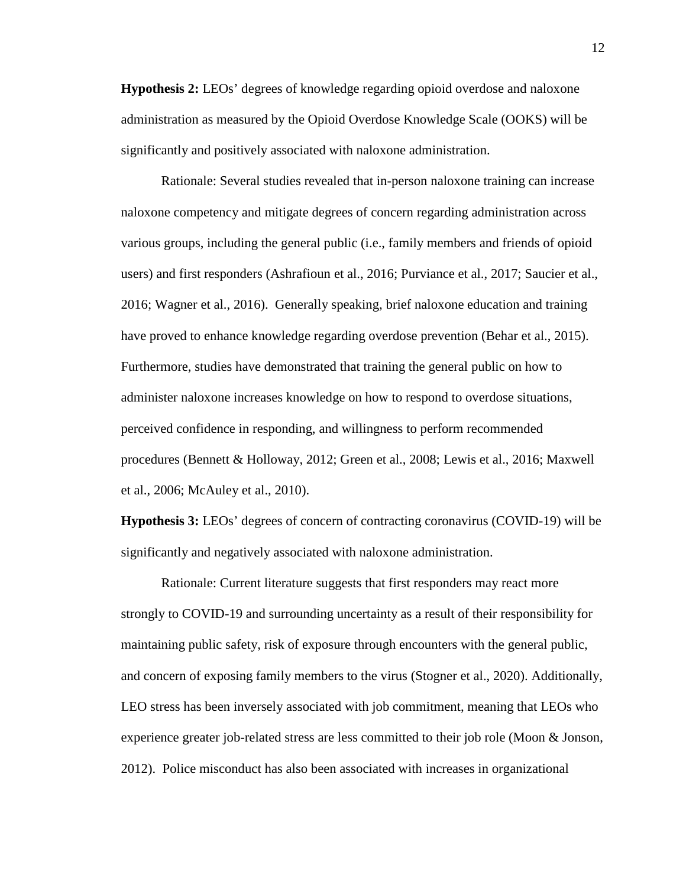**Hypothesis 2:** LEOs' degrees of knowledge regarding opioid overdose and naloxone administration as measured by the Opioid Overdose Knowledge Scale (OOKS) will be significantly and positively associated with naloxone administration.

Rationale: Several studies revealed that in-person naloxone training can increase naloxone competency and mitigate degrees of concern regarding administration across various groups, including the general public (i.e., family members and friends of opioid users) and first responders (Ashrafioun et al., 2016; Purviance et al., 2017; Saucier et al., 2016; Wagner et al., 2016). Generally speaking, brief naloxone education and training have proved to enhance knowledge regarding overdose prevention (Behar et al., 2015). Furthermore, studies have demonstrated that training the general public on how to administer naloxone increases knowledge on how to respond to overdose situations, perceived confidence in responding, and willingness to perform recommended procedures (Bennett & Holloway, 2012; Green et al., 2008; Lewis et al., 2016; Maxwell et al., 2006; McAuley et al., 2010).

**Hypothesis 3:** LEOs' degrees of concern of contracting coronavirus (COVID-19) will be significantly and negatively associated with naloxone administration.

Rationale: Current literature suggests that first responders may react more strongly to COVID-19 and surrounding uncertainty as a result of their responsibility for maintaining public safety, risk of exposure through encounters with the general public, and concern of exposing family members to the virus (Stogner et al., 2020). Additionally, LEO stress has been inversely associated with job commitment, meaning that LEOs who experience greater job-related stress are less committed to their job role (Moon & Jonson, 2012). Police misconduct has also been associated with increases in organizational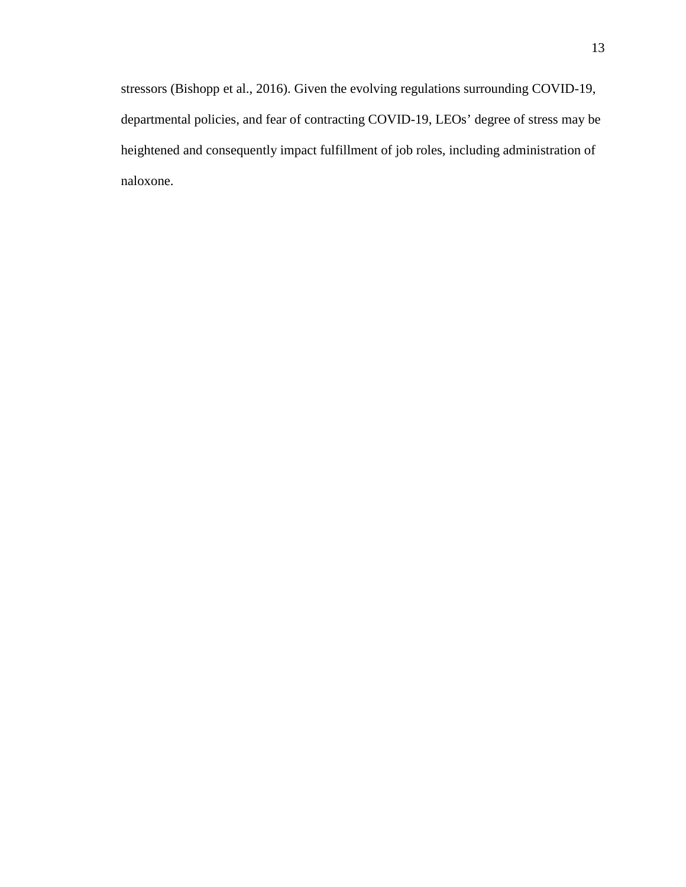stressors (Bishopp et al., 2016). Given the evolving regulations surrounding COVID-19, departmental policies, and fear of contracting COVID-19, LEOs' degree of stress may be heightened and consequently impact fulfillment of job roles, including administration of naloxone.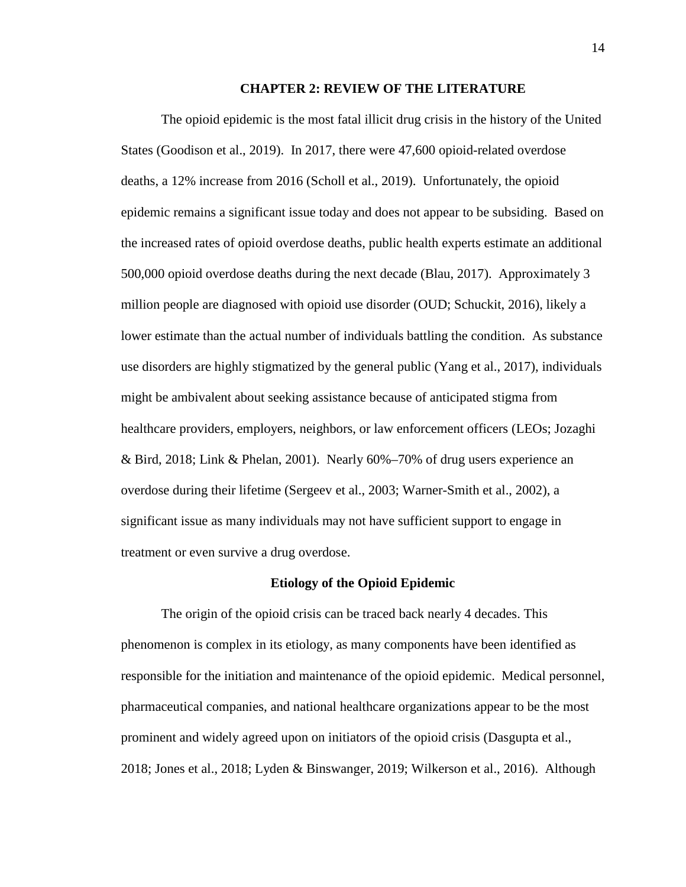#### **CHAPTER 2: REVIEW OF THE LITERATURE**

The opioid epidemic is the most fatal illicit drug crisis in the history of the United States (Goodison et al., 2019). In 2017, there were 47,600 opioid-related overdose deaths, a 12% increase from 2016 (Scholl et al., 2019). Unfortunately, the opioid epidemic remains a significant issue today and does not appear to be subsiding. Based on the increased rates of opioid overdose deaths, public health experts estimate an additional 500,000 opioid overdose deaths during the next decade (Blau, 2017). Approximately 3 million people are diagnosed with opioid use disorder (OUD; Schuckit, 2016), likely a lower estimate than the actual number of individuals battling the condition. As substance use disorders are highly stigmatized by the general public (Yang et al., 2017), individuals might be ambivalent about seeking assistance because of anticipated stigma from healthcare providers, employers, neighbors, or law enforcement officers (LEOs; Jozaghi & Bird, 2018; Link & Phelan, 2001). Nearly 60%–70% of drug users experience an overdose during their lifetime (Sergeev et al., 2003; Warner-Smith et al., 2002), a significant issue as many individuals may not have sufficient support to engage in treatment or even survive a drug overdose.

#### **Etiology of the Opioid Epidemic**

The origin of the opioid crisis can be traced back nearly 4 decades. This phenomenon is complex in its etiology, as many components have been identified as responsible for the initiation and maintenance of the opioid epidemic. Medical personnel, pharmaceutical companies, and national healthcare organizations appear to be the most prominent and widely agreed upon on initiators of the opioid crisis (Dasgupta et al., 2018; Jones et al., 2018; Lyden & Binswanger, 2019; Wilkerson et al., 2016). Although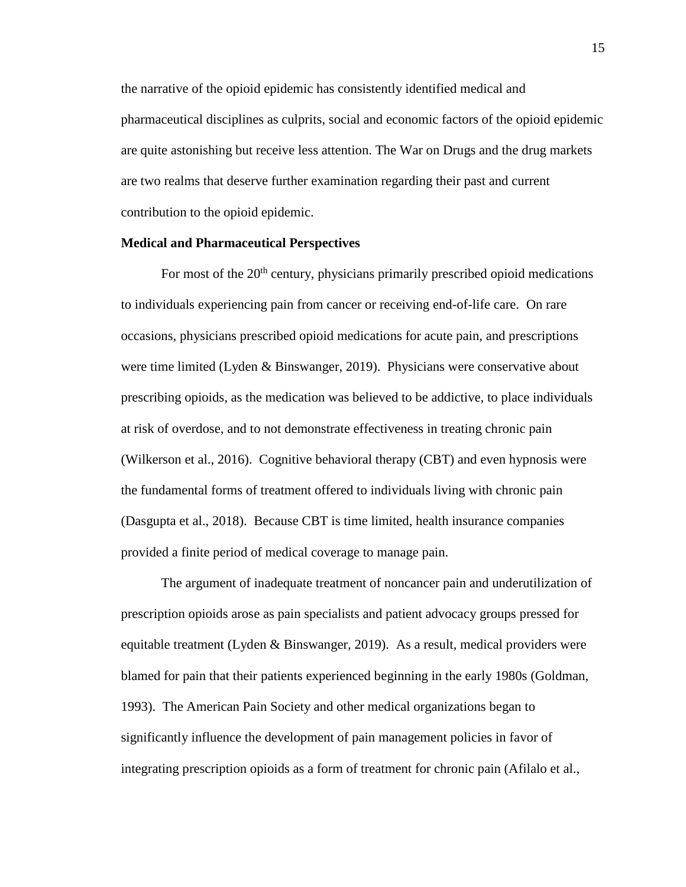the narrative of the opioid epidemic has consistently identified medical and pharmaceutical disciplines as culprits, social and economic factors of the opioid epidemic are quite astonishing but receive less attention. The War on Drugs and the drug markets are two realms that deserve further examination regarding their past and current contribution to the opioid epidemic.

#### **Medical and Pharmaceutical Perspectives**

For most of the  $20<sup>th</sup>$  century, physicians primarily prescribed opioid medications to individuals experiencing pain from cancer or receiving end-of-life care. On rare occasions, physicians prescribed opioid medications for acute pain, and prescriptions were time limited (Lyden & Binswanger, 2019). Physicians were conservative about prescribing opioids, as the medication was believed to be addictive, to place individuals at risk of overdose, and to not demonstrate effectiveness in treating chronic pain (Wilkerson et al., 2016). Cognitive behavioral therapy (CBT) and even hypnosis were the fundamental forms of treatment offered to individuals living with chronic pain (Dasgupta et al., 2018). Because CBT is time limited, health insurance companies provided a finite period of medical coverage to manage pain.

The argument of inadequate treatment of noncancer pain and underutilization of prescription opioids arose as pain specialists and patient advocacy groups pressed for equitable treatment (Lyden & Binswanger, 2019). As a result, medical providers were blamed for pain that their patients experienced beginning in the early 1980s (Goldman, 1993). The American Pain Society and other medical organizations began to significantly influence the development of pain management policies in favor of integrating prescription opioids as a form of treatment for chronic pain (Afilalo et al.,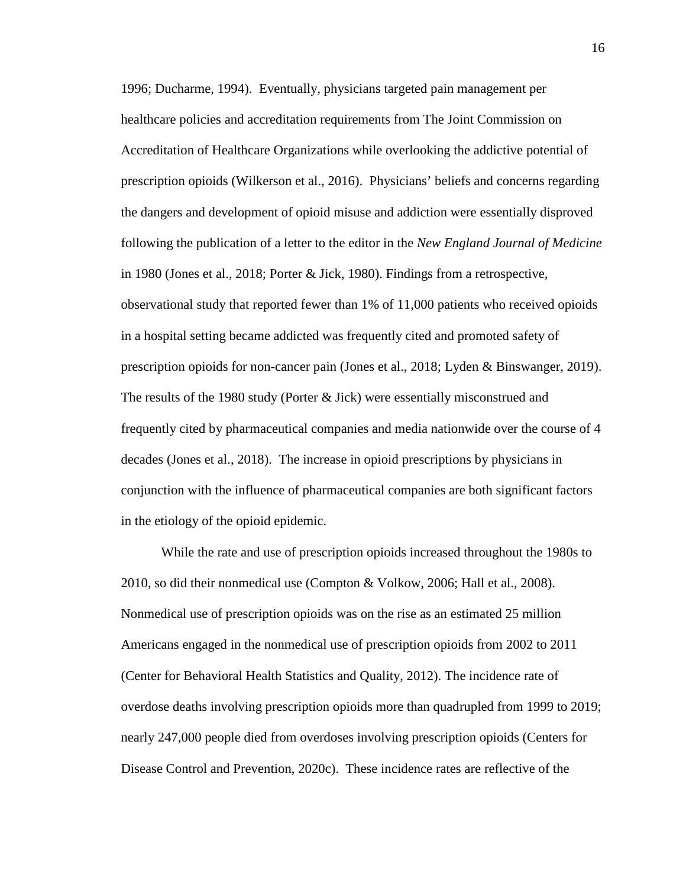1996; Ducharme, 1994). Eventually, physicians targeted pain management per healthcare policies and accreditation requirements from The Joint Commission on Accreditation of Healthcare Organizations while overlooking the addictive potential of prescription opioids (Wilkerson et al., 2016). Physicians' beliefs and concerns regarding the dangers and development of opioid misuse and addiction were essentially disproved following the publication of a letter to the editor in the *New England Journal of Medicine* in 1980 (Jones et al., 2018; Porter & Jick, 1980). Findings from a retrospective, observational study that reported fewer than 1% of 11,000 patients who received opioids in a hospital setting became addicted was frequently cited and promoted safety of prescription opioids for non-cancer pain (Jones et al., 2018; Lyden & Binswanger, 2019). The results of the 1980 study (Porter & Jick) were essentially misconstrued and frequently cited by pharmaceutical companies and media nationwide over the course of 4 decades (Jones et al., 2018). The increase in opioid prescriptions by physicians in conjunction with the influence of pharmaceutical companies are both significant factors in the etiology of the opioid epidemic.

While the rate and use of prescription opioids increased throughout the 1980s to 2010, so did their nonmedical use (Compton & Volkow, 2006; Hall et al., 2008). Nonmedical use of prescription opioids was on the rise as an estimated 25 million Americans engaged in the nonmedical use of prescription opioids from 2002 to 2011 (Center for Behavioral Health Statistics and Quality, 2012). The incidence rate of overdose deaths involving prescription opioids more than quadrupled from 1999 to 2019; nearly 247,000 people died from overdoses involving prescription opioids (Centers for Disease Control and Prevention, 2020c). These incidence rates are reflective of the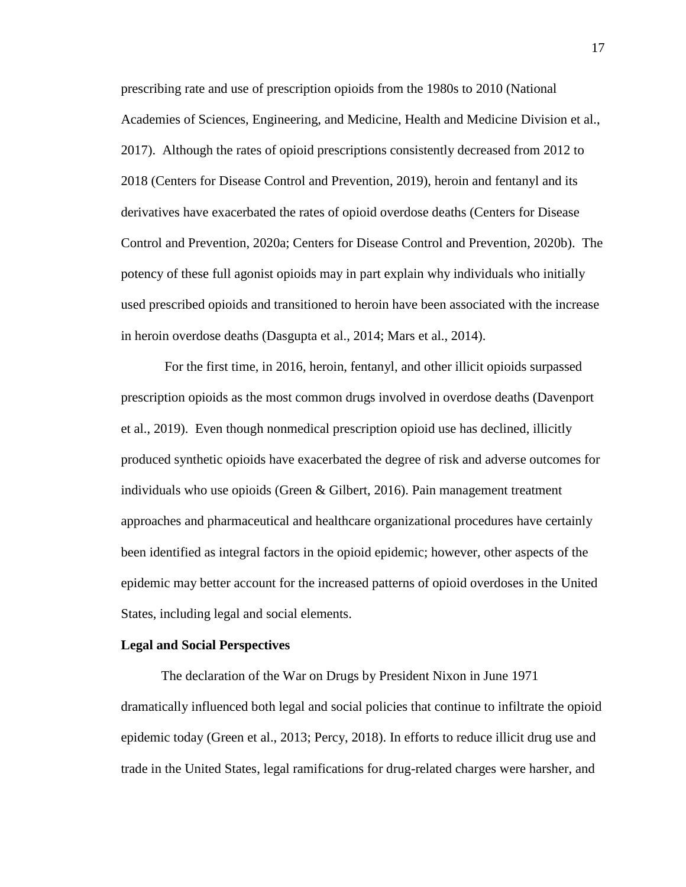prescribing rate and use of prescription opioids from the 1980s to 2010 (National Academies of Sciences, Engineering, and Medicine, Health and Medicine Division et al., 2017). Although the rates of opioid prescriptions consistently decreased from 2012 to 2018 (Centers for Disease Control and Prevention, 2019), heroin and fentanyl and its derivatives have exacerbated the rates of opioid overdose deaths (Centers for Disease Control and Prevention, 2020a; Centers for Disease Control and Prevention, 2020b). The potency of these full agonist opioids may in part explain why individuals who initially used prescribed opioids and transitioned to heroin have been associated with the increase in heroin overdose deaths (Dasgupta et al., 2014; Mars et al., 2014).

For the first time, in 2016, heroin, fentanyl, and other illicit opioids surpassed prescription opioids as the most common drugs involved in overdose deaths (Davenport et al., 2019). Even though nonmedical prescription opioid use has declined, illicitly produced synthetic opioids have exacerbated the degree of risk and adverse outcomes for individuals who use opioids (Green & Gilbert, 2016). Pain management treatment approaches and pharmaceutical and healthcare organizational procedures have certainly been identified as integral factors in the opioid epidemic; however, other aspects of the epidemic may better account for the increased patterns of opioid overdoses in the United States, including legal and social elements.

#### **Legal and Social Perspectives**

The declaration of the War on Drugs by President Nixon in June 1971 dramatically influenced both legal and social policies that continue to infiltrate the opioid epidemic today (Green et al., 2013; Percy, 2018). In efforts to reduce illicit drug use and trade in the United States, legal ramifications for drug-related charges were harsher, and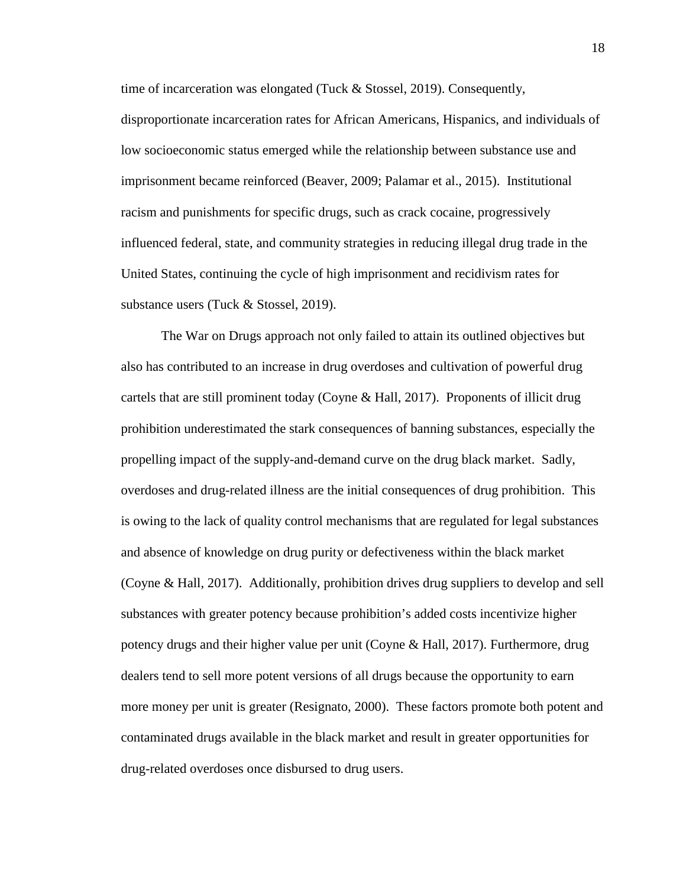time of incarceration was elongated (Tuck & Stossel, 2019). Consequently,

disproportionate incarceration rates for African Americans, Hispanics, and individuals of low socioeconomic status emerged while the relationship between substance use and imprisonment became reinforced (Beaver, 2009; Palamar et al., 2015). Institutional racism and punishments for specific drugs, such as crack cocaine, progressively influenced federal, state, and community strategies in reducing illegal drug trade in the United States, continuing the cycle of high imprisonment and recidivism rates for substance users (Tuck & Stossel, 2019).

The War on Drugs approach not only failed to attain its outlined objectives but also has contributed to an increase in drug overdoses and cultivation of powerful drug cartels that are still prominent today (Coyne & Hall, 2017). Proponents of illicit drug prohibition underestimated the stark consequences of banning substances, especially the propelling impact of the supply-and-demand curve on the drug black market. Sadly, overdoses and drug-related illness are the initial consequences of drug prohibition. This is owing to the lack of quality control mechanisms that are regulated for legal substances and absence of knowledge on drug purity or defectiveness within the black market (Coyne & Hall, 2017). Additionally, prohibition drives drug suppliers to develop and sell substances with greater potency because prohibition's added costs incentivize higher potency drugs and their higher value per unit (Coyne & Hall, 2017). Furthermore, drug dealers tend to sell more potent versions of all drugs because the opportunity to earn more money per unit is greater (Resignato, 2000). These factors promote both potent and contaminated drugs available in the black market and result in greater opportunities for drug-related overdoses once disbursed to drug users.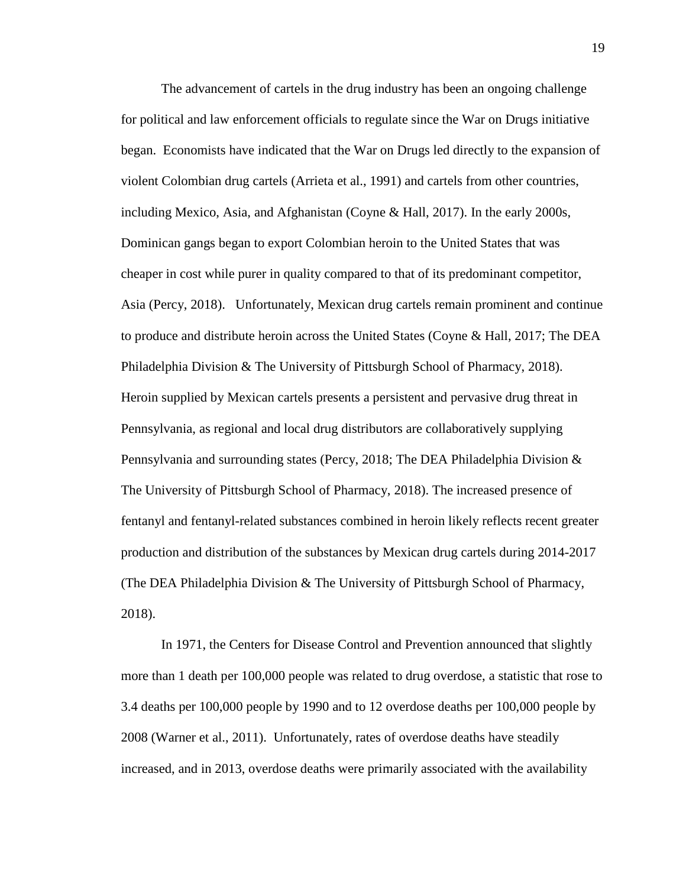The advancement of cartels in the drug industry has been an ongoing challenge for political and law enforcement officials to regulate since the War on Drugs initiative began. Economists have indicated that the War on Drugs led directly to the expansion of violent Colombian drug cartels (Arrieta et al., 1991) and cartels from other countries, including Mexico, Asia, and Afghanistan (Coyne & Hall, 2017). In the early 2000s, Dominican gangs began to export Colombian heroin to the United States that was cheaper in cost while purer in quality compared to that of its predominant competitor, Asia (Percy, 2018). Unfortunately, Mexican drug cartels remain prominent and continue to produce and distribute heroin across the United States (Coyne & Hall, 2017; The DEA Philadelphia Division & The University of Pittsburgh School of Pharmacy, 2018). Heroin supplied by Mexican cartels presents a persistent and pervasive drug threat in Pennsylvania, as regional and local drug distributors are collaboratively supplying Pennsylvania and surrounding states (Percy, 2018; The DEA Philadelphia Division  $\&$ The University of Pittsburgh School of Pharmacy, 2018). The increased presence of fentanyl and fentanyl-related substances combined in heroin likely reflects recent greater production and distribution of the substances by Mexican drug cartels during 2014-2017 (The DEA Philadelphia Division & The University of Pittsburgh School of Pharmacy, 2018).

In 1971, the Centers for Disease Control and Prevention announced that slightly more than 1 death per 100,000 people was related to drug overdose, a statistic that rose to 3.4 deaths per 100,000 people by 1990 and to 12 overdose deaths per 100,000 people by 2008 (Warner et al., 2011). Unfortunately, rates of overdose deaths have steadily increased, and in 2013, overdose deaths were primarily associated with the availability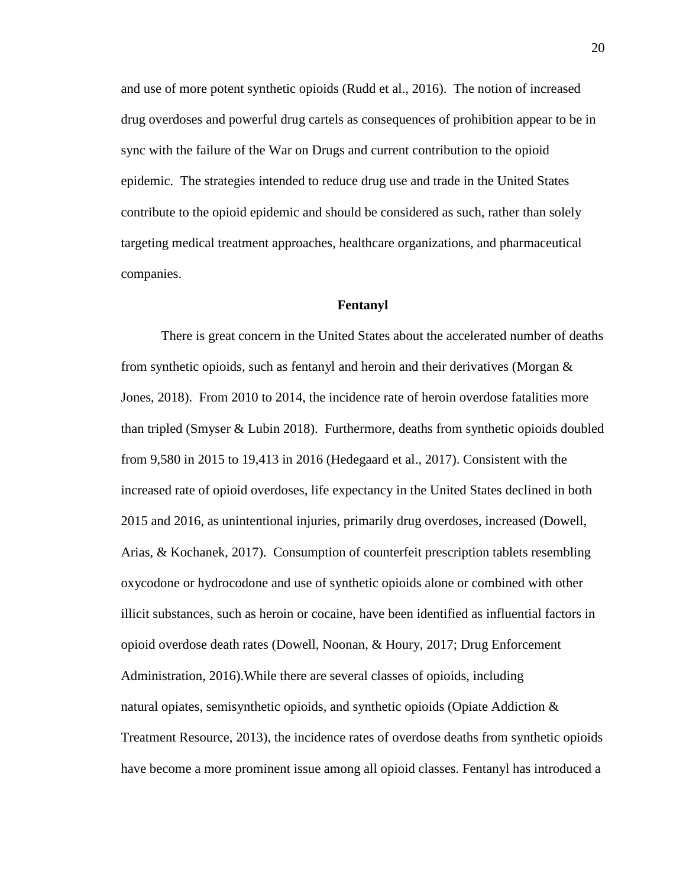and use of more potent synthetic opioids (Rudd et al., 2016). The notion of increased drug overdoses and powerful drug cartels as consequences of prohibition appear to be in sync with the failure of the War on Drugs and current contribution to the opioid epidemic. The strategies intended to reduce drug use and trade in the United States contribute to the opioid epidemic and should be considered as such, rather than solely targeting medical treatment approaches, healthcare organizations, and pharmaceutical companies.

#### **Fentanyl**

There is great concern in the United States about the accelerated number of deaths from synthetic opioids, such as fentanyl and heroin and their derivatives (Morgan  $\&$ Jones, 2018). From 2010 to 2014, the incidence rate of heroin overdose fatalities more than tripled (Smyser & Lubin 2018). Furthermore, deaths from synthetic opioids doubled from 9,580 in 2015 to 19,413 in 2016 (Hedegaard et al., 2017). Consistent with the increased rate of opioid overdoses, life expectancy in the United States declined in both 2015 and 2016, as unintentional injuries, primarily drug overdoses, increased (Dowell, Arias, & Kochanek, 2017). Consumption of counterfeit prescription tablets resembling oxycodone or hydrocodone and use of synthetic opioids alone or combined with other illicit substances, such as heroin or cocaine, have been identified as influential factors in opioid overdose death rates (Dowell, Noonan, & Houry, 2017; Drug Enforcement Administration, 2016).While there are several classes of opioids, including natural opiates, semisynthetic opioids, and synthetic opioids (Opiate Addiction & Treatment Resource, 2013), the incidence rates of overdose deaths from synthetic opioids have become a more prominent issue among all opioid classes. Fentanyl has introduced a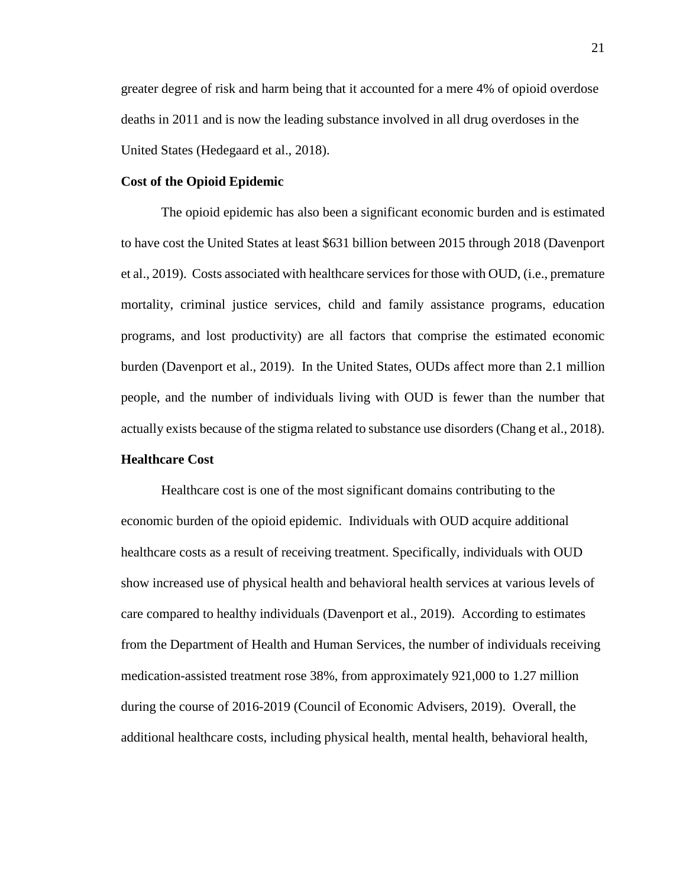greater degree of risk and harm being that it accounted for a mere 4% of opioid overdose deaths in 2011 and is now the leading substance involved in all drug overdoses in the United States (Hedegaard et al., 2018).

#### **Cost of the Opioid Epidemic**

The opioid epidemic has also been a significant economic burden and is estimated to have cost the United States at least \$631 billion between 2015 through 2018 (Davenport et al., 2019). Costs associated with healthcare services for those with OUD, (i.e., premature mortality, criminal justice services, child and family assistance programs, education programs, and lost productivity) are all factors that comprise the estimated economic burden (Davenport et al., 2019). In the United States, OUDs affect more than 2.1 million people, and the number of individuals living with OUD is fewer than the number that actually exists because of the stigma related to substance use disorders (Chang et al., 2018).

#### **Healthcare Cost**

Healthcare cost is one of the most significant domains contributing to the economic burden of the opioid epidemic. Individuals with OUD acquire additional healthcare costs as a result of receiving treatment. Specifically, individuals with OUD show increased use of physical health and behavioral health services at various levels of care compared to healthy individuals (Davenport et al., 2019). According to estimates from the Department of Health and Human Services, the number of individuals receiving medication-assisted treatment rose 38%, from approximately 921,000 to 1.27 million during the course of 2016-2019 (Council of Economic Advisers, 2019). Overall, the additional healthcare costs, including physical health, mental health, behavioral health,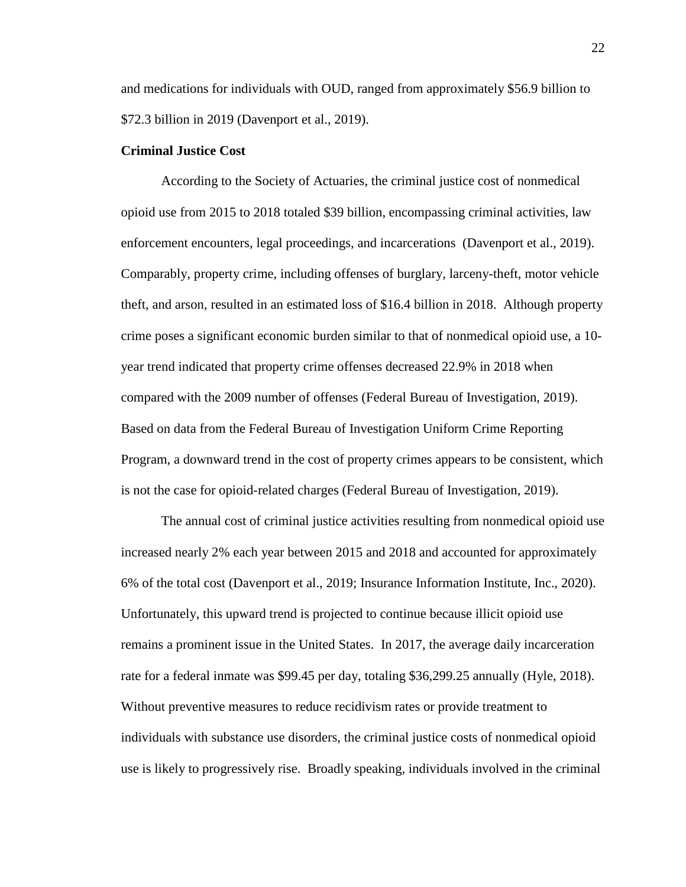and medications for individuals with OUD, ranged from approximately \$56.9 billion to \$72.3 billion in 2019 (Davenport et al., 2019).

#### **Criminal Justice Cost**

According to the Society of Actuaries, the criminal justice cost of nonmedical opioid use from 2015 to 2018 totaled \$39 billion, encompassing criminal activities, law enforcement encounters, legal proceedings, and incarcerations (Davenport et al., 2019). Comparably, property crime, including offenses of burglary, larceny-theft, motor vehicle theft, and arson, resulted in an estimated loss of \$16.4 billion in 2018. Although property crime poses a significant economic burden similar to that of nonmedical opioid use, a 10 year trend indicated that property crime offenses decreased 22.9% in 2018 when compared with the 2009 number of offenses (Federal Bureau of Investigation, 2019). Based on data from the Federal Bureau of Investigation Uniform Crime Reporting Program, a downward trend in the cost of property crimes appears to be consistent, which is not the case for opioid-related charges (Federal Bureau of Investigation, 2019).

The annual cost of criminal justice activities resulting from nonmedical opioid use increased nearly 2% each year between 2015 and 2018 and accounted for approximately 6% of the total cost (Davenport et al., 2019; Insurance Information Institute, Inc., 2020). Unfortunately, this upward trend is projected to continue because illicit opioid use remains a prominent issue in the United States. In 2017, the average daily incarceration rate for a federal inmate was \$99.45 per day, totaling \$36,299.25 annually (Hyle, 2018). Without preventive measures to reduce recidivism rates or provide treatment to individuals with substance use disorders, the criminal justice costs of nonmedical opioid use is likely to progressively rise. Broadly speaking, individuals involved in the criminal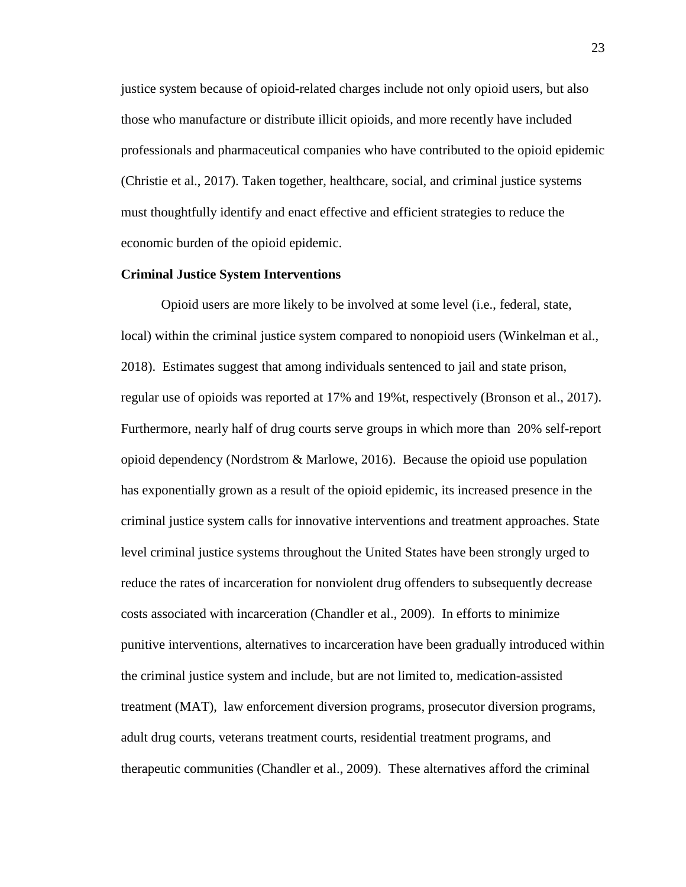justice system because of opioid-related charges include not only opioid users, but also those who manufacture or distribute illicit opioids, and more recently have included professionals and pharmaceutical companies who have contributed to the opioid epidemic (Christie et al., 2017). Taken together, healthcare, social, and criminal justice systems must thoughtfully identify and enact effective and efficient strategies to reduce the economic burden of the opioid epidemic.

#### **Criminal Justice System Interventions**

Opioid users are more likely to be involved at some level (i.e., federal, state, local) within the criminal justice system compared to nonopioid users (Winkelman et al., 2018). Estimates suggest that among individuals sentenced to jail and state prison, regular use of opioids was reported at 17% and 19%t, respectively (Bronson et al., 2017). Furthermore, nearly half of drug courts serve groups in which more than 20% self-report opioid dependency (Nordstrom & Marlowe, 2016). Because the opioid use population has exponentially grown as a result of the opioid epidemic, its increased presence in the criminal justice system calls for innovative interventions and treatment approaches. State level criminal justice systems throughout the United States have been strongly urged to reduce the rates of incarceration for nonviolent drug offenders to subsequently decrease costs associated with incarceration (Chandler et al., 2009). In efforts to minimize punitive interventions, alternatives to incarceration have been gradually introduced within the criminal justice system and include, but are not limited to, medication-assisted treatment (MAT), law enforcement diversion programs, prosecutor diversion programs, adult drug courts, veterans treatment courts, residential treatment programs, and therapeutic communities (Chandler et al., 2009). These alternatives afford the criminal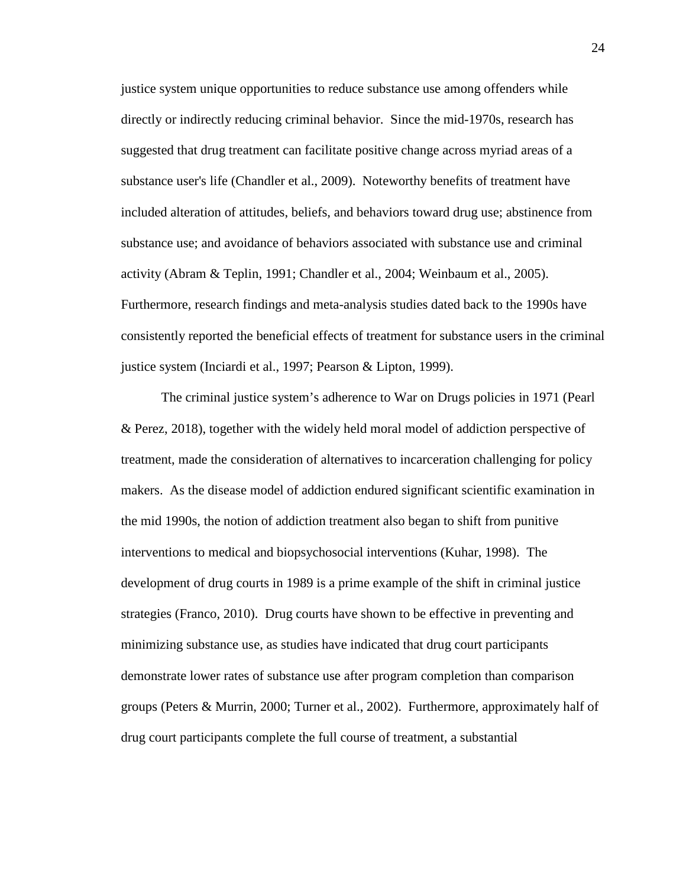justice system unique opportunities to reduce substance use among offenders while directly or indirectly reducing criminal behavior. Since the mid-1970s, research has suggested that drug treatment can facilitate positive change across myriad areas of a substance user's life (Chandler et al., 2009). Noteworthy benefits of treatment have included alteration of attitudes, beliefs, and behaviors toward drug use; abstinence from substance use; and avoidance of behaviors associated with substance use and criminal activity (Abram & Teplin, 1991; Chandler et al., 2004; Weinbaum et al., 2005). Furthermore, research findings and meta-analysis studies dated back to the 1990s have consistently reported the beneficial effects of treatment for substance users in the criminal justice system (Inciardi et al., 1997; Pearson & Lipton, 1999).

The criminal justice system's adherence to War on Drugs policies in 1971 (Pearl & Perez, 2018), together with the widely held moral model of addiction perspective of treatment, made the consideration of alternatives to incarceration challenging for policy makers. As the disease model of addiction endured significant scientific examination in the mid 1990s, the notion of addiction treatment also began to shift from punitive interventions to medical and biopsychosocial interventions (Kuhar, 1998). The development of drug courts in 1989 is a prime example of the shift in criminal justice strategies (Franco, 2010). Drug courts have shown to be effective in preventing and minimizing substance use, as studies have indicated that drug court participants demonstrate lower rates of substance use after program completion than comparison groups (Peters & Murrin, 2000; Turner et al., 2002). Furthermore, approximately half of drug court participants complete the full course of treatment, a substantial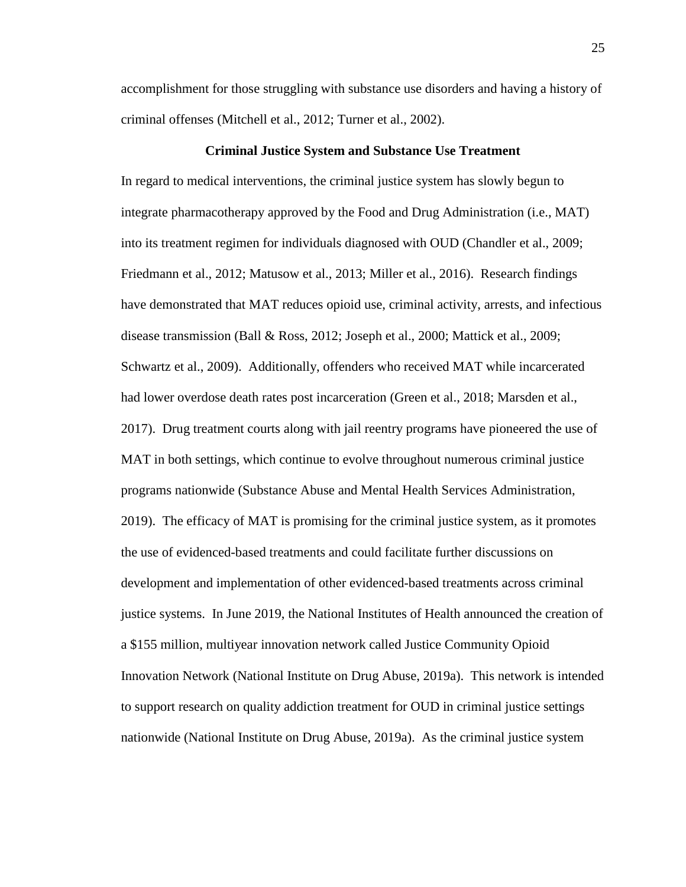accomplishment for those struggling with substance use disorders and having a history of criminal offenses (Mitchell et al., 2012; Turner et al., 2002).

#### **Criminal Justice System and Substance Use Treatment**

In regard to medical interventions, the criminal justice system has slowly begun to integrate pharmacotherapy approved by the Food and Drug Administration (i.e., MAT) into its treatment regimen for individuals diagnosed with OUD (Chandler et al., 2009; Friedmann et al., 2012; Matusow et al., 2013; Miller et al., 2016). Research findings have demonstrated that MAT reduces opioid use, criminal activity, arrests, and infectious disease transmission (Ball & Ross, 2012; Joseph et al., 2000; Mattick et al., 2009; Schwartz et al., 2009). Additionally, offenders who received MAT while incarcerated had lower overdose death rates post incarceration (Green et al., 2018; Marsden et al., 2017). Drug treatment courts along with jail reentry programs have pioneered the use of MAT in both settings, which continue to evolve throughout numerous criminal justice programs nationwide (Substance Abuse and Mental Health Services Administration, 2019). The efficacy of MAT is promising for the criminal justice system, as it promotes the use of evidenced-based treatments and could facilitate further discussions on development and implementation of other evidenced-based treatments across criminal justice systems. In June 2019, the National Institutes of Health announced the creation of a \$155 million, multiyear innovation network called Justice Community Opioid Innovation Network (National Institute on Drug Abuse, 2019a). This network is intended to support research on quality addiction treatment for OUD in criminal justice settings nationwide (National Institute on Drug Abuse, 2019a). As the criminal justice system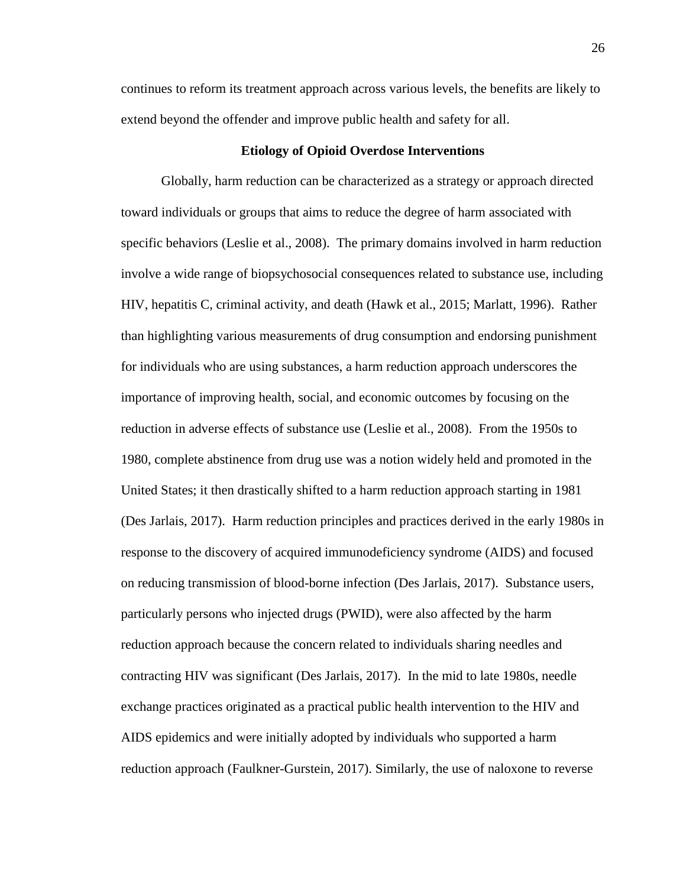continues to reform its treatment approach across various levels, the benefits are likely to extend beyond the offender and improve public health and safety for all.

#### **Etiology of Opioid Overdose Interventions**

Globally, harm reduction can be characterized as a strategy or approach directed toward individuals or groups that aims to reduce the degree of harm associated with specific behaviors (Leslie et al., 2008). The primary domains involved in harm reduction involve a wide range of biopsychosocial consequences related to substance use, including HIV, hepatitis C, criminal activity, and death (Hawk et al., 2015; Marlatt, 1996). Rather than highlighting various measurements of drug consumption and endorsing punishment for individuals who are using substances, a harm reduction approach underscores the importance of improving health, social, and economic outcomes by focusing on the reduction in adverse effects of substance use (Leslie et al., 2008). From the 1950s to 1980, complete abstinence from drug use was a notion widely held and promoted in the United States; it then drastically shifted to a harm reduction approach starting in 1981 (Des Jarlais, 2017). Harm reduction principles and practices derived in the early 1980s in response to the discovery of acquired immunodeficiency syndrome (AIDS) and focused on reducing transmission of blood-borne infection (Des Jarlais, 2017). Substance users, particularly persons who injected drugs (PWID), were also affected by the harm reduction approach because the concern related to individuals sharing needles and contracting HIV was significant (Des Jarlais, 2017). In the mid to late 1980s, needle exchange practices originated as a practical public health intervention to the HIV and AIDS epidemics and were initially adopted by individuals who supported a harm reduction approach (Faulkner-Gurstein, 2017). Similarly, the use of naloxone to reverse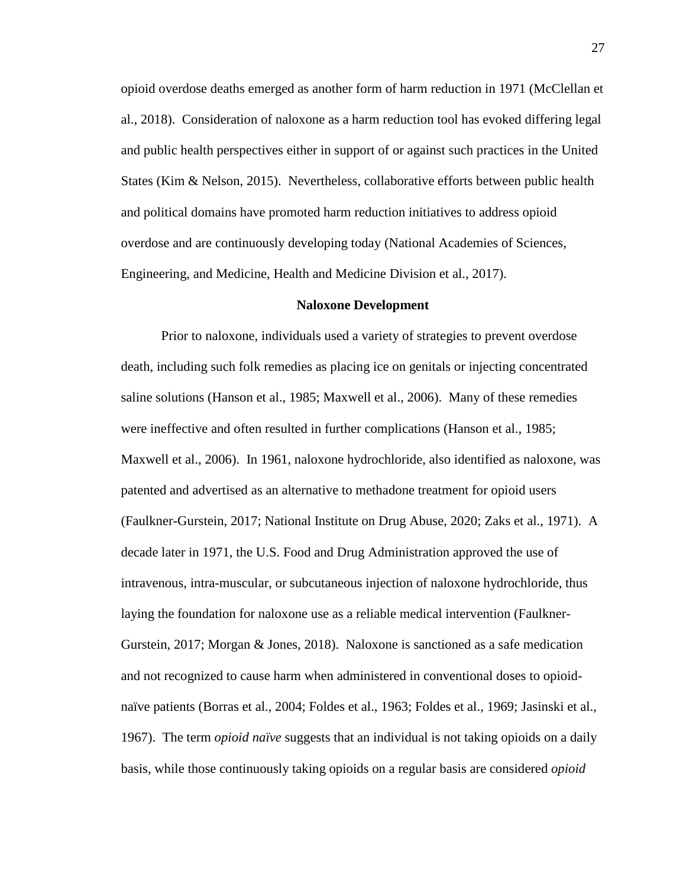opioid overdose deaths emerged as another form of harm reduction in 1971 (McClellan et al., 2018). Consideration of naloxone as a harm reduction tool has evoked differing legal and public health perspectives either in support of or against such practices in the United States (Kim & Nelson, 2015). Nevertheless, collaborative efforts between public health and political domains have promoted harm reduction initiatives to address opioid overdose and are continuously developing today (National Academies of Sciences, Engineering, and Medicine, Health and Medicine Division et al., 2017).

#### **Naloxone Development**

Prior to naloxone, individuals used a variety of strategies to prevent overdose death, including such folk remedies as placing ice on genitals or injecting concentrated saline solutions (Hanson et al., 1985; Maxwell et al., 2006). Many of these remedies were ineffective and often resulted in further complications (Hanson et al., 1985; Maxwell et al., 2006). In 1961, naloxone hydrochloride, also identified as naloxone, was patented and advertised as an alternative to methadone treatment for opioid users (Faulkner-Gurstein, 2017; National Institute on Drug Abuse, 2020; Zaks et al., 1971). A decade later in 1971, the U.S. Food and Drug Administration approved the use of intravenous, intra-muscular, or subcutaneous injection of naloxone hydrochloride, thus laying the foundation for naloxone use as a reliable medical intervention (Faulkner-Gurstein, 2017; Morgan & Jones, 2018). Naloxone is sanctioned as a safe medication and not recognized to cause harm when administered in conventional doses to opioidnaïve patients (Borras et al., 2004; Foldes et al., 1963; Foldes et al., 1969; Jasinski et al., 1967). The term *opioid naïve* suggests that an individual is not taking opioids on a daily basis, while those continuously taking opioids on a regular basis are considered *opioid*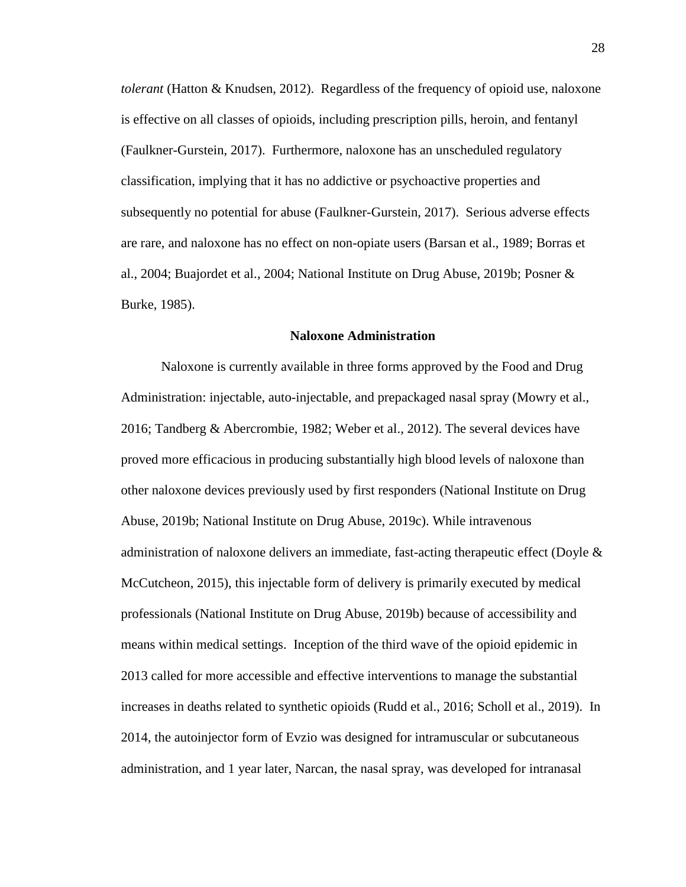*tolerant* (Hatton & Knudsen, 2012). Regardless of the frequency of opioid use, naloxone is effective on all classes of opioids, including prescription pills, heroin, and fentanyl (Faulkner-Gurstein, 2017). Furthermore, naloxone has an unscheduled regulatory classification, implying that it has no addictive or psychoactive properties and subsequently no potential for abuse (Faulkner-Gurstein, 2017). Serious adverse effects are rare, and naloxone has no effect on non-opiate users (Barsan et al., 1989; Borras et al., 2004; Buajordet et al., 2004; National Institute on Drug Abuse, 2019b; Posner & Burke, 1985).

### **Naloxone Administration**

Naloxone is currently available in three forms approved by the Food and Drug Administration: injectable, auto-injectable, and prepackaged nasal spray (Mowry et al., 2016; Tandberg & Abercrombie, 1982; Weber et al., 2012). The several devices have proved more efficacious in producing substantially high blood levels of naloxone than other naloxone devices previously used by first responders (National Institute on Drug Abuse, 2019b; National Institute on Drug Abuse, 2019c). While intravenous administration of naloxone delivers an immediate, fast-acting therapeutic effect (Doyle  $\&$ McCutcheon, 2015), this injectable form of delivery is primarily executed by medical professionals (National Institute on Drug Abuse, 2019b) because of accessibility and means within medical settings. Inception of the third wave of the opioid epidemic in 2013 called for more accessible and effective interventions to manage the substantial increases in deaths related to synthetic opioids (Rudd et al., 2016; Scholl et al., 2019). In 2014, the autoinjector form of Evzio was designed for intramuscular or subcutaneous administration, and 1 year later, Narcan, the nasal spray, was developed for intranasal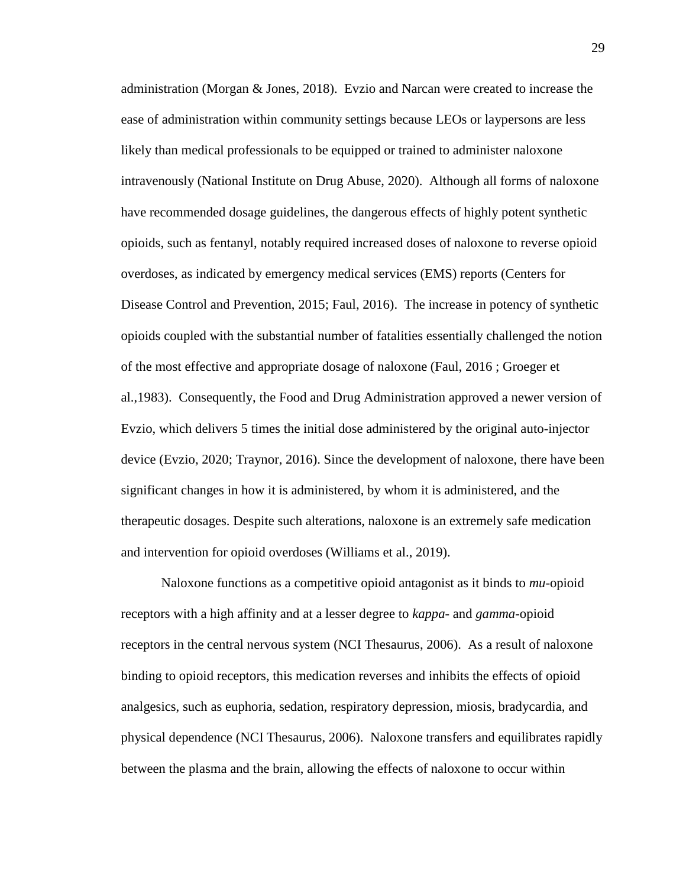administration (Morgan & Jones, 2018). Evzio and Narcan were created to increase the ease of administration within community settings because LEOs or laypersons are less likely than medical professionals to be equipped or trained to administer naloxone intravenously (National Institute on Drug Abuse, 2020). Although all forms of naloxone have recommended dosage guidelines, the dangerous effects of highly potent synthetic opioids, such as fentanyl, notably required increased doses of naloxone to reverse opioid overdoses, as indicated by emergency medical services (EMS) reports (Centers for Disease Control and Prevention, 2015; Faul, 2016). The increase in potency of synthetic opioids coupled with the substantial number of fatalities essentially challenged the notion of the most effective and appropriate dosage of naloxone (Faul, 2016 ; Groeger et al.,1983). Consequently, the Food and Drug Administration approved a newer version of Evzio, which delivers 5 times the initial dose administered by the original auto-injector device (Evzio, 2020; Traynor, 2016). Since the development of naloxone, there have been significant changes in how it is administered, by whom it is administered, and the therapeutic dosages. Despite such alterations, naloxone is an extremely safe medication and intervention for opioid overdoses (Williams et al., 2019).

Naloxone functions as a competitive opioid antagonist as it binds to *mu*-opioid receptors with a high affinity and at a lesser degree to *kappa*- and *gamma*-opioid receptors in the central nervous system (NCI Thesaurus, 2006). As a result of naloxone binding to opioid receptors, this medication reverses and inhibits the effects of opioid analgesics, such as euphoria, sedation, respiratory depression, miosis, bradycardia, and physical dependence (NCI Thesaurus, 2006). Naloxone transfers and equilibrates rapidly between the plasma and the brain, allowing the effects of naloxone to occur within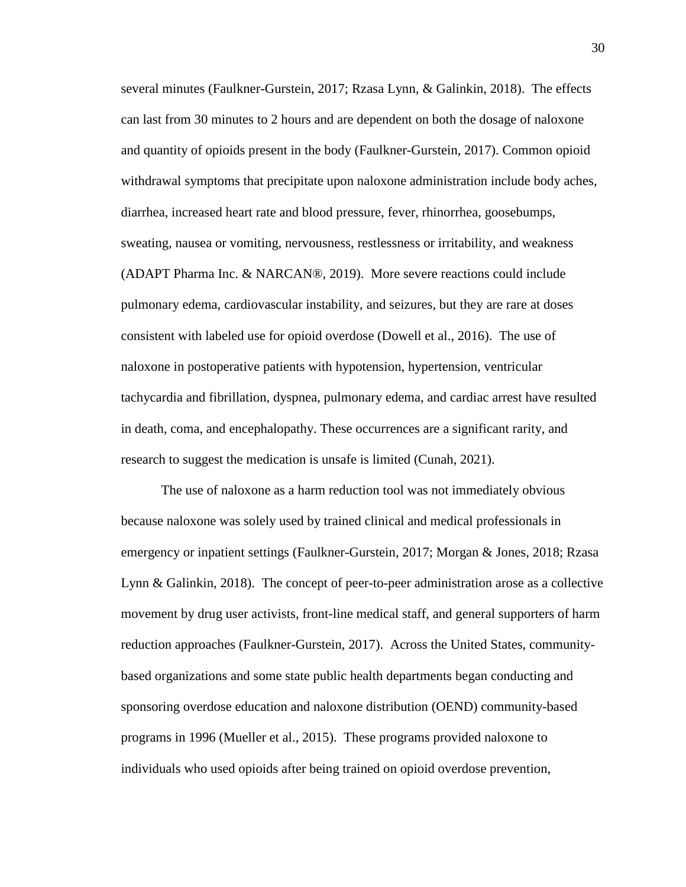several minutes (Faulkner-Gurstein, 2017; Rzasa Lynn, & Galinkin, 2018). The effects can last from 30 minutes to 2 hours and are dependent on both the dosage of naloxone and quantity of opioids present in the body (Faulkner-Gurstein, 2017). Common opioid withdrawal symptoms that precipitate upon naloxone administration include body aches, diarrhea, increased heart rate and blood pressure, fever, rhinorrhea, goosebumps, sweating, nausea or vomiting, nervousness, restlessness or irritability, and weakness (ADAPT Pharma Inc. & NARCAN®, 2019). More severe reactions could include pulmonary edema, cardiovascular instability, and seizures, but they are rare at doses consistent with labeled use for opioid overdose (Dowell et al., 2016). The use of naloxone in postoperative patients with hypotension, hypertension, ventricular tachycardia and fibrillation, dyspnea, pulmonary edema, and cardiac arrest have resulted in death, coma, and encephalopathy. These occurrences are a significant rarity, and research to suggest the medication is unsafe is limited (Cunah, 2021).

The use of naloxone as a harm reduction tool was not immediately obvious because naloxone was solely used by trained clinical and medical professionals in emergency or inpatient settings (Faulkner-Gurstein, 2017; Morgan & Jones, 2018; Rzasa Lynn & Galinkin, 2018). The concept of peer-to-peer administration arose as a collective movement by drug user activists, front-line medical staff, and general supporters of harm reduction approaches (Faulkner-Gurstein, 2017). Across the United States, communitybased organizations and some state public health departments began conducting and sponsoring overdose education and naloxone distribution (OEND) community-based programs in 1996 (Mueller et al., 2015). These programs provided naloxone to individuals who used opioids after being trained on opioid overdose prevention,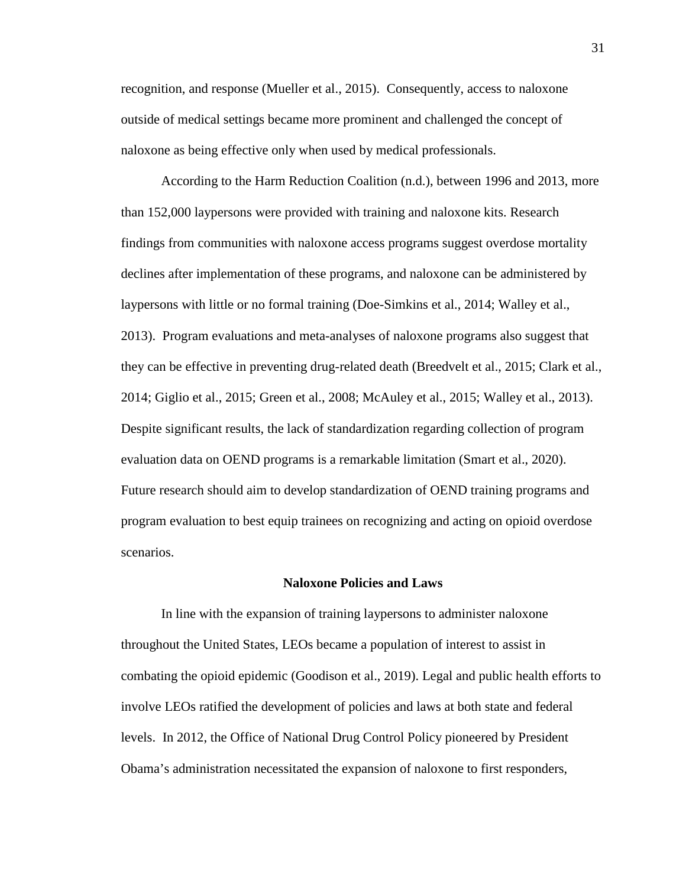recognition, and response (Mueller et al., 2015). Consequently, access to naloxone outside of medical settings became more prominent and challenged the concept of naloxone as being effective only when used by medical professionals.

According to the Harm Reduction Coalition (n.d.), between 1996 and 2013, more than 152,000 laypersons were provided with training and naloxone kits. Research findings from communities with naloxone access programs suggest overdose mortality declines after implementation of these programs, and naloxone can be administered by laypersons with little or no formal training (Doe-Simkins et al., 2014; Walley et al., 2013). Program evaluations and meta-analyses of naloxone programs also suggest that they can be effective in preventing drug-related death (Breedvelt et al., 2015; Clark et al., 2014; Giglio et al., 2015; Green et al., 2008; McAuley et al., 2015; Walley et al., 2013). Despite significant results, the lack of standardization regarding collection of program evaluation data on OEND programs is a remarkable limitation (Smart et al., 2020). Future research should aim to develop standardization of OEND training programs and program evaluation to best equip trainees on recognizing and acting on opioid overdose scenarios.

#### **Naloxone Policies and Laws**

In line with the expansion of training laypersons to administer naloxone throughout the United States, LEOs became a population of interest to assist in combating the opioid epidemic (Goodison et al., 2019). Legal and public health efforts to involve LEOs ratified the development of policies and laws at both state and federal levels. In 2012, the Office of National Drug Control Policy pioneered by President Obama's administration necessitated the expansion of naloxone to first responders,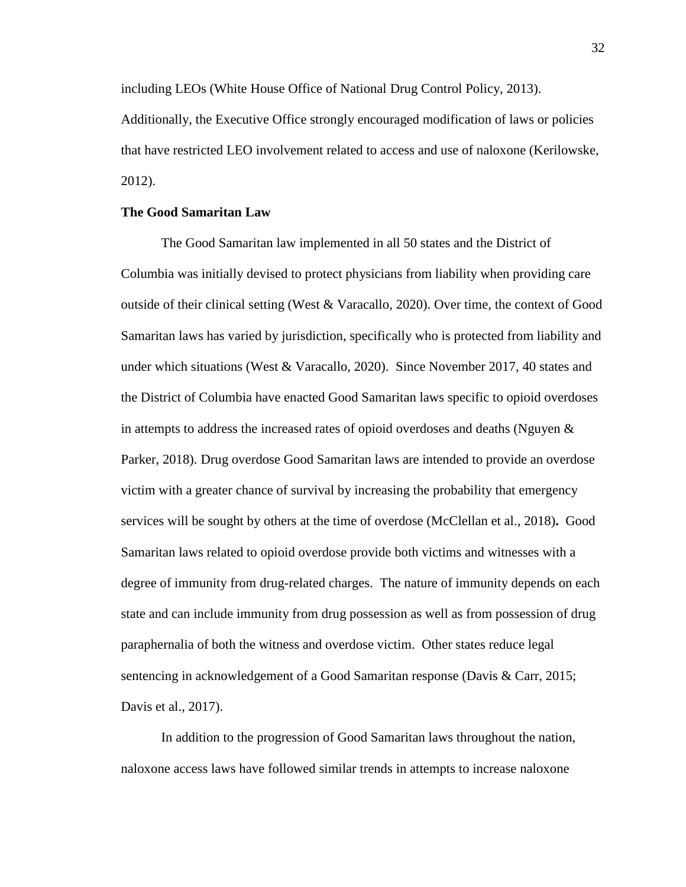including LEOs (White House Office of National Drug Control Policy, 2013). Additionally, the Executive Office strongly encouraged modification of laws or policies that have restricted LEO involvement related to access and use of naloxone (Kerilowske, 2012).

# **The Good Samaritan Law**

The Good Samaritan law implemented in all 50 states and the District of Columbia was initially devised to protect physicians from liability when providing care outside of their clinical setting (West & Varacallo, 2020). Over time, the context of Good Samaritan laws has varied by jurisdiction, specifically who is protected from liability and under which situations (West & Varacallo, 2020). Since November 2017, 40 states and the District of Columbia have enacted Good Samaritan laws specific to opioid overdoses in attempts to address the increased rates of opioid overdoses and deaths (Nguyen  $\&$ Parker, 2018). Drug overdose Good Samaritan laws are intended to provide an overdose victim with a greater chance of survival by increasing the probability that emergency services will be sought by others at the time of overdose (McClellan et al., 2018)**.** Good Samaritan laws related to opioid overdose provide both victims and witnesses with a degree of immunity from drug-related charges. The nature of immunity depends on each state and can include immunity from drug possession as well as from possession of drug paraphernalia of both the witness and overdose victim. Other states reduce legal sentencing in acknowledgement of a Good Samaritan response (Davis & Carr, 2015; Davis et al., 2017).

In addition to the progression of Good Samaritan laws throughout the nation, naloxone access laws have followed similar trends in attempts to increase naloxone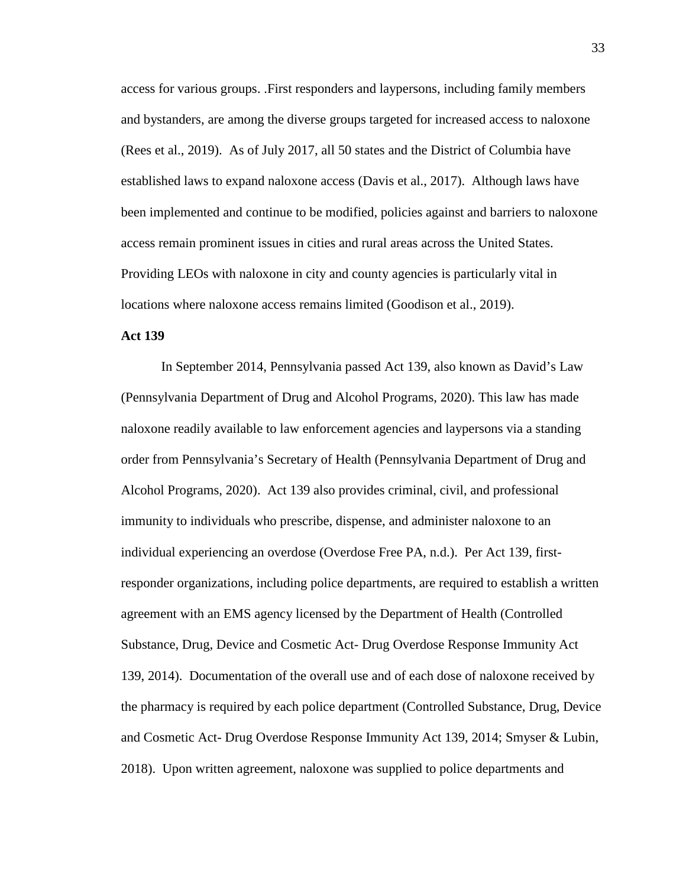access for various groups. .First responders and laypersons, including family members and bystanders, are among the diverse groups targeted for increased access to naloxone (Rees et al., 2019). As of July 2017, all 50 states and the District of Columbia have established laws to expand naloxone access (Davis et al., 2017). Although laws have been implemented and continue to be modified, policies against and barriers to naloxone access remain prominent issues in cities and rural areas across the United States. Providing LEOs with naloxone in city and county agencies is particularly vital in locations where naloxone access remains limited (Goodison et al., 2019).

# **Act 139**

In September 2014, Pennsylvania passed Act 139, also known as David's Law (Pennsylvania Department of Drug and Alcohol Programs, 2020). This law has made naloxone readily available to law enforcement agencies and laypersons via a standing order from Pennsylvania's Secretary of Health (Pennsylvania Department of Drug and Alcohol Programs, 2020). Act 139 also provides criminal, civil, and professional immunity to individuals who prescribe, dispense, and administer naloxone to an individual experiencing an overdose (Overdose Free PA, n.d.). Per Act 139, firstresponder organizations, including police departments, are required to establish a written agreement with an EMS agency licensed by the Department of Health (Controlled Substance, Drug, Device and Cosmetic Act- Drug Overdose Response Immunity Act 139, 2014). Documentation of the overall use and of each dose of naloxone received by the pharmacy is required by each police department (Controlled Substance, Drug, Device and Cosmetic Act- Drug Overdose Response Immunity Act 139, 2014; Smyser & Lubin, 2018). Upon written agreement, naloxone was supplied to police departments and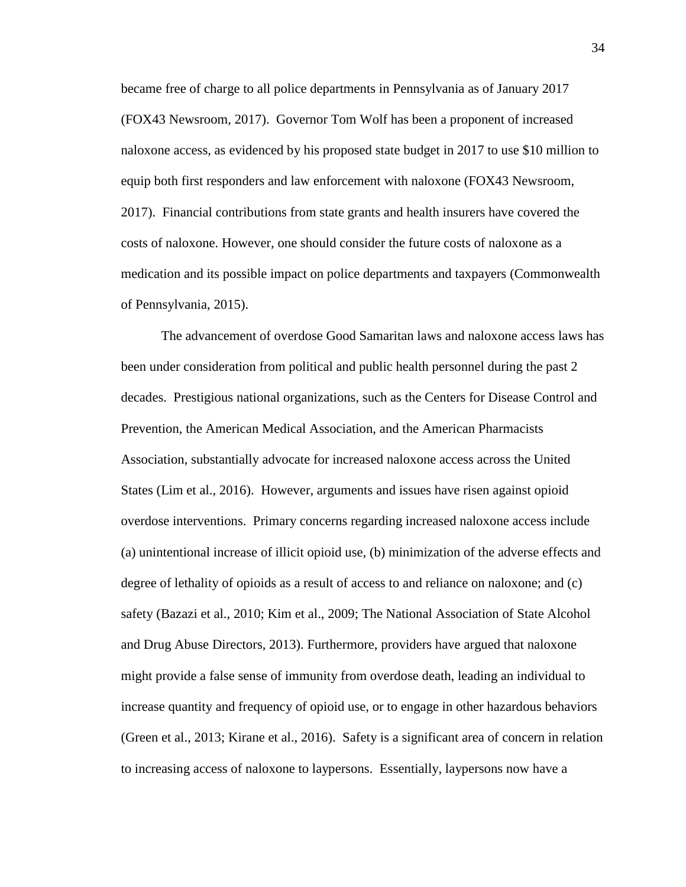became free of charge to all police departments in Pennsylvania as of January 2017 (FOX43 Newsroom, 2017). Governor Tom Wolf has been a proponent of increased naloxone access, as evidenced by his proposed state budget in 2017 to use \$10 million to equip both first responders and law enforcement with naloxone (FOX43 Newsroom, 2017). Financial contributions from state grants and health insurers have covered the costs of naloxone. However, one should consider the future costs of naloxone as a medication and its possible impact on police departments and taxpayers (Commonwealth of Pennsylvania, 2015).

The advancement of overdose Good Samaritan laws and naloxone access laws has been under consideration from political and public health personnel during the past 2 decades. Prestigious national organizations, such as the Centers for Disease Control and Prevention, the American Medical Association, and the American Pharmacists Association, substantially advocate for increased naloxone access across the United States (Lim et al., 2016). However, arguments and issues have risen against opioid overdose interventions. Primary concerns regarding increased naloxone access include (a) unintentional increase of illicit opioid use, (b) minimization of the adverse effects and degree of lethality of opioids as a result of access to and reliance on naloxone; and (c) safety (Bazazi et al., 2010; Kim et al., 2009; The National Association of State Alcohol and Drug Abuse Directors, 2013). Furthermore, providers have argued that naloxone might provide a false sense of immunity from overdose death, leading an individual to increase quantity and frequency of opioid use, or to engage in other hazardous behaviors (Green et al., 2013; Kirane et al., 2016). Safety is a significant area of concern in relation to increasing access of naloxone to laypersons. Essentially, laypersons now have a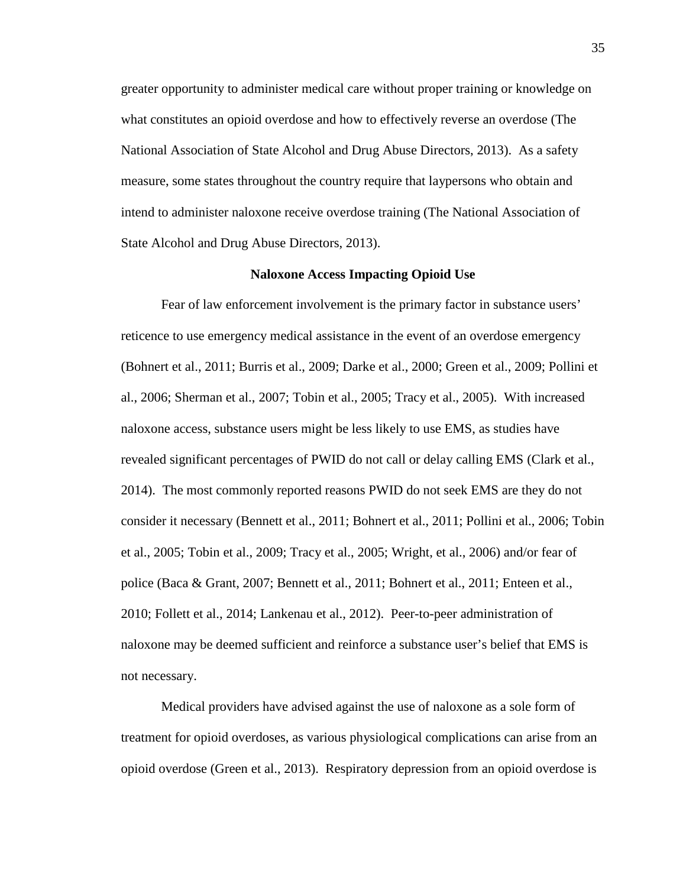greater opportunity to administer medical care without proper training or knowledge on what constitutes an opioid overdose and how to effectively reverse an overdose (The National Association of State Alcohol and Drug Abuse Directors, 2013). As a safety measure, some states throughout the country require that laypersons who obtain and intend to administer naloxone receive overdose training (The National Association of State Alcohol and Drug Abuse Directors, 2013).

# **Naloxone Access Impacting Opioid Use**

Fear of law enforcement involvement is the primary factor in substance users' reticence to use emergency medical assistance in the event of an overdose emergency (Bohnert et al., 2011; Burris et al., 2009; Darke et al., 2000; Green et al., 2009; Pollini et al., 2006; Sherman et al., 2007; Tobin et al., 2005; Tracy et al., 2005). With increased naloxone access, substance users might be less likely to use EMS, as studies have revealed significant percentages of PWID do not call or delay calling EMS (Clark et al., 2014). The most commonly reported reasons PWID do not seek EMS are they do not consider it necessary (Bennett et al., 2011; Bohnert et al., 2011; Pollini et al., 2006; Tobin et al., 2005; Tobin et al., 2009; Tracy et al., 2005; Wright, et al., 2006) and/or fear of police (Baca & Grant, 2007; Bennett et al., 2011; Bohnert et al., 2011; Enteen et al., 2010; Follett et al., 2014; Lankenau et al., 2012). Peer-to-peer administration of naloxone may be deemed sufficient and reinforce a substance user's belief that EMS is not necessary.

Medical providers have advised against the use of naloxone as a sole form of treatment for opioid overdoses, as various physiological complications can arise from an opioid overdose (Green et al., 2013). Respiratory depression from an opioid overdose is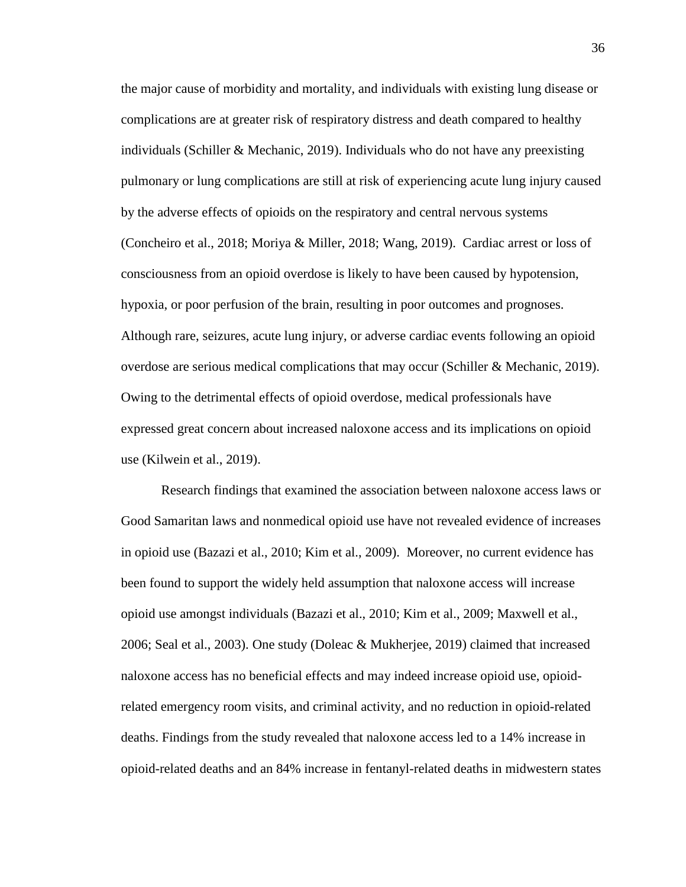the major cause of morbidity and mortality, and individuals with existing lung disease or complications are at greater risk of respiratory distress and death compared to healthy individuals (Schiller & Mechanic, 2019). Individuals who do not have any preexisting pulmonary or lung complications are still at risk of experiencing acute lung injury caused by the adverse effects of opioids on the respiratory and central nervous systems (Concheiro et al., 2018; Moriya & Miller, 2018; Wang, 2019). Cardiac arrest or loss of consciousness from an opioid overdose is likely to have been caused by hypotension, hypoxia, or poor perfusion of the brain, resulting in poor outcomes and prognoses. Although rare, seizures, acute lung injury, or adverse cardiac events following an opioid overdose are serious medical complications that may occur (Schiller & Mechanic, 2019). Owing to the detrimental effects of opioid overdose, medical professionals have expressed great concern about increased naloxone access and its implications on opioid use (Kilwein et al., 2019).

Research findings that examined the association between naloxone access laws or Good Samaritan laws and nonmedical opioid use have not revealed evidence of increases in opioid use (Bazazi et al., 2010; Kim et al., 2009). Moreover, no current evidence has been found to support the widely held assumption that naloxone access will increase opioid use amongst individuals (Bazazi et al., 2010; Kim et al., 2009; Maxwell et al., 2006; Seal et al., 2003). One study (Doleac & Mukherjee, 2019) claimed that increased naloxone access has no beneficial effects and may indeed increase opioid use, opioidrelated emergency room visits, and criminal activity, and no reduction in opioid-related deaths. Findings from the study revealed that naloxone access led to a 14% increase in opioid-related deaths and an 84% increase in fentanyl-related deaths in midwestern states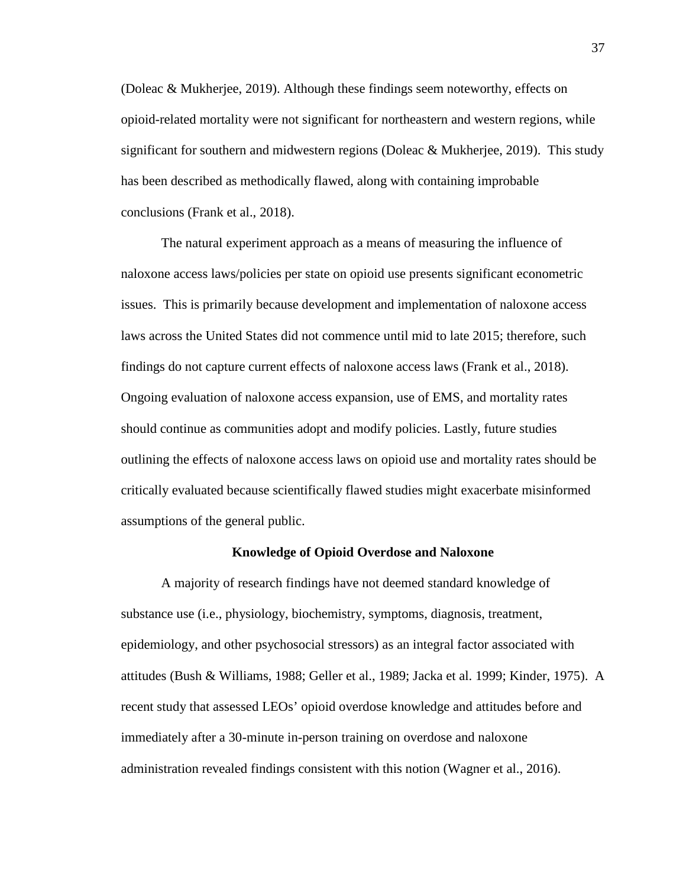(Doleac & Mukherjee, 2019). Although these findings seem noteworthy, effects on opioid-related mortality were not significant for northeastern and western regions, while significant for southern and midwestern regions (Doleac & Mukherjee, 2019). This study has been described as methodically flawed, along with containing improbable conclusions (Frank et al., 2018).

The natural experiment approach as a means of measuring the influence of naloxone access laws/policies per state on opioid use presents significant econometric issues. This is primarily because development and implementation of naloxone access laws across the United States did not commence until mid to late 2015; therefore, such findings do not capture current effects of naloxone access laws (Frank et al., 2018). Ongoing evaluation of naloxone access expansion, use of EMS, and mortality rates should continue as communities adopt and modify policies. Lastly, future studies outlining the effects of naloxone access laws on opioid use and mortality rates should be critically evaluated because scientifically flawed studies might exacerbate misinformed assumptions of the general public.

### **Knowledge of Opioid Overdose and Naloxone**

A majority of research findings have not deemed standard knowledge of substance use (i.e., physiology, biochemistry, symptoms, diagnosis, treatment, epidemiology, and other psychosocial stressors) as an integral factor associated with attitudes (Bush & Williams, 1988; Geller et al., 1989; Jacka et al. 1999; Kinder, 1975). A recent study that assessed LEOs' opioid overdose knowledge and attitudes before and immediately after a 30-minute in-person training on overdose and naloxone administration revealed findings consistent with this notion (Wagner et al., 2016).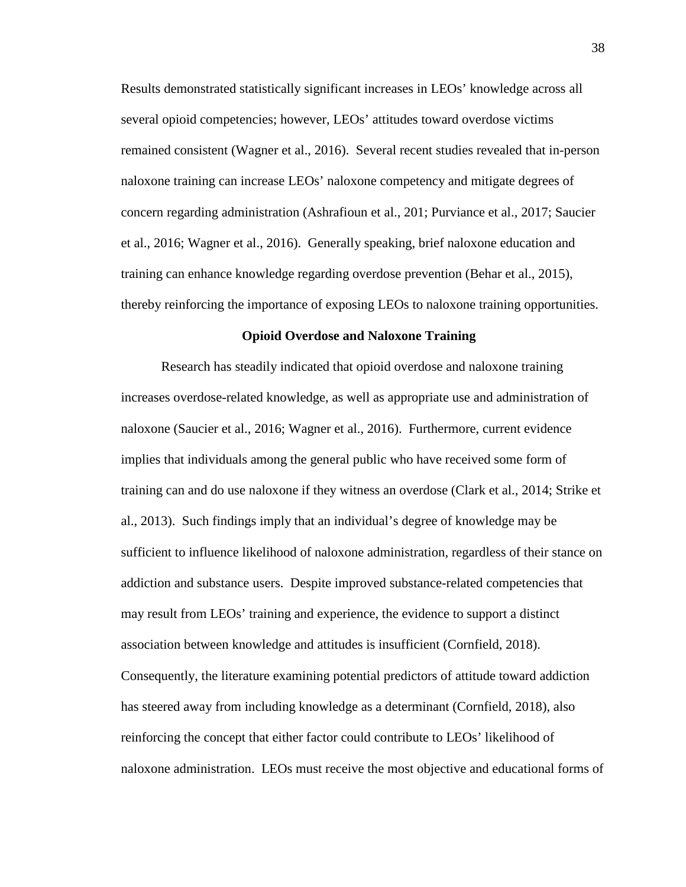Results demonstrated statistically significant increases in LEOs' knowledge across all several opioid competencies; however, LEOs' attitudes toward overdose victims remained consistent (Wagner et al., 2016). Several recent studies revealed that in-person naloxone training can increase LEOs' naloxone competency and mitigate degrees of concern regarding administration (Ashrafioun et al., 201; Purviance et al., 2017; Saucier et al., 2016; Wagner et al., 2016). Generally speaking, brief naloxone education and training can enhance knowledge regarding overdose prevention (Behar et al., 2015), thereby reinforcing the importance of exposing LEOs to naloxone training opportunities.

# **Opioid Overdose and Naloxone Training**

Research has steadily indicated that opioid overdose and naloxone training increases overdose-related knowledge, as well as appropriate use and administration of naloxone (Saucier et al., 2016; Wagner et al., 2016). Furthermore, current evidence implies that individuals among the general public who have received some form of training can and do use naloxone if they witness an overdose (Clark et al., 2014; Strike et al., 2013). Such findings imply that an individual's degree of knowledge may be sufficient to influence likelihood of naloxone administration, regardless of their stance on addiction and substance users. Despite improved substance-related competencies that may result from LEOs' training and experience, the evidence to support a distinct association between knowledge and attitudes is insufficient (Cornfield, 2018). Consequently, the literature examining potential predictors of attitude toward addiction has steered away from including knowledge as a determinant (Cornfield, 2018), also reinforcing the concept that either factor could contribute to LEOs' likelihood of naloxone administration. LEOs must receive the most objective and educational forms of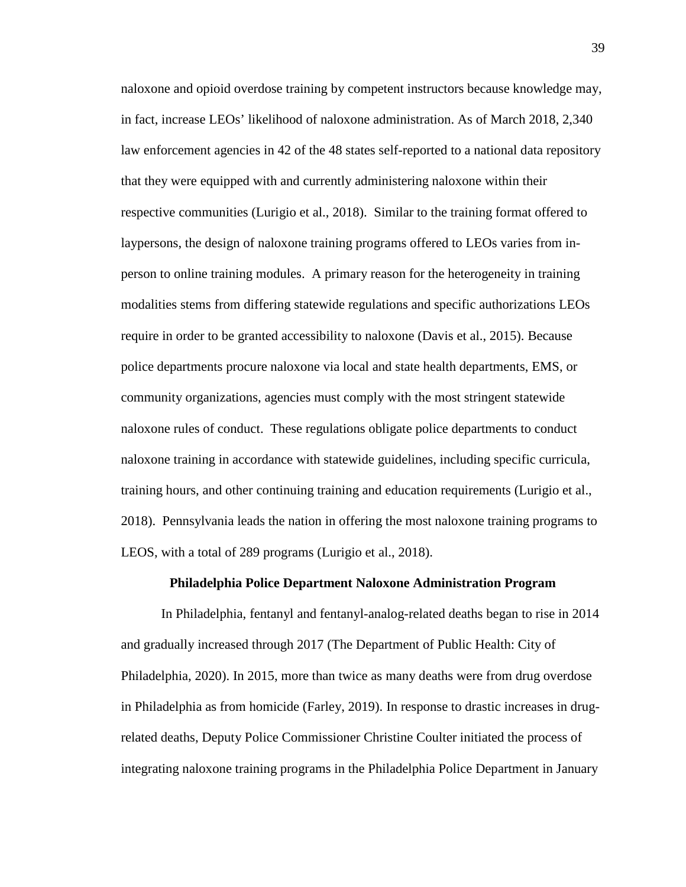naloxone and opioid overdose training by competent instructors because knowledge may, in fact, increase LEOs' likelihood of naloxone administration. As of March 2018, 2,340 law enforcement agencies in 42 of the 48 states self-reported to a national data repository that they were equipped with and currently administering naloxone within their respective communities (Lurigio et al., 2018). Similar to the training format offered to laypersons, the design of naloxone training programs offered to LEOs varies from inperson to online training modules. A primary reason for the heterogeneity in training modalities stems from differing statewide regulations and specific authorizations LEOs require in order to be granted accessibility to naloxone (Davis et al., 2015). Because police departments procure naloxone via local and state health departments, EMS, or community organizations, agencies must comply with the most stringent statewide naloxone rules of conduct. These regulations obligate police departments to conduct naloxone training in accordance with statewide guidelines, including specific curricula, training hours, and other continuing training and education requirements (Lurigio et al., 2018). Pennsylvania leads the nation in offering the most naloxone training programs to LEOS, with a total of 289 programs (Lurigio et al., 2018).

## **Philadelphia Police Department Naloxone Administration Program**

In Philadelphia, fentanyl and fentanyl-analog-related deaths began to rise in 2014 and gradually increased through 2017 (The Department of Public Health: City of Philadelphia, 2020). In 2015, more than twice as many deaths were from drug overdose in Philadelphia as from homicide (Farley, 2019). In response to drastic increases in drugrelated deaths, Deputy Police Commissioner Christine Coulter initiated the process of integrating naloxone training programs in the Philadelphia Police Department in January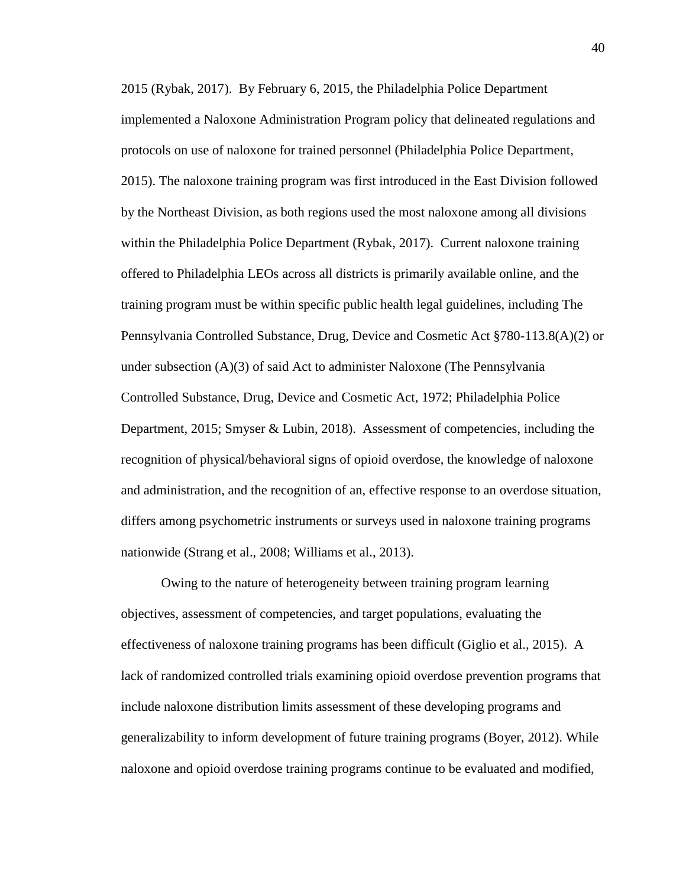2015 (Rybak, 2017). By February 6, 2015, the Philadelphia Police Department implemented a Naloxone Administration Program policy that delineated regulations and protocols on use of naloxone for trained personnel (Philadelphia Police Department, 2015). The naloxone training program was first introduced in the East Division followed by the Northeast Division, as both regions used the most naloxone among all divisions within the Philadelphia Police Department (Rybak, 2017). Current naloxone training offered to Philadelphia LEOs across all districts is primarily available online, and the training program must be within specific public health legal guidelines, including The Pennsylvania Controlled Substance, Drug, Device and Cosmetic Act §780-113.8(A)(2) or under subsection  $(A)(3)$  of said Act to administer Naloxone (The Pennsylvania Controlled Substance, Drug, Device and Cosmetic Act, 1972; Philadelphia Police Department, 2015; Smyser & Lubin, 2018). Assessment of competencies, including the recognition of physical/behavioral signs of opioid overdose, the knowledge of naloxone and administration, and the recognition of an, effective response to an overdose situation, differs among psychometric instruments or surveys used in naloxone training programs nationwide (Strang et al., 2008; Williams et al., 2013).

Owing to the nature of heterogeneity between training program learning objectives, assessment of competencies, and target populations, evaluating the effectiveness of naloxone training programs has been difficult (Giglio et al., 2015). A lack of randomized controlled trials examining opioid overdose prevention programs that include naloxone distribution limits assessment of these developing programs and generalizability to inform development of future training programs (Boyer, 2012). While naloxone and opioid overdose training programs continue to be evaluated and modified,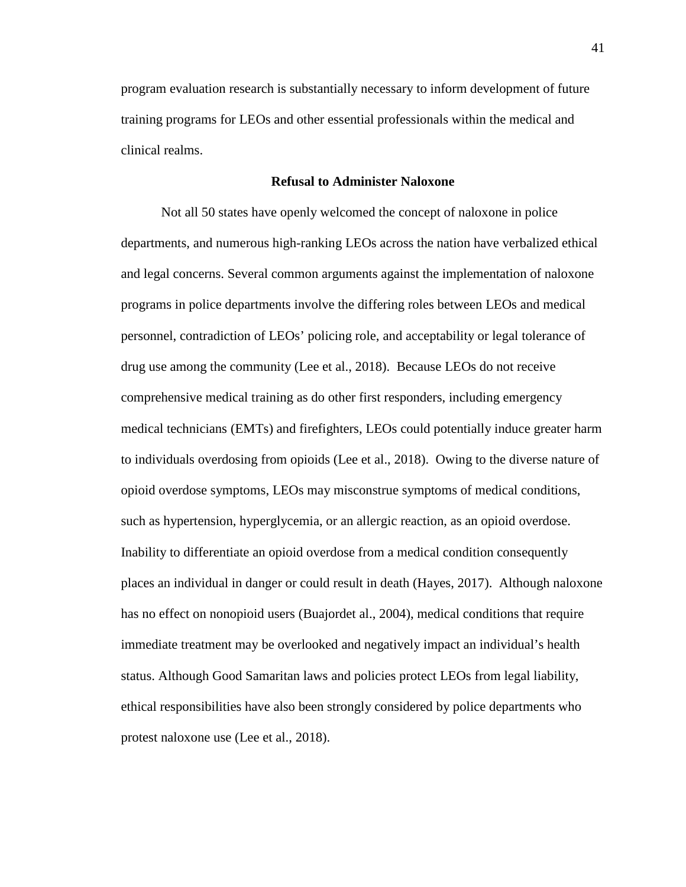program evaluation research is substantially necessary to inform development of future training programs for LEOs and other essential professionals within the medical and clinical realms.

## **Refusal to Administer Naloxone**

Not all 50 states have openly welcomed the concept of naloxone in police departments, and numerous high-ranking LEOs across the nation have verbalized ethical and legal concerns. Several common arguments against the implementation of naloxone programs in police departments involve the differing roles between LEOs and medical personnel, contradiction of LEOs' policing role, and acceptability or legal tolerance of drug use among the community (Lee et al., 2018). Because LEOs do not receive comprehensive medical training as do other first responders, including emergency medical technicians (EMTs) and firefighters, LEOs could potentially induce greater harm to individuals overdosing from opioids (Lee et al., 2018). Owing to the diverse nature of opioid overdose symptoms, LEOs may misconstrue symptoms of medical conditions, such as hypertension, hyperglycemia, or an allergic reaction, as an opioid overdose. Inability to differentiate an opioid overdose from a medical condition consequently places an individual in danger or could result in death (Hayes, 2017). Although naloxone has no effect on nonopioid users (Buajordet al., 2004), medical conditions that require immediate treatment may be overlooked and negatively impact an individual's health status. Although Good Samaritan laws and policies protect LEOs from legal liability, ethical responsibilities have also been strongly considered by police departments who protest naloxone use (Lee et al., 2018).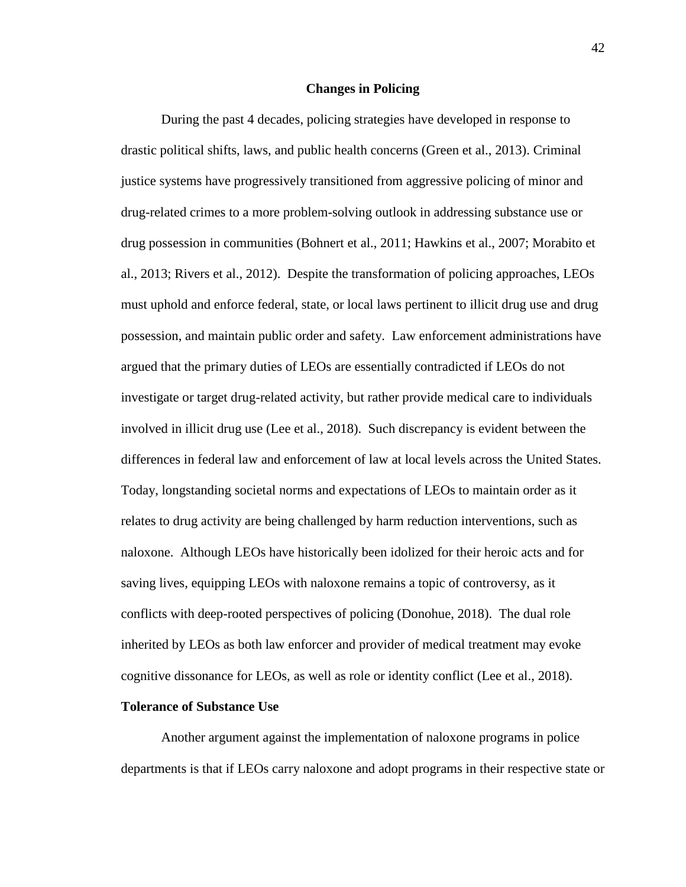### **Changes in Policing**

During the past 4 decades, policing strategies have developed in response to drastic political shifts, laws, and public health concerns (Green et al., 2013). Criminal justice systems have progressively transitioned from aggressive policing of minor and drug-related crimes to a more problem-solving outlook in addressing substance use or drug possession in communities (Bohnert et al., 2011; Hawkins et al., 2007; Morabito et al., 2013; Rivers et al., 2012). Despite the transformation of policing approaches, LEOs must uphold and enforce federal, state, or local laws pertinent to illicit drug use and drug possession, and maintain public order and safety. Law enforcement administrations have argued that the primary duties of LEOs are essentially contradicted if LEOs do not investigate or target drug-related activity, but rather provide medical care to individuals involved in illicit drug use (Lee et al., 2018). Such discrepancy is evident between the differences in federal law and enforcement of law at local levels across the United States. Today, longstanding societal norms and expectations of LEOs to maintain order as it relates to drug activity are being challenged by harm reduction interventions, such as naloxone. Although LEOs have historically been idolized for their heroic acts and for saving lives, equipping LEOs with naloxone remains a topic of controversy, as it conflicts with deep-rooted perspectives of policing (Donohue, 2018). The dual role inherited by LEOs as both law enforcer and provider of medical treatment may evoke cognitive dissonance for LEOs, as well as role or identity conflict (Lee et al., 2018).

### **Tolerance of Substance Use**

Another argument against the implementation of naloxone programs in police departments is that if LEOs carry naloxone and adopt programs in their respective state or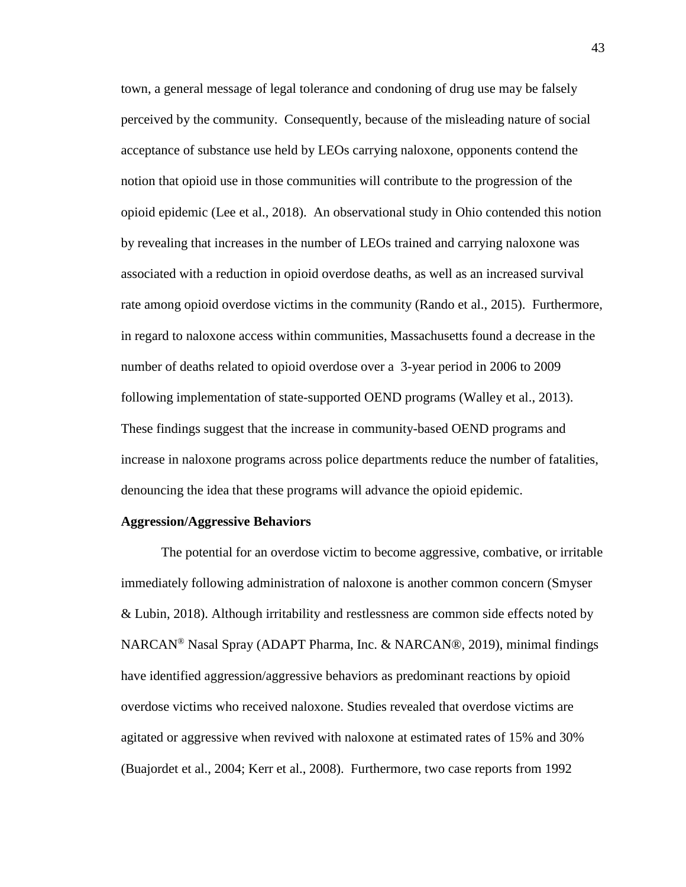town, a general message of legal tolerance and condoning of drug use may be falsely perceived by the community. Consequently, because of the misleading nature of social acceptance of substance use held by LEOs carrying naloxone, opponents contend the notion that opioid use in those communities will contribute to the progression of the opioid epidemic (Lee et al., 2018). An observational study in Ohio contended this notion by revealing that increases in the number of LEOs trained and carrying naloxone was associated with a reduction in opioid overdose deaths, as well as an increased survival rate among opioid overdose victims in the community (Rando et al., 2015). Furthermore, in regard to naloxone access within communities, Massachusetts found a decrease in the number of deaths related to opioid overdose over a 3-year period in 2006 to 2009 following implementation of state-supported OEND programs (Walley et al., 2013). These findings suggest that the increase in community-based OEND programs and increase in naloxone programs across police departments reduce the number of fatalities, denouncing the idea that these programs will advance the opioid epidemic.

### **Aggression/Aggressive Behaviors**

The potential for an overdose victim to become aggressive, combative, or irritable immediately following administration of naloxone is another common concern (Smyser & Lubin, 2018). Although irritability and restlessness are common side effects noted by NARCAN® Nasal Spray (ADAPT Pharma, Inc. & NARCAN®, 2019), minimal findings have identified aggression/aggressive behaviors as predominant reactions by opioid overdose victims who received naloxone. Studies revealed that overdose victims are agitated or aggressive when revived with naloxone at estimated rates of 15% and 30% (Buajordet et al., 2004; Kerr et al., 2008). Furthermore, two case reports from 1992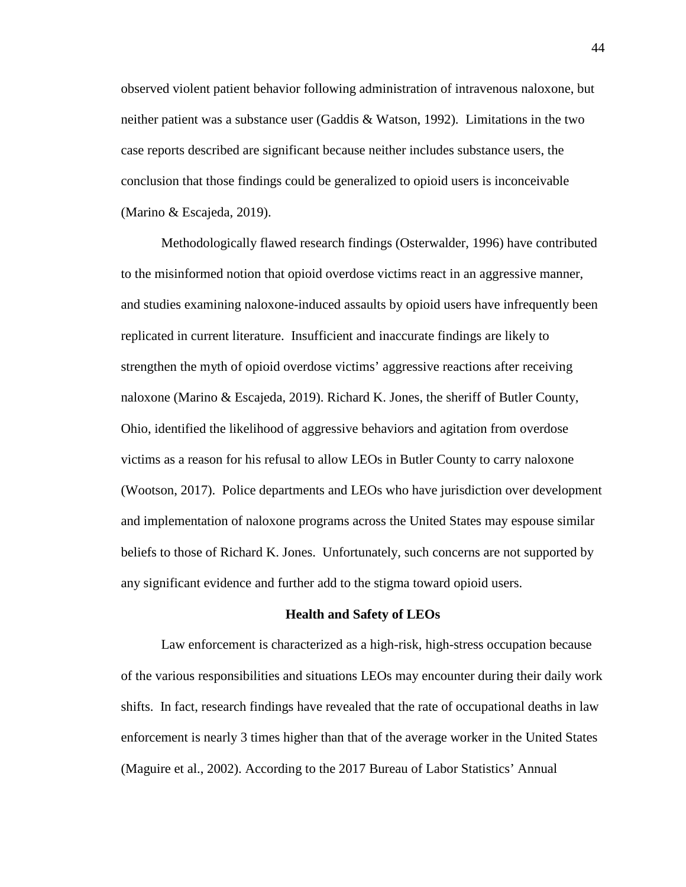observed violent patient behavior following administration of intravenous naloxone, but neither patient was a substance user (Gaddis & Watson, 1992). Limitations in the two case reports described are significant because neither includes substance users, the conclusion that those findings could be generalized to opioid users is inconceivable (Marino & Escajeda, 2019).

Methodologically flawed research findings (Osterwalder, 1996) have contributed to the misinformed notion that opioid overdose victims react in an aggressive manner, and studies examining naloxone-induced assaults by opioid users have infrequently been replicated in current literature. Insufficient and inaccurate findings are likely to strengthen the myth of opioid overdose victims' aggressive reactions after receiving naloxone (Marino & Escajeda, 2019). Richard K. Jones, the sheriff of Butler County, Ohio, identified the likelihood of aggressive behaviors and agitation from overdose victims as a reason for his refusal to allow LEOs in Butler County to carry naloxone (Wootson, 2017). Police departments and LEOs who have jurisdiction over development and implementation of naloxone programs across the United States may espouse similar beliefs to those of Richard K. Jones. Unfortunately, such concerns are not supported by any significant evidence and further add to the stigma toward opioid users.

#### **Health and Safety of LEOs**

Law enforcement is characterized as a high-risk, high-stress occupation because of the various responsibilities and situations LEOs may encounter during their daily work shifts. In fact, research findings have revealed that the rate of occupational deaths in law enforcement is nearly 3 times higher than that of the average worker in the United States (Maguire et al., 2002). According to the 2017 Bureau of Labor Statistics' Annual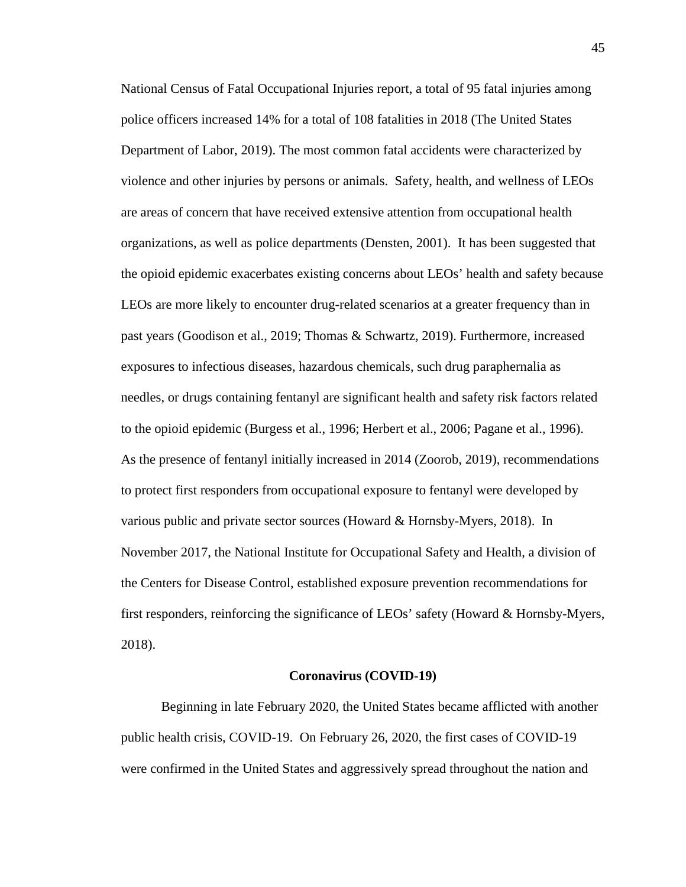National Census of Fatal Occupational Injuries report, a total of 95 fatal injuries among police officers increased 14% for a total of 108 fatalities in 2018 (The United States Department of Labor, 2019). The most common fatal accidents were characterized by violence and other injuries by persons or animals. Safety, health, and wellness of LEOs are areas of concern that have received extensive attention from occupational health organizations, as well as police departments (Densten, 2001). It has been suggested that the opioid epidemic exacerbates existing concerns about LEOs' health and safety because LEOs are more likely to encounter drug-related scenarios at a greater frequency than in past years (Goodison et al., 2019; Thomas & Schwartz, 2019). Furthermore, increased exposures to infectious diseases, hazardous chemicals, such drug paraphernalia as needles, or drugs containing fentanyl are significant health and safety risk factors related to the opioid epidemic (Burgess et al., 1996; Herbert et al., 2006; Pagane et al., 1996). As the presence of fentanyl initially increased in 2014 (Zoorob, 2019), recommendations to protect first responders from occupational exposure to fentanyl were developed by various public and private sector sources (Howard & Hornsby-Myers, 2018). In November 2017, the National Institute for Occupational Safety and Health, a division of the Centers for Disease Control, established exposure prevention recommendations for first responders, reinforcing the significance of LEOs' safety (Howard & Hornsby-Myers, 2018).

#### **Coronavirus (COVID-19)**

Beginning in late February 2020, the United States became afflicted with another public health crisis, COVID-19. On February 26, 2020, the first cases of COVID-19 were confirmed in the United States and aggressively spread throughout the nation and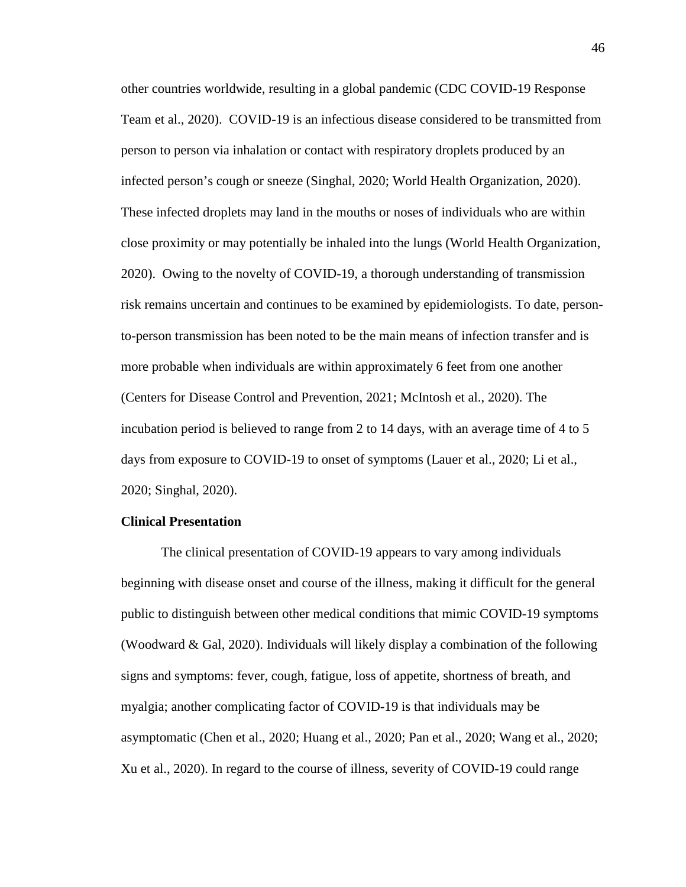other countries worldwide, resulting in a global pandemic (CDC COVID-19 Response Team et al., 2020). COVID-19 is an infectious disease considered to be transmitted from person to person via inhalation or contact with respiratory droplets produced by an infected person's cough or sneeze (Singhal, 2020; World Health Organization, 2020). These infected droplets may land in the mouths or noses of individuals who are within close proximity or may potentially be inhaled into the lungs (World Health Organization, 2020). Owing to the novelty of COVID-19, a thorough understanding of transmission risk remains uncertain and continues to be examined by epidemiologists. To date, personto-person transmission has been noted to be the main means of infection transfer and is more probable when individuals are within approximately 6 feet from one another (Centers for Disease Control and Prevention, 2021; McIntosh et al., 2020). The incubation period is believed to range from 2 to 14 days, with an average time of 4 to 5 days from exposure to COVID-19 to onset of symptoms (Lauer et al., 2020; Li et al., 2020; Singhal, 2020).

# **Clinical Presentation**

The clinical presentation of COVID-19 appears to vary among individuals beginning with disease onset and course of the illness, making it difficult for the general public to distinguish between other medical conditions that mimic COVID-19 symptoms (Woodward & Gal, 2020). Individuals will likely display a combination of the following signs and symptoms: fever, cough, fatigue, loss of appetite, shortness of breath, and myalgia; another complicating factor of COVID-19 is that individuals may be asymptomatic (Chen et al., 2020; Huang et al., 2020; Pan et al., 2020; Wang et al., 2020; Xu et al., 2020). In regard to the course of illness, severity of COVID-19 could range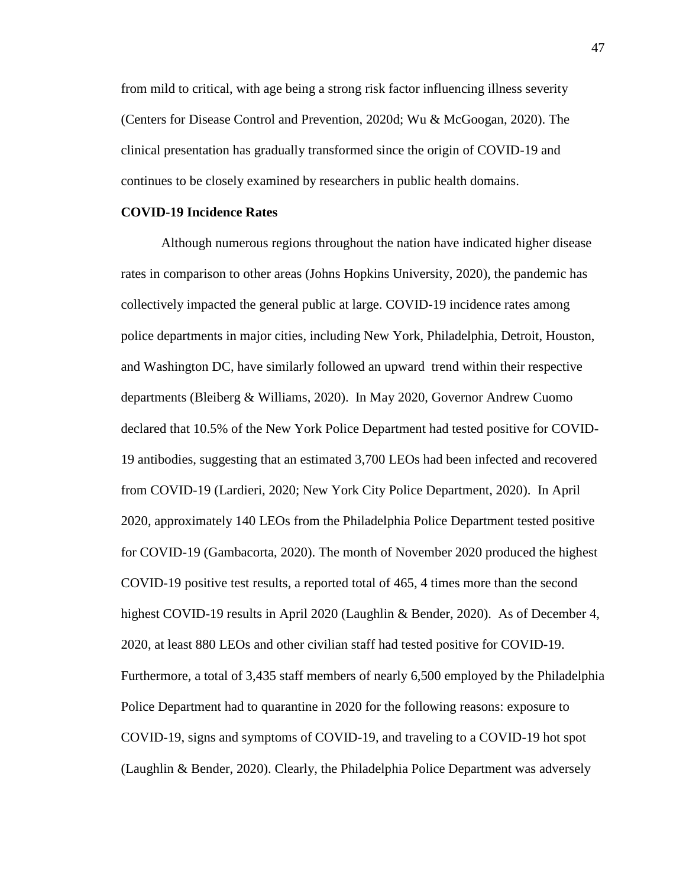from mild to critical, with age being a strong risk factor influencing illness severity (Centers for Disease Control and Prevention, 2020d; Wu & McGoogan, 2020). The clinical presentation has gradually transformed since the origin of COVID-19 and continues to be closely examined by researchers in public health domains.

# **COVID-19 Incidence Rates**

Although numerous regions throughout the nation have indicated higher disease rates in comparison to other areas (Johns Hopkins University, 2020), the pandemic has collectively impacted the general public at large. COVID-19 incidence rates among police departments in major cities, including New York, Philadelphia, Detroit, Houston, and Washington DC, have similarly followed an upward trend within their respective departments (Bleiberg & Williams, 2020). In May 2020, Governor Andrew Cuomo declared that 10.5% of the New York Police Department had tested positive for COVID-19 antibodies, suggesting that an estimated 3,700 LEOs had been infected and recovered from COVID-19 (Lardieri, 2020; New York City Police Department, 2020). In April 2020, approximately 140 LEOs from the Philadelphia Police Department tested positive for COVID-19 (Gambacorta, 2020). The month of November 2020 produced the highest COVID-19 positive test results, a reported total of 465, 4 times more than the second highest COVID-19 results in April 2020 (Laughlin & Bender, 2020). As of December 4, 2020, at least 880 LEOs and other civilian staff had tested positive for COVID-19. Furthermore, a total of 3,435 staff members of nearly 6,500 employed by the Philadelphia Police Department had to quarantine in 2020 for the following reasons: exposure to COVID-19, signs and symptoms of COVID-19, and traveling to a COVID-19 hot spot (Laughlin & Bender, 2020). Clearly, the Philadelphia Police Department was adversely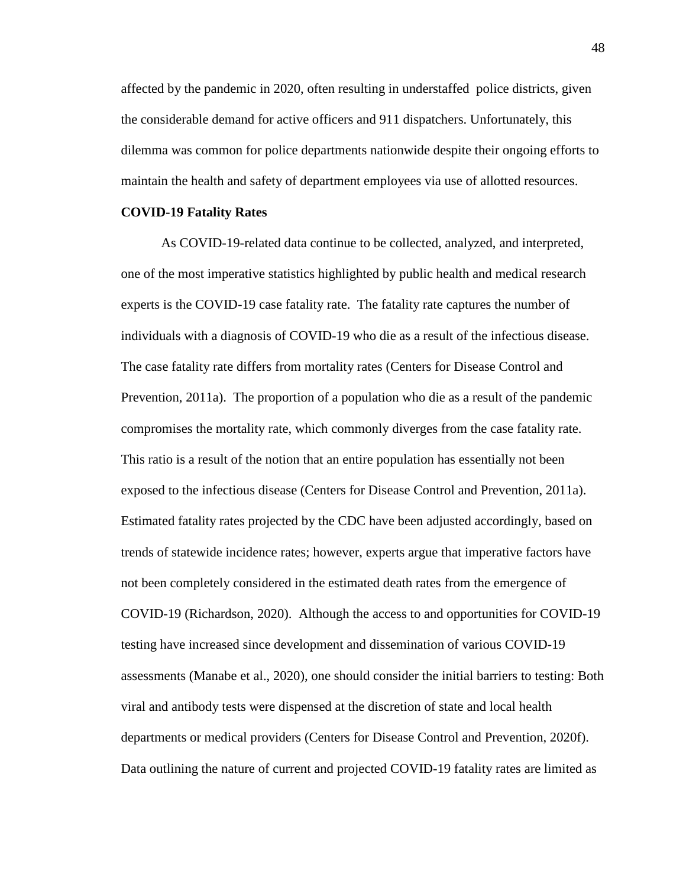affected by the pandemic in 2020, often resulting in understaffed police districts, given the considerable demand for active officers and 911 dispatchers. Unfortunately, this dilemma was common for police departments nationwide despite their ongoing efforts to maintain the health and safety of department employees via use of allotted resources.

#### **COVID-19 Fatality Rates**

As COVID-19-related data continue to be collected, analyzed, and interpreted, one of the most imperative statistics highlighted by public health and medical research experts is the COVID-19 case fatality rate. The fatality rate captures the number of individuals with a diagnosis of COVID-19 who die as a result of the infectious disease. The case fatality rate differs from mortality rates (Centers for Disease Control and Prevention, 2011a). The proportion of a population who die as a result of the pandemic compromises the mortality rate, which commonly diverges from the case fatality rate. This ratio is a result of the notion that an entire population has essentially not been exposed to the infectious disease (Centers for Disease Control and Prevention, 2011a). Estimated fatality rates projected by the CDC have been adjusted accordingly, based on trends of statewide incidence rates; however, experts argue that imperative factors have not been completely considered in the estimated death rates from the emergence of COVID-19 (Richardson, 2020). Although the access to and opportunities for COVID-19 testing have increased since development and dissemination of various COVID-19 assessments (Manabe et al., 2020), one should consider the initial barriers to testing: Both viral and antibody tests were dispensed at the discretion of state and local health departments or medical providers (Centers for Disease Control and Prevention, 2020f). Data outlining the nature of current and projected COVID-19 fatality rates are limited as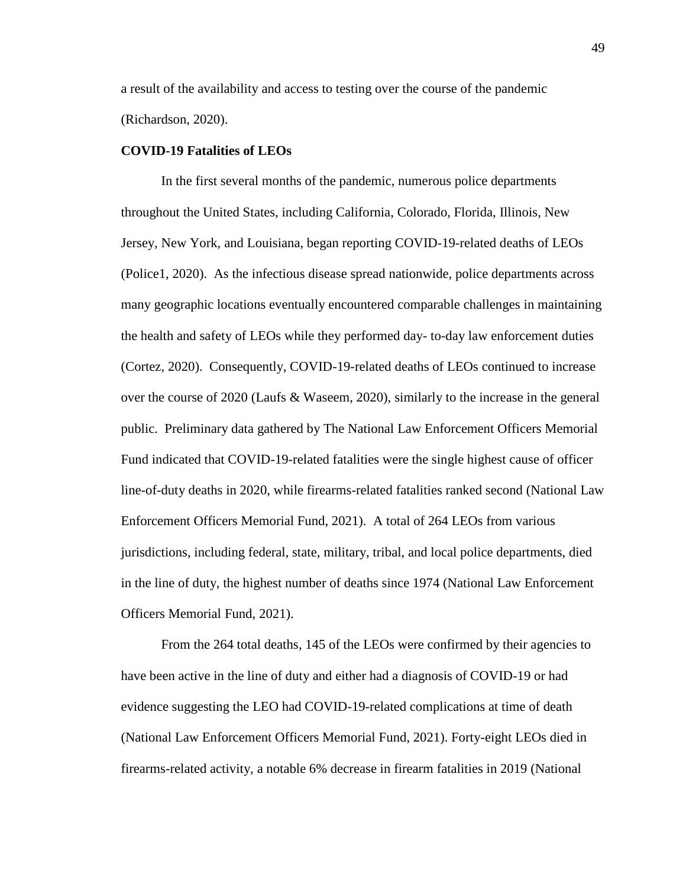a result of the availability and access to testing over the course of the pandemic (Richardson, 2020).

## **COVID-19 Fatalities of LEOs**

In the first several months of the pandemic, numerous police departments throughout the United States, including California, Colorado, Florida, Illinois, New Jersey, New York, and Louisiana, began reporting COVID-19-related deaths of LEOs (Police1, 2020). As the infectious disease spread nationwide, police departments across many geographic locations eventually encountered comparable challenges in maintaining the health and safety of LEOs while they performed day- to-day law enforcement duties (Cortez, 2020). Consequently, COVID-19-related deaths of LEOs continued to increase over the course of 2020 (Laufs & Waseem, 2020), similarly to the increase in the general public. Preliminary data gathered by The National Law Enforcement Officers Memorial Fund indicated that COVID-19-related fatalities were the single highest cause of officer line-of-duty deaths in 2020, while firearms-related fatalities ranked second (National Law Enforcement Officers Memorial Fund, 2021). A total of 264 LEOs from various jurisdictions, including federal, state, military, tribal, and local police departments, died in the line of duty, the highest number of deaths since 1974 (National Law Enforcement Officers Memorial Fund, 2021).

From the 264 total deaths, 145 of the LEOs were confirmed by their agencies to have been active in the line of duty and either had a diagnosis of COVID-19 or had evidence suggesting the LEO had COVID-19-related complications at time of death (National Law Enforcement Officers Memorial Fund, 2021). Forty-eight LEOs died in firearms-related activity, a notable 6% decrease in firearm fatalities in 2019 (National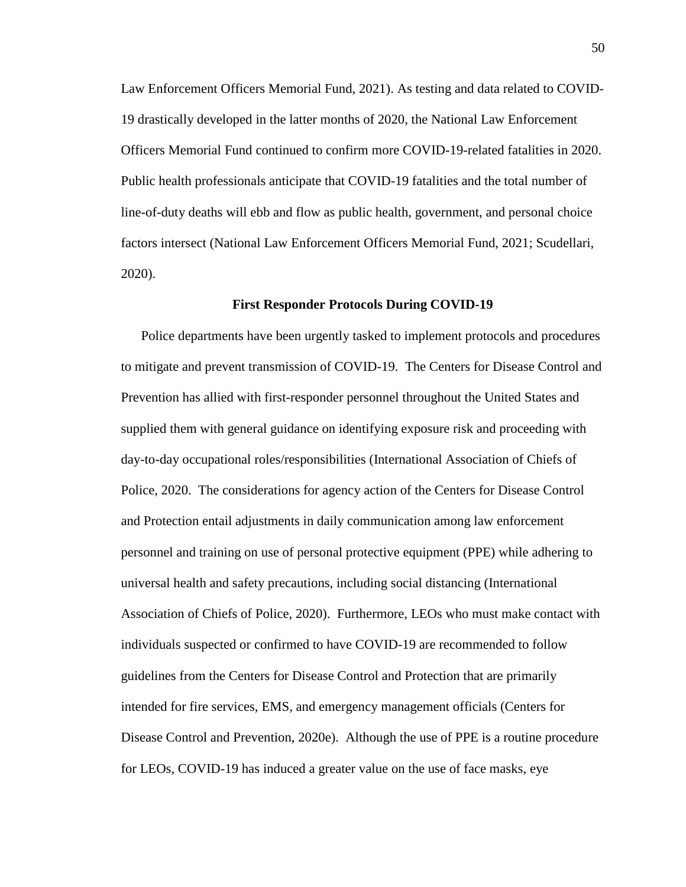Law Enforcement Officers Memorial Fund, 2021). As testing and data related to COVID-19 drastically developed in the latter months of 2020, the National Law Enforcement Officers Memorial Fund continued to confirm more COVID-19-related fatalities in 2020. Public health professionals anticipate that COVID-19 fatalities and the total number of line-of-duty deaths will ebb and flow as public health, government, and personal choice factors intersect (National Law Enforcement Officers Memorial Fund, 2021; Scudellari, 2020).

#### **First Responder Protocols During COVID-19**

Police departments have been urgently tasked to implement protocols and procedures to mitigate and prevent transmission of COVID-19. The Centers for Disease Control and Prevention has allied with first-responder personnel throughout the United States and supplied them with general guidance on identifying exposure risk and proceeding with day-to-day occupational roles/responsibilities (International Association of Chiefs of Police, 2020. The considerations for agency action of the Centers for Disease Control and Protection entail adjustments in daily communication among law enforcement personnel and training on use of personal protective equipment (PPE) while adhering to universal health and safety precautions, including social distancing (International Association of Chiefs of Police, 2020). Furthermore, LEOs who must make contact with individuals suspected or confirmed to have COVID-19 are recommended to follow guidelines from the Centers for Disease Control and Protection that are primarily intended for fire services, EMS, and emergency management officials (Centers for Disease Control and Prevention, 2020e). Although the use of PPE is a routine procedure for LEOs, COVID-19 has induced a greater value on the use of face masks, eye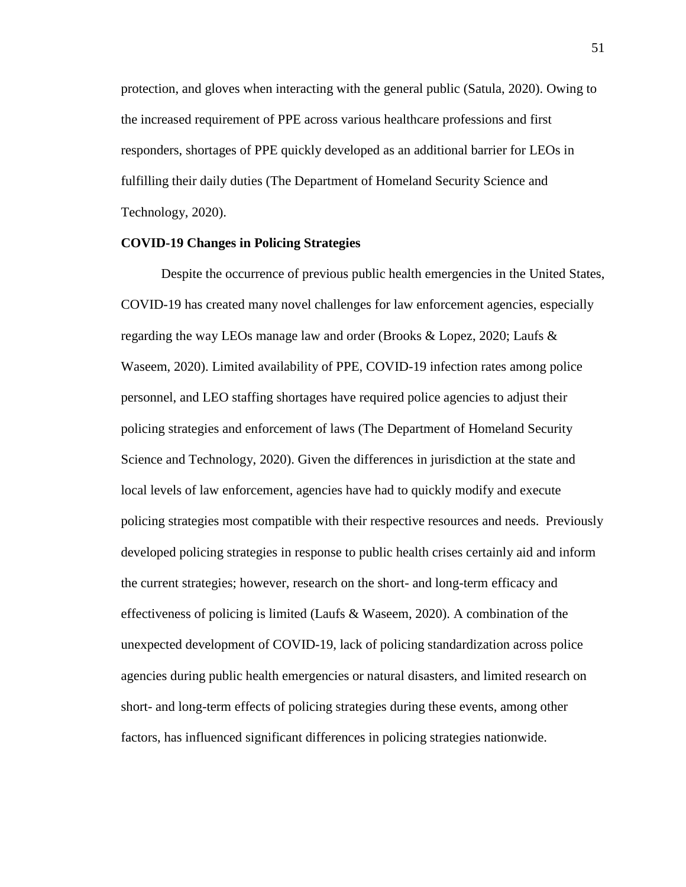protection, and gloves when interacting with the general public (Satula, 2020). Owing to the increased requirement of PPE across various healthcare professions and first responders, shortages of PPE quickly developed as an additional barrier for LEOs in fulfilling their daily duties (The Department of Homeland Security Science and Technology, 2020).

# **COVID-19 Changes in Policing Strategies**

Despite the occurrence of previous public health emergencies in the United States, COVID-19 has created many novel challenges for law enforcement agencies, especially regarding the way LEOs manage law and order (Brooks & Lopez, 2020; Laufs & Waseem, 2020). Limited availability of PPE, COVID-19 infection rates among police personnel, and LEO staffing shortages have required police agencies to adjust their policing strategies and enforcement of laws (The Department of Homeland Security Science and Technology, 2020). Given the differences in jurisdiction at the state and local levels of law enforcement, agencies have had to quickly modify and execute policing strategies most compatible with their respective resources and needs. Previously developed policing strategies in response to public health crises certainly aid and inform the current strategies; however, research on the short- and long-term efficacy and effectiveness of policing is limited (Laufs  $\&$  Waseem, 2020). A combination of the unexpected development of COVID-19, lack of policing standardization across police agencies during public health emergencies or natural disasters, and limited research on short- and long-term effects of policing strategies during these events, among other factors, has influenced significant differences in policing strategies nationwide.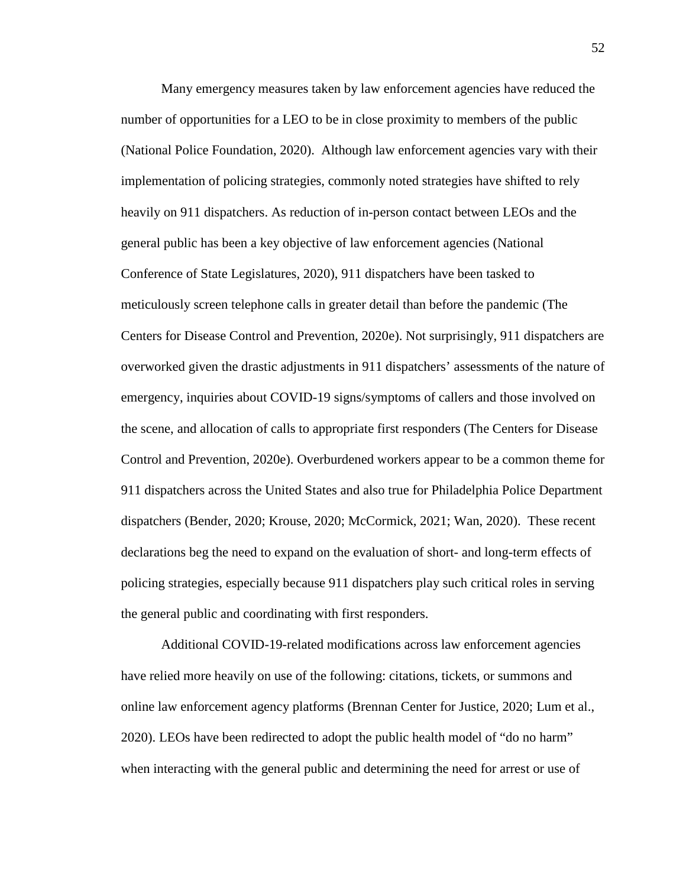Many emergency measures taken by law enforcement agencies have reduced the number of opportunities for a LEO to be in close proximity to members of the public (National Police Foundation, 2020). Although law enforcement agencies vary with their implementation of policing strategies, commonly noted strategies have shifted to rely heavily on 911 dispatchers. As reduction of in-person contact between LEOs and the general public has been a key objective of law enforcement agencies (National Conference of State Legislatures, 2020), 911 dispatchers have been tasked to meticulously screen telephone calls in greater detail than before the pandemic (The Centers for Disease Control and Prevention, 2020e). Not surprisingly, 911 dispatchers are overworked given the drastic adjustments in 911 dispatchers' assessments of the nature of emergency, inquiries about COVID-19 signs/symptoms of callers and those involved on the scene, and allocation of calls to appropriate first responders (The Centers for Disease Control and Prevention, 2020e). Overburdened workers appear to be a common theme for 911 dispatchers across the United States and also true for Philadelphia Police Department dispatchers (Bender, 2020; Krouse, 2020; McCormick, 2021; Wan, 2020). These recent declarations beg the need to expand on the evaluation of short- and long-term effects of policing strategies, especially because 911 dispatchers play such critical roles in serving the general public and coordinating with first responders.

Additional COVID-19-related modifications across law enforcement agencies have relied more heavily on use of the following: citations, tickets, or summons and online law enforcement agency platforms (Brennan Center for Justice, 2020; Lum et al., 2020). LEOs have been redirected to adopt the public health model of "do no harm" when interacting with the general public and determining the need for arrest or use of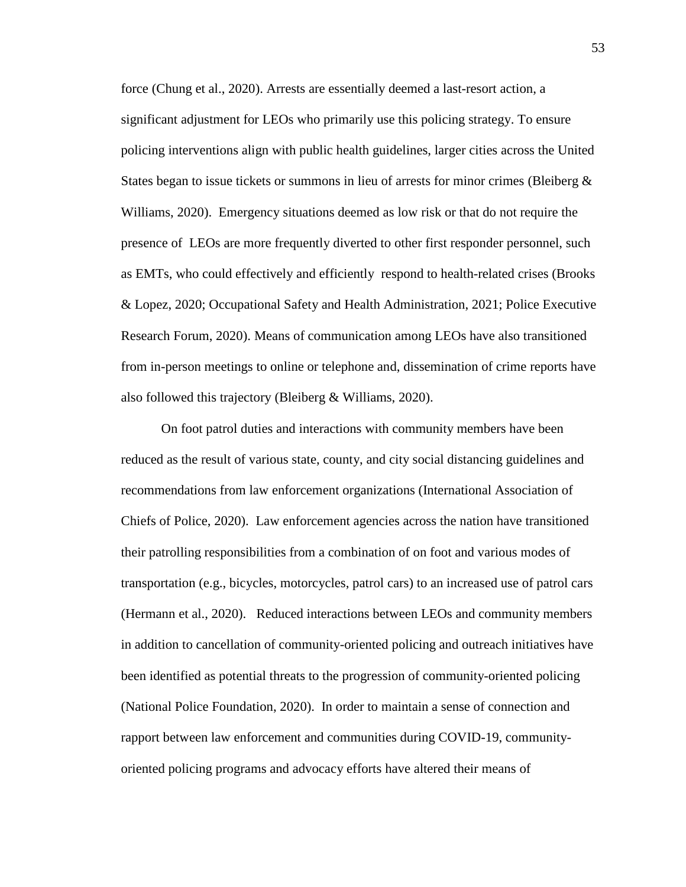force (Chung et al., 2020). Arrests are essentially deemed a last-resort action, a significant adjustment for LEOs who primarily use this policing strategy. To ensure policing interventions align with public health guidelines, larger cities across the United States began to issue tickets or summons in lieu of arrests for minor crimes (Bleiberg  $\&$ Williams, 2020). Emergency situations deemed as low risk or that do not require the presence of LEOs are more frequently diverted to other first responder personnel, such as EMTs, who could effectively and efficiently respond to health-related crises (Brooks & Lopez, 2020; Occupational Safety and Health Administration, 2021; Police Executive Research Forum, 2020). Means of communication among LEOs have also transitioned from in-person meetings to online or telephone and, dissemination of crime reports have also followed this trajectory (Bleiberg & Williams, 2020).

On foot patrol duties and interactions with community members have been reduced as the result of various state, county, and city social distancing guidelines and recommendations from law enforcement organizations (International Association of Chiefs of Police, 2020). Law enforcement agencies across the nation have transitioned their patrolling responsibilities from a combination of on foot and various modes of transportation (e.g., bicycles, motorcycles, patrol cars) to an increased use of patrol cars (Hermann et al., 2020). Reduced interactions between LEOs and community members in addition to cancellation of community-oriented policing and outreach initiatives have been identified as potential threats to the progression of community-oriented policing (National Police Foundation, 2020). In order to maintain a sense of connection and rapport between law enforcement and communities during COVID-19, communityoriented policing programs and advocacy efforts have altered their means of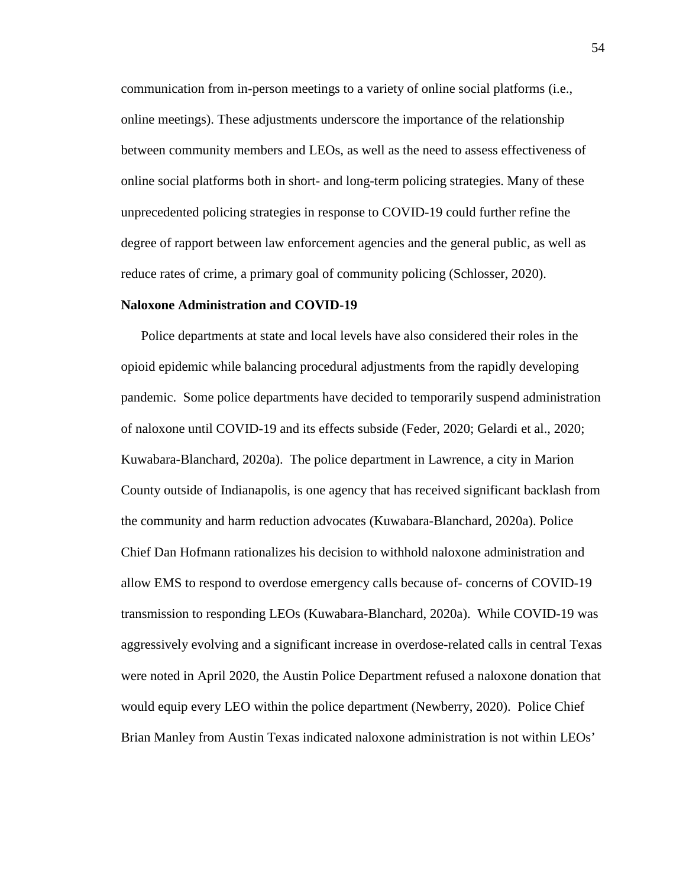communication from in-person meetings to a variety of online social platforms (i.e., online meetings). These adjustments underscore the importance of the relationship between community members and LEOs, as well as the need to assess effectiveness of online social platforms both in short- and long-term policing strategies. Many of these unprecedented policing strategies in response to COVID-19 could further refine the degree of rapport between law enforcement agencies and the general public, as well as reduce rates of crime, a primary goal of community policing (Schlosser, 2020).

#### **Naloxone Administration and COVID-19**

Police departments at state and local levels have also considered their roles in the opioid epidemic while balancing procedural adjustments from the rapidly developing pandemic. Some police departments have decided to temporarily suspend administration of naloxone until COVID-19 and its effects subside (Feder, 2020; Gelardi et al., 2020; Kuwabara-Blanchard, 2020a). The police department in Lawrence, a city in Marion County outside of Indianapolis, is one agency that has received significant backlash from the community and harm reduction advocates (Kuwabara-Blanchard, 2020a). Police Chief Dan Hofmann rationalizes his decision to withhold naloxone administration and allow EMS to respond to overdose emergency calls because of- concerns of COVID-19 transmission to responding LEOs (Kuwabara-Blanchard, 2020a). While COVID-19 was aggressively evolving and a significant increase in overdose-related calls in central Texas were noted in April 2020, the Austin Police Department refused a naloxone donation that would equip every LEO within the police department (Newberry, 2020). Police Chief Brian Manley from Austin Texas indicated naloxone administration is not within LEOs'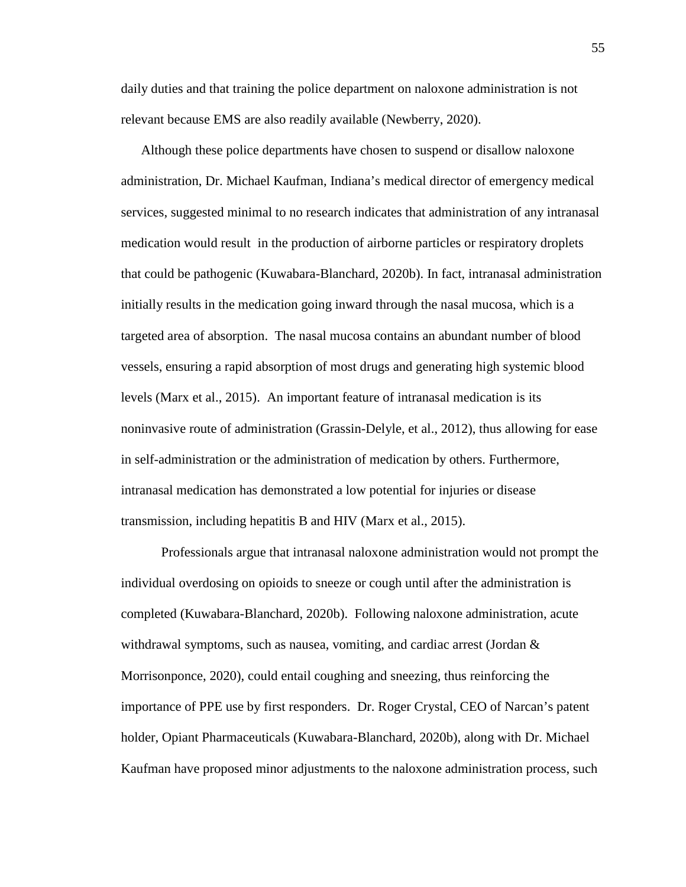daily duties and that training the police department on naloxone administration is not relevant because EMS are also readily available (Newberry, 2020).

Although these police departments have chosen to suspend or disallow naloxone administration, Dr. Michael Kaufman, Indiana's medical director of emergency medical services, suggested minimal to no research indicates that administration of any intranasal medication would result in the production of airborne particles or respiratory droplets that could be pathogenic (Kuwabara-Blanchard, 2020b). In fact, intranasal administration initially results in the medication going inward through the nasal mucosa, which is a targeted area of absorption. The nasal mucosa contains an abundant number of blood vessels, ensuring a rapid absorption of most drugs and generating high systemic blood levels (Marx et al., 2015). An important feature of intranasal medication is its noninvasive route of administration (Grassin-Delyle, et al., 2012), thus allowing for ease in self-administration or the administration of medication by others. Furthermore, intranasal medication has demonstrated a low potential for injuries or disease transmission, including hepatitis B and HIV (Marx et al., 2015).

Professionals argue that intranasal naloxone administration would not prompt the individual overdosing on opioids to sneeze or cough until after the administration is completed (Kuwabara-Blanchard, 2020b). Following naloxone administration, acute withdrawal symptoms, such as nausea, vomiting, and cardiac arrest (Jordan & Morrisonponce, 2020), could entail coughing and sneezing, thus reinforcing the importance of PPE use by first responders. Dr. Roger Crystal, CEO of Narcan's patent holder, Opiant Pharmaceuticals (Kuwabara-Blanchard, 2020b), along with Dr. Michael Kaufman have proposed minor adjustments to the naloxone administration process, such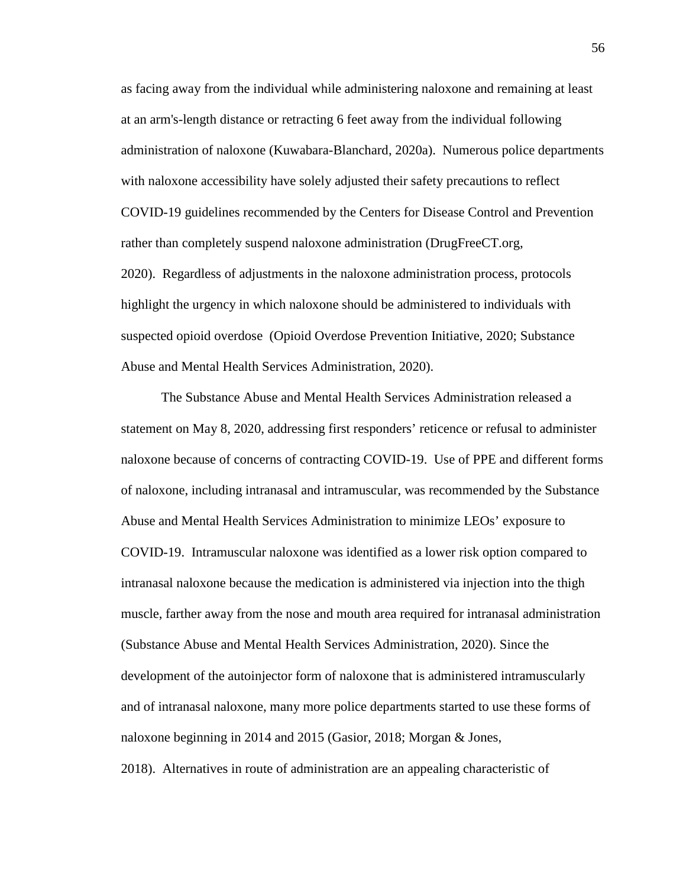as facing away from the individual while administering naloxone and remaining at least at an arm's-length distance or retracting 6 feet away from the individual following administration of naloxone (Kuwabara-Blanchard, 2020a). Numerous police departments with naloxone accessibility have solely adjusted their safety precautions to reflect COVID-19 guidelines recommended by the Centers for Disease Control and Prevention rather than completely suspend naloxone administration (DrugFreeCT.org, 2020). Regardless of adjustments in the naloxone administration process, protocols highlight the urgency in which naloxone should be administered to individuals with suspected opioid overdose (Opioid Overdose Prevention Initiative, 2020; Substance Abuse and Mental Health Services Administration, 2020).

The Substance Abuse and Mental Health Services Administration released a statement on May 8, 2020, addressing first responders' reticence or refusal to administer naloxone because of concerns of contracting COVID-19. Use of PPE and different forms of naloxone, including intranasal and intramuscular, was recommended by the Substance Abuse and Mental Health Services Administration to minimize LEOs' exposure to COVID-19. Intramuscular naloxone was identified as a lower risk option compared to intranasal naloxone because the medication is administered via injection into the thigh muscle, farther away from the nose and mouth area required for intranasal administration (Substance Abuse and Mental Health Services Administration, 2020). Since the development of the autoinjector form of naloxone that is administered intramuscularly and of intranasal naloxone, many more police departments started to use these forms of naloxone beginning in 2014 and 2015 (Gasior, 2018; Morgan & Jones, 2018). Alternatives in route of administration are an appealing characteristic of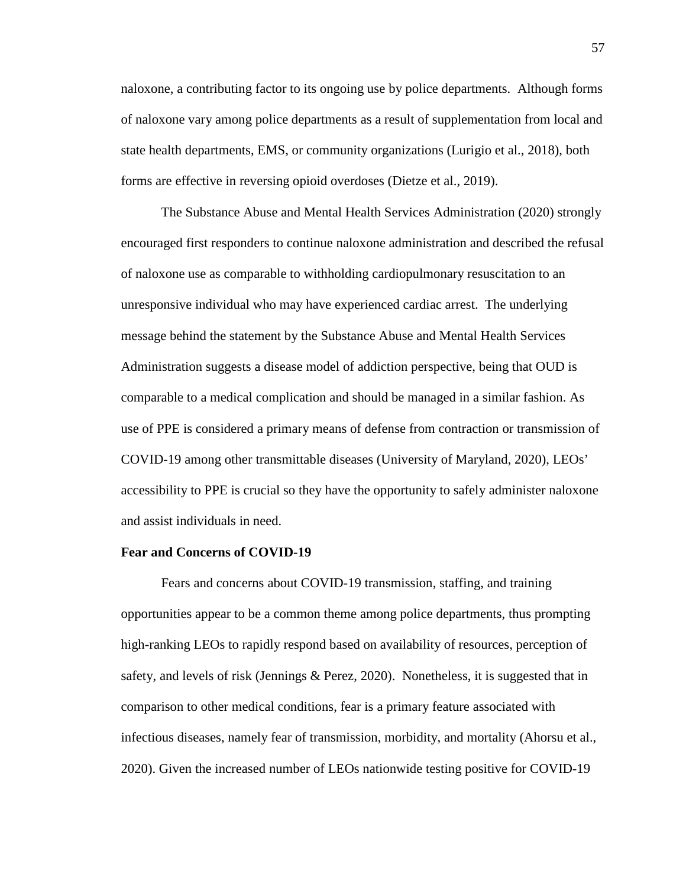naloxone, a contributing factor to its ongoing use by police departments. Although forms of naloxone vary among police departments as a result of supplementation from local and state health departments, EMS, or community organizations (Lurigio et al., 2018), both forms are effective in reversing opioid overdoses (Dietze et al., 2019).

The Substance Abuse and Mental Health Services Administration (2020) strongly encouraged first responders to continue naloxone administration and described the refusal of naloxone use as comparable to withholding cardiopulmonary resuscitation to an unresponsive individual who may have experienced cardiac arrest. The underlying message behind the statement by the Substance Abuse and Mental Health Services Administration suggests a disease model of addiction perspective, being that OUD is comparable to a medical complication and should be managed in a similar fashion. As use of PPE is considered a primary means of defense from contraction or transmission of COVID-19 among other transmittable diseases (University of Maryland, 2020), LEOs' accessibility to PPE is crucial so they have the opportunity to safely administer naloxone and assist individuals in need.

### **Fear and Concerns of COVID-19**

Fears and concerns about COVID-19 transmission, staffing, and training opportunities appear to be a common theme among police departments, thus prompting high-ranking LEOs to rapidly respond based on availability of resources, perception of safety, and levels of risk (Jennings & Perez, 2020). Nonetheless, it is suggested that in comparison to other medical conditions, fear is a primary feature associated with infectious diseases, namely fear of transmission, morbidity, and mortality (Ahorsu et al., 2020). Given the increased number of LEOs nationwide testing positive for COVID-19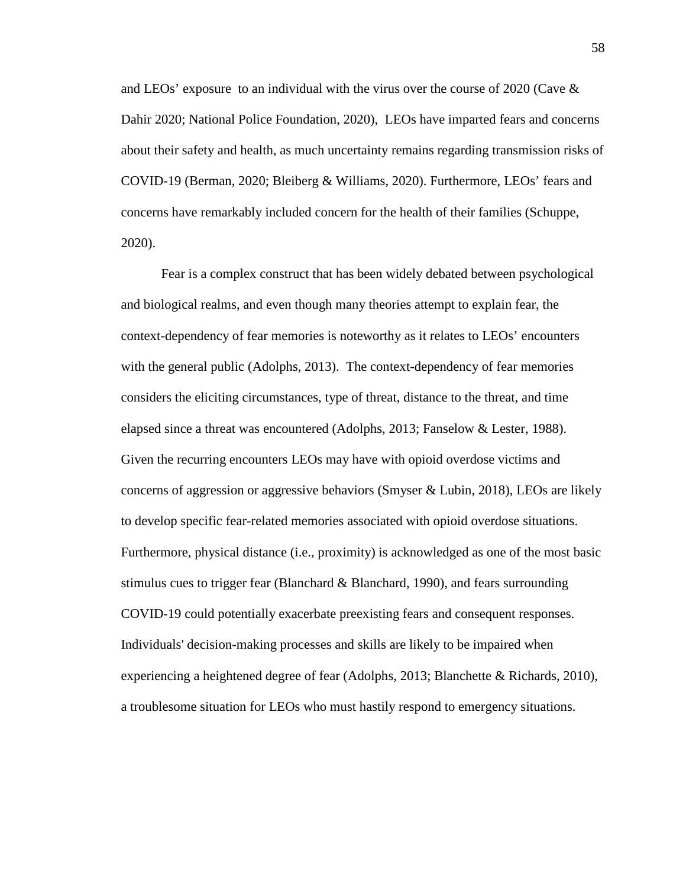and LEOs' exposure to an individual with the virus over the course of 2020 (Cave  $\&$ Dahir 2020; National Police Foundation, 2020), LEOs have imparted fears and concerns about their safety and health, as much uncertainty remains regarding transmission risks of COVID-19 (Berman, 2020; Bleiberg & Williams, 2020). Furthermore, LEOs' fears and concerns have remarkably included concern for the health of their families (Schuppe, 2020).

Fear is a complex construct that has been widely debated between psychological and biological realms, and even though many theories attempt to explain fear, the context-dependency of fear memories is noteworthy as it relates to LEOs' encounters with the general public (Adolphs, 2013). The context-dependency of fear memories considers the eliciting circumstances, type of threat, distance to the threat, and time elapsed since a threat was encountered (Adolphs, 2013; Fanselow & Lester, 1988). Given the recurring encounters LEOs may have with opioid overdose victims and concerns of aggression or aggressive behaviors (Smyser & Lubin, 2018), LEOs are likely to develop specific fear-related memories associated with opioid overdose situations. Furthermore, physical distance (i.e., proximity) is acknowledged as one of the most basic stimulus cues to trigger fear (Blanchard  $\&$  Blanchard, 1990), and fears surrounding COVID-19 could potentially exacerbate preexisting fears and consequent responses. Individuals' decision-making processes and skills are likely to be impaired when experiencing a heightened degree of fear (Adolphs, 2013; Blanchette & Richards, 2010), a troublesome situation for LEOs who must hastily respond to emergency situations.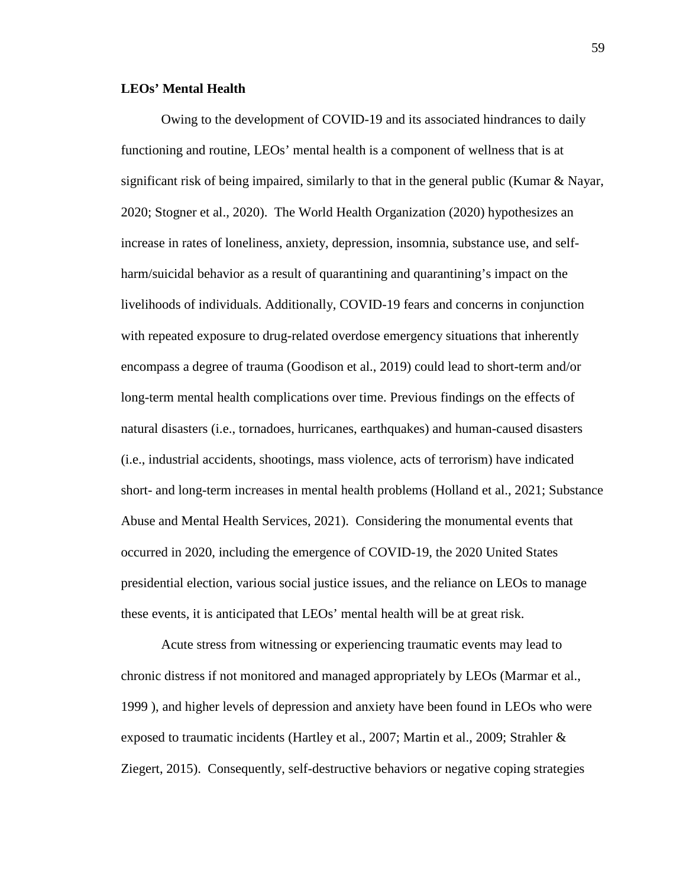# **LEOs' Mental Health**

Owing to the development of COVID-19 and its associated hindrances to daily functioning and routine, LEOs' mental health is a component of wellness that is at significant risk of being impaired, similarly to that in the general public (Kumar & Nayar, 2020; Stogner et al., 2020). The World Health Organization (2020) hypothesizes an increase in rates of loneliness, anxiety, depression, insomnia, substance use, and selfharm/suicidal behavior as a result of quarantining and quarantining's impact on the livelihoods of individuals. Additionally, COVID-19 fears and concerns in conjunction with repeated exposure to drug-related overdose emergency situations that inherently encompass a degree of trauma (Goodison et al., 2019) could lead to short-term and/or long-term mental health complications over time. Previous findings on the effects of natural disasters (i.e., tornadoes, hurricanes, earthquakes) and human-caused disasters (i.e., industrial accidents, shootings, mass violence, acts of terrorism) have indicated short- and long-term increases in mental health problems (Holland et al., 2021; Substance Abuse and Mental Health Services, 2021). Considering the monumental events that occurred in 2020, including the emergence of COVID-19, the 2020 United States presidential election, various social justice issues, and the reliance on LEOs to manage these events, it is anticipated that LEOs' mental health will be at great risk.

Acute stress from witnessing or experiencing traumatic events may lead to chronic distress if not monitored and managed appropriately by LEOs (Marmar et al., 1999 ), and higher levels of depression and anxiety have been found in LEOs who were exposed to traumatic incidents (Hartley et al., 2007; Martin et al., 2009; Strahler & Ziegert, 2015). Consequently, self-destructive behaviors or negative coping strategies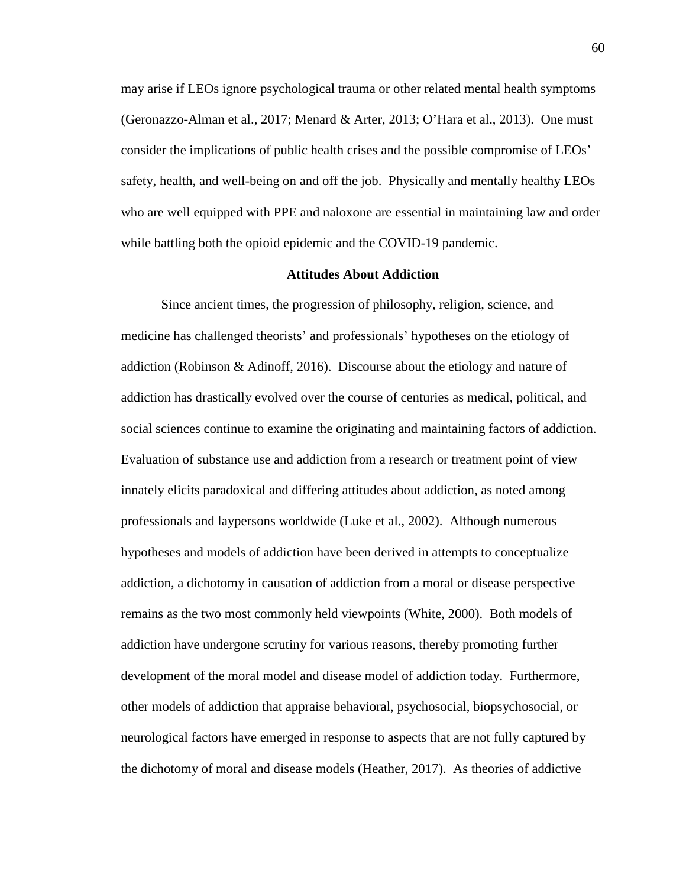may arise if LEOs ignore psychological trauma or other related mental health symptoms (Geronazzo-Alman et al., 2017; Menard & Arter, 2013; O'Hara et al., 2013). One must consider the implications of public health crises and the possible compromise of LEOs' safety, health, and well-being on and off the job. Physically and mentally healthy LEOs who are well equipped with PPE and naloxone are essential in maintaining law and order while battling both the opioid epidemic and the COVID-19 pandemic.

### **Attitudes About Addiction**

Since ancient times, the progression of philosophy, religion, science, and medicine has challenged theorists' and professionals' hypotheses on the etiology of addiction (Robinson & Adinoff, 2016). Discourse about the etiology and nature of addiction has drastically evolved over the course of centuries as medical, political, and social sciences continue to examine the originating and maintaining factors of addiction. Evaluation of substance use and addiction from a research or treatment point of view innately elicits paradoxical and differing attitudes about addiction, as noted among professionals and laypersons worldwide (Luke et al., 2002). Although numerous hypotheses and models of addiction have been derived in attempts to conceptualize addiction, a dichotomy in causation of addiction from a moral or disease perspective remains as the two most commonly held viewpoints (White, 2000). Both models of addiction have undergone scrutiny for various reasons, thereby promoting further development of the moral model and disease model of addiction today. Furthermore, other models of addiction that appraise behavioral, psychosocial, biopsychosocial, or neurological factors have emerged in response to aspects that are not fully captured by the dichotomy of moral and disease models (Heather, 2017). As theories of addictive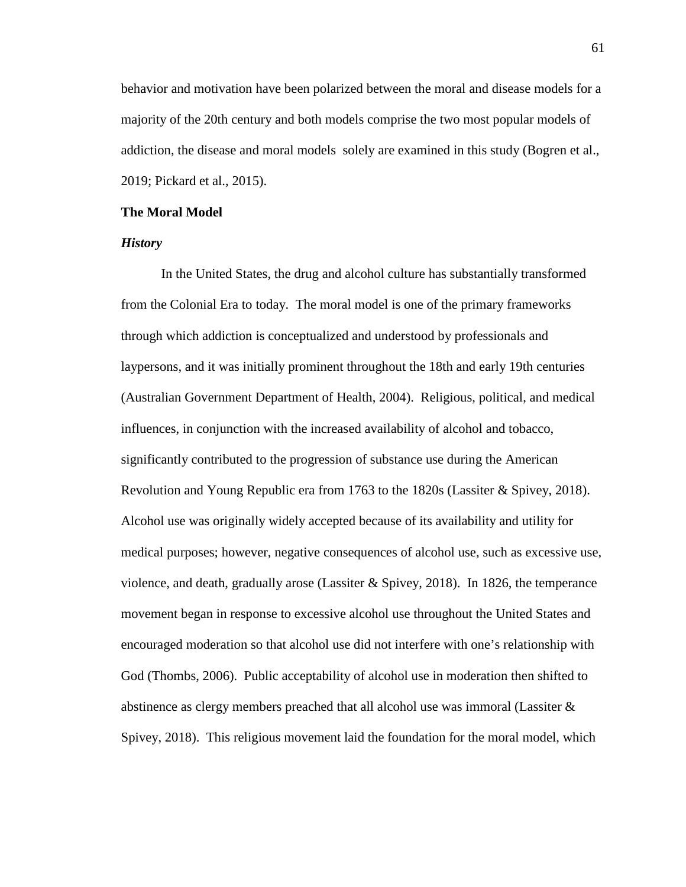behavior and motivation have been polarized between the moral and disease models for a majority of the 20th century and both models comprise the two most popular models of addiction, the disease and moral models solely are examined in this study (Bogren et al., 2019; Pickard et al., 2015).

#### **The Moral Model**

## *History*

In the United States, the drug and alcohol culture has substantially transformed from the Colonial Era to today. The moral model is one of the primary frameworks through which addiction is conceptualized and understood by professionals and laypersons, and it was initially prominent throughout the 18th and early 19th centuries (Australian Government Department of Health, 2004). Religious, political, and medical influences, in conjunction with the increased availability of alcohol and tobacco, significantly contributed to the progression of substance use during the American Revolution and Young Republic era from 1763 to the 1820s (Lassiter & Spivey, 2018). Alcohol use was originally widely accepted because of its availability and utility for medical purposes; however, negative consequences of alcohol use, such as excessive use, violence, and death, gradually arose (Lassiter & Spivey, 2018). In 1826, the temperance movement began in response to excessive alcohol use throughout the United States and encouraged moderation so that alcohol use did not interfere with one's relationship with God (Thombs, 2006). Public acceptability of alcohol use in moderation then shifted to abstinence as clergy members preached that all alcohol use was immoral (Lassiter & Spivey, 2018). This religious movement laid the foundation for the moral model, which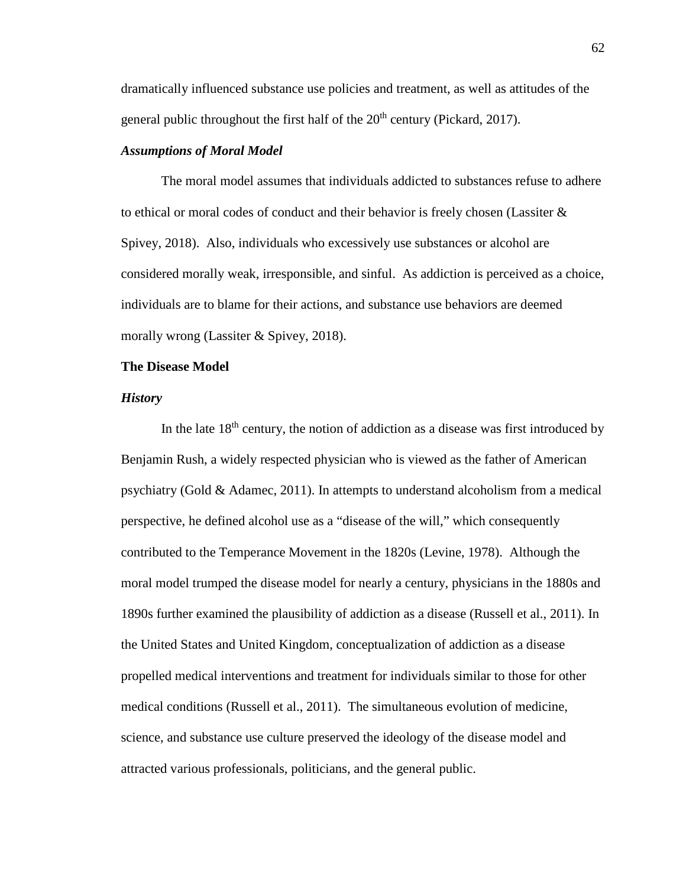dramatically influenced substance use policies and treatment, as well as attitudes of the general public throughout the first half of the  $20<sup>th</sup>$  century (Pickard, 2017).

# *Assumptions of Moral Model*

The moral model assumes that individuals addicted to substances refuse to adhere to ethical or moral codes of conduct and their behavior is freely chosen (Lassiter & Spivey, 2018). Also, individuals who excessively use substances or alcohol are considered morally weak, irresponsible, and sinful. As addiction is perceived as a choice, individuals are to blame for their actions, and substance use behaviors are deemed morally wrong (Lassiter & Spivey, 2018).

# **The Disease Model**

### *History*

In the late  $18<sup>th</sup>$  century, the notion of addiction as a disease was first introduced by Benjamin Rush, a widely respected physician who is viewed as the father of American psychiatry (Gold & Adamec, 2011). In attempts to understand alcoholism from a medical perspective, he defined alcohol use as a "disease of the will," which consequently contributed to the Temperance Movement in the 1820s (Levine, 1978). Although the moral model trumped the disease model for nearly a century, physicians in the 1880s and 1890s further examined the plausibility of addiction as a disease (Russell et al., 2011). In the United States and United Kingdom, conceptualization of addiction as a disease propelled medical interventions and treatment for individuals similar to those for other medical conditions (Russell et al., 2011). The simultaneous evolution of medicine, science, and substance use culture preserved the ideology of the disease model and attracted various professionals, politicians, and the general public.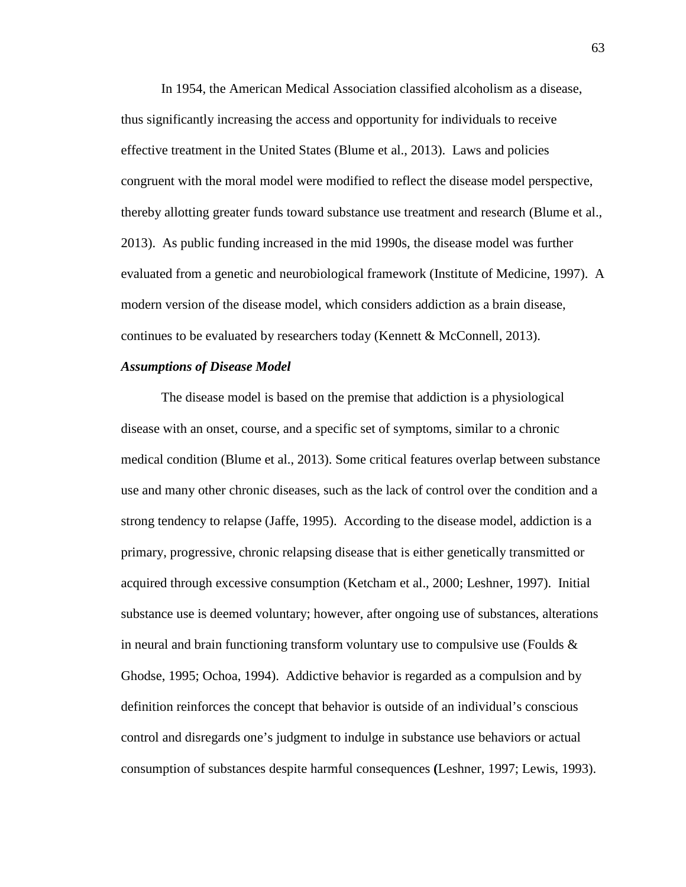In 1954, the American Medical Association classified alcoholism as a disease, thus significantly increasing the access and opportunity for individuals to receive effective treatment in the United States (Blume et al., 2013). Laws and policies congruent with the moral model were modified to reflect the disease model perspective, thereby allotting greater funds toward substance use treatment and research (Blume et al., 2013). As public funding increased in the mid 1990s, the disease model was further evaluated from a genetic and neurobiological framework (Institute of Medicine, 1997). A modern version of the disease model, which considers addiction as a brain disease, continues to be evaluated by researchers today (Kennett & McConnell, 2013).

### *Assumptions of Disease Model*

The disease model is based on the premise that addiction is a physiological disease with an onset, course, and a specific set of symptoms, similar to a chronic medical condition (Blume et al., 2013). Some critical features overlap between substance use and many other chronic diseases, such as the lack of control over the condition and a strong tendency to relapse (Jaffe, 1995). According to the disease model, addiction is a primary, progressive, chronic relapsing disease that is either genetically transmitted or acquired through excessive consumption (Ketcham et al., 2000; Leshner, 1997). Initial substance use is deemed voluntary; however, after ongoing use of substances, alterations in neural and brain functioning transform voluntary use to compulsive use (Foulds  $\&$ Ghodse, 1995; Ochoa, 1994). Addictive behavior is regarded as a compulsion and by definition reinforces the concept that behavior is outside of an individual's conscious control and disregards one's judgment to indulge in substance use behaviors or actual consumption of substances despite harmful consequences **(**Leshner, 1997; Lewis, 1993).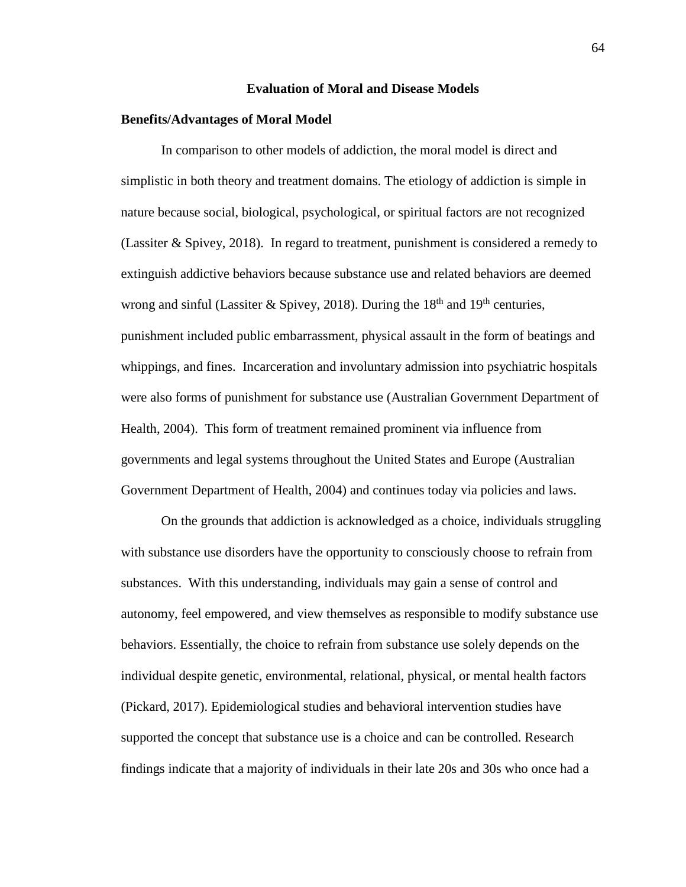#### **Evaluation of Moral and Disease Models**

#### **Benefits/Advantages of Moral Model**

In comparison to other models of addiction, the moral model is direct and simplistic in both theory and treatment domains. The etiology of addiction is simple in nature because social, biological, psychological, or spiritual factors are not recognized (Lassiter  $\&$  Spivey, 2018). In regard to treatment, punishment is considered a remedy to extinguish addictive behaviors because substance use and related behaviors are deemed wrong and sinful (Lassiter & Spivey, 2018). During the  $18<sup>th</sup>$  and  $19<sup>th</sup>$  centuries, punishment included public embarrassment, physical assault in the form of beatings and whippings, and fines. Incarceration and involuntary admission into psychiatric hospitals were also forms of punishment for substance use (Australian Government Department of Health, 2004). This form of treatment remained prominent via influence from governments and legal systems throughout the United States and Europe (Australian Government Department of Health, 2004) and continues today via policies and laws.

On the grounds that addiction is acknowledged as a choice, individuals struggling with substance use disorders have the opportunity to consciously choose to refrain from substances. With this understanding, individuals may gain a sense of control and autonomy, feel empowered, and view themselves as responsible to modify substance use behaviors. Essentially, the choice to refrain from substance use solely depends on the individual despite genetic, environmental, relational, physical, or mental health factors (Pickard, 2017). Epidemiological studies and behavioral intervention studies have supported the concept that substance use is a choice and can be controlled. Research findings indicate that a majority of individuals in their late 20s and 30s who once had a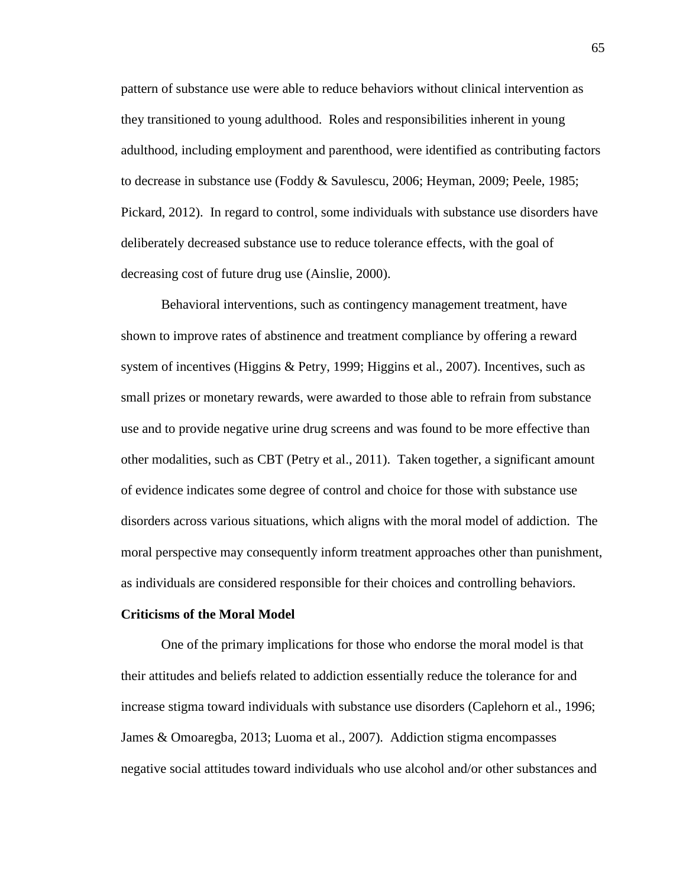pattern of substance use were able to reduce behaviors without clinical intervention as they transitioned to young adulthood. Roles and responsibilities inherent in young adulthood, including employment and parenthood, were identified as contributing factors to decrease in substance use (Foddy & Savulescu, 2006; Heyman, 2009; Peele, 1985; Pickard, 2012). In regard to control, some individuals with substance use disorders have deliberately decreased substance use to reduce tolerance effects, with the goal of decreasing cost of future drug use (Ainslie, 2000).

Behavioral interventions, such as contingency management treatment, have shown to improve rates of abstinence and treatment compliance by offering a reward system of incentives (Higgins & Petry, 1999; Higgins et al., 2007). Incentives, such as small prizes or monetary rewards, were awarded to those able to refrain from substance use and to provide negative urine drug screens and was found to be more effective than other modalities, such as CBT (Petry et al., 2011). Taken together, a significant amount of evidence indicates some degree of control and choice for those with substance use disorders across various situations, which aligns with the moral model of addiction. The moral perspective may consequently inform treatment approaches other than punishment, as individuals are considered responsible for their choices and controlling behaviors.

#### **Criticisms of the Moral Model**

One of the primary implications for those who endorse the moral model is that their attitudes and beliefs related to addiction essentially reduce the tolerance for and increase stigma toward individuals with substance use disorders (Caplehorn et al., 1996; James & Omoaregba, 2013; Luoma et al., 2007). Addiction stigma encompasses negative social attitudes toward individuals who use alcohol and/or other substances and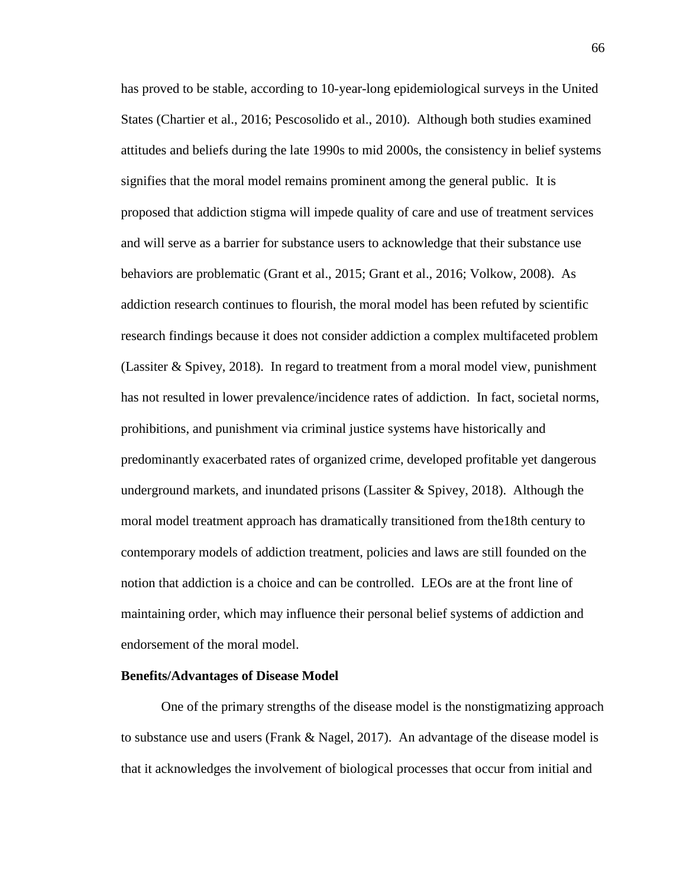has proved to be stable, according to 10-year-long epidemiological surveys in the United States (Chartier et al., 2016; Pescosolido et al., 2010). Although both studies examined attitudes and beliefs during the late 1990s to mid 2000s, the consistency in belief systems signifies that the moral model remains prominent among the general public. It is proposed that addiction stigma will impede quality of care and use of treatment services and will serve as a barrier for substance users to acknowledge that their substance use behaviors are problematic (Grant et al., 2015; Grant et al., 2016; Volkow, 2008). As addiction research continues to flourish, the moral model has been refuted by scientific research findings because it does not consider addiction a complex multifaceted problem (Lassiter & Spivey, 2018). In regard to treatment from a moral model view, punishment has not resulted in lower prevalence/incidence rates of addiction. In fact, societal norms, prohibitions, and punishment via criminal justice systems have historically and predominantly exacerbated rates of organized crime, developed profitable yet dangerous underground markets, and inundated prisons (Lassiter  $\&$  Spivey, 2018). Although the moral model treatment approach has dramatically transitioned from the18th century to contemporary models of addiction treatment, policies and laws are still founded on the notion that addiction is a choice and can be controlled. LEOs are at the front line of maintaining order, which may influence their personal belief systems of addiction and endorsement of the moral model.

#### **Benefits/Advantages of Disease Model**

One of the primary strengths of the disease model is the nonstigmatizing approach to substance use and users (Frank & Nagel, 2017). An advantage of the disease model is that it acknowledges the involvement of biological processes that occur from initial and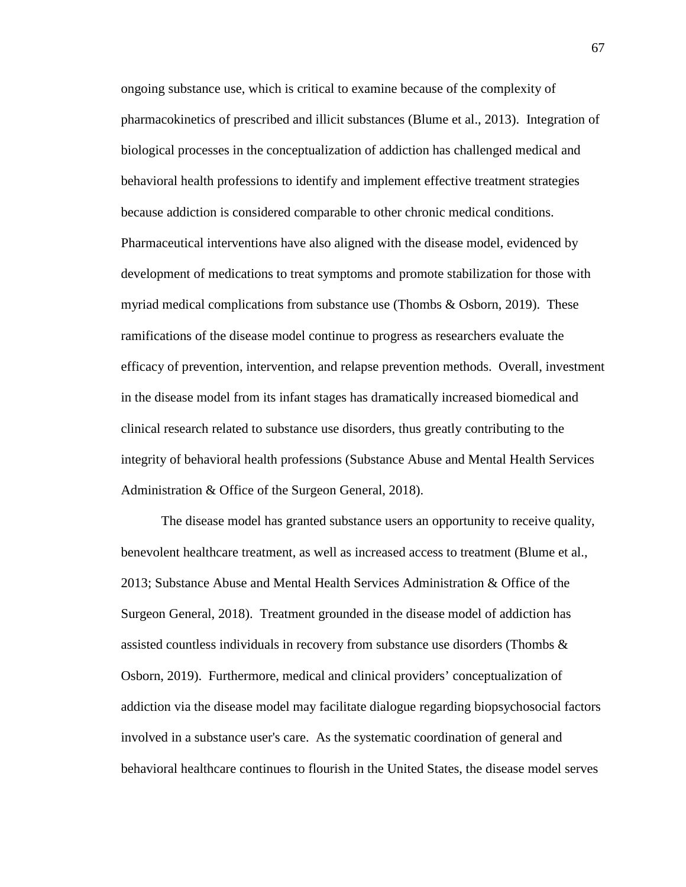ongoing substance use, which is critical to examine because of the complexity of pharmacokinetics of prescribed and illicit substances (Blume et al., 2013). Integration of biological processes in the conceptualization of addiction has challenged medical and behavioral health professions to identify and implement effective treatment strategies because addiction is considered comparable to other chronic medical conditions. Pharmaceutical interventions have also aligned with the disease model, evidenced by development of medications to treat symptoms and promote stabilization for those with myriad medical complications from substance use (Thombs & Osborn, 2019). These ramifications of the disease model continue to progress as researchers evaluate the efficacy of prevention, intervention, and relapse prevention methods. Overall, investment in the disease model from its infant stages has dramatically increased biomedical and clinical research related to substance use disorders, thus greatly contributing to the integrity of behavioral health professions (Substance Abuse and Mental Health Services Administration & Office of the Surgeon General, 2018).

The disease model has granted substance users an opportunity to receive quality, benevolent healthcare treatment, as well as increased access to treatment (Blume et al., 2013; Substance Abuse and Mental Health Services Administration & Office of the Surgeon General, 2018). Treatment grounded in the disease model of addiction has assisted countless individuals in recovery from substance use disorders (Thombs & Osborn, 2019). Furthermore, medical and clinical providers' conceptualization of addiction via the disease model may facilitate dialogue regarding biopsychosocial factors involved in a substance user's care. As the systematic coordination of general and behavioral healthcare continues to flourish in the United States, the disease model serves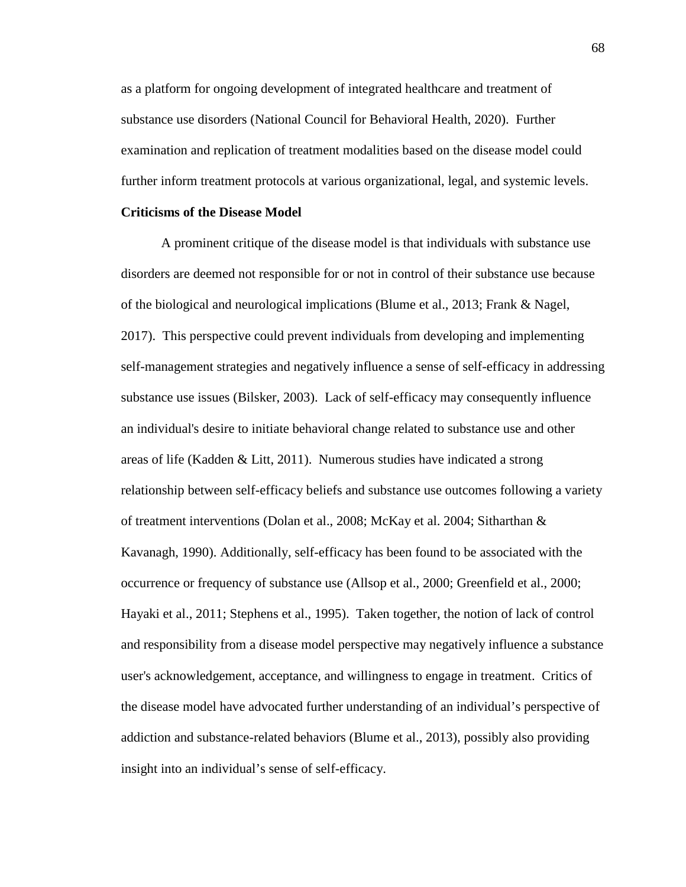as a platform for ongoing development of integrated healthcare and treatment of substance use disorders (National Council for Behavioral Health, 2020). Further examination and replication of treatment modalities based on the disease model could further inform treatment protocols at various organizational, legal, and systemic levels.

#### **Criticisms of the Disease Model**

A prominent critique of the disease model is that individuals with substance use disorders are deemed not responsible for or not in control of their substance use because of the biological and neurological implications (Blume et al., 2013; Frank & Nagel, 2017). This perspective could prevent individuals from developing and implementing self-management strategies and negatively influence a sense of self-efficacy in addressing substance use issues (Bilsker, 2003). Lack of self-efficacy may consequently influence an individual's desire to initiate behavioral change related to substance use and other areas of life (Kadden & Litt, 2011). Numerous studies have indicated a strong relationship between self-efficacy beliefs and substance use outcomes following a variety of treatment interventions (Dolan et al., 2008; McKay et al. 2004; Sitharthan & Kavanagh, 1990). Additionally, self-efficacy has been found to be associated with the occurrence or frequency of substance use (Allsop et al., 2000; Greenfield et al., 2000; Hayaki et al., 2011; Stephens et al., 1995). Taken together, the notion of lack of control and responsibility from a disease model perspective may negatively influence a substance user's acknowledgement, acceptance, and willingness to engage in treatment. Critics of the disease model have advocated further understanding of an individual's perspective of addiction and substance-related behaviors (Blume et al., 2013), possibly also providing insight into an individual's sense of self-efficacy.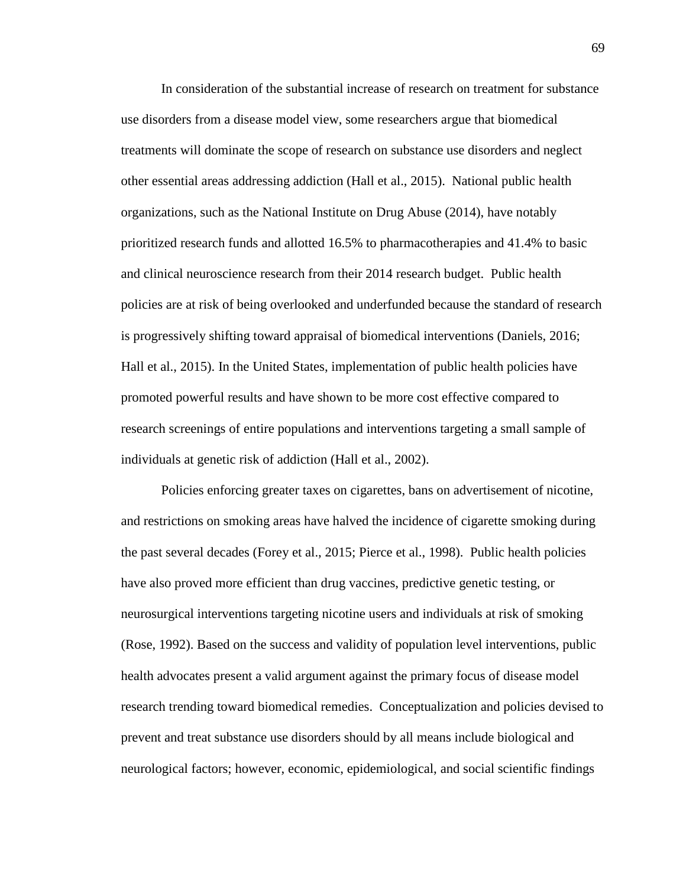In consideration of the substantial increase of research on treatment for substance use disorders from a disease model view, some researchers argue that biomedical treatments will dominate the scope of research on substance use disorders and neglect other essential areas addressing addiction (Hall et al., 2015). National public health organizations, such as the National Institute on Drug Abuse (2014), have notably prioritized research funds and allotted 16.5% to pharmacotherapies and 41.4% to basic and clinical neuroscience research from their 2014 research budget. Public health policies are at risk of being overlooked and underfunded because the standard of research is progressively shifting toward appraisal of biomedical interventions (Daniels, 2016; Hall et al., 2015). In the United States, implementation of public health policies have promoted powerful results and have shown to be more cost effective compared to research screenings of entire populations and interventions targeting a small sample of individuals at genetic risk of addiction (Hall et al., 2002).

Policies enforcing greater taxes on cigarettes, bans on advertisement of nicotine, and restrictions on smoking areas have halved the incidence of cigarette smoking during the past several decades (Forey et al., 2015; Pierce et al., 1998). Public health policies have also proved more efficient than drug vaccines, predictive genetic testing, or neurosurgical interventions targeting nicotine users and individuals at risk of smoking (Rose, 1992). Based on the success and validity of population level interventions, public health advocates present a valid argument against the primary focus of disease model research trending toward biomedical remedies. Conceptualization and policies devised to prevent and treat substance use disorders should by all means include biological and neurological factors; however, economic, epidemiological, and social scientific findings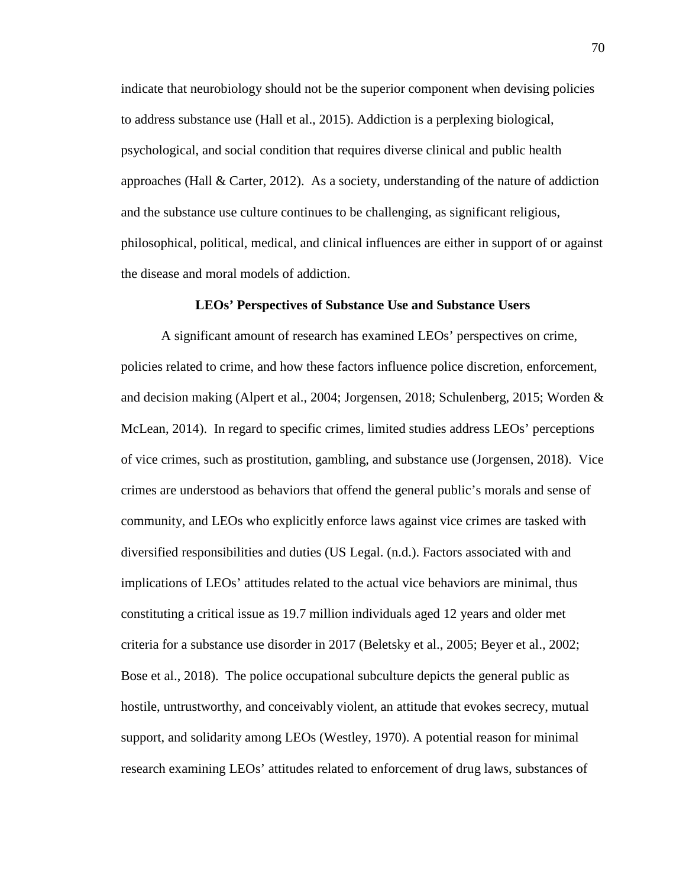indicate that neurobiology should not be the superior component when devising policies to address substance use (Hall et al., 2015). Addiction is a perplexing biological, psychological, and social condition that requires diverse clinical and public health approaches (Hall & Carter, 2012). As a society, understanding of the nature of addiction and the substance use culture continues to be challenging, as significant religious, philosophical, political, medical, and clinical influences are either in support of or against the disease and moral models of addiction.

#### **LEOs' Perspectives of Substance Use and Substance Users**

A significant amount of research has examined LEOs' perspectives on crime, policies related to crime, and how these factors influence police discretion, enforcement, and decision making (Alpert et al., 2004; Jorgensen, 2018; Schulenberg, 2015; Worden & McLean, 2014). In regard to specific crimes, limited studies address LEOs' perceptions of vice crimes, such as prostitution, gambling, and substance use (Jorgensen, 2018). Vice crimes are understood as behaviors that offend the general public's morals and sense of community, and LEOs who explicitly enforce laws against vice crimes are tasked with diversified responsibilities and duties (US Legal. (n.d.). Factors associated with and implications of LEOs' attitudes related to the actual vice behaviors are minimal, thus constituting a critical issue as 19.7 million individuals aged 12 years and older met criteria for a substance use disorder in 2017 (Beletsky et al., 2005; Beyer et al., 2002; Bose et al., 2018). The police occupational subculture depicts the general public as hostile, untrustworthy, and conceivably violent, an attitude that evokes secrecy, mutual support, and solidarity among LEOs (Westley, 1970). A potential reason for minimal research examining LEOs' attitudes related to enforcement of drug laws, substances of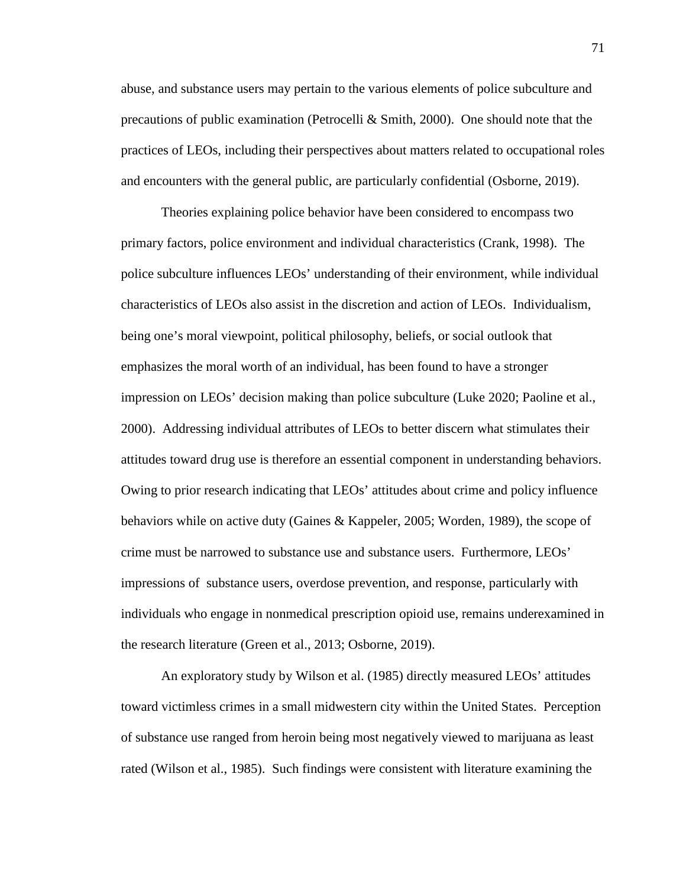abuse, and substance users may pertain to the various elements of police subculture and precautions of public examination (Petrocelli & Smith, 2000). One should note that the practices of LEOs, including their perspectives about matters related to occupational roles and encounters with the general public, are particularly confidential (Osborne, 2019).

Theories explaining police behavior have been considered to encompass two primary factors, police environment and individual characteristics (Crank, 1998). The police subculture influences LEOs' understanding of their environment, while individual characteristics of LEOs also assist in the discretion and action of LEOs. Individualism, being one's moral viewpoint, political philosophy, beliefs, or social outlook that emphasizes the moral worth of an individual, has been found to have a stronger impression on LEOs' decision making than police subculture (Luke 2020; Paoline et al., 2000). Addressing individual attributes of LEOs to better discern what stimulates their attitudes toward drug use is therefore an essential component in understanding behaviors. Owing to prior research indicating that LEOs' attitudes about crime and policy influence behaviors while on active duty (Gaines & Kappeler, 2005; Worden, 1989), the scope of crime must be narrowed to substance use and substance users. Furthermore, LEOs' impressions of substance users, overdose prevention, and response, particularly with individuals who engage in nonmedical prescription opioid use, remains underexamined in the research literature (Green et al., 2013; Osborne, 2019).

An exploratory study by Wilson et al. (1985) directly measured LEOs' attitudes toward victimless crimes in a small midwestern city within the United States. Perception of substance use ranged from heroin being most negatively viewed to marijuana as least rated (Wilson et al., 1985). Such findings were consistent with literature examining the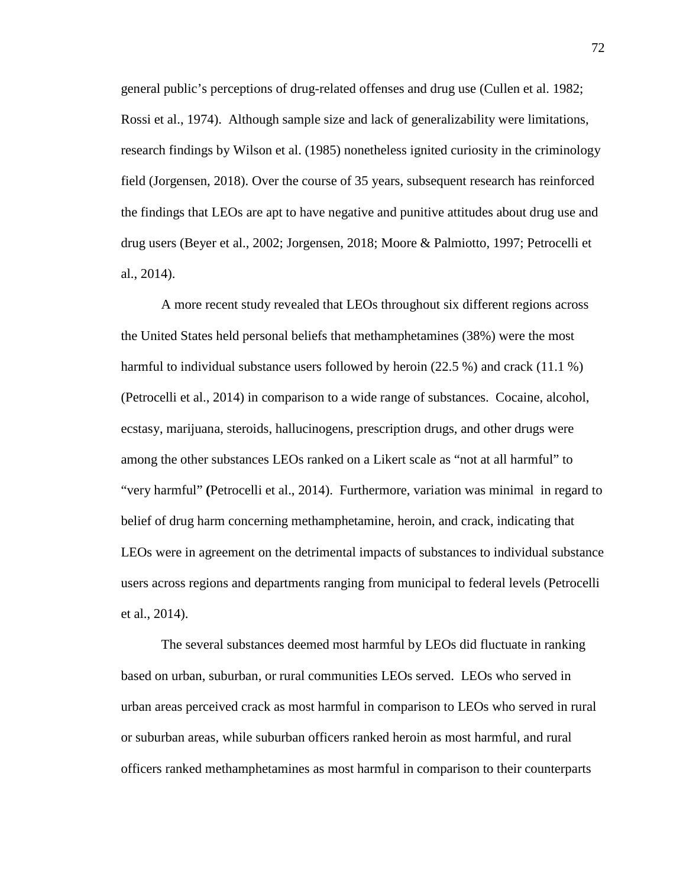general public's perceptions of drug-related offenses and drug use (Cullen et al. 1982; Rossi et al., 1974). Although sample size and lack of generalizability were limitations, research findings by Wilson et al. (1985) nonetheless ignited curiosity in the criminology field (Jorgensen, 2018). Over the course of 35 years, subsequent research has reinforced the findings that LEOs are apt to have negative and punitive attitudes about drug use and drug users (Beyer et al., 2002; Jorgensen, 2018; Moore & Palmiotto, 1997; Petrocelli et al., 2014).

A more recent study revealed that LEOs throughout six different regions across the United States held personal beliefs that methamphetamines (38%) were the most harmful to individual substance users followed by heroin (22.5 %) and crack (11.1 %) (Petrocelli et al., 2014) in comparison to a wide range of substances. Cocaine, alcohol, ecstasy, marijuana, steroids, hallucinogens, prescription drugs, and other drugs were among the other substances LEOs ranked on a Likert scale as "not at all harmful" to "very harmful" **(**Petrocelli et al., 2014). Furthermore, variation was minimal in regard to belief of drug harm concerning methamphetamine, heroin, and crack, indicating that LEOs were in agreement on the detrimental impacts of substances to individual substance users across regions and departments ranging from municipal to federal levels (Petrocelli et al., 2014).

The several substances deemed most harmful by LEOs did fluctuate in ranking based on urban, suburban, or rural communities LEOs served. LEOs who served in urban areas perceived crack as most harmful in comparison to LEOs who served in rural or suburban areas, while suburban officers ranked heroin as most harmful, and rural officers ranked methamphetamines as most harmful in comparison to their counterparts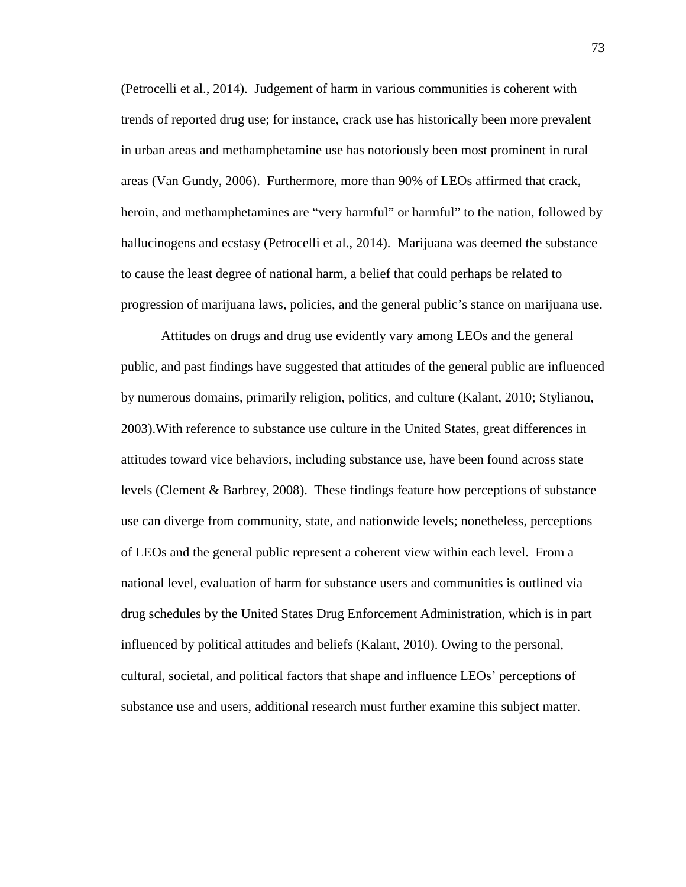(Petrocelli et al., 2014). Judgement of harm in various communities is coherent with trends of reported drug use; for instance, crack use has historically been more prevalent in urban areas and methamphetamine use has notoriously been most prominent in rural areas (Van Gundy, 2006). Furthermore, more than 90% of LEOs affirmed that crack, heroin, and methamphetamines are "very harmful" or harmful" to the nation, followed by hallucinogens and ecstasy (Petrocelli et al., 2014). Marijuana was deemed the substance to cause the least degree of national harm, a belief that could perhaps be related to progression of marijuana laws, policies, and the general public's stance on marijuana use.

Attitudes on drugs and drug use evidently vary among LEOs and the general public, and past findings have suggested that attitudes of the general public are influenced by numerous domains, primarily religion, politics, and culture (Kalant, 2010; Stylianou, 2003).With reference to substance use culture in the United States, great differences in attitudes toward vice behaviors, including substance use, have been found across state levels (Clement & Barbrey, 2008). These findings feature how perceptions of substance use can diverge from community, state, and nationwide levels; nonetheless, perceptions of LEOs and the general public represent a coherent view within each level. From a national level, evaluation of harm for substance users and communities is outlined via drug schedules by the United States Drug Enforcement Administration, which is in part influenced by political attitudes and beliefs (Kalant, 2010). Owing to the personal, cultural, societal, and political factors that shape and influence LEOs' perceptions of substance use and users, additional research must further examine this subject matter.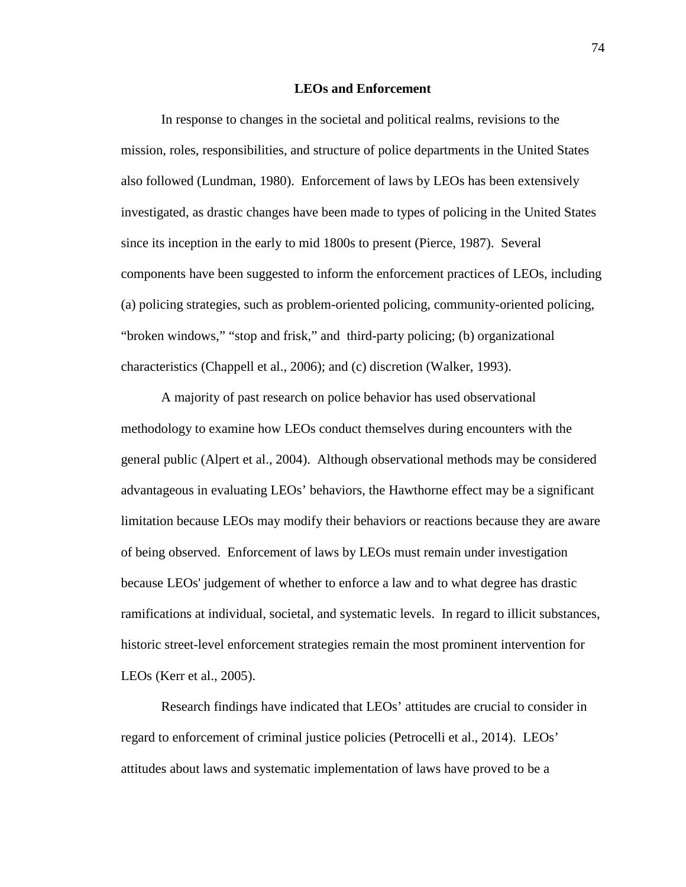#### **LEOs and Enforcement**

In response to changes in the societal and political realms, revisions to the mission, roles, responsibilities, and structure of police departments in the United States also followed (Lundman, 1980). Enforcement of laws by LEOs has been extensively investigated, as drastic changes have been made to types of policing in the United States since its inception in the early to mid 1800s to present (Pierce, 1987). Several components have been suggested to inform the enforcement practices of LEOs, including (a) policing strategies, such as problem-oriented policing, community-oriented policing, "broken windows," "stop and frisk," and third-party policing; (b) organizational characteristics (Chappell et al., 2006); and (c) discretion (Walker, 1993).

A majority of past research on police behavior has used observational methodology to examine how LEOs conduct themselves during encounters with the general public (Alpert et al., 2004). Although observational methods may be considered advantageous in evaluating LEOs' behaviors, the Hawthorne effect may be a significant limitation because LEOs may modify their behaviors or reactions because they are aware of being observed. Enforcement of laws by LEOs must remain under investigation because LEOs' judgement of whether to enforce a law and to what degree has drastic ramifications at individual, societal, and systematic levels. In regard to illicit substances, historic street-level enforcement strategies remain the most prominent intervention for LEOs (Kerr et al., 2005).

Research findings have indicated that LEOs' attitudes are crucial to consider in regard to enforcement of criminal justice policies (Petrocelli et al., 2014). LEOs' attitudes about laws and systematic implementation of laws have proved to be a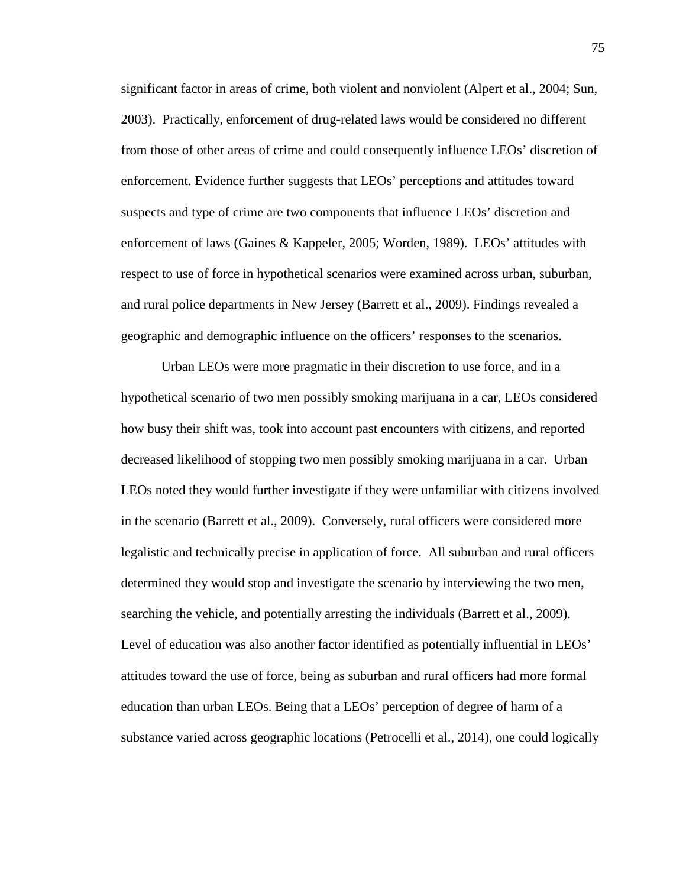significant factor in areas of crime, both violent and nonviolent (Alpert et al., 2004; Sun, 2003). Practically, enforcement of drug-related laws would be considered no different from those of other areas of crime and could consequently influence LEOs' discretion of enforcement. Evidence further suggests that LEOs' perceptions and attitudes toward suspects and type of crime are two components that influence LEOs' discretion and enforcement of laws (Gaines & Kappeler, 2005; Worden, 1989). LEOs' attitudes with respect to use of force in hypothetical scenarios were examined across urban, suburban, and rural police departments in New Jersey (Barrett et al., 2009). Findings revealed a geographic and demographic influence on the officers' responses to the scenarios.

Urban LEOs were more pragmatic in their discretion to use force, and in a hypothetical scenario of two men possibly smoking marijuana in a car, LEOs considered how busy their shift was, took into account past encounters with citizens, and reported decreased likelihood of stopping two men possibly smoking marijuana in a car. Urban LEOs noted they would further investigate if they were unfamiliar with citizens involved in the scenario (Barrett et al., 2009). Conversely, rural officers were considered more legalistic and technically precise in application of force. All suburban and rural officers determined they would stop and investigate the scenario by interviewing the two men, searching the vehicle, and potentially arresting the individuals (Barrett et al., 2009). Level of education was also another factor identified as potentially influential in LEOs' attitudes toward the use of force, being as suburban and rural officers had more formal education than urban LEOs. Being that a LEOs' perception of degree of harm of a substance varied across geographic locations (Petrocelli et al., 2014), one could logically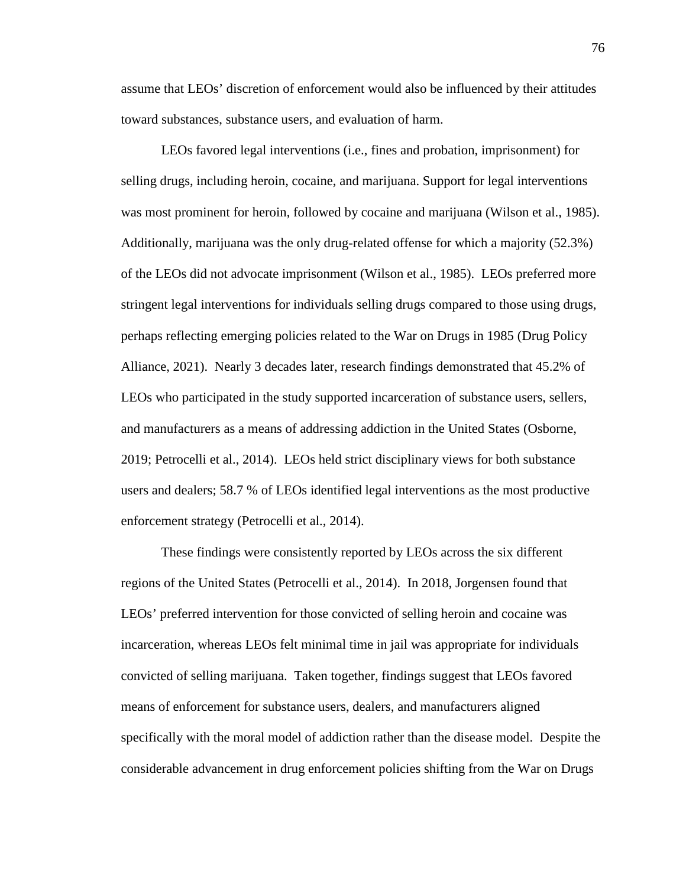assume that LEOs' discretion of enforcement would also be influenced by their attitudes toward substances, substance users, and evaluation of harm.

LEOs favored legal interventions (i.e., fines and probation, imprisonment) for selling drugs, including heroin, cocaine, and marijuana. Support for legal interventions was most prominent for heroin, followed by cocaine and marijuana (Wilson et al., 1985). Additionally, marijuana was the only drug-related offense for which a majority (52.3%) of the LEOs did not advocate imprisonment (Wilson et al., 1985). LEOs preferred more stringent legal interventions for individuals selling drugs compared to those using drugs, perhaps reflecting emerging policies related to the War on Drugs in 1985 (Drug Policy Alliance, 2021). Nearly 3 decades later, research findings demonstrated that 45.2% of LEOs who participated in the study supported incarceration of substance users, sellers, and manufacturers as a means of addressing addiction in the United States (Osborne, 2019; Petrocelli et al., 2014). LEOs held strict disciplinary views for both substance users and dealers; 58.7 % of LEOs identified legal interventions as the most productive enforcement strategy (Petrocelli et al., 2014).

These findings were consistently reported by LEOs across the six different regions of the United States (Petrocelli et al., 2014). In 2018, Jorgensen found that LEOs' preferred intervention for those convicted of selling heroin and cocaine was incarceration, whereas LEOs felt minimal time in jail was appropriate for individuals convicted of selling marijuana. Taken together, findings suggest that LEOs favored means of enforcement for substance users, dealers, and manufacturers aligned specifically with the moral model of addiction rather than the disease model. Despite the considerable advancement in drug enforcement policies shifting from the War on Drugs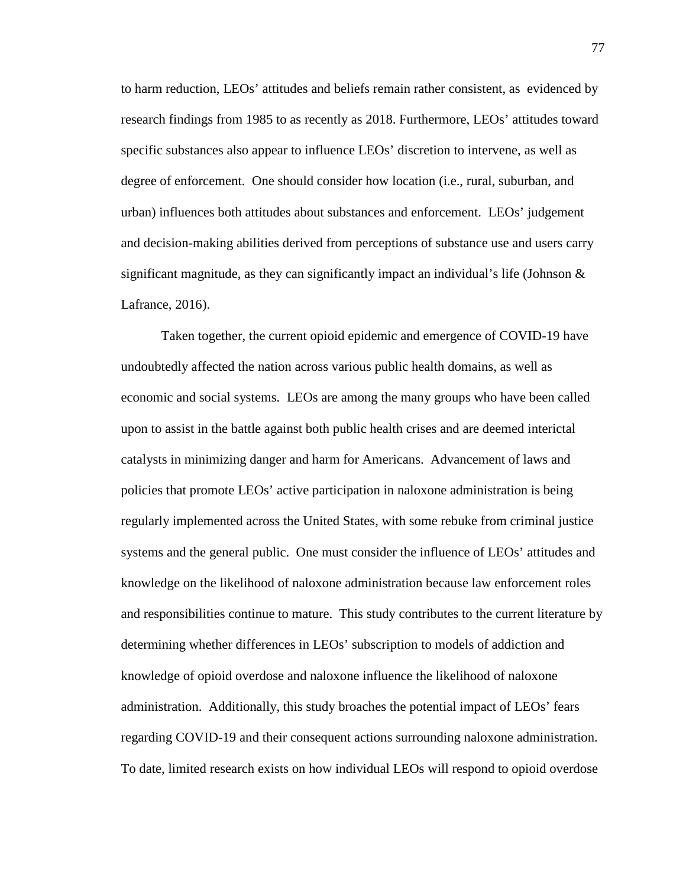to harm reduction, LEOs' attitudes and beliefs remain rather consistent, as evidenced by research findings from 1985 to as recently as 2018. Furthermore, LEOs' attitudes toward specific substances also appear to influence LEOs' discretion to intervene, as well as degree of enforcement. One should consider how location (i.e., rural, suburban, and urban) influences both attitudes about substances and enforcement. LEOs' judgement and decision-making abilities derived from perceptions of substance use and users carry significant magnitude, as they can significantly impact an individual's life (Johnson  $\&$ Lafrance, 2016).

Taken together, the current opioid epidemic and emergence of COVID-19 have undoubtedly affected the nation across various public health domains, as well as economic and social systems. LEOs are among the many groups who have been called upon to assist in the battle against both public health crises and are deemed interictal catalysts in minimizing danger and harm for Americans. Advancement of laws and policies that promote LEOs' active participation in naloxone administration is being regularly implemented across the United States, with some rebuke from criminal justice systems and the general public. One must consider the influence of LEOs' attitudes and knowledge on the likelihood of naloxone administration because law enforcement roles and responsibilities continue to mature. This study contributes to the current literature by determining whether differences in LEOs' subscription to models of addiction and knowledge of opioid overdose and naloxone influence the likelihood of naloxone administration. Additionally, this study broaches the potential impact of LEOs' fears regarding COVID-19 and their consequent actions surrounding naloxone administration. To date, limited research exists on how individual LEOs will respond to opioid overdose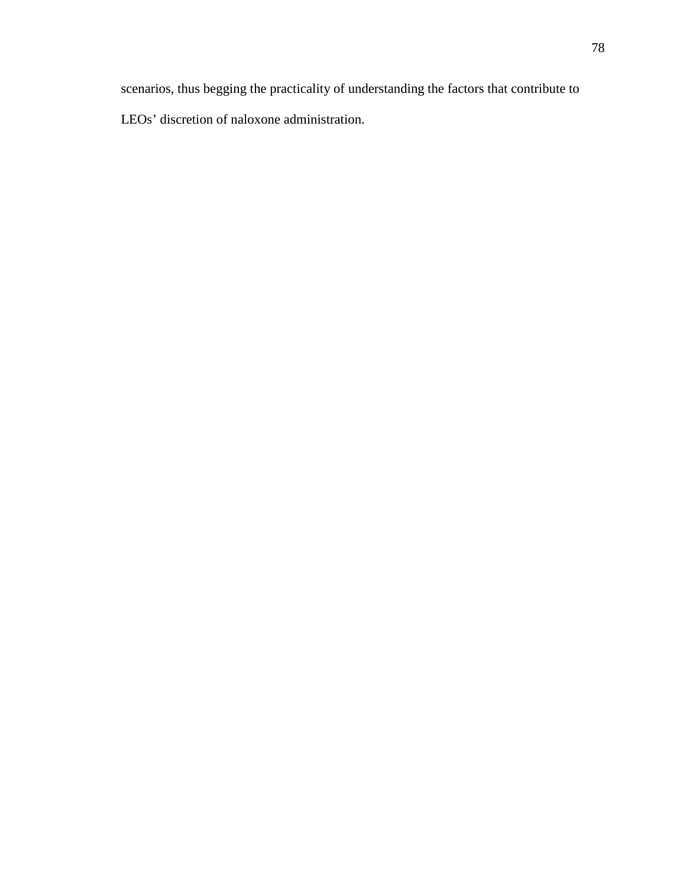scenarios, thus begging the practicality of understanding the factors that contribute to LEOs' discretion of naloxone administration.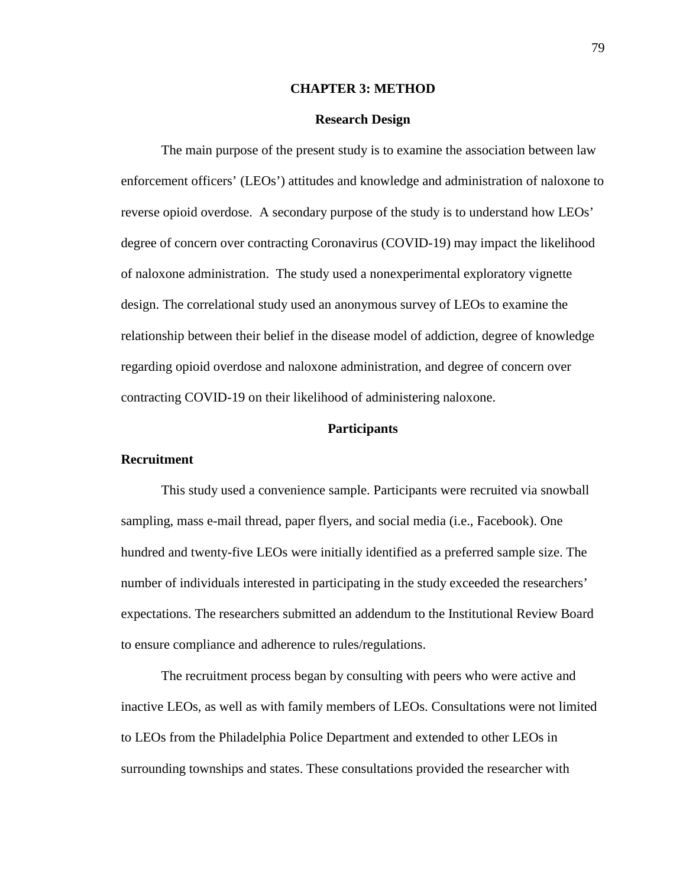#### **CHAPTER 3: METHOD**

#### **Research Design**

The main purpose of the present study is to examine the association between law enforcement officers' (LEOs') attitudes and knowledge and administration of naloxone to reverse opioid overdose. A secondary purpose of the study is to understand how LEOs' degree of concern over contracting Coronavirus (COVID-19) may impact the likelihood of naloxone administration. The study used a nonexperimental exploratory vignette design. The correlational study used an anonymous survey of LEOs to examine the relationship between their belief in the disease model of addiction, degree of knowledge regarding opioid overdose and naloxone administration, and degree of concern over contracting COVID-19 on their likelihood of administering naloxone.

# **Participants**

#### **Recruitment**

This study used a convenience sample. Participants were recruited via snowball sampling, mass e-mail thread, paper flyers, and social media (i.e., Facebook). One hundred and twenty-five LEOs were initially identified as a preferred sample size. The number of individuals interested in participating in the study exceeded the researchers' expectations. The researchers submitted an addendum to the Institutional Review Board to ensure compliance and adherence to rules/regulations.

The recruitment process began by consulting with peers who were active and inactive LEOs, as well as with family members of LEOs. Consultations were not limited to LEOs from the Philadelphia Police Department and extended to other LEOs in surrounding townships and states. These consultations provided the researcher with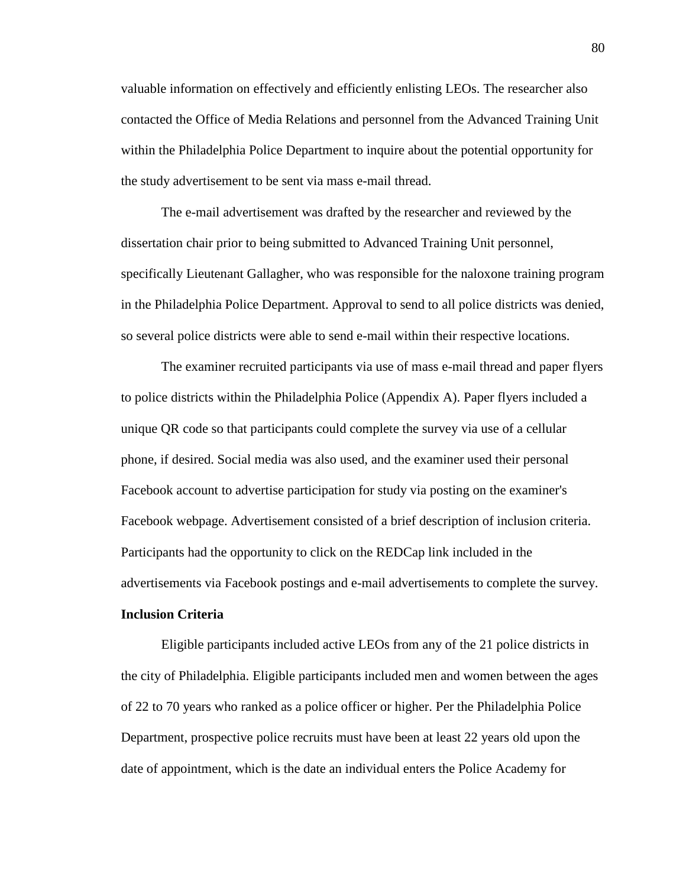valuable information on effectively and efficiently enlisting LEOs. The researcher also contacted the Office of Media Relations and personnel from the Advanced Training Unit within the Philadelphia Police Department to inquire about the potential opportunity for the study advertisement to be sent via mass e-mail thread.

The e-mail advertisement was drafted by the researcher and reviewed by the dissertation chair prior to being submitted to Advanced Training Unit personnel, specifically Lieutenant Gallagher, who was responsible for the naloxone training program in the Philadelphia Police Department. Approval to send to all police districts was denied, so several police districts were able to send e-mail within their respective locations.

The examiner recruited participants via use of mass e-mail thread and paper flyers to police districts within the Philadelphia Police (Appendix A). Paper flyers included a unique QR code so that participants could complete the survey via use of a cellular phone, if desired. Social media was also used, and the examiner used their personal Facebook account to advertise participation for study via posting on the examiner's Facebook webpage. Advertisement consisted of a brief description of inclusion criteria. Participants had the opportunity to click on the REDCap link included in the advertisements via Facebook postings and e-mail advertisements to complete the survey.

# **Inclusion Criteria**

Eligible participants included active LEOs from any of the 21 police districts in the city of Philadelphia. Eligible participants included men and women between the ages of 22 to 70 years who ranked as a police officer or higher. Per the Philadelphia Police Department, prospective police recruits must have been at least 22 years old upon the date of appointment, which is the date an individual enters the Police Academy for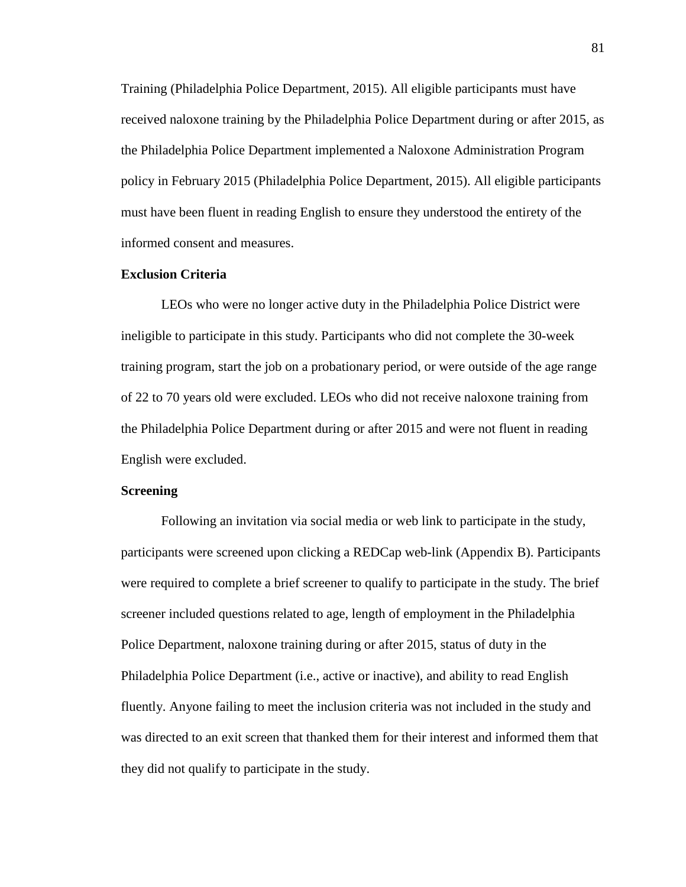Training (Philadelphia Police Department, 2015). All eligible participants must have received naloxone training by the Philadelphia Police Department during or after 2015, as the Philadelphia Police Department implemented a Naloxone Administration Program policy in February 2015 (Philadelphia Police Department, 2015). All eligible participants must have been fluent in reading English to ensure they understood the entirety of the informed consent and measures.

#### **Exclusion Criteria**

LEOs who were no longer active duty in the Philadelphia Police District were ineligible to participate in this study. Participants who did not complete the 30-week training program, start the job on a probationary period, or were outside of the age range of 22 to 70 years old were excluded. LEOs who did not receive naloxone training from the Philadelphia Police Department during or after 2015 and were not fluent in reading English were excluded.

#### **Screening**

Following an invitation via social media or web link to participate in the study, participants were screened upon clicking a REDCap web-link (Appendix B). Participants were required to complete a brief screener to qualify to participate in the study. The brief screener included questions related to age, length of employment in the Philadelphia Police Department, naloxone training during or after 2015, status of duty in the Philadelphia Police Department (i.e., active or inactive), and ability to read English fluently. Anyone failing to meet the inclusion criteria was not included in the study and was directed to an exit screen that thanked them for their interest and informed them that they did not qualify to participate in the study.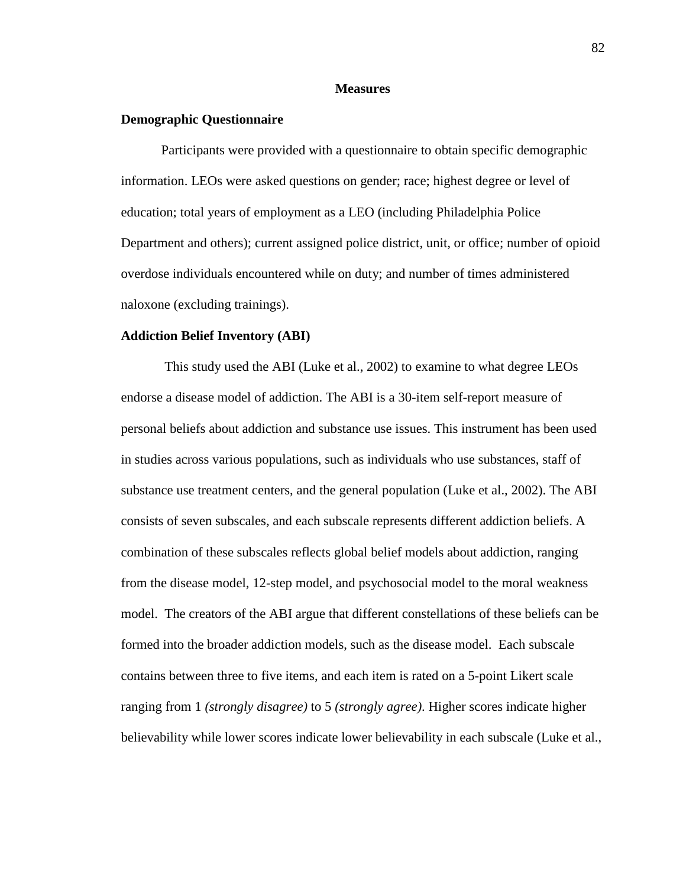#### **Measures**

# **Demographic Questionnaire**

Participants were provided with a questionnaire to obtain specific demographic information. LEOs were asked questions on gender; race; highest degree or level of education; total years of employment as a LEO (including Philadelphia Police Department and others); current assigned police district, unit, or office; number of opioid overdose individuals encountered while on duty; and number of times administered naloxone (excluding trainings).

#### **Addiction Belief Inventory (ABI)**

This study used the ABI (Luke et al., 2002) to examine to what degree LEOs endorse a disease model of addiction. The ABI is a 30-item self-report measure of personal beliefs about addiction and substance use issues. This instrument has been used in studies across various populations, such as individuals who use substances, staff of substance use treatment centers, and the general population (Luke et al., 2002). The ABI consists of seven subscales, and each subscale represents different addiction beliefs. A combination of these subscales reflects global belief models about addiction, ranging from the disease model, 12-step model, and psychosocial model to the moral weakness model. The creators of the ABI argue that different constellations of these beliefs can be formed into the broader addiction models, such as the disease model. Each subscale contains between three to five items, and each item is rated on a 5-point Likert scale ranging from 1 *(strongly disagree)* to 5 *(strongly agree)*. Higher scores indicate higher believability while lower scores indicate lower believability in each subscale (Luke et al.,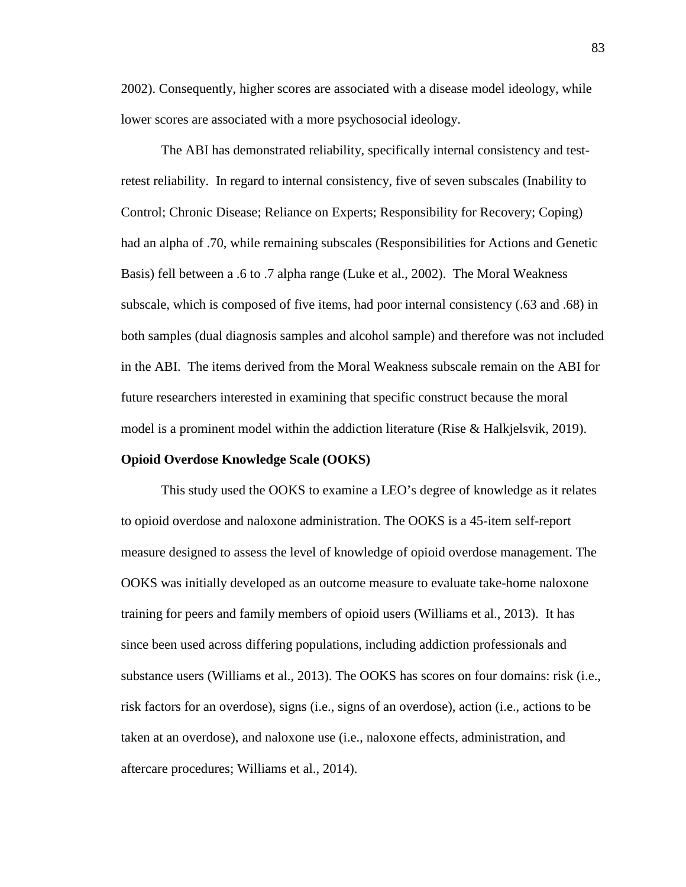2002). Consequently, higher scores are associated with a disease model ideology, while lower scores are associated with a more psychosocial ideology.

The ABI has demonstrated reliability, specifically internal consistency and testretest reliability. In regard to internal consistency, five of seven subscales (Inability to Control; Chronic Disease; Reliance on Experts; Responsibility for Recovery; Coping) had an alpha of .70, while remaining subscales (Responsibilities for Actions and Genetic Basis) fell between a .6 to .7 alpha range (Luke et al., 2002). The Moral Weakness subscale, which is composed of five items, had poor internal consistency (.63 and .68) in both samples (dual diagnosis samples and alcohol sample) and therefore was not included in the ABI. The items derived from the Moral Weakness subscale remain on the ABI for future researchers interested in examining that specific construct because the moral model is a prominent model within the addiction literature (Rise & Halkjelsvik, 2019).

#### **Opioid Overdose Knowledge Scale (OOKS)**

This study used the OOKS to examine a LEO's degree of knowledge as it relates to opioid overdose and naloxone administration. The OOKS is a 45-item self-report measure designed to assess the level of knowledge of opioid overdose management. The OOKS was initially developed as an outcome measure to evaluate take-home naloxone training for peers and family members of opioid users (Williams et al., 2013). It has since been used across differing populations, including addiction professionals and substance users (Williams et al., 2013). The OOKS has scores on four domains: risk (i.e., risk factors for an overdose), signs (i.e., signs of an overdose), action (i.e., actions to be taken at an overdose), and naloxone use (i.e., naloxone effects, administration, and aftercare procedures; Williams et al., 2014).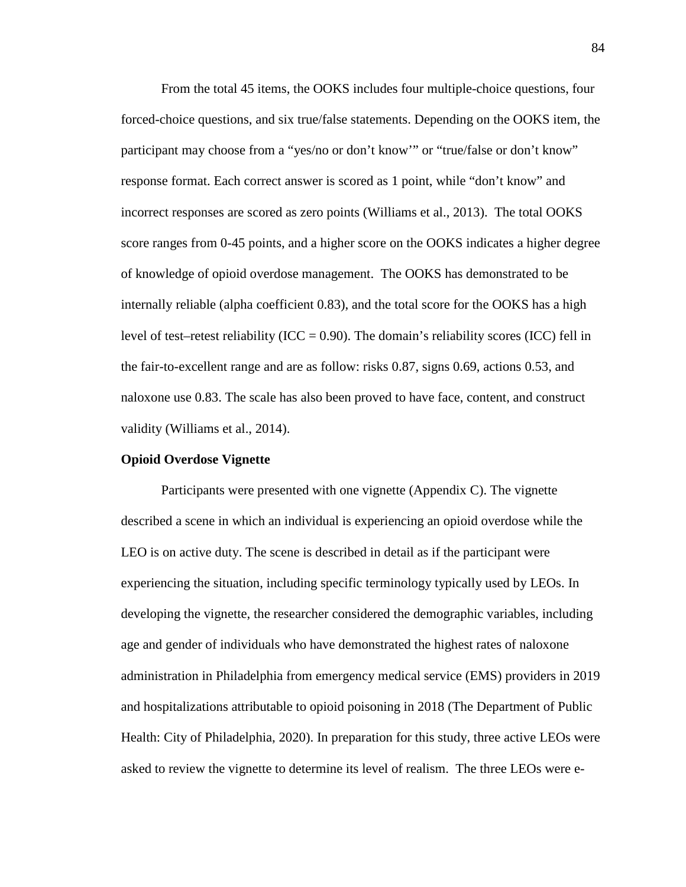From the total 45 items, the OOKS includes four multiple-choice questions, four forced-choice questions, and six true/false statements. Depending on the OOKS item, the participant may choose from a "yes/no or don't know'" or "true/false or don't know" response format. Each correct answer is scored as 1 point, while "don't know" and incorrect responses are scored as zero points (Williams et al., 2013). The total OOKS score ranges from 0-45 points, and a higher score on the OOKS indicates a higher degree of knowledge of opioid overdose management. The OOKS has demonstrated to be internally reliable (alpha coefficient 0.83), and the total score for the OOKS has a high level of test–retest reliability (ICC =  $0.90$ ). The domain's reliability scores (ICC) fell in the fair-to-excellent range and are as follow: risks 0.87, signs 0.69, actions 0.53, and naloxone use 0.83. The scale has also been proved to have face, content, and construct validity (Williams et al., 2014).

#### **Opioid Overdose Vignette**

Participants were presented with one vignette (Appendix C). The vignette described a scene in which an individual is experiencing an opioid overdose while the LEO is on active duty. The scene is described in detail as if the participant were experiencing the situation, including specific terminology typically used by LEOs. In developing the vignette, the researcher considered the demographic variables, including age and gender of individuals who have demonstrated the highest rates of naloxone administration in Philadelphia from emergency medical service (EMS) providers in 2019 and hospitalizations attributable to opioid poisoning in 2018 (The Department of Public Health: City of Philadelphia, 2020). In preparation for this study, three active LEOs were asked to review the vignette to determine its level of realism. The three LEOs were e-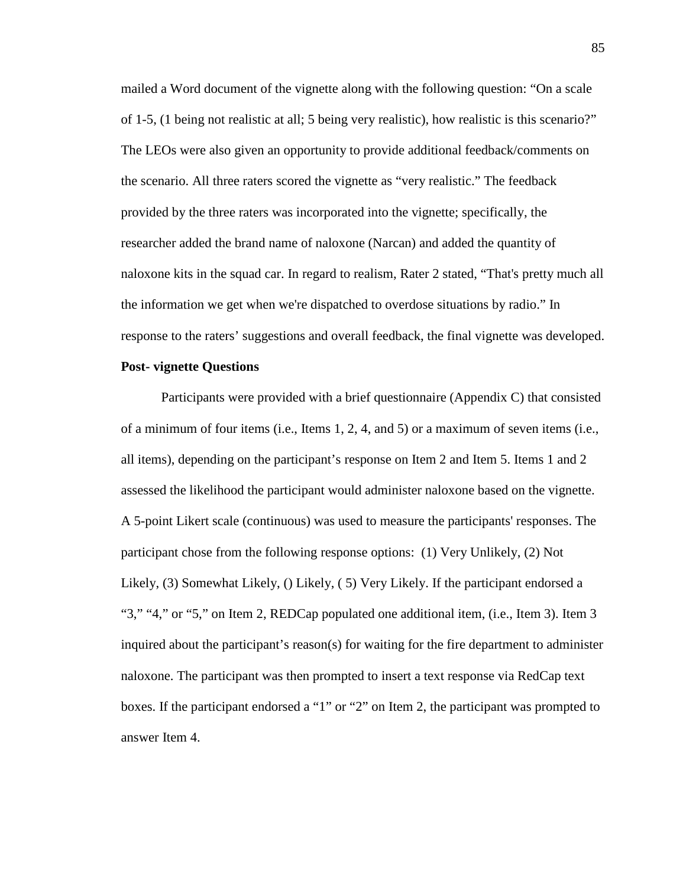mailed a Word document of the vignette along with the following question: "On a scale of 1-5, (1 being not realistic at all; 5 being very realistic), how realistic is this scenario?" The LEOs were also given an opportunity to provide additional feedback/comments on the scenario. All three raters scored the vignette as "very realistic." The feedback provided by the three raters was incorporated into the vignette; specifically, the researcher added the brand name of naloxone (Narcan) and added the quantity of naloxone kits in the squad car. In regard to realism, Rater 2 stated, "That's pretty much all the information we get when we're dispatched to overdose situations by radio." In response to the raters' suggestions and overall feedback, the final vignette was developed.

## **Post- vignette Questions**

Participants were provided with a brief questionnaire (Appendix C) that consisted of a minimum of four items (i.e., Items 1, 2, 4, and 5) or a maximum of seven items (i.e., all items), depending on the participant's response on Item 2 and Item 5. Items 1 and 2 assessed the likelihood the participant would administer naloxone based on the vignette. A 5-point Likert scale (continuous) was used to measure the participants' responses. The participant chose from the following response options: (1) Very Unlikely, (2) Not Likely, (3) Somewhat Likely, () Likely, ( 5) Very Likely. If the participant endorsed a "3," "4," or "5," on Item 2, REDCap populated one additional item, (i.e., Item 3). Item 3 inquired about the participant's reason(s) for waiting for the fire department to administer naloxone. The participant was then prompted to insert a text response via RedCap text boxes. If the participant endorsed a "1" or "2" on Item 2, the participant was prompted to answer Item 4.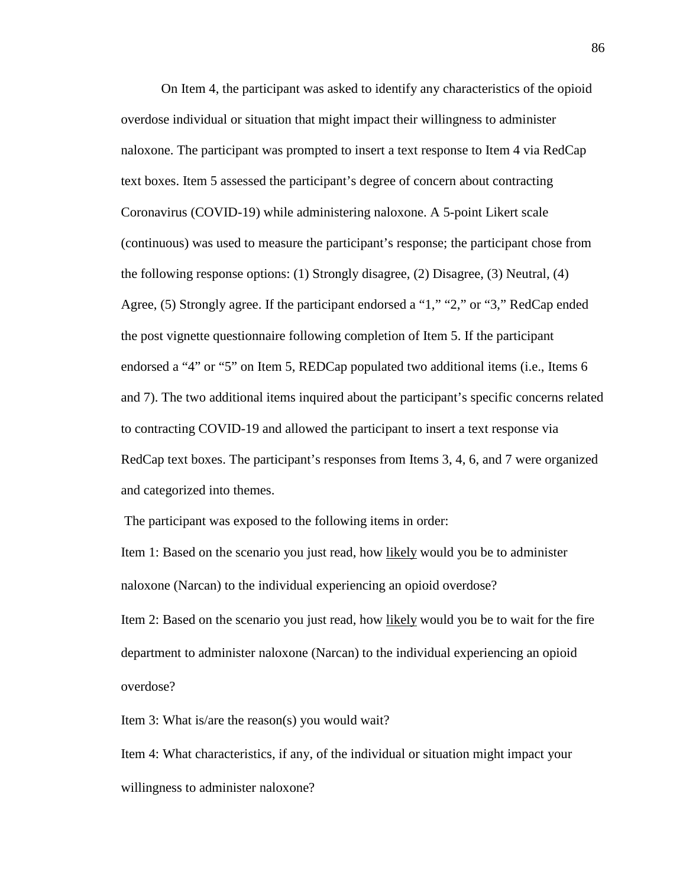On Item 4, the participant was asked to identify any characteristics of the opioid overdose individual or situation that might impact their willingness to administer naloxone. The participant was prompted to insert a text response to Item 4 via RedCap text boxes. Item 5 assessed the participant's degree of concern about contracting Coronavirus (COVID-19) while administering naloxone. A 5-point Likert scale (continuous) was used to measure the participant's response; the participant chose from the following response options: (1) Strongly disagree, (2) Disagree, (3) Neutral, (4) Agree, (5) Strongly agree. If the participant endorsed a "1," "2," or "3," RedCap ended the post vignette questionnaire following completion of Item 5. If the participant endorsed a "4" or "5" on Item 5, REDCap populated two additional items (i.e., Items 6 and 7). The two additional items inquired about the participant's specific concerns related to contracting COVID-19 and allowed the participant to insert a text response via RedCap text boxes. The participant's responses from Items 3, 4, 6, and 7 were organized and categorized into themes.

The participant was exposed to the following items in order:

Item 1: Based on the scenario you just read, how likely would you be to administer naloxone (Narcan) to the individual experiencing an opioid overdose?

Item 2: Based on the scenario you just read, how likely would you be to wait for the fire department to administer naloxone (Narcan) to the individual experiencing an opioid overdose?

Item 3: What is/are the reason(s) you would wait?

Item 4: What characteristics, if any, of the individual or situation might impact your willingness to administer naloxone?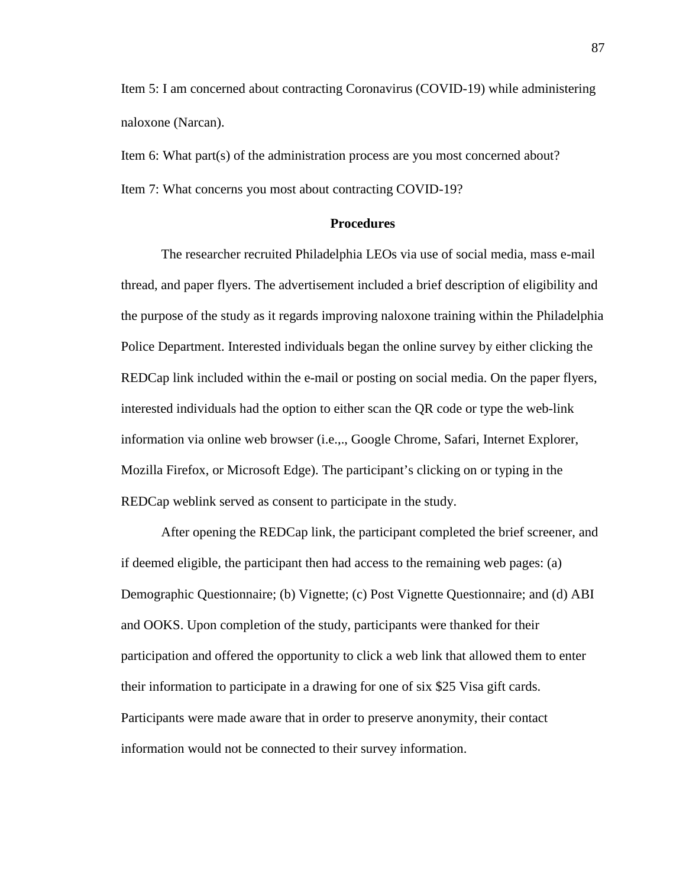Item 5: I am concerned about contracting Coronavirus (COVID-19) while administering naloxone (Narcan).

Item 6: What part(s) of the administration process are you most concerned about? Item 7: What concerns you most about contracting COVID-19?

# **Procedures**

The researcher recruited Philadelphia LEOs via use of social media, mass e-mail thread, and paper flyers. The advertisement included a brief description of eligibility and the purpose of the study as it regards improving naloxone training within the Philadelphia Police Department. Interested individuals began the online survey by either clicking the REDCap link included within the e-mail or posting on social media. On the paper flyers, interested individuals had the option to either scan the QR code or type the web-link information via online web browser (i.e.,., Google Chrome, Safari, Internet Explorer, Mozilla Firefox, or Microsoft Edge). The participant's clicking on or typing in the REDCap weblink served as consent to participate in the study.

After opening the REDCap link, the participant completed the brief screener, and if deemed eligible, the participant then had access to the remaining web pages: (a) Demographic Questionnaire; (b) Vignette; (c) Post Vignette Questionnaire; and (d) ABI and OOKS. Upon completion of the study, participants were thanked for their participation and offered the opportunity to click a web link that allowed them to enter their information to participate in a drawing for one of six \$25 Visa gift cards. Participants were made aware that in order to preserve anonymity, their contact information would not be connected to their survey information.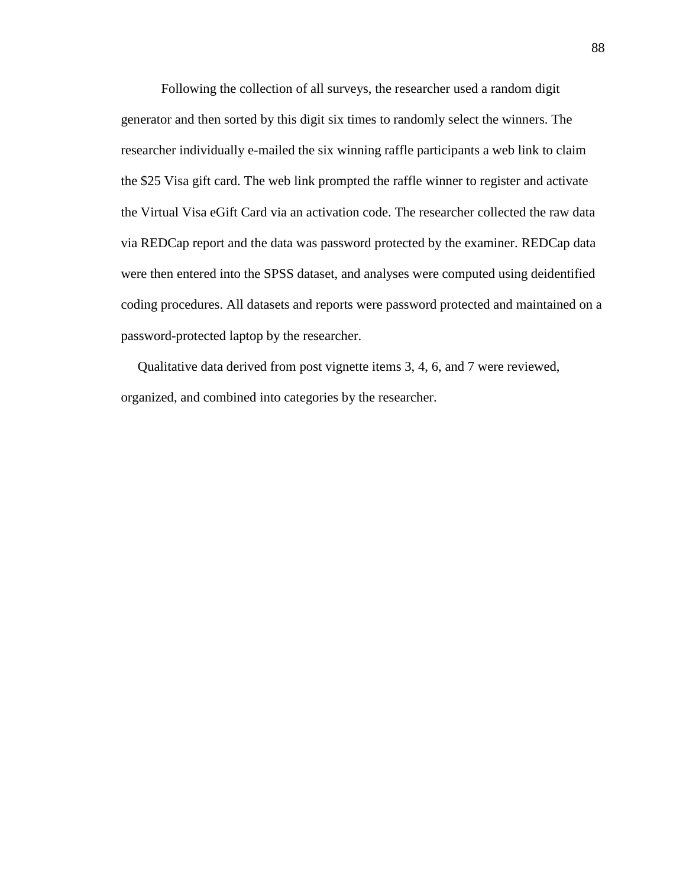Following the collection of all surveys, the researcher used a random digit generator and then sorted by this digit six times to randomly select the winners. The researcher individually e-mailed the six winning raffle participants a web link to claim the \$25 Visa gift card. The web link prompted the raffle winner to register and activate the Virtual Visa eGift Card via an activation code. The researcher collected the raw data via REDCap report and the data was password protected by the examiner. REDCap data were then entered into the SPSS dataset, and analyses were computed using deidentified coding procedures. All datasets and reports were password protected and maintained on a password-protected laptop by the researcher.

 Qualitative data derived from post vignette items 3, 4, 6, and 7 were reviewed, organized, and combined into categories by the researcher.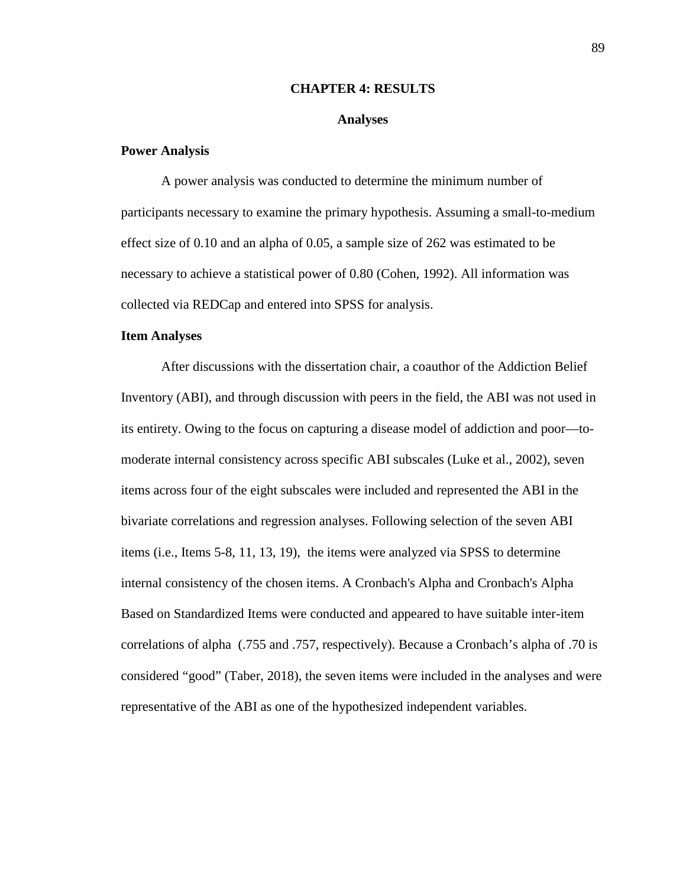#### **CHAPTER 4: RESULTS**

# **Analyses**

# **Power Analysis**

A power analysis was conducted to determine the minimum number of participants necessary to examine the primary hypothesis. Assuming a small-to-medium effect size of 0.10 and an alpha of 0.05, a sample size of 262 was estimated to be necessary to achieve a statistical power of 0.80 (Cohen, 1992). All information was collected via REDCap and entered into SPSS for analysis.

# **Item Analyses**

After discussions with the dissertation chair, a coauthor of the Addiction Belief Inventory (ABI), and through discussion with peers in the field, the ABI was not used in its entirety. Owing to the focus on capturing a disease model of addiction and poor—tomoderate internal consistency across specific ABI subscales (Luke et al., 2002), seven items across four of the eight subscales were included and represented the ABI in the bivariate correlations and regression analyses. Following selection of the seven ABI items (i.e., Items 5-8, 11, 13, 19), the items were analyzed via SPSS to determine internal consistency of the chosen items. A Cronbach's Alpha and Cronbach's Alpha Based on Standardized Items were conducted and appeared to have suitable inter-item correlations of alpha (.755 and .757, respectively). Because a Cronbach's alpha of .70 is considered "good" (Taber, 2018), the seven items were included in the analyses and were representative of the ABI as one of the hypothesized independent variables.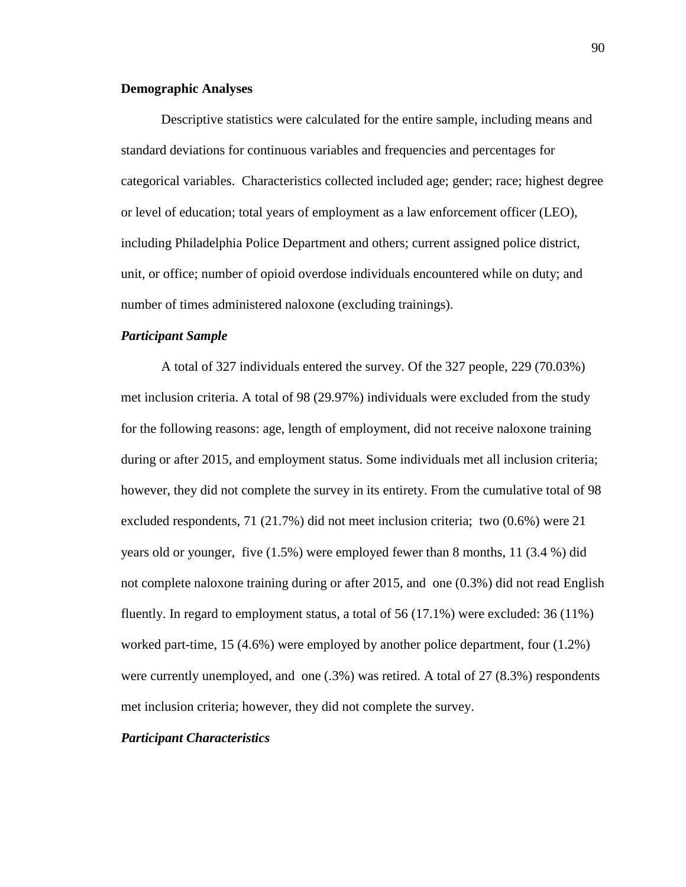# **Demographic Analyses**

Descriptive statistics were calculated for the entire sample, including means and standard deviations for continuous variables and frequencies and percentages for categorical variables. Characteristics collected included age; gender; race; highest degree or level of education; total years of employment as a law enforcement officer (LEO), including Philadelphia Police Department and others; current assigned police district, unit, or office; number of opioid overdose individuals encountered while on duty; and number of times administered naloxone (excluding trainings).

# *Participant Sample*

A total of 327 individuals entered the survey. Of the 327 people, 229 (70.03%) met inclusion criteria. A total of 98 (29.97%) individuals were excluded from the study for the following reasons: age, length of employment, did not receive naloxone training during or after 2015, and employment status. Some individuals met all inclusion criteria; however, they did not complete the survey in its entirety. From the cumulative total of 98 excluded respondents, 71 (21.7%) did not meet inclusion criteria; two (0.6%) were 21 years old or younger, five (1.5%) were employed fewer than 8 months, 11 (3.4 %) did not complete naloxone training during or after 2015, and one (0.3%) did not read English fluently. In regard to employment status, a total of 56 (17.1%) were excluded: 36 (11%) worked part-time, 15 (4.6%) were employed by another police department, four (1.2%) were currently unemployed, and one (.3%) was retired. A total of 27 (8.3%) respondents met inclusion criteria; however, they did not complete the survey.

# *Participant Characteristics*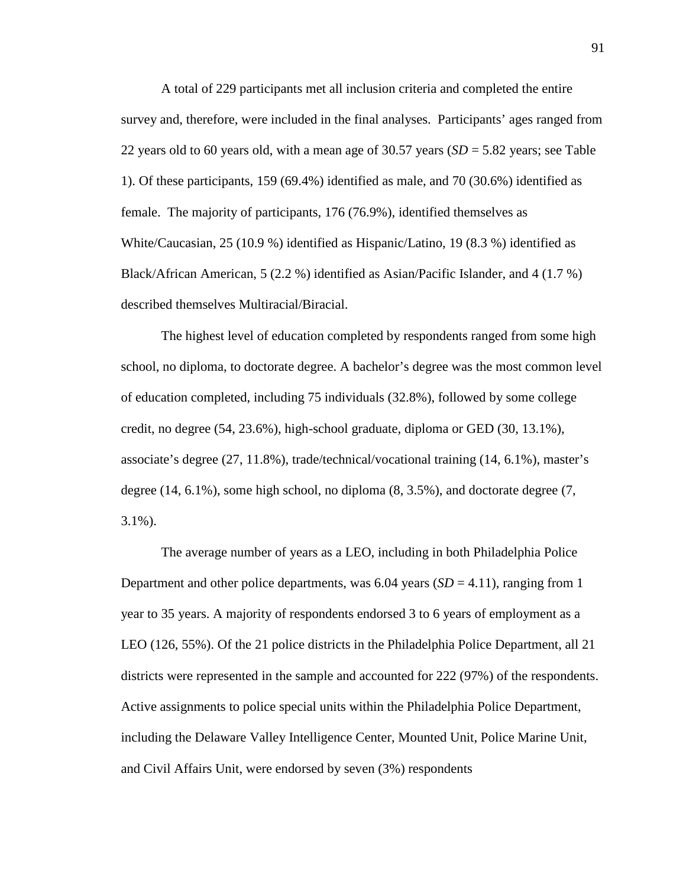A total of 229 participants met all inclusion criteria and completed the entire survey and, therefore, were included in the final analyses. Participants' ages ranged from 22 years old to 60 years old, with a mean age of 30.57 years (*SD* = 5.82 years; see Table 1). Of these participants, 159 (69.4%) identified as male, and 70 (30.6%) identified as female. The majority of participants, 176 (76.9%), identified themselves as White/Caucasian, 25 (10.9 %) identified as Hispanic/Latino, 19 (8.3 %) identified as Black/African American, 5 (2.2 %) identified as Asian/Pacific Islander, and 4 (1.7 %) described themselves Multiracial/Biracial.

The highest level of education completed by respondents ranged from some high school, no diploma, to doctorate degree. A bachelor's degree was the most common level of education completed, including 75 individuals (32.8%), followed by some college credit, no degree (54, 23.6%), high-school graduate, diploma or GED (30, 13.1%), associate's degree (27, 11.8%), trade/technical/vocational training (14, 6.1%), master's degree (14, 6.1%), some high school, no diploma (8, 3.5%), and doctorate degree (7, 3.1%).

The average number of years as a LEO, including in both Philadelphia Police Department and other police departments, was  $6.04$  years  $(SD = 4.11)$ , ranging from 1 year to 35 years. A majority of respondents endorsed 3 to 6 years of employment as a LEO (126, 55%). Of the 21 police districts in the Philadelphia Police Department, all 21 districts were represented in the sample and accounted for 222 (97%) of the respondents. Active assignments to police special units within the Philadelphia Police Department, including the Delaware Valley Intelligence Center, Mounted Unit, Police Marine Unit, and Civil Affairs Unit, were endorsed by seven (3%) respondents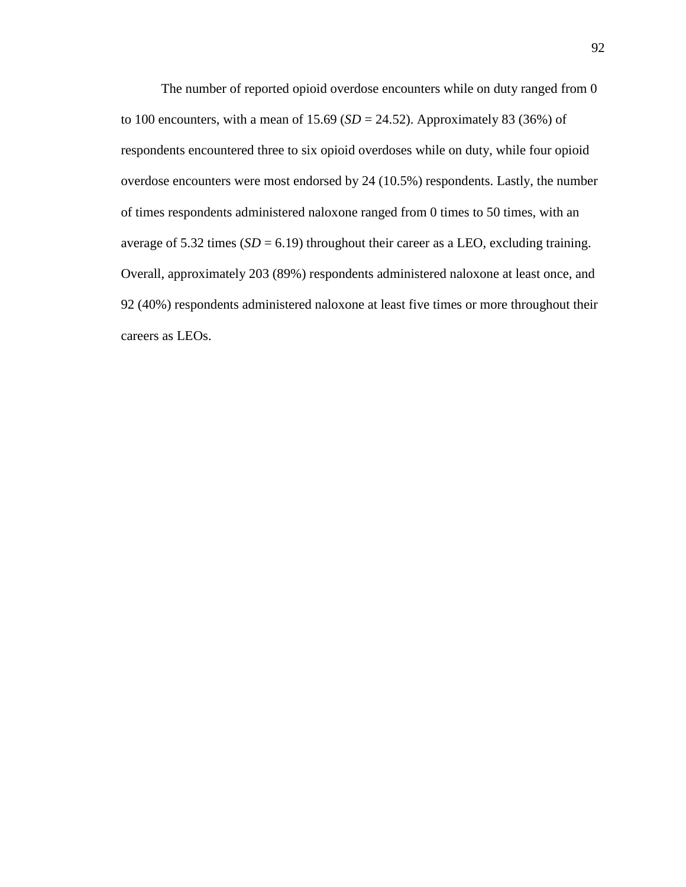The number of reported opioid overdose encounters while on duty ranged from 0 to 100 encounters, with a mean of  $15.69$  ( $SD = 24.52$ ). Approximately 83 (36%) of respondents encountered three to six opioid overdoses while on duty, while four opioid overdose encounters were most endorsed by 24 (10.5%) respondents. Lastly, the number of times respondents administered naloxone ranged from 0 times to 50 times, with an average of  $5.32$  times ( $SD = 6.19$ ) throughout their career as a LEO, excluding training. Overall, approximately 203 (89%) respondents administered naloxone at least once, and 92 (40%) respondents administered naloxone at least five times or more throughout their careers as LEOs.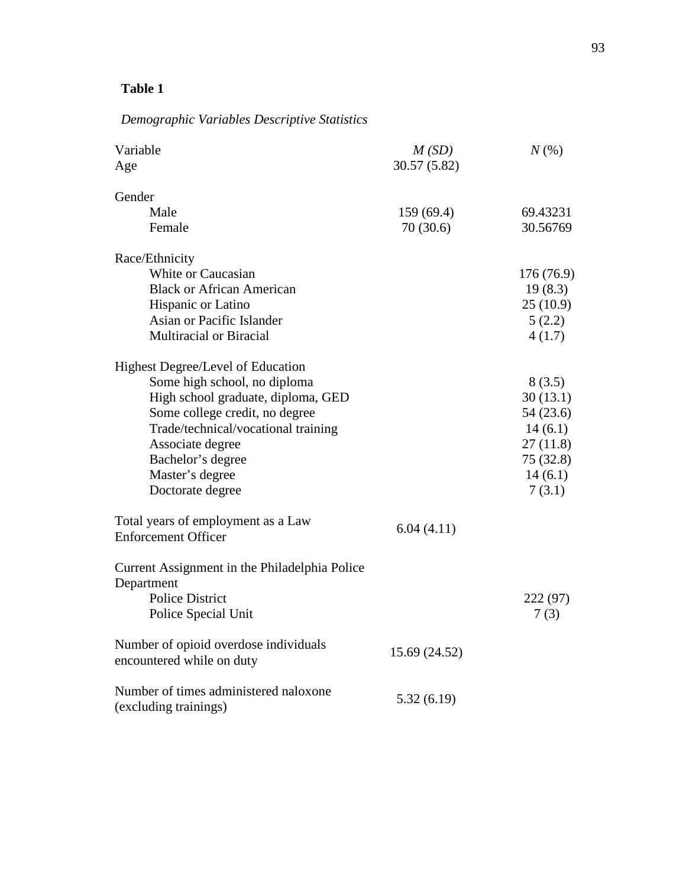# **Table 1**

# *Demographic Variables Descriptive Statistics*

| Variable<br>Age                                                                                                                                                                                                                                                  | M(SD)<br>30.57 (5.82)  | $N(\%)$                                                                                  |
|------------------------------------------------------------------------------------------------------------------------------------------------------------------------------------------------------------------------------------------------------------------|------------------------|------------------------------------------------------------------------------------------|
| Gender<br>Male<br>Female                                                                                                                                                                                                                                         | 159 (69.4)<br>70(30.6) | 69.43231<br>30.56769                                                                     |
| Race/Ethnicity<br>White or Caucasian<br><b>Black or African American</b><br>Hispanic or Latino<br>Asian or Pacific Islander<br><b>Multiracial or Biracial</b>                                                                                                    |                        | 176 (76.9)<br>19(8.3)<br>25(10.9)<br>5(2.2)<br>4(1.7)                                    |
| Highest Degree/Level of Education<br>Some high school, no diploma<br>High school graduate, diploma, GED<br>Some college credit, no degree<br>Trade/technical/vocational training<br>Associate degree<br>Bachelor's degree<br>Master's degree<br>Doctorate degree |                        | 8(3.5)<br>30(13.1)<br>54 (23.6)<br>14(6.1)<br>27(11.8)<br>75 (32.8)<br>14(6.1)<br>7(3.1) |
| Total years of employment as a Law<br><b>Enforcement Officer</b>                                                                                                                                                                                                 | 6.04(4.11)             |                                                                                          |
| Current Assignment in the Philadelphia Police<br>Department<br><b>Police District</b><br>Police Special Unit                                                                                                                                                     |                        | 222 (97)<br>7(3)                                                                         |
| Number of opioid overdose individuals<br>encountered while on duty                                                                                                                                                                                               | 15.69 (24.52)          |                                                                                          |
| Number of times administered naloxone<br>(excluding trainings)                                                                                                                                                                                                   | 5.32(6.19)             |                                                                                          |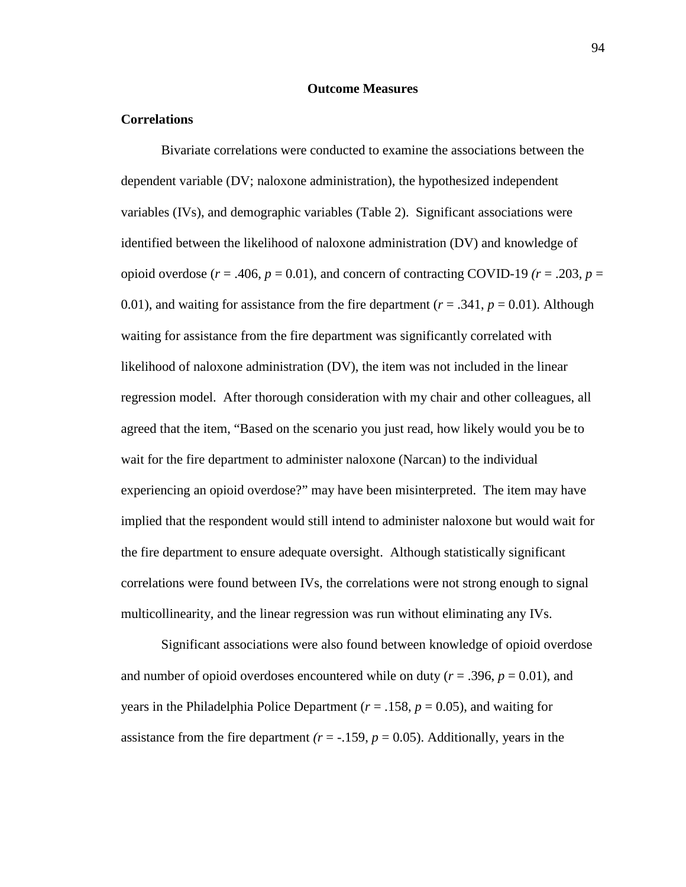## **Outcome Measures**

#### **Correlations**

Bivariate correlations were conducted to examine the associations between the dependent variable (DV; naloxone administration), the hypothesized independent variables (IVs), and demographic variables (Table 2). Significant associations were identified between the likelihood of naloxone administration (DV) and knowledge of opioid overdose ( $r = .406$ ,  $p = 0.01$ ), and concern of contracting COVID-19 ( $r = .203$ ,  $p =$ 0.01), and waiting for assistance from the fire department ( $r = .341$ ,  $p = 0.01$ ). Although waiting for assistance from the fire department was significantly correlated with likelihood of naloxone administration (DV), the item was not included in the linear regression model. After thorough consideration with my chair and other colleagues, all agreed that the item, "Based on the scenario you just read, how likely would you be to wait for the fire department to administer naloxone (Narcan) to the individual experiencing an opioid overdose?" may have been misinterpreted. The item may have implied that the respondent would still intend to administer naloxone but would wait for the fire department to ensure adequate oversight. Although statistically significant correlations were found between IVs, the correlations were not strong enough to signal multicollinearity, and the linear regression was run without eliminating any IVs.

Significant associations were also found between knowledge of opioid overdose and number of opioid overdoses encountered while on duty ( $r = .396$ ,  $p = 0.01$ ), and years in the Philadelphia Police Department (*r* = .158, *p* = 0.05), and waiting for assistance from the fire department  $(r = -159, p = 0.05)$ . Additionally, years in the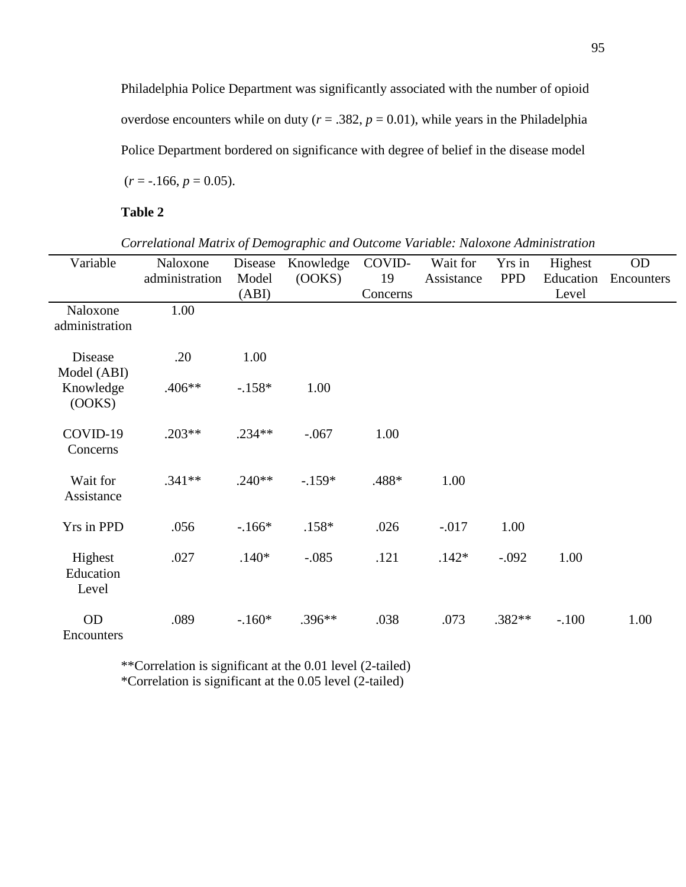Philadelphia Police Department was significantly associated with the number of opioid overdose encounters while on duty ( $r = .382$ ,  $p = 0.01$ ), while years in the Philadelphia Police Department bordered on significance with degree of belief in the disease model  $(r = -.166, p = 0.05).$ 

**Table 2**

*Correlational Matrix of Demographic and Outcome Variable: Naloxone Administration*

| Variable       | Naloxone       | Disease  | Knowledge | COVID-   | Wait for   | Yrs in     | Highest   | OD         |
|----------------|----------------|----------|-----------|----------|------------|------------|-----------|------------|
|                | administration | Model    | (OOKS)    | 19       | Assistance | <b>PPD</b> | Education | Encounters |
|                |                | (ABI)    |           | Concerns |            |            | Level     |            |
| Naloxone       | 1.00           |          |           |          |            |            |           |            |
| administration |                |          |           |          |            |            |           |            |
| Disease        | .20            | 1.00     |           |          |            |            |           |            |
| Model (ABI)    |                |          |           |          |            |            |           |            |
| Knowledge      | .406**         | $-.158*$ | 1.00      |          |            |            |           |            |
| (OOKS)         |                |          |           |          |            |            |           |            |
| COVID-19       | $.203**$       | $.234**$ | $-.067$   | 1.00     |            |            |           |            |
| Concerns       |                |          |           |          |            |            |           |            |
|                |                |          |           |          |            |            |           |            |
| Wait for       | $.341**$       | $.240**$ | $-.159*$  | .488*    | 1.00       |            |           |            |
| Assistance     |                |          |           |          |            |            |           |            |
| Yrs in PPD     | .056           | $-.166*$ | $.158*$   | .026     | $-0.017$   | 1.00       |           |            |
|                |                |          |           |          |            |            |           |            |
| Highest        | .027           | $.140*$  | $-.085$   | .121     | $.142*$    | $-.092$    | 1.00      |            |
| Education      |                |          |           |          |            |            |           |            |
| Level          |                |          |           |          |            |            |           |            |
| <b>OD</b>      | .089           | $-.160*$ | $.396**$  | .038     | .073       | $.382**$   | $-.100$   | 1.00       |
| Encounters     |                |          |           |          |            |            |           |            |

\*\*Correlation is significant at the 0.01 level (2-tailed) \*Correlation is significant at the 0.05 level (2-tailed)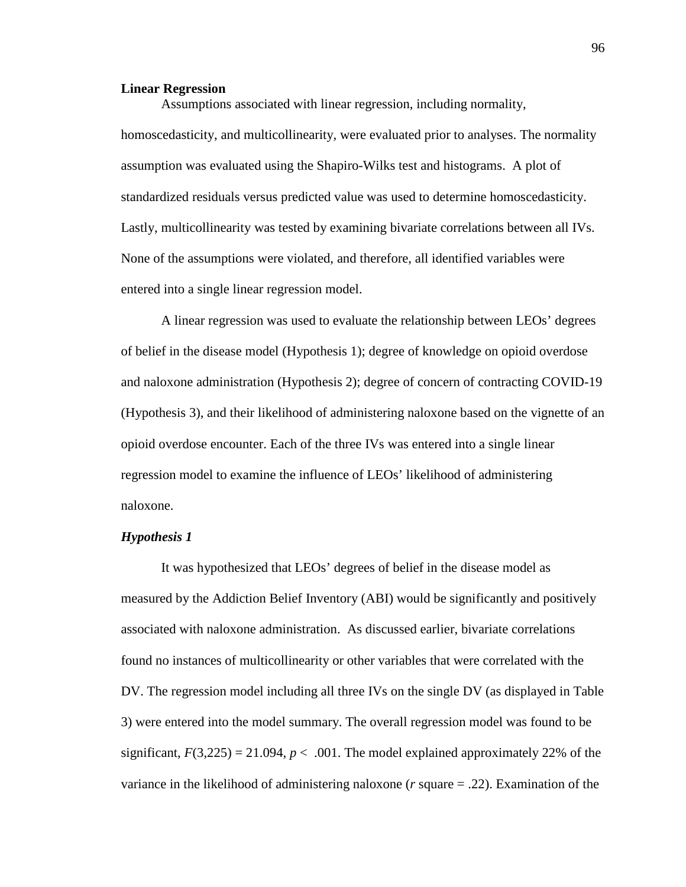#### **Linear Regression**

Assumptions associated with linear regression, including normality, homoscedasticity, and multicollinearity, were evaluated prior to analyses. The normality assumption was evaluated using the Shapiro-Wilks test and histograms. A plot of standardized residuals versus predicted value was used to determine homoscedasticity. Lastly, multicollinearity was tested by examining bivariate correlations between all IVs. None of the assumptions were violated, and therefore, all identified variables were entered into a single linear regression model.

A linear regression was used to evaluate the relationship between LEOs' degrees of belief in the disease model (Hypothesis 1); degree of knowledge on opioid overdose and naloxone administration (Hypothesis 2); degree of concern of contracting COVID-19 (Hypothesis 3), and their likelihood of administering naloxone based on the vignette of an opioid overdose encounter. Each of the three IVs was entered into a single linear regression model to examine the influence of LEOs' likelihood of administering naloxone.

# *Hypothesis 1*

It was hypothesized that LEOs' degrees of belief in the disease model as measured by the Addiction Belief Inventory (ABI) would be significantly and positively associated with naloxone administration. As discussed earlier, bivariate correlations found no instances of multicollinearity or other variables that were correlated with the DV. The regression model including all three IVs on the single DV (as displayed in Table 3) were entered into the model summary. The overall regression model was found to be significant,  $F(3,225) = 21.094$ ,  $p < .001$ . The model explained approximately 22% of the variance in the likelihood of administering naloxone (*r* square = .22). Examination of the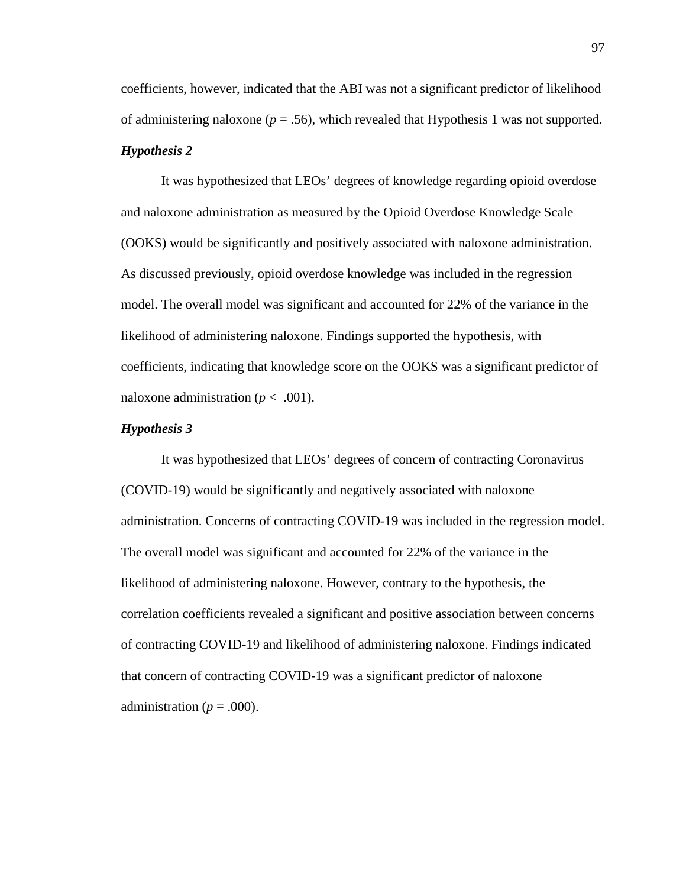coefficients, however, indicated that the ABI was not a significant predictor of likelihood of administering naloxone ( $p = .56$ ), which revealed that Hypothesis 1 was not supported. *Hypothesis 2*

It was hypothesized that LEOs' degrees of knowledge regarding opioid overdose and naloxone administration as measured by the Opioid Overdose Knowledge Scale (OOKS) would be significantly and positively associated with naloxone administration. As discussed previously, opioid overdose knowledge was included in the regression model. The overall model was significant and accounted for 22% of the variance in the likelihood of administering naloxone. Findings supported the hypothesis, with coefficients, indicating that knowledge score on the OOKS was a significant predictor of naloxone administration ( $p < .001$ ).

#### *Hypothesis 3*

It was hypothesized that LEOs' degrees of concern of contracting Coronavirus (COVID-19) would be significantly and negatively associated with naloxone administration. Concerns of contracting COVID-19 was included in the regression model. The overall model was significant and accounted for 22% of the variance in the likelihood of administering naloxone. However, contrary to the hypothesis, the correlation coefficients revealed a significant and positive association between concerns of contracting COVID-19 and likelihood of administering naloxone. Findings indicated that concern of contracting COVID-19 was a significant predictor of naloxone administration ( $p = .000$ ).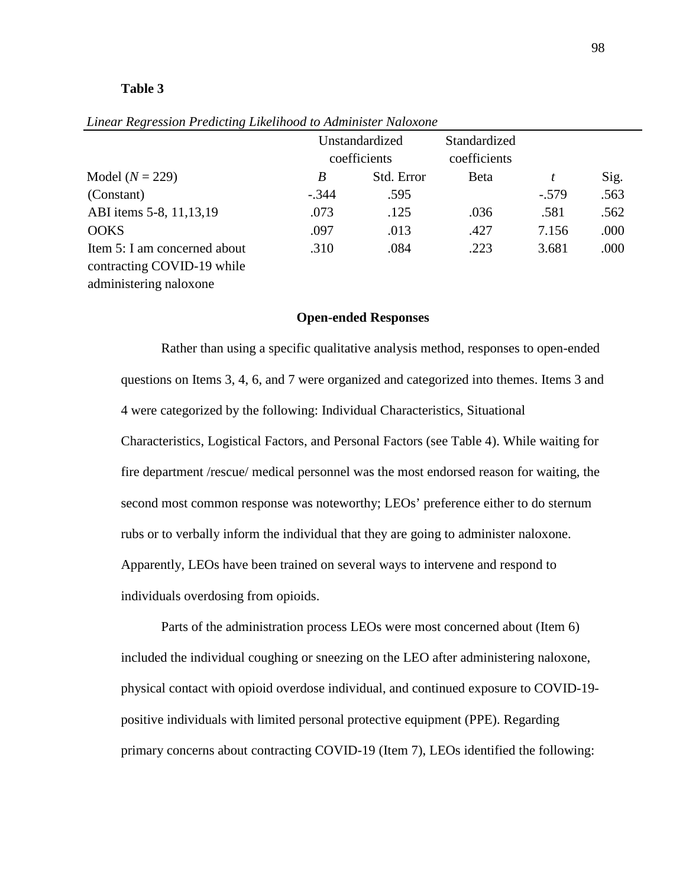#### **Table 3**

|                              | Unstandardized |            | Standardized |         |      |
|------------------------------|----------------|------------|--------------|---------|------|
|                              | coefficients   |            | coefficients |         |      |
| Model $(N = 229)$            | B              | Std. Error | <b>B</b> eta | t       | Sig. |
| (Constant)                   | $-.344$        | .595       |              | $-.579$ | .563 |
| ABI items 5-8, 11, 13, 19    | .073           | .125       | .036         | .581    | .562 |
| <b>OOKS</b>                  | .097           | .013       | .427         | 7.156   | .000 |
| Item 5: I am concerned about | .310           | .084       | .223         | 3.681   | .000 |
| contracting COVID-19 while   |                |            |              |         |      |
| administering naloxone       |                |            |              |         |      |

*Linear Regression Predicting Likelihood to Administer Naloxone*

# **Open-ended Responses**

Rather than using a specific qualitative analysis method, responses to open-ended questions on Items 3, 4, 6, and 7 were organized and categorized into themes. Items 3 and 4 were categorized by the following: Individual Characteristics, Situational Characteristics, Logistical Factors, and Personal Factors (see Table 4). While waiting for fire department /rescue/ medical personnel was the most endorsed reason for waiting, the second most common response was noteworthy; LEOs' preference either to do sternum rubs or to verbally inform the individual that they are going to administer naloxone. Apparently, LEOs have been trained on several ways to intervene and respond to individuals overdosing from opioids.

Parts of the administration process LEOs were most concerned about (Item 6) included the individual coughing or sneezing on the LEO after administering naloxone, physical contact with opioid overdose individual, and continued exposure to COVID-19 positive individuals with limited personal protective equipment (PPE). Regarding primary concerns about contracting COVID-19 (Item 7), LEOs identified the following: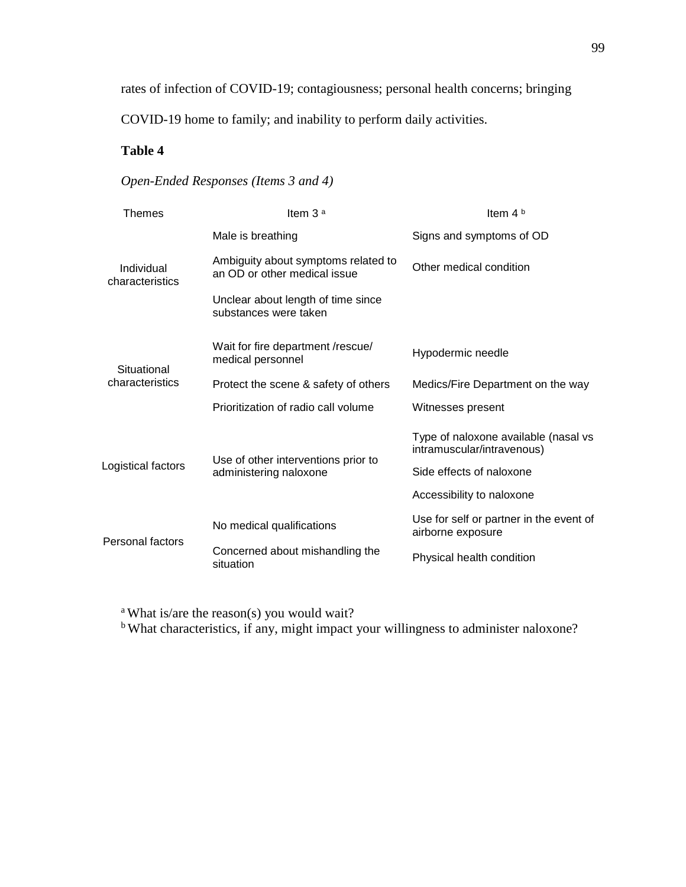rates of infection of COVID-19; contagiousness; personal health concerns; bringing

COVID-19 home to family; and inability to perform daily activities.

# **Table 4**

# *Open-Ended Responses (Items 3 and 4)*

| Themes                         | Item $3a$                                                           | Item $4b$                                                                                                                   |  |  |
|--------------------------------|---------------------------------------------------------------------|-----------------------------------------------------------------------------------------------------------------------------|--|--|
| Individual<br>characteristics  | Male is breathing                                                   | Signs and symptoms of OD                                                                                                    |  |  |
|                                | Ambiguity about symptoms related to<br>an OD or other medical issue | Other medical condition                                                                                                     |  |  |
|                                | Unclear about length of time since<br>substances were taken         |                                                                                                                             |  |  |
| Situational<br>characteristics | Wait for fire department /rescue/<br>medical personnel              | Hypodermic needle                                                                                                           |  |  |
|                                | Protect the scene & safety of others                                | Medics/Fire Department on the way                                                                                           |  |  |
|                                | Prioritization of radio call volume                                 | Witnesses present                                                                                                           |  |  |
| Logistical factors             | Use of other interventions prior to<br>administering naloxone       | Type of naloxone available (nasal vs<br>intramuscular/intravenous)<br>Side effects of naloxone<br>Accessibility to naloxone |  |  |
|                                |                                                                     |                                                                                                                             |  |  |
| Personal factors               | No medical qualifications                                           | Use for self or partner in the event of<br>airborne exposure                                                                |  |  |
|                                | Concerned about mishandling the<br>situation                        | Physical health condition                                                                                                   |  |  |

<sup>a</sup> What is/are the reason(s) you would wait?

<sup>b</sup> What characteristics, if any, might impact your willingness to administer naloxone?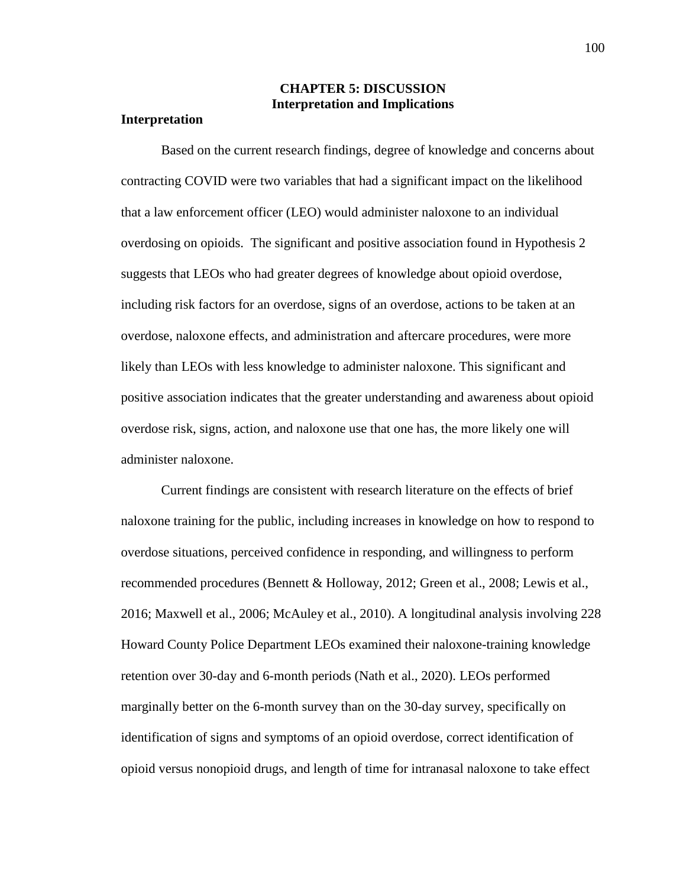# **CHAPTER 5: DISCUSSION Interpretation and Implications**

## **Interpretation**

Based on the current research findings, degree of knowledge and concerns about contracting COVID were two variables that had a significant impact on the likelihood that a law enforcement officer (LEO) would administer naloxone to an individual overdosing on opioids. The significant and positive association found in Hypothesis 2 suggests that LEOs who had greater degrees of knowledge about opioid overdose, including risk factors for an overdose, signs of an overdose, actions to be taken at an overdose, naloxone effects, and administration and aftercare procedures, were more likely than LEOs with less knowledge to administer naloxone. This significant and positive association indicates that the greater understanding and awareness about opioid overdose risk, signs, action, and naloxone use that one has, the more likely one will administer naloxone.

Current findings are consistent with research literature on the effects of brief naloxone training for the public, including increases in knowledge on how to respond to overdose situations, perceived confidence in responding, and willingness to perform recommended procedures (Bennett & Holloway, 2012; Green et al., 2008; Lewis et al., 2016; Maxwell et al., 2006; McAuley et al., 2010). A longitudinal analysis involving 228 Howard County Police Department LEOs examined their naloxone-training knowledge retention over 30-day and 6-month periods (Nath et al., 2020). LEOs performed marginally better on the 6-month survey than on the 30-day survey, specifically on identification of signs and symptoms of an opioid overdose, correct identification of opioid versus nonopioid drugs, and length of time for intranasal naloxone to take effect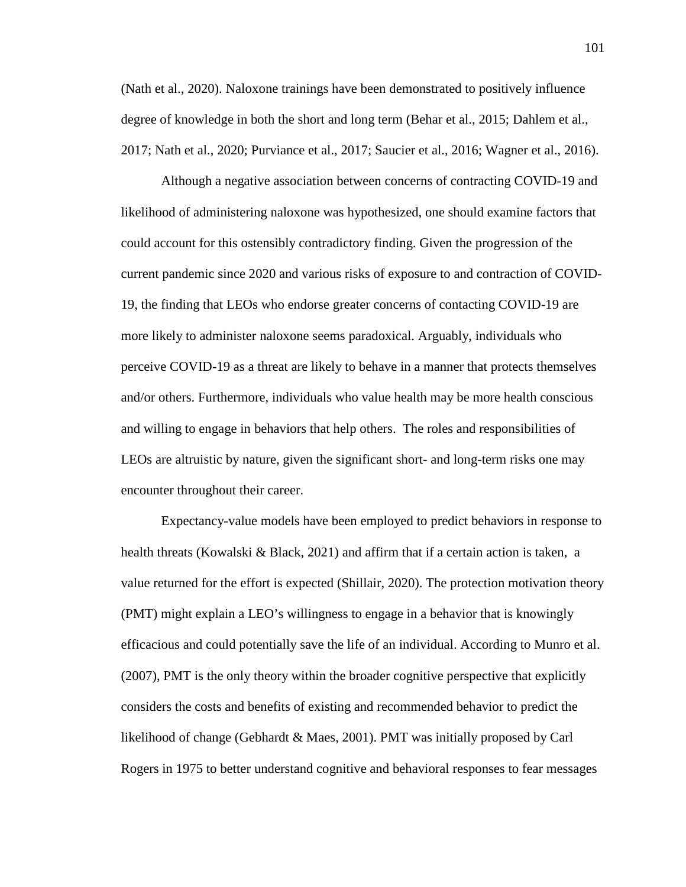(Nath et al., 2020). Naloxone trainings have been demonstrated to positively influence degree of knowledge in both the short and long term (Behar et al., 2015; Dahlem et al., 2017; Nath et al., 2020; Purviance et al., 2017; Saucier et al., 2016; Wagner et al., 2016).

Although a negative association between concerns of contracting COVID-19 and likelihood of administering naloxone was hypothesized, one should examine factors that could account for this ostensibly contradictory finding. Given the progression of the current pandemic since 2020 and various risks of exposure to and contraction of COVID-19, the finding that LEOs who endorse greater concerns of contacting COVID-19 are more likely to administer naloxone seems paradoxical. Arguably, individuals who perceive COVID-19 as a threat are likely to behave in a manner that protects themselves and/or others. Furthermore, individuals who value health may be more health conscious and willing to engage in behaviors that help others. The roles and responsibilities of LEOs are altruistic by nature, given the significant short- and long-term risks one may encounter throughout their career.

Expectancy-value models have been employed to predict behaviors in response to health threats (Kowalski & Black, 2021) and affirm that if a certain action is taken, a value returned for the effort is expected (Shillair, 2020). The protection motivation theory (PMT) might explain a LEO's willingness to engage in a behavior that is knowingly efficacious and could potentially save the life of an individual. According to Munro et al. (2007), PMT is the only theory within the broader cognitive perspective that explicitly considers the costs and benefits of existing and recommended behavior to predict the likelihood of change (Gebhardt & Maes, 2001). PMT was initially proposed by Carl Rogers in 1975 to better understand cognitive and behavioral responses to fear messages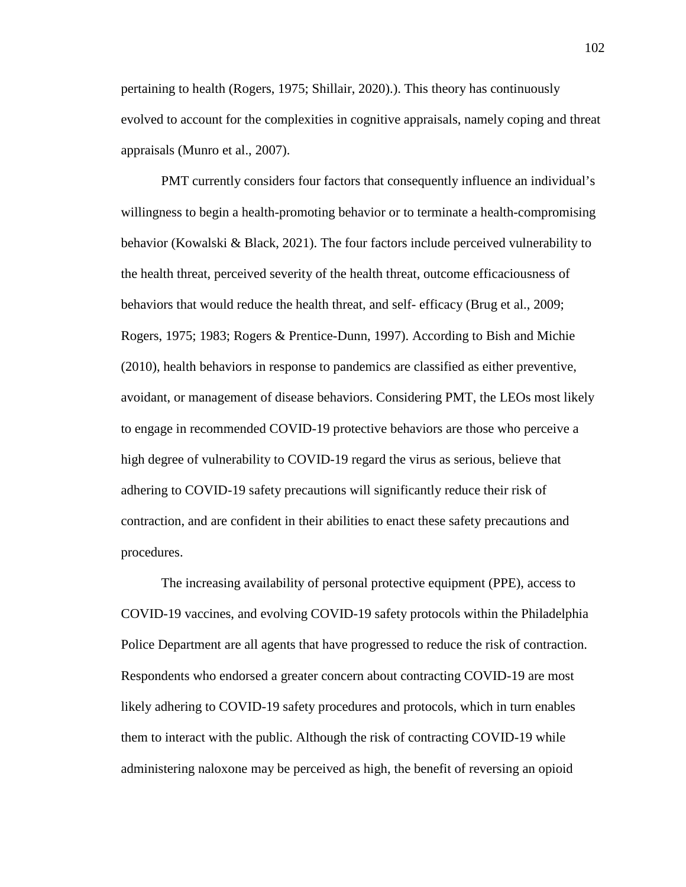pertaining to health (Rogers, 1975; Shillair, 2020).). This theory has continuously evolved to account for the complexities in cognitive appraisals, namely coping and threat appraisals (Munro et al., 2007).

PMT currently considers four factors that consequently influence an individual's willingness to begin a health-promoting behavior or to terminate a health-compromising behavior (Kowalski & Black, 2021). The four factors include perceived vulnerability to the health threat, perceived severity of the health threat, outcome efficaciousness of behaviors that would reduce the health threat, and self- efficacy (Brug et al., 2009; Rogers, 1975; 1983; Rogers & Prentice-Dunn, 1997). According to Bish and Michie (2010), health behaviors in response to pandemics are classified as either preventive, avoidant, or management of disease behaviors. Considering PMT, the LEOs most likely to engage in recommended COVID-19 protective behaviors are those who perceive a high degree of vulnerability to COVID-19 regard the virus as serious, believe that adhering to COVID-19 safety precautions will significantly reduce their risk of contraction, and are confident in their abilities to enact these safety precautions and procedures.

The increasing availability of personal protective equipment (PPE), access to COVID-19 vaccines, and evolving COVID-19 safety protocols within the Philadelphia Police Department are all agents that have progressed to reduce the risk of contraction. Respondents who endorsed a greater concern about contracting COVID-19 are most likely adhering to COVID-19 safety procedures and protocols, which in turn enables them to interact with the public. Although the risk of contracting COVID-19 while administering naloxone may be perceived as high, the benefit of reversing an opioid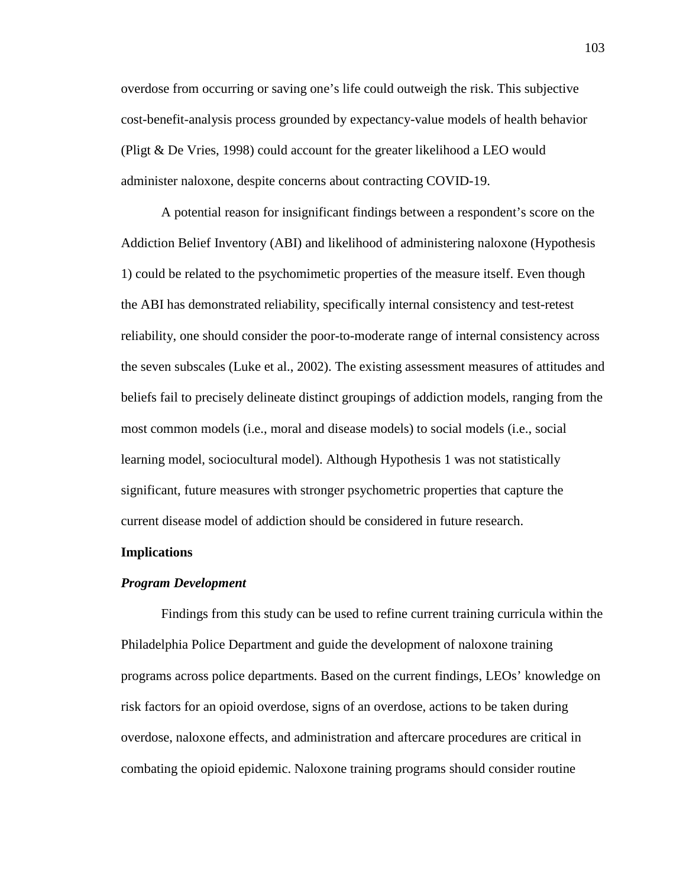overdose from occurring or saving one's life could outweigh the risk. This subjective cost-benefit-analysis process grounded by expectancy-value models of health behavior (Pligt & De Vries, 1998) could account for the greater likelihood a LEO would administer naloxone, despite concerns about contracting COVID-19.

A potential reason for insignificant findings between a respondent's score on the Addiction Belief Inventory (ABI) and likelihood of administering naloxone (Hypothesis 1) could be related to the psychomimetic properties of the measure itself. Even though the ABI has demonstrated reliability, specifically internal consistency and test-retest reliability, one should consider the poor-to-moderate range of internal consistency across the seven subscales (Luke et al., 2002). The existing assessment measures of attitudes and beliefs fail to precisely delineate distinct groupings of addiction models, ranging from the most common models (i.e., moral and disease models) to social models (i.e., social learning model, sociocultural model). Although Hypothesis 1 was not statistically significant, future measures with stronger psychometric properties that capture the current disease model of addiction should be considered in future research.

#### **Implications**

#### *Program Development*

Findings from this study can be used to refine current training curricula within the Philadelphia Police Department and guide the development of naloxone training programs across police departments. Based on the current findings, LEOs' knowledge on risk factors for an opioid overdose, signs of an overdose, actions to be taken during overdose, naloxone effects, and administration and aftercare procedures are critical in combating the opioid epidemic. Naloxone training programs should consider routine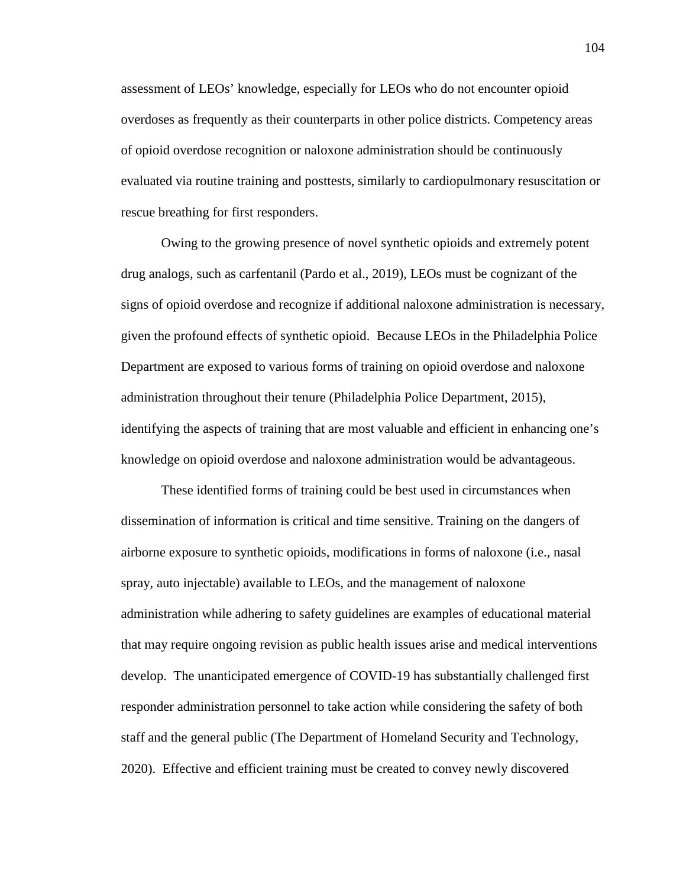assessment of LEOs' knowledge, especially for LEOs who do not encounter opioid overdoses as frequently as their counterparts in other police districts. Competency areas of opioid overdose recognition or naloxone administration should be continuously evaluated via routine training and posttests, similarly to cardiopulmonary resuscitation or rescue breathing for first responders.

Owing to the growing presence of novel synthetic opioids and extremely potent drug analogs, such as carfentanil (Pardo et al., 2019), LEOs must be cognizant of the signs of opioid overdose and recognize if additional naloxone administration is necessary, given the profound effects of synthetic opioid. Because LEOs in the Philadelphia Police Department are exposed to various forms of training on opioid overdose and naloxone administration throughout their tenure (Philadelphia Police Department, 2015), identifying the aspects of training that are most valuable and efficient in enhancing one's knowledge on opioid overdose and naloxone administration would be advantageous.

These identified forms of training could be best used in circumstances when dissemination of information is critical and time sensitive. Training on the dangers of airborne exposure to synthetic opioids, modifications in forms of naloxone (i.e., nasal spray, auto injectable) available to LEOs, and the management of naloxone administration while adhering to safety guidelines are examples of educational material that may require ongoing revision as public health issues arise and medical interventions develop. The unanticipated emergence of COVID-19 has substantially challenged first responder administration personnel to take action while considering the safety of both staff and the general public (The Department of Homeland Security and Technology, 2020). Effective and efficient training must be created to convey newly discovered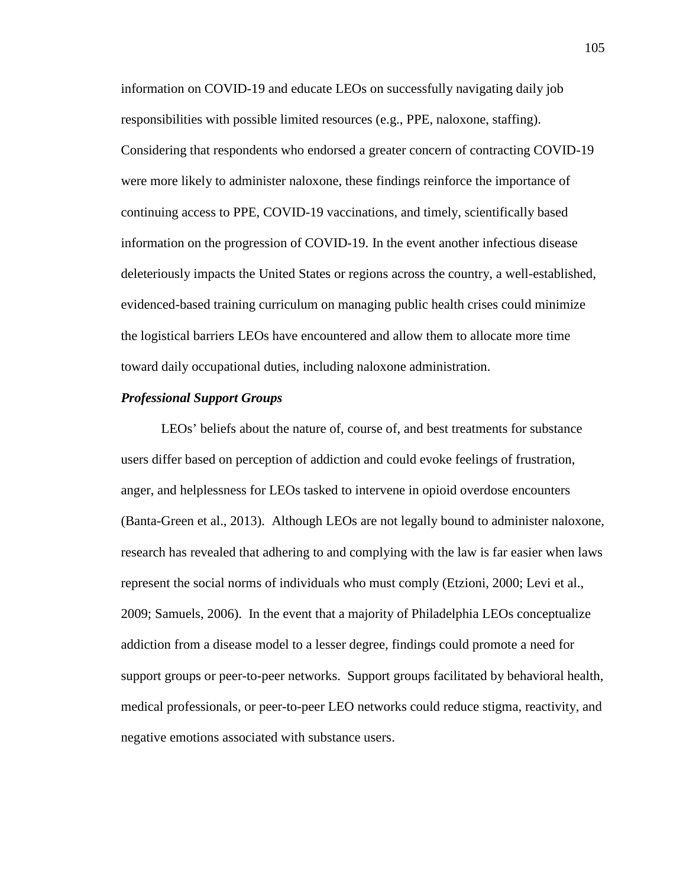information on COVID-19 and educate LEOs on successfully navigating daily job responsibilities with possible limited resources (e.g., PPE, naloxone, staffing). Considering that respondents who endorsed a greater concern of contracting COVID-19 were more likely to administer naloxone, these findings reinforce the importance of continuing access to PPE, COVID-19 vaccinations, and timely, scientifically based information on the progression of COVID-19. In the event another infectious disease deleteriously impacts the United States or regions across the country, a well-established, evidenced-based training curriculum on managing public health crises could minimize the logistical barriers LEOs have encountered and allow them to allocate more time toward daily occupational duties, including naloxone administration.

## *Professional Support Groups*

LEOs' beliefs about the nature of, course of, and best treatments for substance users differ based on perception of addiction and could evoke feelings of frustration, anger, and helplessness for LEOs tasked to intervene in opioid overdose encounters (Banta-Green et al., 2013). Although LEOs are not legally bound to administer naloxone, research has revealed that adhering to and complying with the law is far easier when laws represent the social norms of individuals who must comply (Etzioni, 2000; Levi et al., 2009; Samuels, 2006). In the event that a majority of Philadelphia LEOs conceptualize addiction from a disease model to a lesser degree, findings could promote a need for support groups or peer-to-peer networks. Support groups facilitated by behavioral health, medical professionals, or peer-to-peer LEO networks could reduce stigma, reactivity, and negative emotions associated with substance users.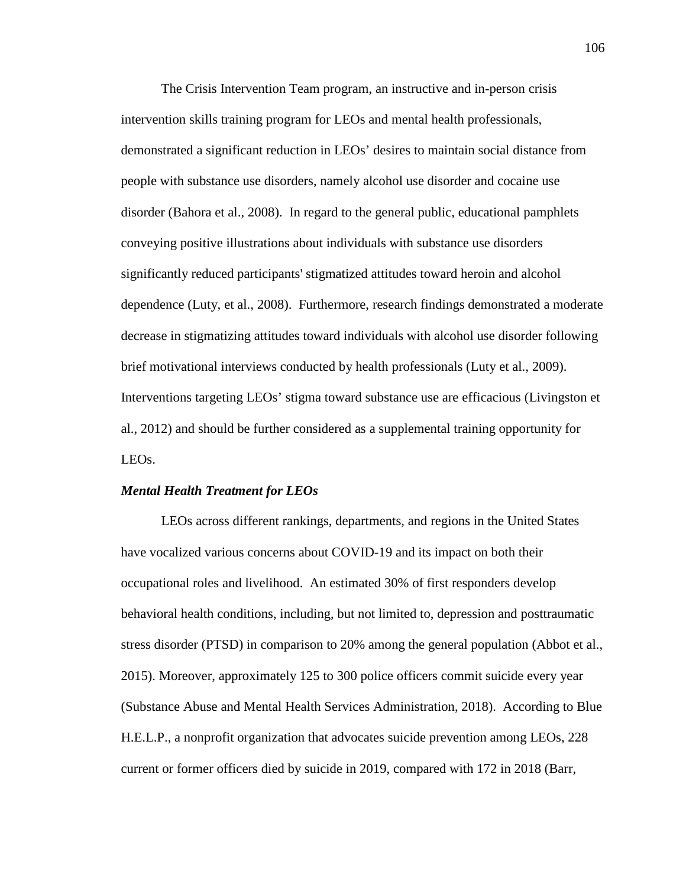The Crisis Intervention Team program, an instructive and in-person crisis intervention skills training program for LEOs and mental health professionals, demonstrated a significant reduction in LEOs' desires to maintain social distance from people with substance use disorders, namely alcohol use disorder and cocaine use disorder (Bahora et al., 2008). In regard to the general public, educational pamphlets conveying positive illustrations about individuals with substance use disorders significantly reduced participants' stigmatized attitudes toward heroin and alcohol dependence (Luty, et al., 2008). Furthermore, research findings demonstrated a moderate decrease in stigmatizing attitudes toward individuals with alcohol use disorder following brief motivational interviews conducted by health professionals (Luty et al., 2009). Interventions targeting LEOs' stigma toward substance use are efficacious (Livingston et al., 2012) and should be further considered as a supplemental training opportunity for LEOs.

#### *Mental Health Treatment for LEOs*

LEOs across different rankings, departments, and regions in the United States have vocalized various concerns about COVID-19 and its impact on both their occupational roles and livelihood. An estimated 30% of first responders develop behavioral health conditions, including, but not limited to, depression and posttraumatic stress disorder (PTSD) in comparison to 20% among the general population (Abbot et al., 2015). Moreover, approximately 125 to 300 police officers commit suicide every year (Substance Abuse and Mental Health Services Administration, 2018). According to Blue H.E.L.P., a nonprofit organization that advocates suicide prevention among LEOs, 228 current or former officers died by suicide in 2019, compared with 172 in 2018 (Barr,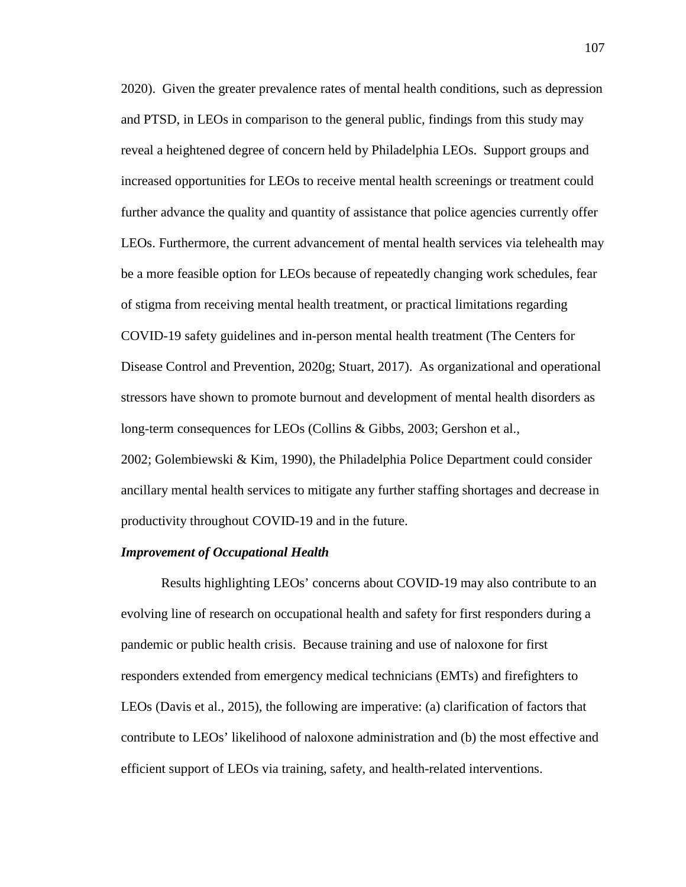2020). Given the greater prevalence rates of mental health conditions, such as depression and PTSD, in LEOs in comparison to the general public, findings from this study may reveal a heightened degree of concern held by Philadelphia LEOs. Support groups and increased opportunities for LEOs to receive mental health screenings or treatment could further advance the quality and quantity of assistance that police agencies currently offer LEOs. Furthermore, the current advancement of mental health services via telehealth may be a more feasible option for LEOs because of repeatedly changing work schedules, fear of stigma from receiving mental health treatment, or practical limitations regarding COVID-19 safety guidelines and in-person mental health treatment (The Centers for Disease Control and Prevention, 2020g; Stuart, 2017). As organizational and operational stressors have shown to promote burnout and development of mental health disorders as long-term consequences for LEOs (Collins & Gibbs, 2003; Gershon et al., 2002; Golembiewski & Kim, 1990), the Philadelphia Police Department could consider ancillary mental health services to mitigate any further staffing shortages and decrease in productivity throughout COVID-19 and in the future.

## *Improvement of Occupational Health*

Results highlighting LEOs' concerns about COVID-19 may also contribute to an evolving line of research on occupational health and safety for first responders during a pandemic or public health crisis. Because training and use of naloxone for first responders extended from emergency medical technicians (EMTs) and firefighters to LEOs (Davis et al., 2015), the following are imperative: (a) clarification of factors that contribute to LEOs' likelihood of naloxone administration and (b) the most effective and efficient support of LEOs via training, safety, and health-related interventions.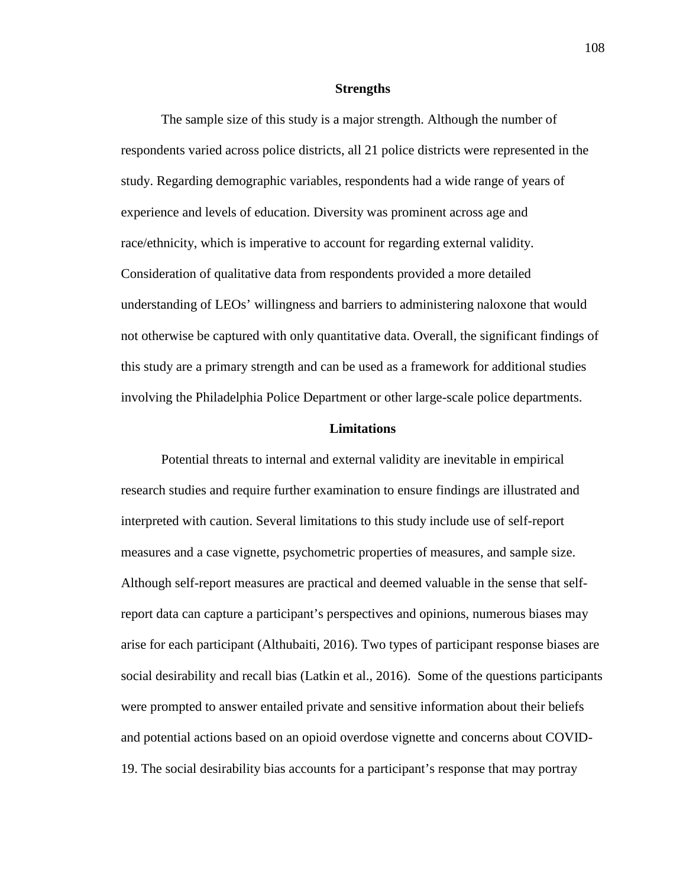#### **Strengths**

The sample size of this study is a major strength. Although the number of respondents varied across police districts, all 21 police districts were represented in the study. Regarding demographic variables, respondents had a wide range of years of experience and levels of education. Diversity was prominent across age and race/ethnicity, which is imperative to account for regarding external validity. Consideration of qualitative data from respondents provided a more detailed understanding of LEOs' willingness and barriers to administering naloxone that would not otherwise be captured with only quantitative data. Overall, the significant findings of this study are a primary strength and can be used as a framework for additional studies involving the Philadelphia Police Department or other large-scale police departments.

#### **Limitations**

Potential threats to internal and external validity are inevitable in empirical research studies and require further examination to ensure findings are illustrated and interpreted with caution. Several limitations to this study include use of self-report measures and a case vignette, psychometric properties of measures, and sample size. Although self-report measures are practical and deemed valuable in the sense that selfreport data can capture a participant's perspectives and opinions, numerous biases may arise for each participant (Althubaiti, 2016). Two types of participant response biases are social desirability and recall bias (Latkin et al., 2016). Some of the questions participants were prompted to answer entailed private and sensitive information about their beliefs and potential actions based on an opioid overdose vignette and concerns about COVID-19. The social desirability bias accounts for a participant's response that may portray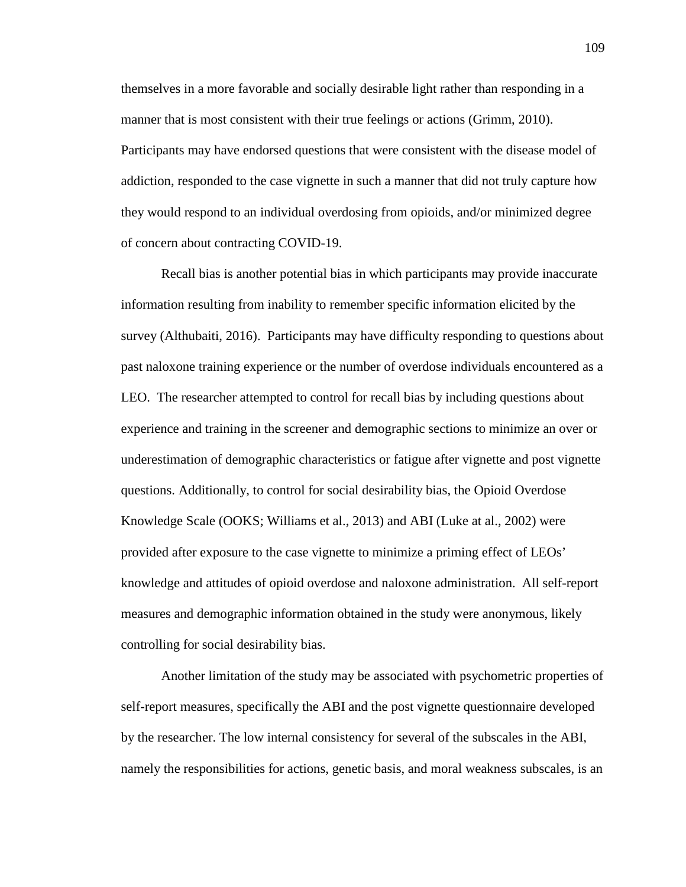themselves in a more favorable and socially desirable light rather than responding in a manner that is most consistent with their true feelings or actions (Grimm, 2010). Participants may have endorsed questions that were consistent with the disease model of addiction, responded to the case vignette in such a manner that did not truly capture how they would respond to an individual overdosing from opioids, and/or minimized degree of concern about contracting COVID-19.

Recall bias is another potential bias in which participants may provide inaccurate information resulting from inability to remember specific information elicited by the survey (Althubaiti, 2016). Participants may have difficulty responding to questions about past naloxone training experience or the number of overdose individuals encountered as a LEO. The researcher attempted to control for recall bias by including questions about experience and training in the screener and demographic sections to minimize an over or underestimation of demographic characteristics or fatigue after vignette and post vignette questions. Additionally, to control for social desirability bias, the Opioid Overdose Knowledge Scale (OOKS; Williams et al., 2013) and ABI (Luke at al., 2002) were provided after exposure to the case vignette to minimize a priming effect of LEOs' knowledge and attitudes of opioid overdose and naloxone administration. All self-report measures and demographic information obtained in the study were anonymous, likely controlling for social desirability bias.

Another limitation of the study may be associated with psychometric properties of self-report measures, specifically the ABI and the post vignette questionnaire developed by the researcher. The low internal consistency for several of the subscales in the ABI, namely the responsibilities for actions, genetic basis, and moral weakness subscales, is an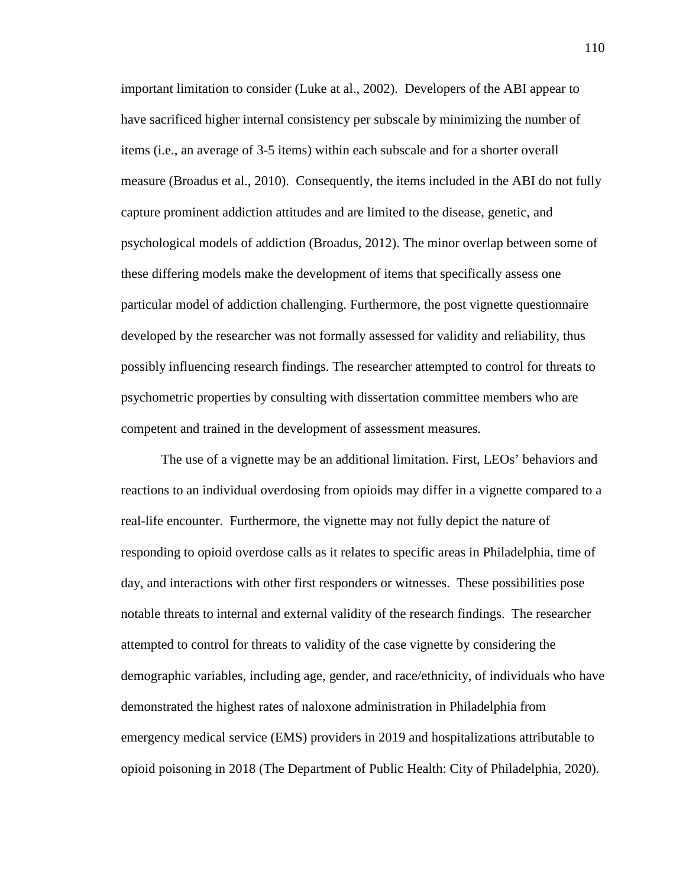important limitation to consider (Luke at al., 2002). Developers of the ABI appear to have sacrificed higher internal consistency per subscale by minimizing the number of items (i.e., an average of 3-5 items) within each subscale and for a shorter overall measure (Broadus et al., 2010). Consequently, the items included in the ABI do not fully capture prominent addiction attitudes and are limited to the disease, genetic, and psychological models of addiction (Broadus, 2012). The minor overlap between some of these differing models make the development of items that specifically assess one particular model of addiction challenging. Furthermore, the post vignette questionnaire developed by the researcher was not formally assessed for validity and reliability, thus possibly influencing research findings. The researcher attempted to control for threats to psychometric properties by consulting with dissertation committee members who are competent and trained in the development of assessment measures.

The use of a vignette may be an additional limitation. First, LEOs' behaviors and reactions to an individual overdosing from opioids may differ in a vignette compared to a real-life encounter. Furthermore, the vignette may not fully depict the nature of responding to opioid overdose calls as it relates to specific areas in Philadelphia, time of day, and interactions with other first responders or witnesses. These possibilities pose notable threats to internal and external validity of the research findings. The researcher attempted to control for threats to validity of the case vignette by considering the demographic variables, including age, gender, and race/ethnicity, of individuals who have demonstrated the highest rates of naloxone administration in Philadelphia from emergency medical service (EMS) providers in 2019 and hospitalizations attributable to opioid poisoning in 2018 (The Department of Public Health: City of Philadelphia, 2020).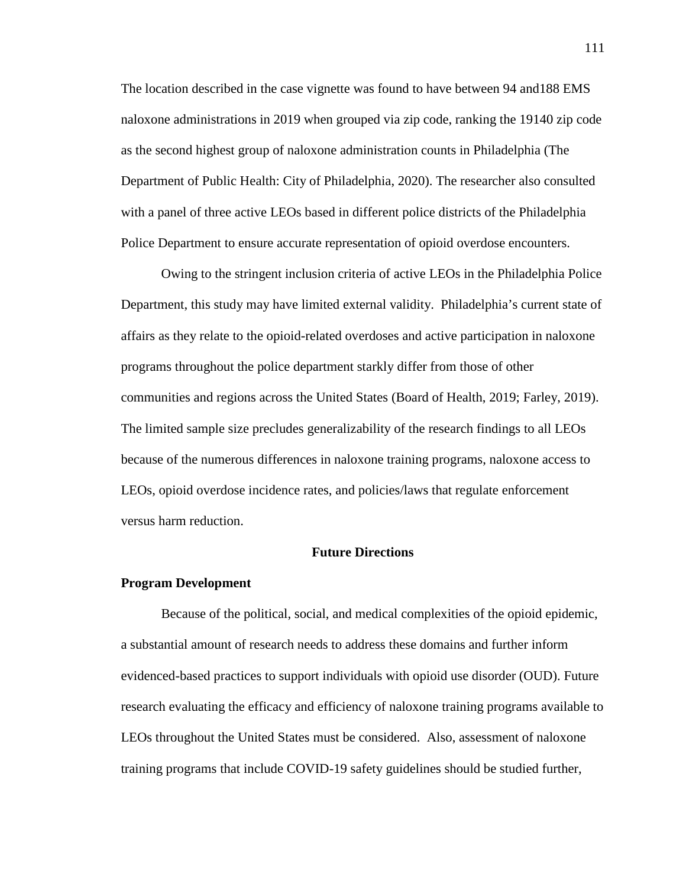The location described in the case vignette was found to have between 94 and188 EMS naloxone administrations in 2019 when grouped via zip code, ranking the 19140 zip code as the second highest group of naloxone administration counts in Philadelphia (The Department of Public Health: City of Philadelphia, 2020). The researcher also consulted with a panel of three active LEOs based in different police districts of the Philadelphia Police Department to ensure accurate representation of opioid overdose encounters.

Owing to the stringent inclusion criteria of active LEOs in the Philadelphia Police Department, this study may have limited external validity. Philadelphia's current state of affairs as they relate to the opioid-related overdoses and active participation in naloxone programs throughout the police department starkly differ from those of other communities and regions across the United States (Board of Health, 2019; Farley, 2019). The limited sample size precludes generalizability of the research findings to all LEOs because of the numerous differences in naloxone training programs, naloxone access to LEOs, opioid overdose incidence rates, and policies/laws that regulate enforcement versus harm reduction.

## **Future Directions**

#### **Program Development**

Because of the political, social, and medical complexities of the opioid epidemic, a substantial amount of research needs to address these domains and further inform evidenced-based practices to support individuals with opioid use disorder (OUD). Future research evaluating the efficacy and efficiency of naloxone training programs available to LEOs throughout the United States must be considered. Also, assessment of naloxone training programs that include COVID-19 safety guidelines should be studied further,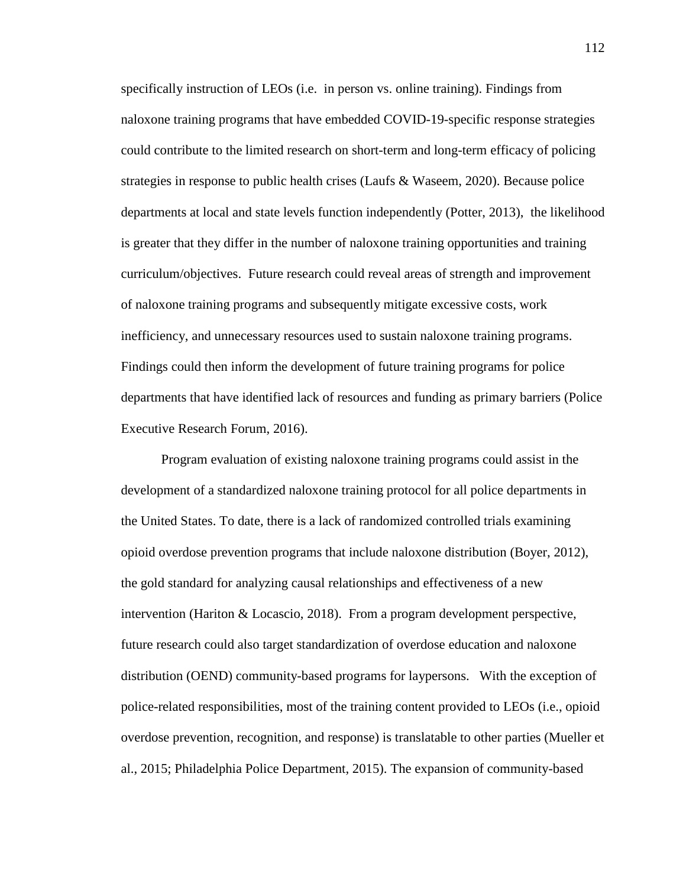specifically instruction of LEOs (i.e. in person vs. online training). Findings from naloxone training programs that have embedded COVID-19-specific response strategies could contribute to the limited research on short-term and long-term efficacy of policing strategies in response to public health crises (Laufs & Waseem, 2020). Because police departments at local and state levels function independently (Potter, 2013), the likelihood is greater that they differ in the number of naloxone training opportunities and training curriculum/objectives. Future research could reveal areas of strength and improvement of naloxone training programs and subsequently mitigate excessive costs, work inefficiency, and unnecessary resources used to sustain naloxone training programs. Findings could then inform the development of future training programs for police departments that have identified lack of resources and funding as primary barriers (Police Executive Research Forum, 2016).

Program evaluation of existing naloxone training programs could assist in the development of a standardized naloxone training protocol for all police departments in the United States. To date, there is a lack of randomized controlled trials examining opioid overdose prevention programs that include naloxone distribution (Boyer, 2012), the gold standard for analyzing causal relationships and effectiveness of a new intervention (Hariton & Locascio, 2018). From a program development perspective, future research could also target standardization of overdose education and naloxone distribution (OEND) community-based programs for laypersons. With the exception of police-related responsibilities, most of the training content provided to LEOs (i.e., opioid overdose prevention, recognition, and response) is translatable to other parties (Mueller et al., 2015; Philadelphia Police Department, 2015). The expansion of community-based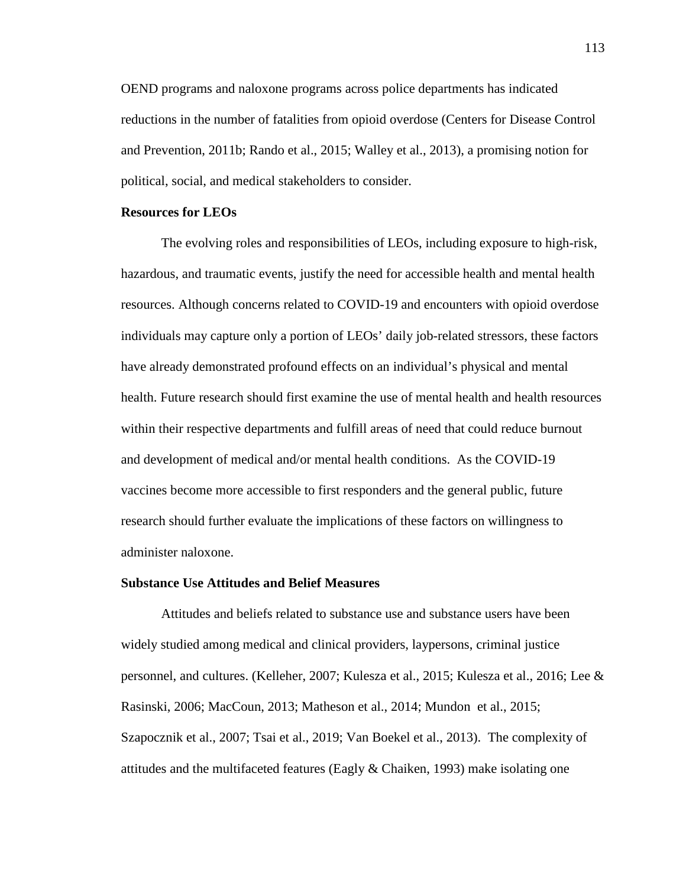OEND programs and naloxone programs across police departments has indicated reductions in the number of fatalities from opioid overdose (Centers for Disease Control and Prevention, 2011b; Rando et al., 2015; Walley et al., 2013), a promising notion for political, social, and medical stakeholders to consider.

## **Resources for LEOs**

The evolving roles and responsibilities of LEOs, including exposure to high-risk, hazardous, and traumatic events, justify the need for accessible health and mental health resources. Although concerns related to COVID-19 and encounters with opioid overdose individuals may capture only a portion of LEOs' daily job-related stressors, these factors have already demonstrated profound effects on an individual's physical and mental health. Future research should first examine the use of mental health and health resources within their respective departments and fulfill areas of need that could reduce burnout and development of medical and/or mental health conditions. As the COVID-19 vaccines become more accessible to first responders and the general public, future research should further evaluate the implications of these factors on willingness to administer naloxone.

## **Substance Use Attitudes and Belief Measures**

Attitudes and beliefs related to substance use and substance users have been widely studied among medical and clinical providers, laypersons, criminal justice personnel, and cultures. (Kelleher, 2007; Kulesza et al., 2015; Kulesza et al., 2016; Lee & Rasinski, 2006; MacCoun, 2013; Matheson et al., 2014; Mundon et al., 2015; Szapocznik et al., 2007; Tsai et al., 2019; Van Boekel et al., 2013). The complexity of attitudes and the multifaceted features (Eagly  $&$  Chaiken, 1993) make isolating one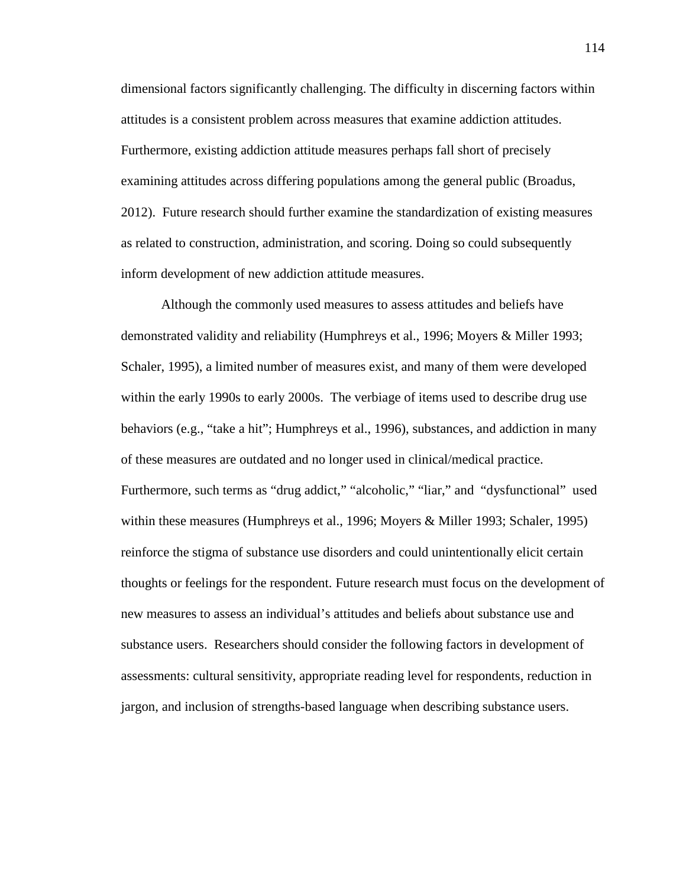dimensional factors significantly challenging. The difficulty in discerning factors within attitudes is a consistent problem across measures that examine addiction attitudes. Furthermore, existing addiction attitude measures perhaps fall short of precisely examining attitudes across differing populations among the general public (Broadus, 2012). Future research should further examine the standardization of existing measures as related to construction, administration, and scoring. Doing so could subsequently inform development of new addiction attitude measures.

Although the commonly used measures to assess attitudes and beliefs have demonstrated validity and reliability (Humphreys et al., 1996; Moyers & Miller 1993; Schaler, 1995), a limited number of measures exist, and many of them were developed within the early 1990s to early 2000s. The verbiage of items used to describe drug use behaviors (e.g., "take a hit"; Humphreys et al., 1996), substances, and addiction in many of these measures are outdated and no longer used in clinical/medical practice. Furthermore, such terms as "drug addict," "alcoholic," "liar," and "dysfunctional" used within these measures (Humphreys et al., 1996; Moyers & Miller 1993; Schaler, 1995) reinforce the stigma of substance use disorders and could unintentionally elicit certain thoughts or feelings for the respondent. Future research must focus on the development of new measures to assess an individual's attitudes and beliefs about substance use and substance users. Researchers should consider the following factors in development of assessments: cultural sensitivity, appropriate reading level for respondents, reduction in jargon, and inclusion of strengths-based language when describing substance users.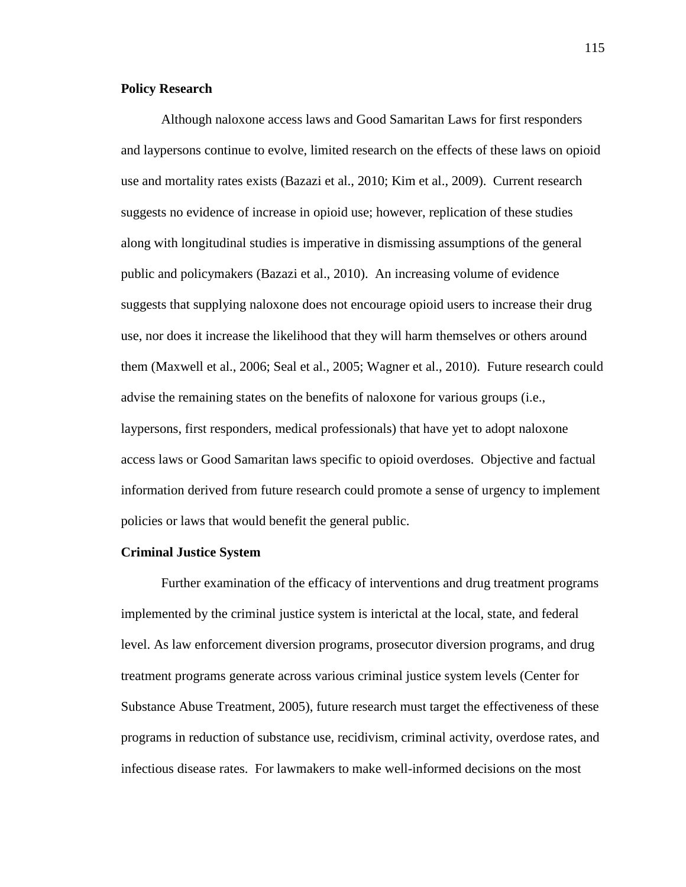## **Policy Research**

Although naloxone access laws and Good Samaritan Laws for first responders and laypersons continue to evolve, limited research on the effects of these laws on opioid use and mortality rates exists (Bazazi et al., 2010; Kim et al., 2009). Current research suggests no evidence of increase in opioid use; however, replication of these studies along with longitudinal studies is imperative in dismissing assumptions of the general public and policymakers (Bazazi et al., 2010). An increasing volume of evidence suggests that supplying naloxone does not encourage opioid users to increase their drug use, nor does it increase the likelihood that they will harm themselves or others around them (Maxwell et al., 2006; Seal et al., 2005; Wagner et al., 2010). Future research could advise the remaining states on the benefits of naloxone for various groups (i.e., laypersons, first responders, medical professionals) that have yet to adopt naloxone access laws or Good Samaritan laws specific to opioid overdoses. Objective and factual information derived from future research could promote a sense of urgency to implement policies or laws that would benefit the general public.

#### **Criminal Justice System**

Further examination of the efficacy of interventions and drug treatment programs implemented by the criminal justice system is interictal at the local, state, and federal level. As law enforcement diversion programs, prosecutor diversion programs, and drug treatment programs generate across various criminal justice system levels (Center for Substance Abuse Treatment, 2005), future research must target the effectiveness of these programs in reduction of substance use, recidivism, criminal activity, overdose rates, and infectious disease rates. For lawmakers to make well-informed decisions on the most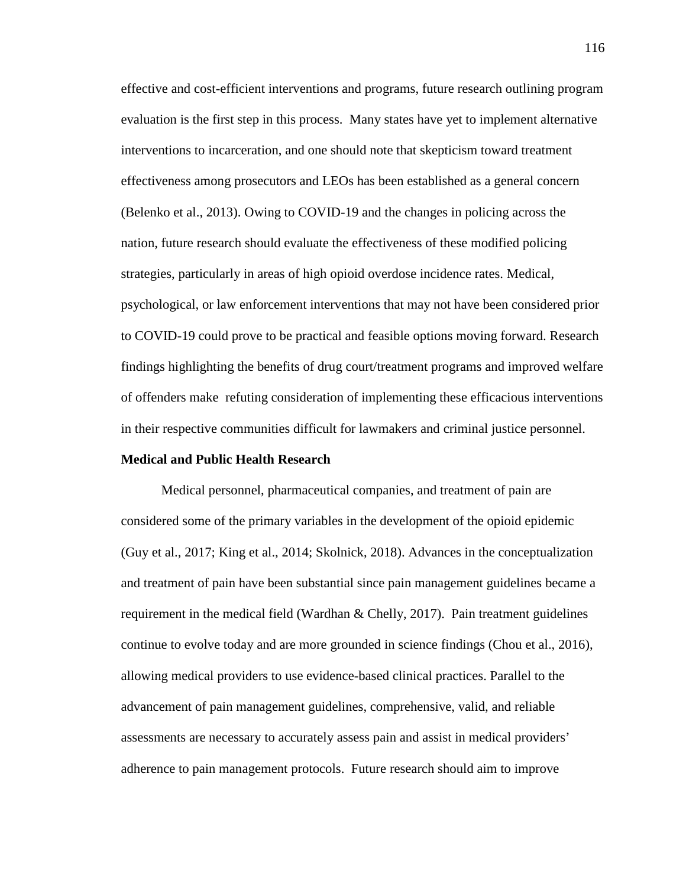effective and cost-efficient interventions and programs, future research outlining program evaluation is the first step in this process. Many states have yet to implement alternative interventions to incarceration, and one should note that skepticism toward treatment effectiveness among prosecutors and LEOs has been established as a general concern (Belenko et al., 2013). Owing to COVID-19 and the changes in policing across the nation, future research should evaluate the effectiveness of these modified policing strategies, particularly in areas of high opioid overdose incidence rates. Medical, psychological, or law enforcement interventions that may not have been considered prior to COVID-19 could prove to be practical and feasible options moving forward. Research findings highlighting the benefits of drug court/treatment programs and improved welfare of offenders make refuting consideration of implementing these efficacious interventions in their respective communities difficult for lawmakers and criminal justice personnel.

## **Medical and Public Health Research**

Medical personnel, pharmaceutical companies, and treatment of pain are considered some of the primary variables in the development of the opioid epidemic (Guy et al., 2017; King et al., 2014; Skolnick, 2018). Advances in the conceptualization and treatment of pain have been substantial since pain management guidelines became a requirement in the medical field (Wardhan & Chelly, 2017). Pain treatment guidelines continue to evolve today and are more grounded in science findings (Chou et al., 2016), allowing medical providers to use evidence-based clinical practices. Parallel to the advancement of pain management guidelines, comprehensive, valid, and reliable assessments are necessary to accurately assess pain and assist in medical providers' adherence to pain management protocols. Future research should aim to improve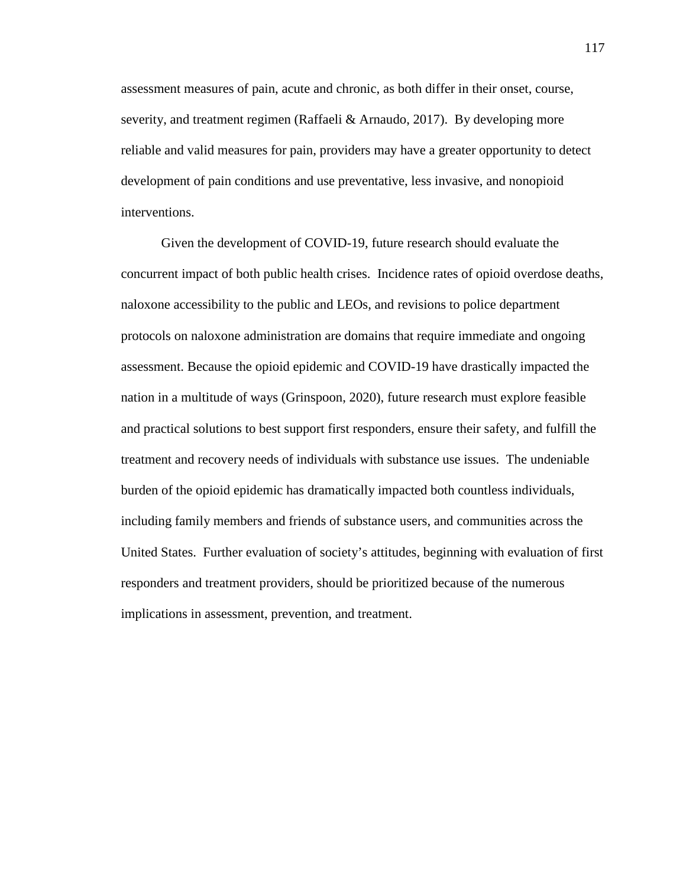assessment measures of pain, acute and chronic, as both differ in their onset, course, severity, and treatment regimen (Raffaeli & Arnaudo, 2017). By developing more reliable and valid measures for pain, providers may have a greater opportunity to detect development of pain conditions and use preventative, less invasive, and nonopioid interventions.

Given the development of COVID-19, future research should evaluate the concurrent impact of both public health crises. Incidence rates of opioid overdose deaths, naloxone accessibility to the public and LEOs, and revisions to police department protocols on naloxone administration are domains that require immediate and ongoing assessment. Because the opioid epidemic and COVID-19 have drastically impacted the nation in a multitude of ways (Grinspoon, 2020), future research must explore feasible and practical solutions to best support first responders, ensure their safety, and fulfill the treatment and recovery needs of individuals with substance use issues. The undeniable burden of the opioid epidemic has dramatically impacted both countless individuals, including family members and friends of substance users, and communities across the United States. Further evaluation of society's attitudes, beginning with evaluation of first responders and treatment providers, should be prioritized because of the numerous implications in assessment, prevention, and treatment.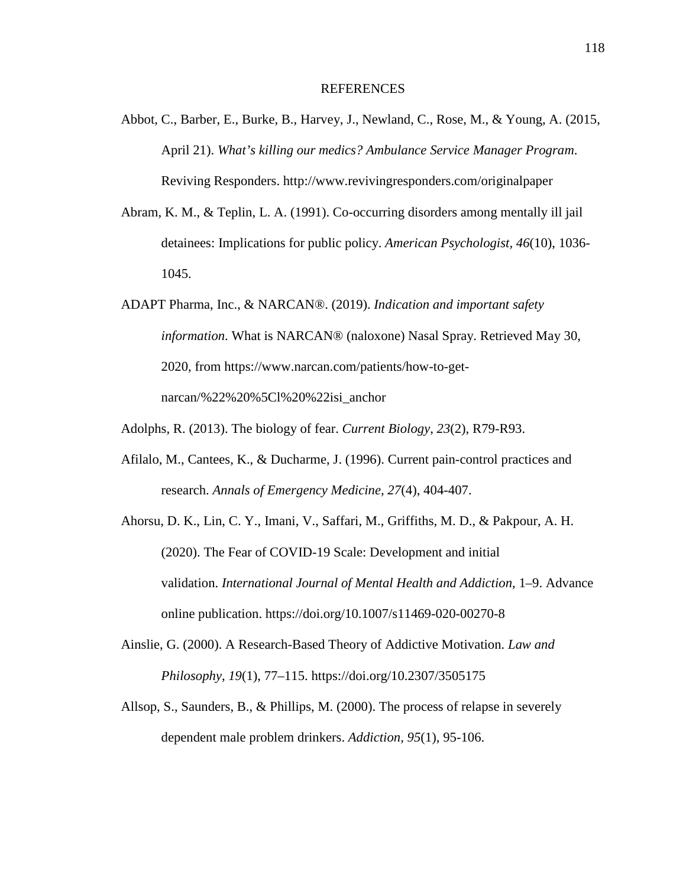#### REFERENCES

- Abbot, C., Barber, E., Burke, B., Harvey, J., Newland, C., Rose, M., & Young, A. (2015, April 21). *What's killing our medics? Ambulance Service Manager Program*. Reviving Responders. http://www.revivingresponders.com/originalpaper
- Abram, K. M., & Teplin, L. A. (1991). Co-occurring disorders among mentally ill jail detainees: Implications for public policy. *American Psychologist, 46*(10), 1036- 1045.
- ADAPT Pharma, Inc., & NARCAN®. (2019). *Indication and important safety information*. What is NARCAN® (naloxone) Nasal Spray. Retrieved May 30, 2020, from https://www.narcan.com/patients/how-to-getnarcan/%22%20%5Cl%20%22isi\_anchor
- Adolphs, R. (2013). The biology of fear. *Current Biology*, *23*(2), R79-R93.
- Afilalo, M., Cantees, K., & Ducharme, J. (1996). Current pain-control practices and research. *Annals of Emergency Medicine, 27*(4), 404-407.
- Ahorsu, D. K., Lin, C. Y., Imani, V., Saffari, M., Griffiths, M. D., & Pakpour, A. H. (2020). The Fear of COVID-19 Scale: Development and initial validation. *International Journal of Mental Health and Addiction*, 1–9. Advance online publication. https://doi.org/10.1007/s11469-020-00270-8
- Ainslie, G. (2000). A Research-Based Theory of Addictive Motivation. *Law and Philosophy*, *19*(1), 77–115. https://doi.org/10.2307/3505175
- Allsop, S., Saunders, B., & Phillips, M. (2000). The process of relapse in severely dependent male problem drinkers. *Addiction, 95*(1), 95-106.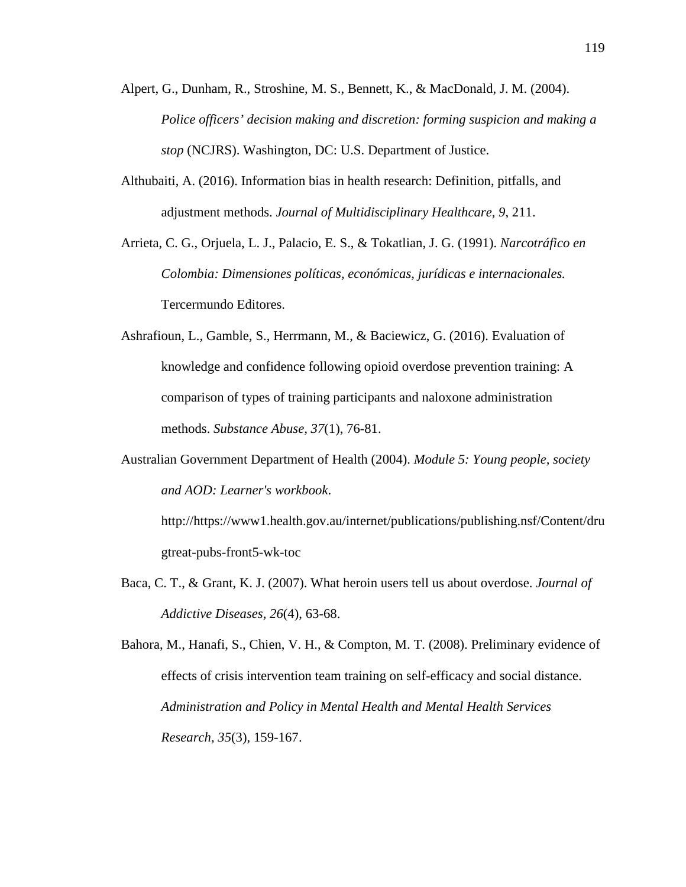- Alpert, G., Dunham, R., Stroshine, M. S., Bennett, K., & MacDonald, J. M. (2004). *Police officers' decision making and discretion: forming suspicion and making a stop* (NCJRS). Washington, DC: U.S. Department of Justice.
- Althubaiti, A. (2016). Information bias in health research: Definition, pitfalls, and adjustment methods. *Journal of Multidisciplinary Healthcare, 9*, 211.
- Arrieta, C. G., Orjuela, L. J., Palacio, E. S., & Tokatlian, J. G. (1991). *Narcotráfico en Colombia: Dimensiones políticas, económicas, jurídicas e internacionales.*  Tercermundo Editores.
- Ashrafioun, L., Gamble, S., Herrmann, M., & Baciewicz, G. (2016). Evaluation of knowledge and confidence following opioid overdose prevention training: A comparison of types of training participants and naloxone administration methods. *Substance Abuse, 37*(1), 76-81.
- Australian Government Department of Health (2004). *Module 5: Young people, society and AOD: Learner's workbook*.

http://https://www1.health.gov.au/internet/publications/publishing.nsf/Content/dru gtreat-pubs-front5-wk-toc

Baca, C. T., & Grant, K. J. (2007). What heroin users tell us about overdose. *Journal of Addictive Diseases, 26*(4), 63-68.

Bahora, M., Hanafi, S., Chien, V. H., & Compton, M. T. (2008). Preliminary evidence of effects of crisis intervention team training on self-efficacy and social distance. *Administration and Policy in Mental Health and Mental Health Services Research, 35*(3), 159-167.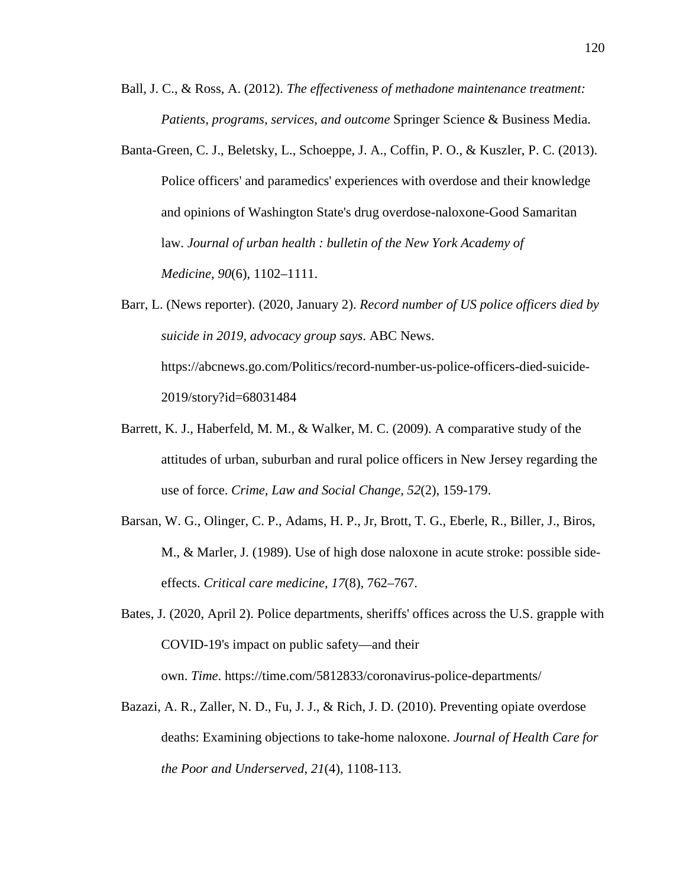- Ball, J. C., & Ross, A. (2012). *The effectiveness of methadone maintenance treatment: Patients, programs, services, and outcome* Springer Science & Business Media.
- Banta-Green, C. J., Beletsky, L., Schoeppe, J. A., Coffin, P. O., & Kuszler, P. C. (2013). Police officers' and paramedics' experiences with overdose and their knowledge and opinions of Washington State's drug overdose-naloxone-Good Samaritan law. *Journal of urban health : bulletin of the New York Academy of Medicine*, *90*(6), 1102–1111.
- Barr, L. (News reporter). (2020, January 2). *Record number of US police officers died by suicide in 2019, advocacy group says*. ABC News. https://abcnews.go.com/Politics/record-number-us-police-officers-died-suicide-2019/story?id=68031484
- Barrett, K. J., Haberfeld, M. M., & Walker, M. C. (2009). A comparative study of the attitudes of urban, suburban and rural police officers in New Jersey regarding the use of force. *Crime, Law and Social Change, 52*(2), 159-179.
- Barsan, W. G., Olinger, C. P., Adams, H. P., Jr, Brott, T. G., Eberle, R., Biller, J., Biros, M., & Marler, J. (1989). Use of high dose naloxone in acute stroke: possible sideeffects. *Critical care medicine*, *17*(8), 762–767.
- Bates, J. (2020, April 2). Police departments, sheriffs' offices across the U.S. grapple with COVID-19's impact on public safety—and their own. *Time*. https://time.com/5812833/coronavirus-police-departments/
- Bazazi, A. R., Zaller, N. D., Fu, J. J., & Rich, J. D. (2010). Preventing opiate overdose deaths: Examining objections to take-home naloxone. *Journal of Health Care for the Poor and Underserved*, *21*(4), 1108-113.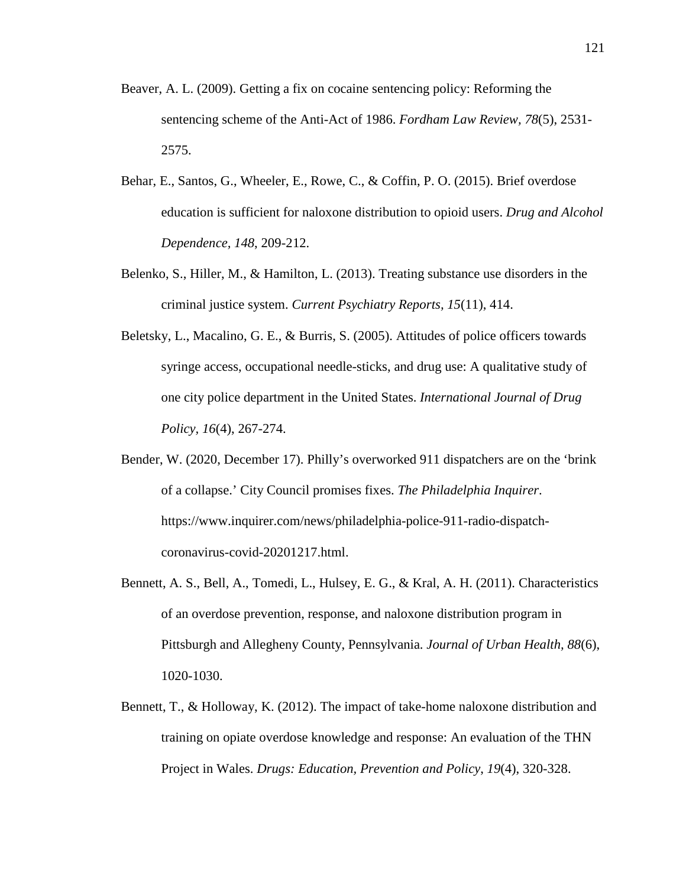- Beaver, A. L. (2009). Getting a fix on cocaine sentencing policy: Reforming the sentencing scheme of the Anti-Act of 1986. *Fordham Law Review, 78*(5), 2531- 2575.
- Behar, E., Santos, G., Wheeler, E., Rowe, C., & Coffin, P. O. (2015). Brief overdose education is sufficient for naloxone distribution to opioid users. *Drug and Alcohol Dependence, 148*, 209-212.
- Belenko, S., Hiller, M., & Hamilton, L. (2013). Treating substance use disorders in the criminal justice system. *Current Psychiatry Reports, 15*(11), 414.
- Beletsky, L., Macalino, G. E., & Burris, S. (2005). Attitudes of police officers towards syringe access, occupational needle-sticks, and drug use: A qualitative study of one city police department in the United States. *International Journal of Drug Policy, 16*(4), 267-274.
- Bender, W. (2020, December 17). Philly's overworked 911 dispatchers are on the 'brink of a collapse.' City Council promises fixes. *The Philadelphia Inquirer*. https://www.inquirer.com/news/philadelphia-police-911-radio-dispatchcoronavirus-covid-20201217.html.
- Bennett, A. S., Bell, A., Tomedi, L., Hulsey, E. G., & Kral, A. H. (2011). Characteristics of an overdose prevention, response, and naloxone distribution program in Pittsburgh and Allegheny County, Pennsylvania. *Journal of Urban Health, 88*(6), 1020-1030.
- Bennett, T., & Holloway, K. (2012). The impact of take-home naloxone distribution and training on opiate overdose knowledge and response: An evaluation of the THN Project in Wales. *Drugs: Education, Prevention and Policy*, *19*(4), 320-328.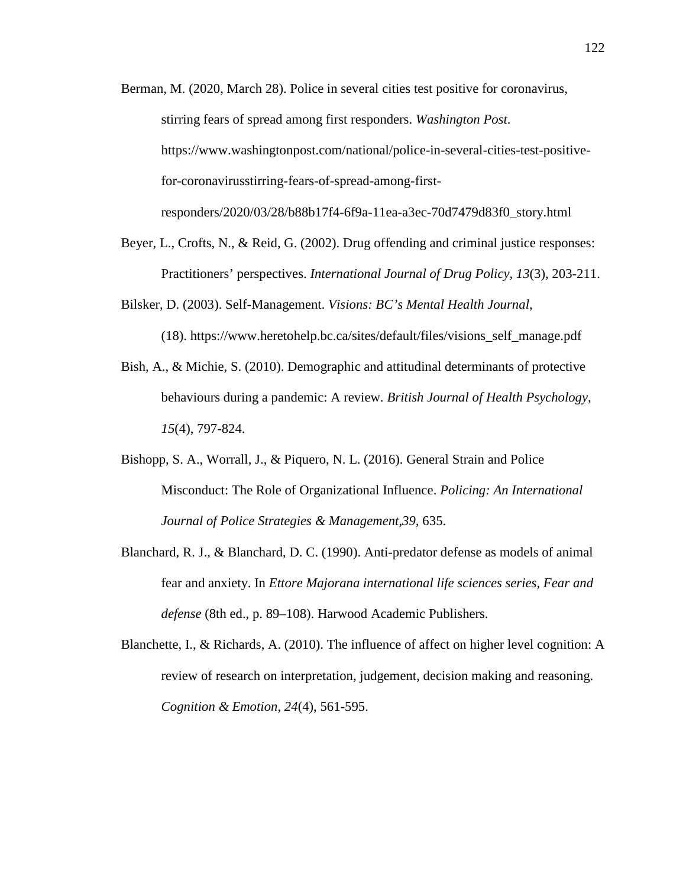- Berman, M. (2020, March 28). Police in several cities test positive for coronavirus, stirring fears of spread among first responders. *Washington Post*. https://www.washingtonpost.com/national/police-in-several-cities-test-positivefor-coronavirusstirring-fears-of-spread-among-firstresponders/2020/03/28/b88b17f4-6f9a-11ea-a3ec-70d7479d83f0\_story.html
- Beyer, L., Crofts, N., & Reid, G. (2002). Drug offending and criminal justice responses: Practitioners' perspectives. *International Journal of Drug Policy, 13*(3), 203-211.
- Bilsker, D. (2003). Self-Management. *Visions: BC's Mental Health Journal*,
	- (18). https://www.heretohelp.bc.ca/sites/default/files/visions\_self\_manage.pdf
- Bish, A., & Michie, S. (2010). Demographic and attitudinal determinants of protective behaviours during a pandemic: A review. *British Journal of Health Psychology*, *15*(4), 797-824.
- Bishopp, S. A., Worrall, J., & Piquero, N. L. (2016). General Strain and Police Misconduct: The Role of Organizational Influence. *Policing: An International Journal of Police Strategies & Management,39,* 635.
- Blanchard, R. J., & Blanchard, D. C. (1990). Anti-predator defense as models of animal fear and anxiety. In *Ettore Majorana international life sciences series, Fear and defense* (8th ed., p. 89–108). Harwood Academic Publishers.
- Blanchette, I., & Richards, A. (2010). The influence of affect on higher level cognition: A review of research on interpretation, judgement, decision making and reasoning. *Cognition & Emotion*, *24*(4), 561-595.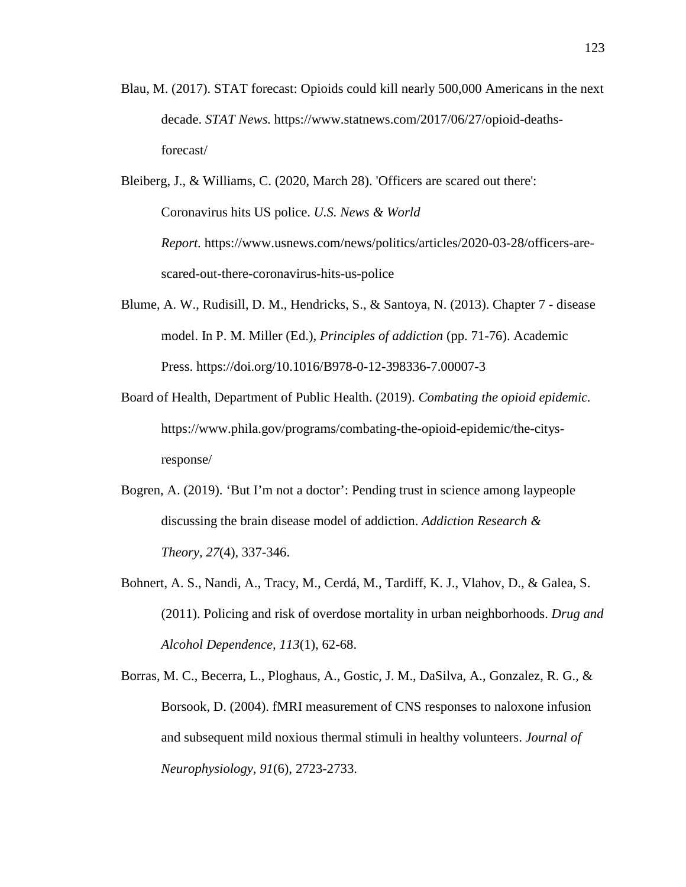- Blau, M. (2017). STAT forecast: Opioids could kill nearly 500,000 Americans in the next decade. *STAT News.* https://www.statnews.com/2017/06/27/opioid-deathsforecast/
- Bleiberg, J., & Williams, C. (2020, March 28). 'Officers are scared out there': Coronavirus hits US police. *U.S. News & World Report.* https://www.usnews.com/news/politics/articles/2020-03-28/officers-arescared-out-there-coronavirus-hits-us-police
- Blume, A. W., Rudisill, D. M., Hendricks, S., & Santoya, N. (2013). Chapter 7 disease model. In P. M. Miller (Ed.), *Principles of addiction* (pp. 71-76). Academic Press. https://doi.org/10.1016/B978-0-12-398336-7.00007-3
- Board of Health, Department of Public Health. (2019). *Combating the opioid epidemic.* https://www.phila.gov/programs/combating-the-opioid-epidemic/the-citysresponse/
- Bogren, A. (2019). 'But I'm not a doctor': Pending trust in science among laypeople discussing the brain disease model of addiction. *Addiction Research & Theory, 27*(4), 337-346.
- Bohnert, A. S., Nandi, A., Tracy, M., Cerdá, M., Tardiff, K. J., Vlahov, D., & Galea, S. (2011). Policing and risk of overdose mortality in urban neighborhoods. *Drug and Alcohol Dependence, 113*(1), 62-68.
- Borras, M. C., Becerra, L., Ploghaus, A., Gostic, J. M., DaSilva, A., Gonzalez, R. G., & Borsook, D. (2004). fMRI measurement of CNS responses to naloxone infusion and subsequent mild noxious thermal stimuli in healthy volunteers. *Journal of Neurophysiology, 91*(6), 2723-2733.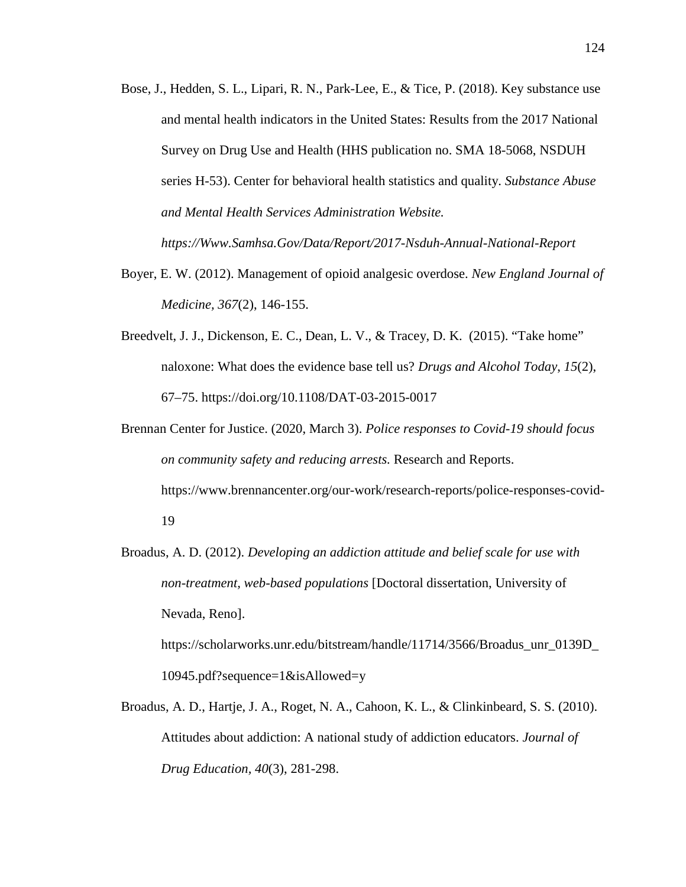- Bose, J., Hedden, S. L., Lipari, R. N., Park-Lee, E., & Tice, P. (2018). Key substance use and mental health indicators in the United States: Results from the 2017 National Survey on Drug Use and Health (HHS publication no. SMA 18-5068, NSDUH series H-53). Center for behavioral health statistics and quality. *Substance Abuse and Mental Health Services Administration Website. https://Www.Samhsa.Gov/Data/Report/2017-Nsduh-Annual-National-Report*
- Boyer, E. W. (2012). Management of opioid analgesic overdose. *New England Journal of Medicine, 367*(2), 146-155.
- Breedvelt, J. J., Dickenson, E. C., Dean, L. V., & Tracey, D. K. (2015). "Take home" naloxone: What does the evidence base tell us? *Drugs and Alcohol Today*, *15*(2), 67–75. https://doi.org/10.1108/DAT-03-2015-0017
- Brennan Center for Justice. (2020, March 3). *Police responses to Covid-19 should focus on community safety and reducing arrests.* Research and Reports. https://www.brennancenter.org/our-work/research-reports/police-responses-covid-19
- Broadus, A. D. (2012). *Developing an addiction attitude and belief scale for use with non-treatment, web-based populations* [Doctoral dissertation, University of Nevada, Reno].

https://scholarworks.unr.edu/bitstream/handle/11714/3566/Broadus\_unr\_0139D\_ 10945.pdf?sequence=1&isAllowed=y

Broadus, A. D., Hartje, J. A., Roget, N. A., Cahoon, K. L., & Clinkinbeard, S. S. (2010). Attitudes about addiction: A national study of addiction educators. *Journal of Drug Education, 40*(3), 281-298.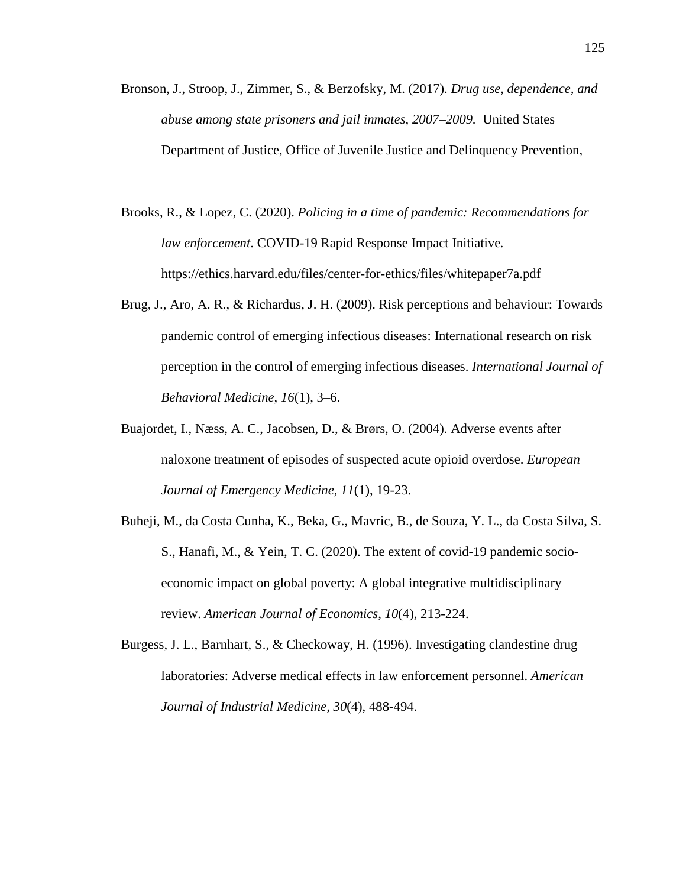- Bronson, J., Stroop, J., Zimmer, S., & Berzofsky, M. (2017). *Drug use, dependence, and abuse among state prisoners and jail inmates, 2007–2009.* United States Department of Justice, Office of Juvenile Justice and Delinquency Prevention*,*
- Brooks, R., & Lopez, C. (2020). *Policing in a time of pandemic: Recommendations for law enforcement*. COVID-19 Rapid Response Impact Initiative*.*  https://ethics.harvard.edu/files/center-for-ethics/files/whitepaper7a.pdf
- Brug, J., Aro, A. R., & Richardus, J. H. (2009). Risk perceptions and behaviour: Towards pandemic control of emerging infectious diseases: International research on risk perception in the control of emerging infectious diseases. *International Journal of Behavioral Medicine*, *16*(1), 3–6.
- Buajordet, I., Næss, A. C., Jacobsen, D., & Brørs, O. (2004). Adverse events after naloxone treatment of episodes of suspected acute opioid overdose. *European Journal of Emergency Medicine, 11*(1), 19-23.
- Buheji, M., da Costa Cunha, K., Beka, G., Mavric, B., de Souza, Y. L., da Costa Silva, S. S., Hanafi, M., & Yein, T. C. (2020). The extent of covid-19 pandemic socioeconomic impact on global poverty: A global integrative multidisciplinary review. *American Journal of Economics*, *10*(4), 213-224.
- Burgess, J. L., Barnhart, S., & Checkoway, H. (1996). Investigating clandestine drug laboratories: Adverse medical effects in law enforcement personnel. *American Journal of Industrial Medicine, 30*(4), 488-494.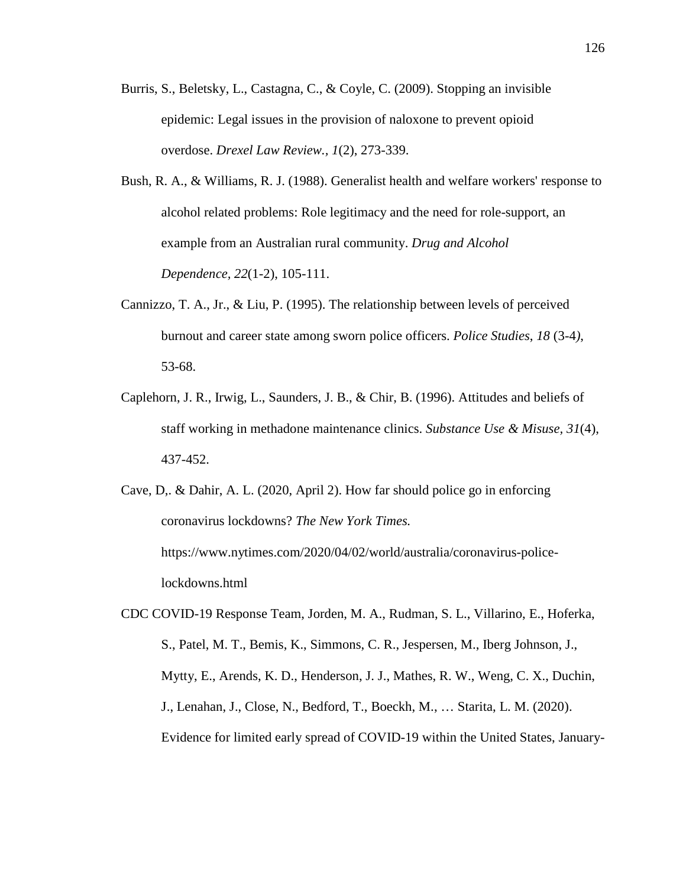- Burris, S., Beletsky, L., Castagna, C., & Coyle, C. (2009). Stopping an invisible epidemic: Legal issues in the provision of naloxone to prevent opioid overdose. *Drexel Law Review., 1*(2), 273-339.
- Bush, R. A., & Williams, R. J. (1988). Generalist health and welfare workers' response to alcohol related problems: Role legitimacy and the need for role-support, an example from an Australian rural community. *Drug and Alcohol Dependence, 22*(1-2), 105-111.
- Cannizzo, T. A., Jr., & Liu, P. (1995). The relationship between levels of perceived burnout and career state among sworn police officers. *Police Studies*, *18* (3-4*)*, 53-68.
- Caplehorn, J. R., Irwig, L., Saunders, J. B., & Chir, B. (1996). Attitudes and beliefs of staff working in methadone maintenance clinics. *Substance Use & Misuse, 31*(4), 437-452.
- Cave, D,. & Dahir, A. L. (2020, April 2). How far should police go in enforcing coronavirus lockdowns? *The New York Times.* https://www.nytimes.com/2020/04/02/world/australia/coronavirus-policelockdowns.html
- CDC COVID-19 Response Team, Jorden, M. A., Rudman, S. L., Villarino, E., Hoferka, S., Patel, M. T., Bemis, K., Simmons, C. R., Jespersen, M., Iberg Johnson, J., Mytty, E., Arends, K. D., Henderson, J. J., Mathes, R. W., Weng, C. X., Duchin, J., Lenahan, J., Close, N., Bedford, T., Boeckh, M., … Starita, L. M. (2020). Evidence for limited early spread of COVID-19 within the United States, January-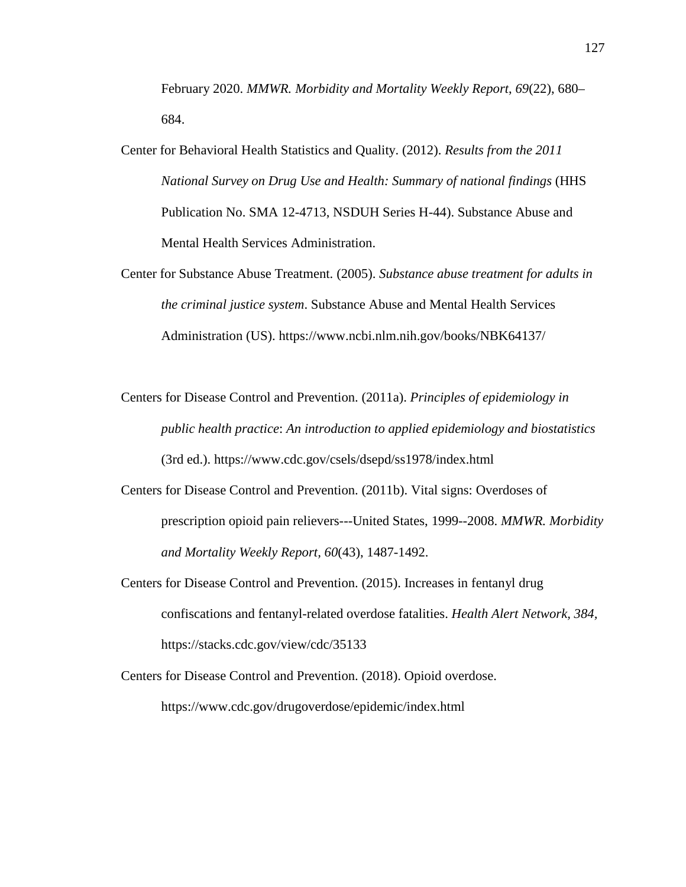February 2020. *MMWR. Morbidity and Mortality Weekly Report*, *69*(22), 680– 684.

- Center for Behavioral Health Statistics and Quality. (2012). *Results from the 2011 National Survey on Drug Use and Health: Summary of national findings* (HHS Publication No. SMA 12-4713, NSDUH Series H-44). Substance Abuse and Mental Health Services Administration.
- Center for Substance Abuse Treatment. (2005). *Substance abuse treatment for adults in the criminal justice system*. Substance Abuse and Mental Health Services Administration (US). https://www.ncbi.nlm.nih.gov/books/NBK64137/
- Centers for Disease Control and Prevention. (2011a). *Principles of epidemiology in public health practice*: *An introduction to applied epidemiology and biostatistics* (3rd ed.). https://www.cdc.gov/csels/dsepd/ss1978/index.html
- Centers for Disease Control and Prevention. (2011b). Vital signs: Overdoses of prescription opioid pain relievers---United States, 1999--2008. *MMWR. Morbidity and Mortality Weekly Report, 60*(43), 1487-1492.
- Centers for Disease Control and Prevention. (2015). Increases in fentanyl drug confiscations and fentanyl-related overdose fatalities. *Health Alert Network, 384,*  https://stacks.cdc.gov/view/cdc/35133
- Centers for Disease Control and Prevention. (2018). Opioid overdose. https://www.cdc.gov/drugoverdose/epidemic/index.html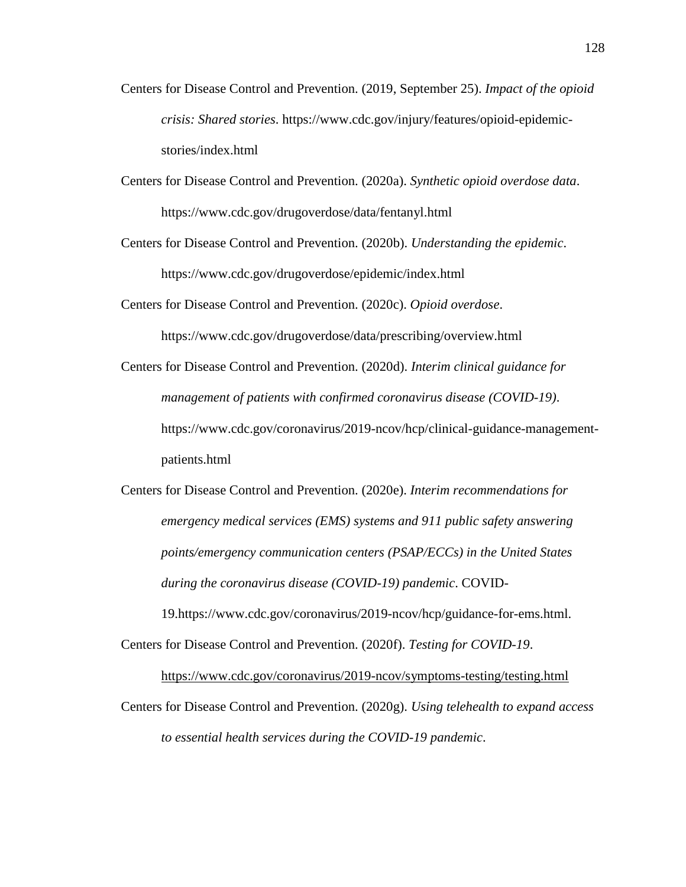- Centers for Disease Control and Prevention. (2019, September 25). *Impact of the opioid crisis: Shared stories*. https://www.cdc.gov/injury/features/opioid-epidemicstories/index.html
- Centers for Disease Control and Prevention. (2020a). *Synthetic opioid overdose data*. https://www.cdc.gov/drugoverdose/data/fentanyl.html

Centers for Disease Control and Prevention. (2020b). *Understanding the epidemic*. https://www.cdc.gov/drugoverdose/epidemic/index.html

Centers for Disease Control and Prevention. (2020c). *Opioid overdose*. https://www.cdc.gov/drugoverdose/data/prescribing/overview.html

Centers for Disease Control and Prevention. (2020d). *Interim clinical guidance for management of patients with confirmed coronavirus disease (COVID-19)*. https://www.cdc.gov/coronavirus/2019-ncov/hcp/clinical-guidance-managementpatients.html

Centers for Disease Control and Prevention. (2020e). *Interim recommendations for emergency medical services (EMS) systems and 911 public safety answering points/emergency communication centers (PSAP/ECCs) in the United States during the coronavirus disease (COVID-19) pandemic*. COVID-

19.https://www.cdc.gov/coronavirus/2019-ncov/hcp/guidance-for-ems.html.

Centers for Disease Control and Prevention. (2020f). *Testing for COVID-19*.

https://www.cdc.gov/coronavirus/2019-ncov/symptoms-testing/testing.html

Centers for Disease Control and Prevention. (2020g). *Using telehealth to expand access to essential health services during the COVID-19 pandemic*.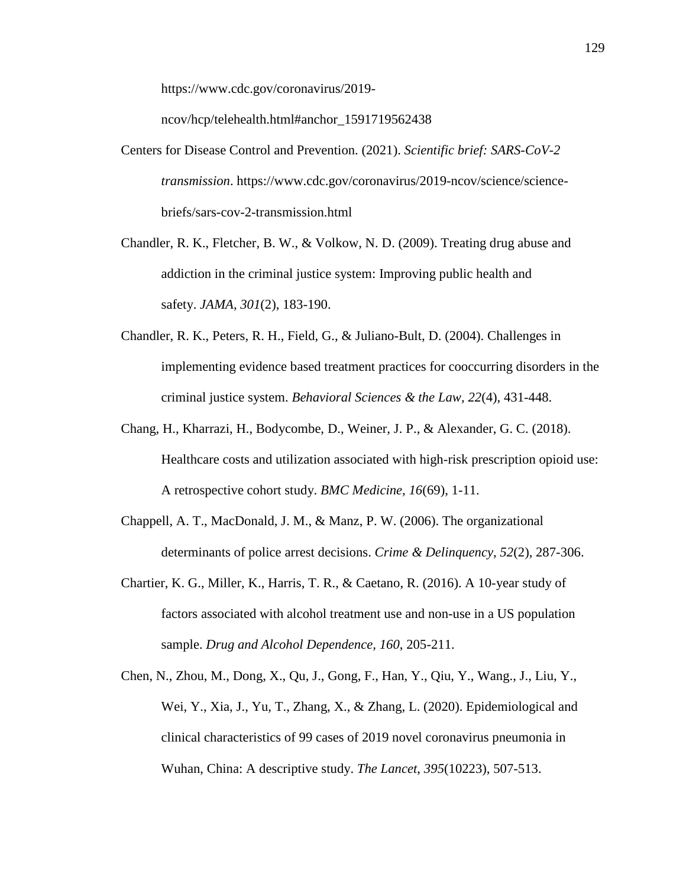https://www.cdc.gov/coronavirus/2019-

ncov/hcp/telehealth.html#anchor\_1591719562438

- Centers for Disease Control and Prevention. (2021). *Scientific brief: SARS-CoV-2 transmission*. https://www.cdc.gov/coronavirus/2019-ncov/science/sciencebriefs/sars-cov-2-transmission.html
- Chandler, R. K., Fletcher, B. W., & Volkow, N. D. (2009). Treating drug abuse and addiction in the criminal justice system: Improving public health and safety. *JAMA, 301*(2), 183-190.
- Chandler, R. K., Peters, R. H., Field, G., & Juliano-Bult, D. (2004). Challenges in implementing evidence based treatment practices for cooccurring disorders in the criminal justice system. *Behavioral Sciences & the Law, 22*(4), 431-448.
- Chang, H., Kharrazi, H., Bodycombe, D., Weiner, J. P., & Alexander, G. C. (2018). Healthcare costs and utilization associated with high-risk prescription opioid use: A retrospective cohort study. *BMC Medicine, 16*(69), 1-11.
- Chappell, A. T., MacDonald, J. M., & Manz, P. W. (2006). The organizational determinants of police arrest decisions. *Crime & Delinquency, 52*(2), 287-306.
- Chartier, K. G., Miller, K., Harris, T. R., & Caetano, R. (2016). A 10-year study of factors associated with alcohol treatment use and non-use in a US population sample. *Drug and Alcohol Dependence, 160*, 205-211.
- Chen, N., Zhou, M., Dong, X., Qu, J., Gong, F., Han, Y., Qiu, Y., Wang., J., Liu, Y., Wei, Y., Xia, J., Yu, T., Zhang, X., & Zhang, L. (2020). Epidemiological and clinical characteristics of 99 cases of 2019 novel coronavirus pneumonia in Wuhan, China: A descriptive study. *The Lancet*, *395*(10223), 507-513.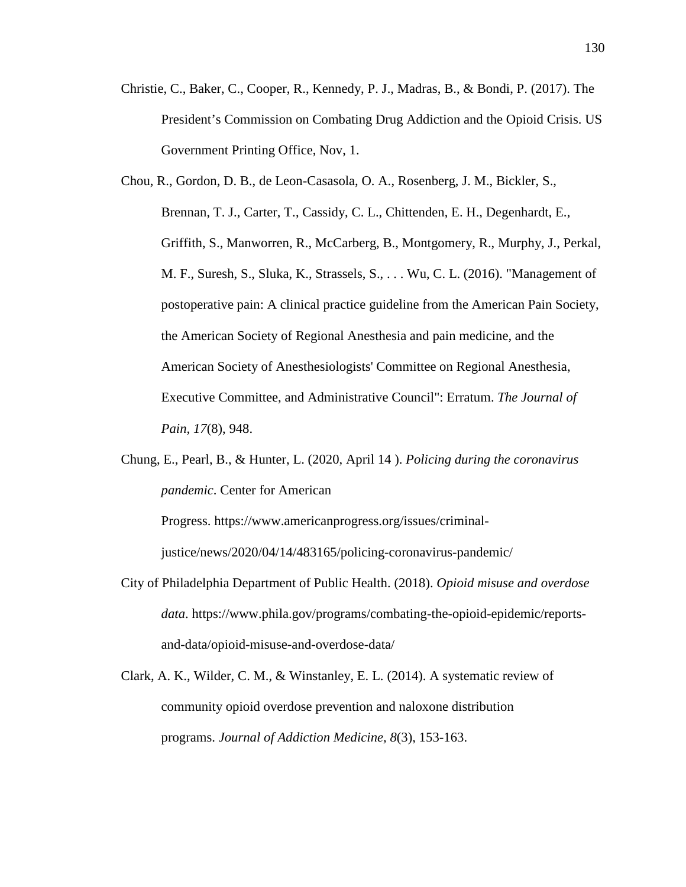- Christie, C., Baker, C., Cooper, R., Kennedy, P. J., Madras, B., & Bondi, P. (2017). The President's Commission on Combating Drug Addiction and the Opioid Crisis. US Government Printing Office, Nov, 1.
- Chou, R., Gordon, D. B., de Leon-Casasola, O. A., Rosenberg, J. M., Bickler, S., Brennan, T. J., Carter, T., Cassidy, C. L., Chittenden, E. H., Degenhardt, E., Griffith, S., Manworren, R., McCarberg, B., Montgomery, R., Murphy, J., Perkal, M. F., Suresh, S., Sluka, K., Strassels, S., . . . Wu, C. L. (2016). "Management of postoperative pain: A clinical practice guideline from the American Pain Society, the American Society of Regional Anesthesia and pain medicine, and the American Society of Anesthesiologists' Committee on Regional Anesthesia, Executive Committee, and Administrative Council": Erratum. *The Journal of Pain, 17*(8), 948.
- Chung, E., Pearl, B., & Hunter, L. (2020, April 14 ). *Policing during the coronavirus pandemic*. Center for American

Progress. https://www.americanprogress.org/issues/criminaljustice/news/2020/04/14/483165/policing-coronavirus-pandemic/

- City of Philadelphia Department of Public Health. (2018). *Opioid misuse and overdose data*. https://www.phila.gov/programs/combating-the-opioid-epidemic/reportsand-data/opioid-misuse-and-overdose-data/
- Clark, A. K., Wilder, C. M., & Winstanley, E. L. (2014). A systematic review of community opioid overdose prevention and naloxone distribution programs. *Journal of Addiction Medicine, 8*(3), 153-163.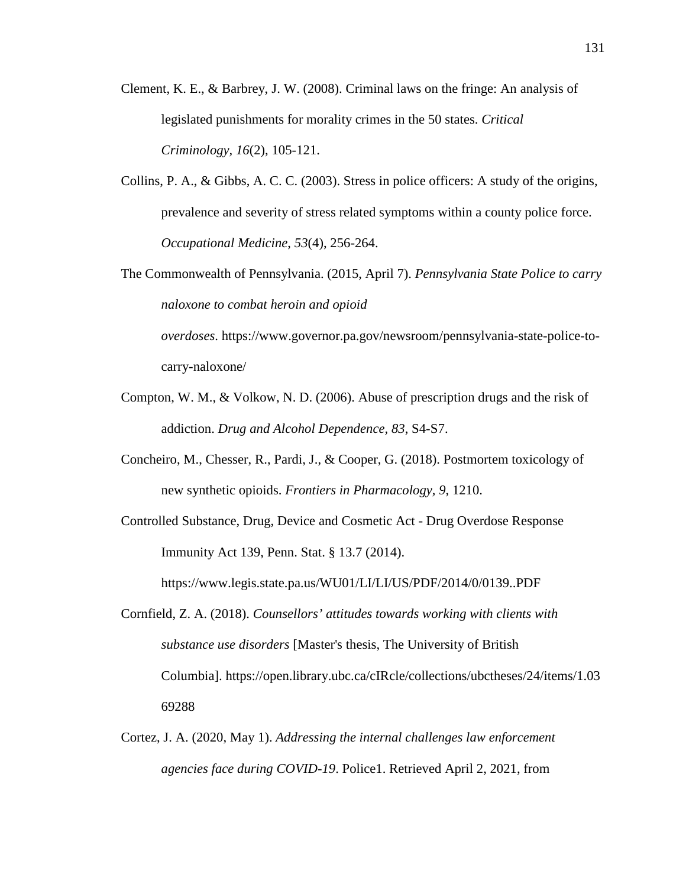- Clement, K. E., & Barbrey, J. W. (2008). Criminal laws on the fringe: An analysis of legislated punishments for morality crimes in the 50 states. *Critical Criminology, 16*(2), 105-121.
- Collins, P. A., & Gibbs, A. C. C. (2003). Stress in police officers: A study of the origins, prevalence and severity of stress related symptoms within a county police force. *Occupational Medicine*, *53*(4), 256-264.
- The Commonwealth of Pennsylvania. (2015, April 7). *Pennsylvania State Police to carry naloxone to combat heroin and opioid overdoses*. https://www.governor.pa.gov/newsroom/pennsylvania-state-police-to-

carry-naloxone/

- Compton, W. M., & Volkow, N. D. (2006). Abuse of prescription drugs and the risk of addiction. *Drug and Alcohol Dependence, 83*, S4-S7.
- Concheiro, M., Chesser, R., Pardi, J., & Cooper, G. (2018). Postmortem toxicology of new synthetic opioids. *Frontiers in Pharmacology, 9*, 1210.
- Controlled Substance, Drug, Device and Cosmetic Act Drug Overdose Response Immunity Act 139, Penn. Stat. § 13.7 (2014).

https://www.legis.state.pa.us/WU01/LI/LI/US/PDF/2014/0/0139..PDF

- Cornfield, Z. A. (2018). *Counsellors' attitudes towards working with clients with substance use disorders* [Master's thesis, The University of British Columbia]. https://open.library.ubc.ca/cIRcle/collections/ubctheses/24/items/1.03 69288
- Cortez, J. A. (2020, May 1). *Addressing the internal challenges law enforcement agencies face during COVID-19*. Police1. Retrieved April 2, 2021, from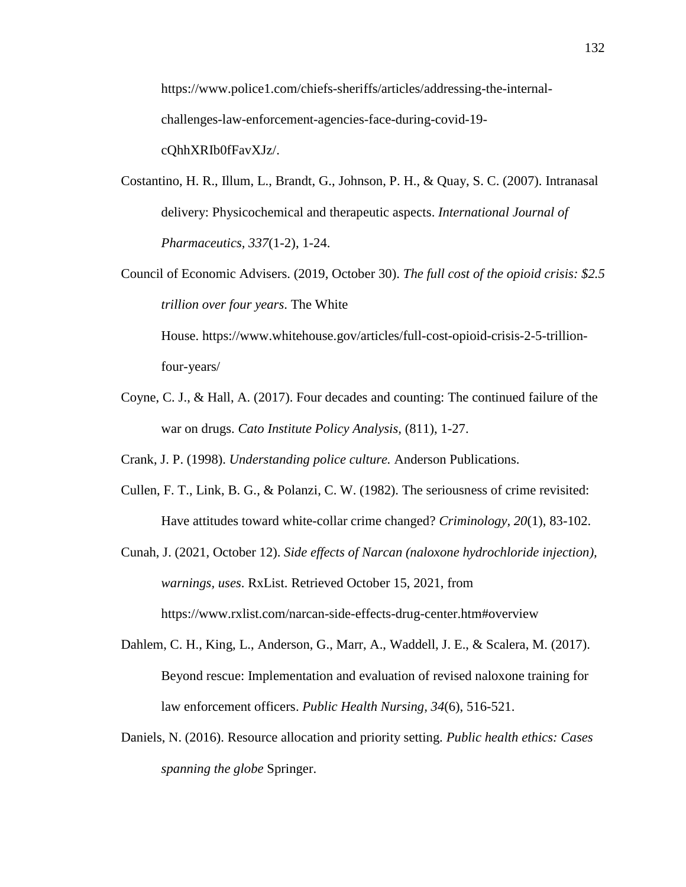https://www.police1.com/chiefs-sheriffs/articles/addressing-the-internalchallenges-law-enforcement-agencies-face-during-covid-19 cQhhXRIb0fFavXJz/.

- Costantino, H. R., Illum, L., Brandt, G., Johnson, P. H., & Quay, S. C. (2007). Intranasal delivery: Physicochemical and therapeutic aspects. *International Journal of Pharmaceutics, 337*(1-2), 1-24.
- Council of Economic Advisers. (2019, October 30). *The full cost of the opioid crisis: \$2.5 trillion over four years*. The White

House. https://www.whitehouse.gov/articles/full-cost-opioid-crisis-2-5-trillionfour-years/

Coyne, C. J., & Hall, A. (2017). Four decades and counting: The continued failure of the war on drugs. *Cato Institute Policy Analysis,* (811), 1-27.

Crank, J. P. (1998). *Understanding police culture.* Anderson Publications.

- Cullen, F. T., Link, B. G., & Polanzi, C. W. (1982). The seriousness of crime revisited: Have attitudes toward white-collar crime changed? *Criminology, 20*(1), 83-102.
- Cunah, J. (2021, October 12). *Side effects of Narcan (naloxone hydrochloride injection), warnings, uses*. RxList. Retrieved October 15, 2021, from https://www.rxlist.com/narcan-side-effects-drug-center.htm#overview
- Dahlem, C. H., King, L., Anderson, G., Marr, A., Waddell, J. E., & Scalera, M. (2017). Beyond rescue: Implementation and evaluation of revised naloxone training for law enforcement officers. *Public Health Nursing, 34*(6), 516-521.
- Daniels, N. (2016). Resource allocation and priority setting. *Public health ethics: Cases spanning the globe* Springer.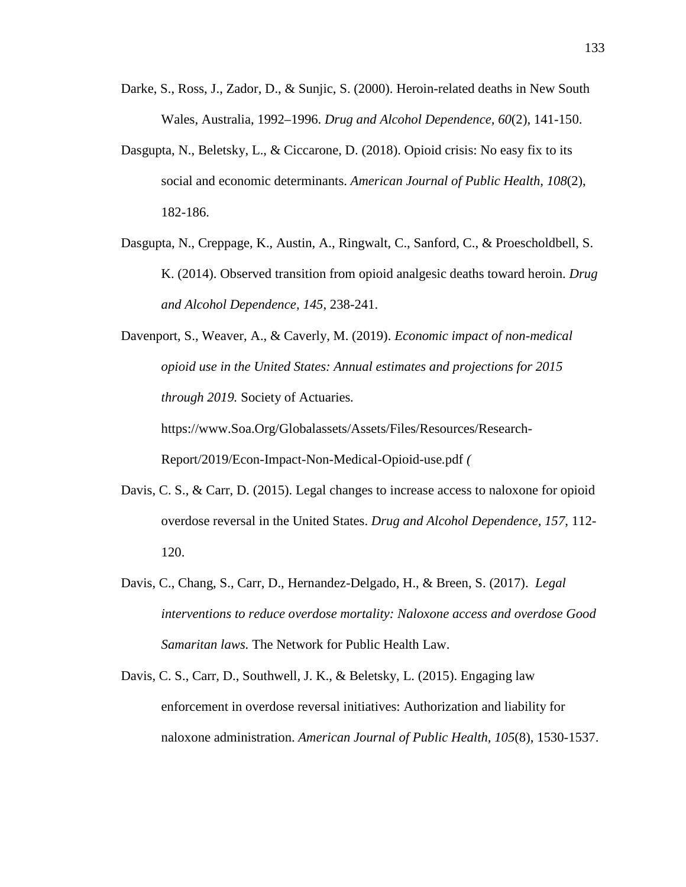- Darke, S., Ross, J., Zador, D., & Sunjic, S. (2000). Heroin-related deaths in New South Wales, Australia, 1992–1996. *Drug and Alcohol Dependence, 60*(2), 141-150.
- Dasgupta, N., Beletsky, L., & Ciccarone, D. (2018). Opioid crisis: No easy fix to its social and economic determinants. *American Journal of Public Health, 108*(2), 182-186.
- Dasgupta, N., Creppage, K., Austin, A., Ringwalt, C., Sanford, C., & Proescholdbell, S. K. (2014). Observed transition from opioid analgesic deaths toward heroin. *Drug and Alcohol Dependence, 145*, 238-241.
- Davenport, S., Weaver, A., & Caverly, M. (2019). *Economic impact of non-medical opioid use in the United States: Annual estimates and projections for 2015 through 2019.* Society of Actuaries*.*

https://www.Soa.Org/Globalassets/Assets/Files/Resources/Research-Report/2019/Econ-Impact-Non-Medical-Opioid-use*.*pdf *(*

- Davis, C. S., & Carr, D. (2015). Legal changes to increase access to naloxone for opioid overdose reversal in the United States. *Drug and Alcohol Dependence, 157*, 112- 120.
- Davis, C., Chang, S., Carr, D., Hernandez-Delgado, H., & Breen, S. (2017). *Legal interventions to reduce overdose mortality: Naloxone access and overdose Good Samaritan laws.* The Network for Public Health Law.
- Davis, C. S., Carr, D., Southwell, J. K., & Beletsky, L. (2015). Engaging law enforcement in overdose reversal initiatives: Authorization and liability for naloxone administration. *American Journal of Public Health, 105*(8), 1530-1537.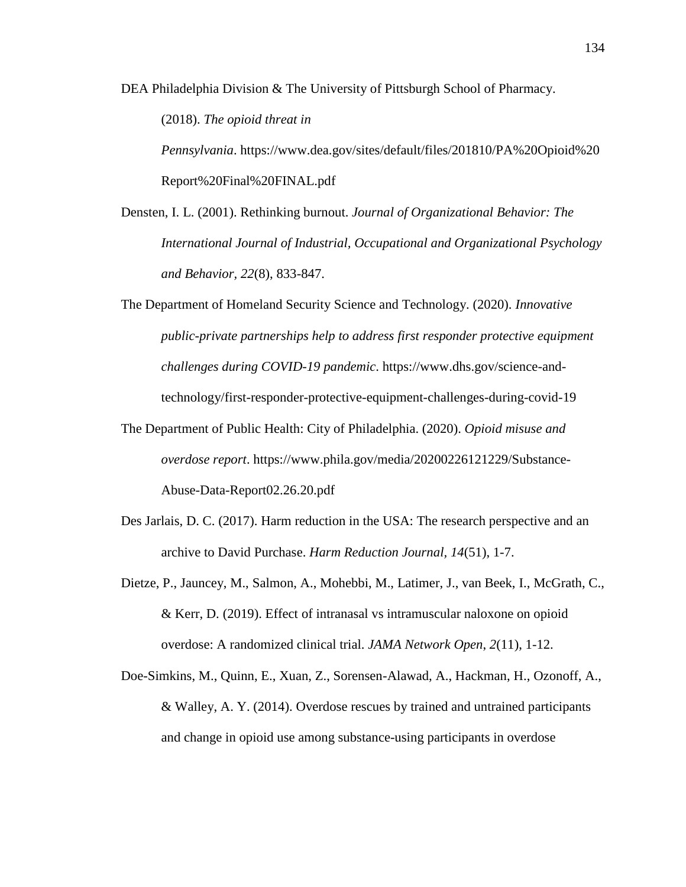DEA Philadelphia Division & The University of Pittsburgh School of Pharmacy.

(2018). *The opioid threat in*

*Pennsylvania*. https://www.dea.gov/sites/default/files/201810/PA%20Opioid%20 Report%20Final%20FINAL.pdf

Densten, I. L. (2001). Rethinking burnout. *Journal of Organizational Behavior: The International Journal of Industrial, Occupational and Organizational Psychology and Behavior, 22*(8), 833-847.

The Department of Homeland Security Science and Technology. (2020). *Innovative public-private partnerships help to address first responder protective equipment challenges during COVID-19 pandemic*. https://www.dhs.gov/science-andtechnology/first-responder-protective-equipment-challenges-during-covid-19

- The Department of Public Health: City of Philadelphia. (2020). *Opioid misuse and overdose report*. https://www.phila.gov/media/20200226121229/Substance-Abuse-Data-Report02.26.20.pdf
- Des Jarlais, D. C. (2017). Harm reduction in the USA: The research perspective and an archive to David Purchase. *Harm Reduction Journal, 14*(51), 1-7.
- Dietze, P., Jauncey, M., Salmon, A., Mohebbi, M., Latimer, J., van Beek, I., McGrath, C., & Kerr, D. (2019). Effect of intranasal vs intramuscular naloxone on opioid overdose: A randomized clinical trial. *JAMA Network Open*, *2*(11), 1-12.
- Doe-Simkins, M., Quinn, E., Xuan, Z., Sorensen-Alawad, A., Hackman, H., Ozonoff, A., & Walley, A. Y. (2014). Overdose rescues by trained and untrained participants and change in opioid use among substance-using participants in overdose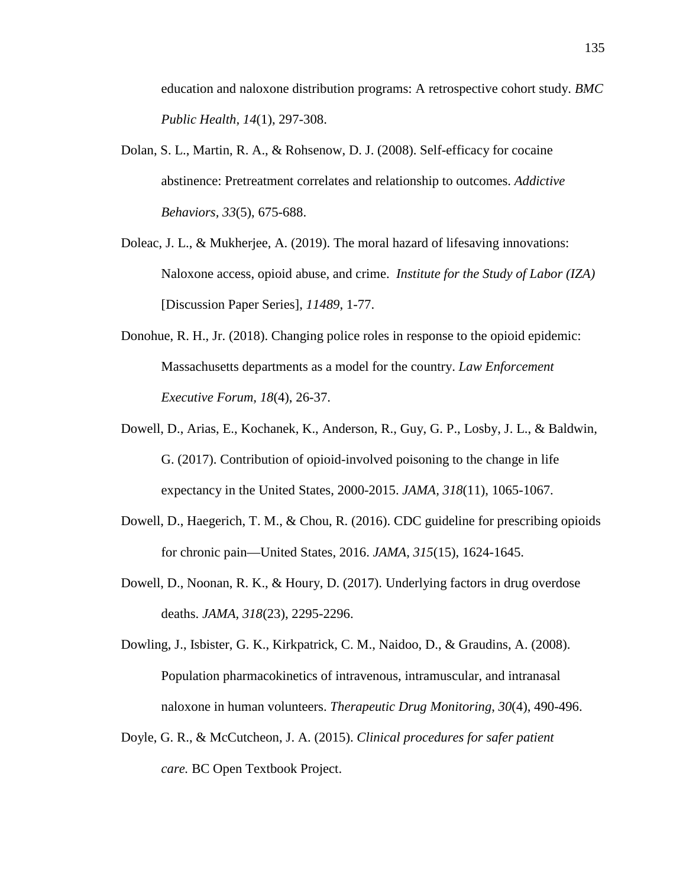education and naloxone distribution programs: A retrospective cohort study. *BMC Public Health, 14*(1), 297-308.

- Dolan, S. L., Martin, R. A., & Rohsenow, D. J. (2008). Self-efficacy for cocaine abstinence: Pretreatment correlates and relationship to outcomes. *Addictive Behaviors, 33*(5), 675-688.
- Doleac, J. L., & Mukherjee, A. (2019). The moral hazard of lifesaving innovations: Naloxone access, opioid abuse, and crime. *Institute for the Study of Labor (IZA)* [Discussion Paper Series], *11489*, 1-77.
- Donohue, R. H., Jr. (2018). Changing police roles in response to the opioid epidemic: Massachusetts departments as a model for the country. *Law Enforcement Executive Forum, 18*(4), 26-37.
- Dowell, D., Arias, E., Kochanek, K., Anderson, R., Guy, G. P., Losby, J. L., & Baldwin, G. (2017). Contribution of opioid-involved poisoning to the change in life expectancy in the United States, 2000-2015. *JAMA, 318*(11), 1065-1067.
- Dowell, D., Haegerich, T. M., & Chou, R. (2016). CDC guideline for prescribing opioids for chronic pain—United States, 2016. *JAMA*, *315*(15), 1624-1645.
- Dowell, D., Noonan, R. K., & Houry, D. (2017). Underlying factors in drug overdose deaths. *JAMA, 318*(23), 2295-2296.
- Dowling, J., Isbister, G. K., Kirkpatrick, C. M., Naidoo, D., & Graudins, A. (2008). Population pharmacokinetics of intravenous, intramuscular, and intranasal naloxone in human volunteers. *Therapeutic Drug Monitoring*, *30*(4), 490-496.
- Doyle, G. R., & McCutcheon, J. A. (2015). *Clinical procedures for safer patient care.* BC Open Textbook Project.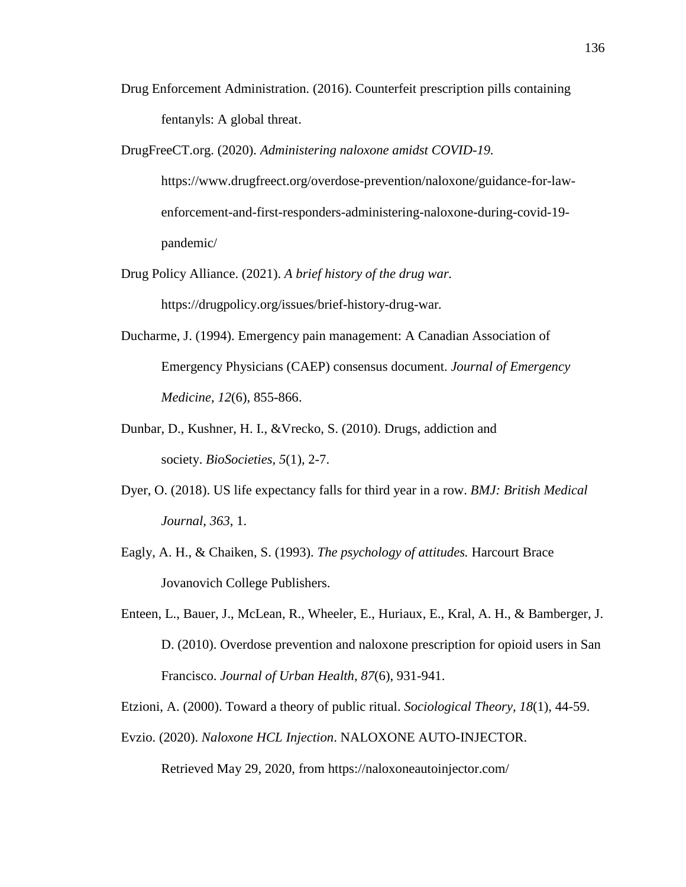- Drug Enforcement Administration. (2016). Counterfeit prescription pills containing fentanyls: A global threat.
- DrugFreeCT.org. (2020). *Administering naloxone amidst COVID-19.*  https://www.drugfreect.org/overdose-prevention/naloxone/guidance-for-lawenforcement-and-first-responders-administering-naloxone-during-covid-19 pandemic/
- Drug Policy Alliance. (2021). *A brief history of the drug war.*  https://drugpolicy.org/issues/brief-history-drug-war*.*
- Ducharme, J. (1994). Emergency pain management: A Canadian Association of Emergency Physicians (CAEP) consensus document. *Journal of Emergency Medicine, 12*(6), 855-866.
- Dunbar, D., Kushner, H. I., &Vrecko, S. (2010). Drugs, addiction and society. *BioSocieties, 5*(1), 2-7.
- Dyer, O. (2018). US life expectancy falls for third year in a row. *BMJ: British Medical Journal*, *363*, 1.
- Eagly, A. H., & Chaiken, S. (1993). *The psychology of attitudes.* Harcourt Brace Jovanovich College Publishers.
- Enteen, L., Bauer, J., McLean, R., Wheeler, E., Huriaux, E., Kral, A. H., & Bamberger, J. D. (2010). Overdose prevention and naloxone prescription for opioid users in San Francisco. *Journal of Urban Health, 87*(6), 931-941.
- Etzioni, A. (2000). Toward a theory of public ritual. *Sociological Theory, 18*(1), 44-59.
- Evzio. (2020). *Naloxone HCL Injection*. NALOXONE AUTO-INJECTOR.

Retrieved May 29, 2020, from https://naloxoneautoinjector.com/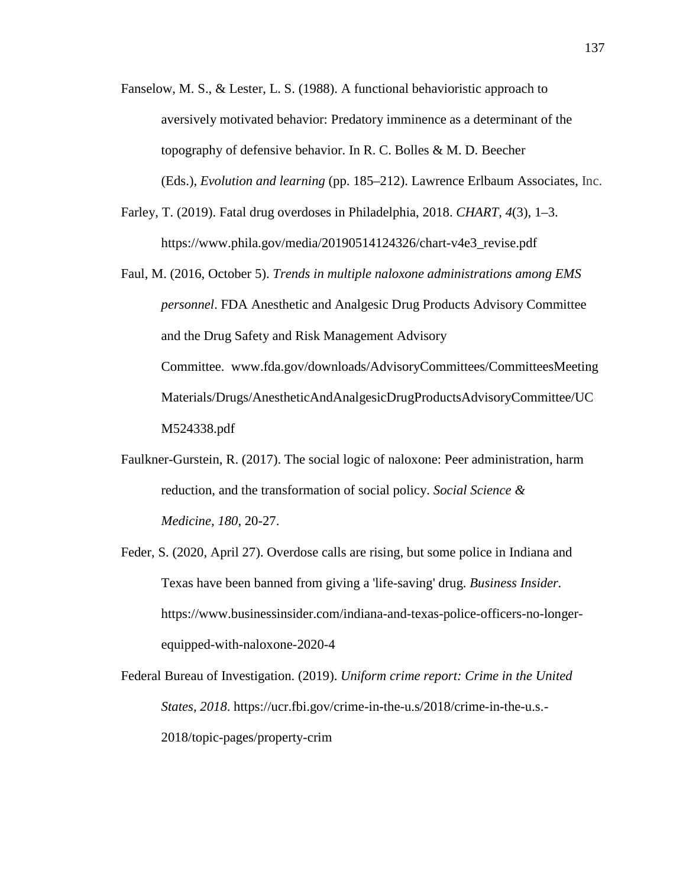Fanselow, M. S., & Lester, L. S. (1988). A functional behavioristic approach to aversively motivated behavior: Predatory imminence as a determinant of the topography of defensive behavior. In R. C. Bolles & M. D. Beecher (Eds.), *Evolution and learning* (pp. 185–212). Lawrence Erlbaum Associates, Inc.

Farley, T. (2019). Fatal drug overdoses in Philadelphia, 2018. *CHART*, *4*(3), 1–3. https://www.phila.gov/media/20190514124326/chart-v4e3\_revise.pdf

Faul, M. (2016, October 5). *Trends in multiple naloxone administrations among EMS personnel*. FDA Anesthetic and Analgesic Drug Products Advisory Committee and the Drug Safety and Risk Management Advisory Committee. www.fda.gov/downloads/AdvisoryCommittees/CommitteesMeeting Materials/Drugs/AnestheticAndAnalgesicDrugProductsAdvisoryCommittee/UC M524338.pdf

Faulkner-Gurstein, R. (2017). The social logic of naloxone: Peer administration, harm reduction, and the transformation of social policy. *Social Science & Medicine, 180*, 20-27.

Feder, S. (2020, April 27). Overdose calls are rising, but some police in Indiana and Texas have been banned from giving a 'life-saving' drug. *Business Insider.* https://www.businessinsider.com/indiana-and-texas-police-officers-no-longerequipped-with-naloxone-2020-4

Federal Bureau of Investigation. (2019). *Uniform crime report: Crime in the United States, 2018*. https://ucr.fbi.gov/crime-in-the-u.s/2018/crime-in-the-u.s.- 2018/topic-pages/property-crim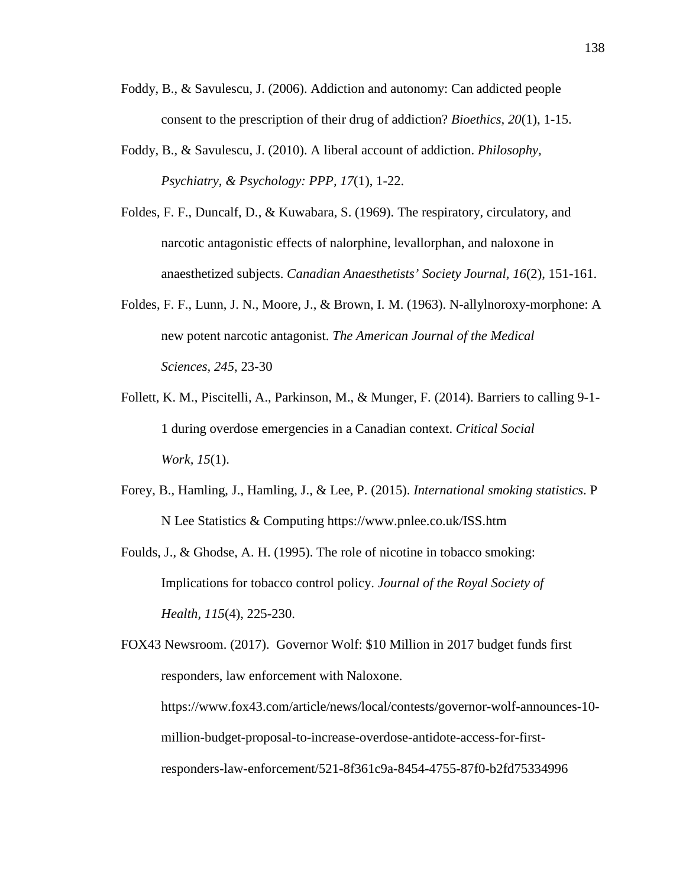- Foddy, B., & Savulescu, J. (2006). Addiction and autonomy: Can addicted people consent to the prescription of their drug of addiction? *Bioethics, 20*(1), 1-15.
- Foddy, B., & Savulescu, J. (2010). A liberal account of addiction. *Philosophy, Psychiatry, & Psychology: PPP, 17*(1), 1-22.
- Foldes, F. F., Duncalf, D., & Kuwabara, S. (1969). The respiratory, circulatory, and narcotic antagonistic effects of nalorphine, levallorphan, and naloxone in anaesthetized subjects. *Canadian Anaesthetists' Society Journal, 16*(2), 151-161.
- Foldes, F. F., Lunn, J. N., Moore, J., & Brown, I. M. (1963). N-allylnoroxy-morphone: A new potent narcotic antagonist. *The American Journal of the Medical Sciences, 245*, 23-30
- Follett, K. M., Piscitelli, A., Parkinson, M., & Munger, F. (2014). Barriers to calling 9-1- 1 during overdose emergencies in a Canadian context. *Critical Social Work, 15*(1).
- Forey, B., Hamling, J., Hamling, J., & Lee, P. (2015). *International smoking statistics*. P N Lee Statistics & Computing https://www.pnlee.co.uk/ISS.htm
- Foulds, J., & Ghodse, A. H. (1995). The role of nicotine in tobacco smoking: Implications for tobacco control policy. *Journal of the Royal Society of Health, 115*(4), 225-230.
- FOX43 Newsroom. (2017). Governor Wolf: \$10 Million in 2017 budget funds first responders, law enforcement with Naloxone.

https://www.fox43.com/article/news/local/contests/governor-wolf-announces-10 million-budget-proposal-to-increase-overdose-antidote-access-for-firstresponders-law-enforcement/521-8f361c9a-8454-4755-87f0-b2fd75334996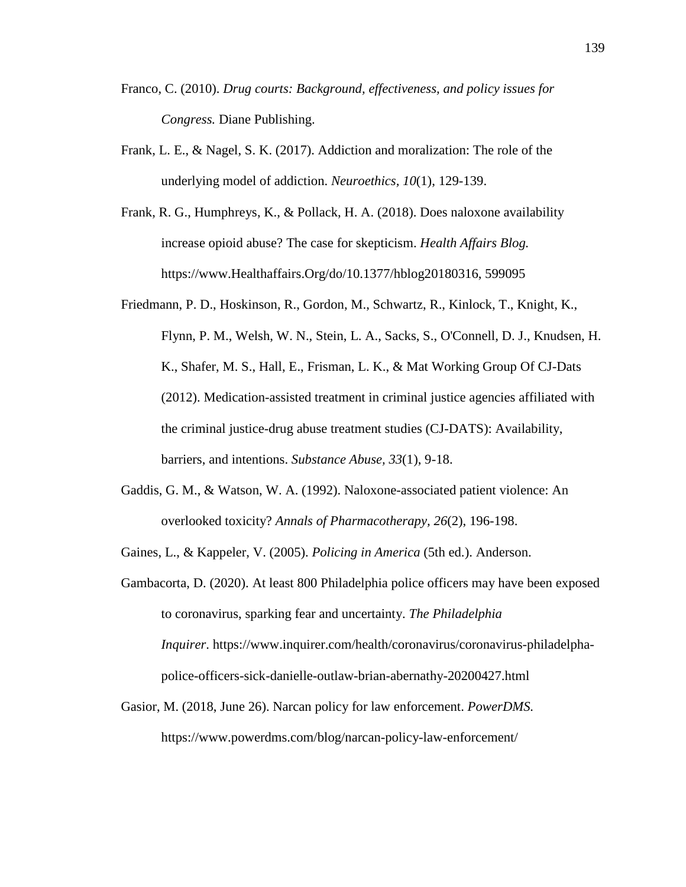- Franco, C. (2010). *Drug courts: Background, effectiveness, and policy issues for Congress.* Diane Publishing.
- Frank, L. E., & Nagel, S. K. (2017). Addiction and moralization: The role of the underlying model of addiction. *Neuroethics, 10*(1), 129-139.
- Frank, R. G., Humphreys, K., & Pollack, H. A. (2018). Does naloxone availability increase opioid abuse? The case for skepticism. *Health Affairs Blog.* https://www.Healthaffairs.Org/do/10.1377/hblog20180316, 599095
- Friedmann, P. D., Hoskinson, R., Gordon, M., Schwartz, R., Kinlock, T., Knight, K., Flynn, P. M., Welsh, W. N., Stein, L. A., Sacks, S., O'Connell, D. J., Knudsen, H. K., Shafer, M. S., Hall, E., Frisman, L. K., & Mat Working Group Of CJ-Dats (2012). Medication-assisted treatment in criminal justice agencies affiliated with the criminal justice-drug abuse treatment studies (CJ-DATS): Availability, barriers, and intentions. *Substance Abuse, 33*(1), 9-18.
- Gaddis, G. M., & Watson, W. A. (1992). Naloxone-associated patient violence: An overlooked toxicity? *Annals of Pharmacotherapy, 26*(2), 196-198.
- Gaines, L., & Kappeler, V. (2005). *Policing in America* (5th ed.). Anderson.
- Gambacorta, D. (2020). At least 800 Philadelphia police officers may have been exposed to coronavirus, sparking fear and uncertainty. *The Philadelphia Inquirer*. https://www.inquirer.com/health/coronavirus/coronavirus-philadelphapolice-officers-sick-danielle-outlaw-brian-abernathy-20200427.html
- Gasior, M. (2018, June 26). Narcan policy for law enforcement. *PowerDMS.* https://www.powerdms.com/blog/narcan-policy-law-enforcement/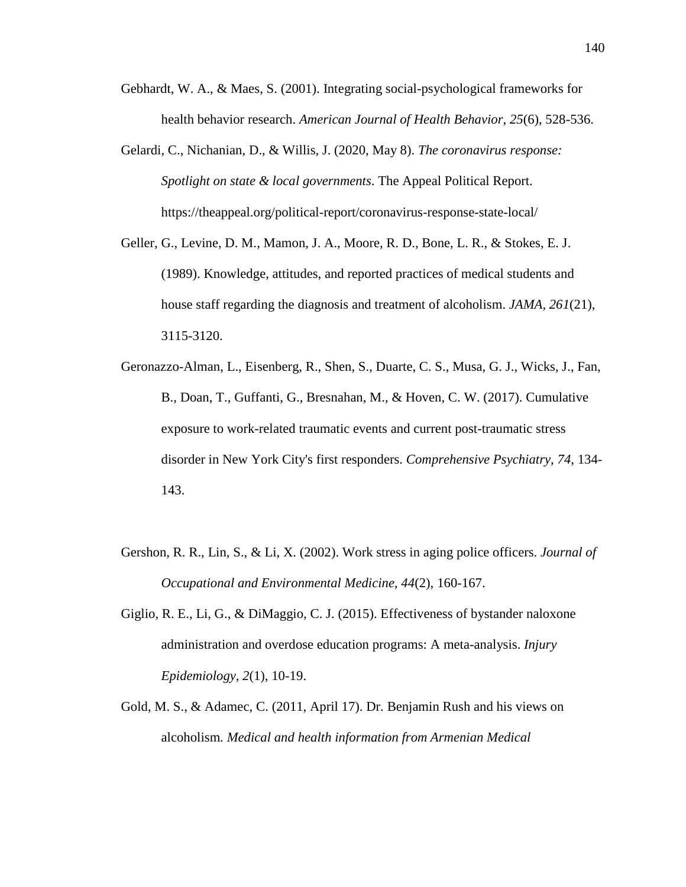- Gebhardt, W. A., & Maes, S. (2001). Integrating social-psychological frameworks for health behavior research. *American Journal of Health Behavior*, *25*(6), 528-536.
- Gelardi, C., Nichanian, D., & Willis, J. (2020, May 8). *The coronavirus response: Spotlight on state & local governments*. The Appeal Political Report. https://theappeal.org/political-report/coronavirus-response-state-local/
- Geller, G., Levine, D. M., Mamon, J. A., Moore, R. D., Bone, L. R., & Stokes, E. J. (1989). Knowledge, attitudes, and reported practices of medical students and house staff regarding the diagnosis and treatment of alcoholism. *JAMA, 261*(21), 3115-3120.
- Geronazzo-Alman, L., Eisenberg, R., Shen, S., Duarte, C. S., Musa, G. J., Wicks, J., Fan, B., Doan, T., Guffanti, G., Bresnahan, M., & Hoven, C. W. (2017). Cumulative exposure to work-related traumatic events and current post-traumatic stress disorder in New York City's first responders. *Comprehensive Psychiatry, 74*, 134- 143.
- Gershon, R. R., Lin, S., & Li, X. (2002). Work stress in aging police officers. *Journal of Occupational and Environmental Medicine*, *44*(2), 160-167.
- Giglio, R. E., Li, G., & DiMaggio, C. J. (2015). Effectiveness of bystander naloxone administration and overdose education programs: A meta-analysis. *Injury Epidemiology, 2*(1), 10-19.
- Gold, M. S., & Adamec, C. (2011, April 17). Dr. Benjamin Rush and his views on alcoholism*. Medical and health information from Armenian Medical*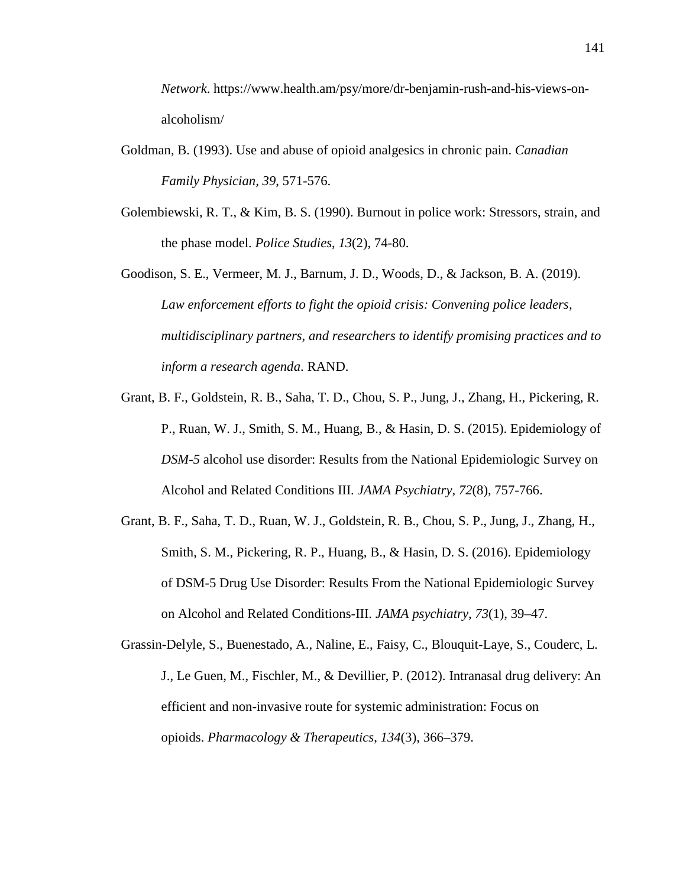*Network*. https://www.health.am/psy/more/dr-benjamin-rush-and-his-views-onalcoholism/

- Goldman, B. (1993). Use and abuse of opioid analgesics in chronic pain. *Canadian Family Physician, 39*, 571-576.
- Golembiewski, R. T., & Kim, B. S. (1990). Burnout in police work: Stressors, strain, and the phase model. *Police Studies*, *13*(2), 74-80.
- Goodison, S. E., Vermeer, M. J., Barnum, J. D., Woods, D., & Jackson, B. A. (2019). *Law enforcement efforts to fight the opioid crisis: Convening police leaders, multidisciplinary partners, and researchers to identify promising practices and to inform a research agenda*. RAND.
- Grant, B. F., Goldstein, R. B., Saha, T. D., Chou, S. P., Jung, J., Zhang, H., Pickering, R. P., Ruan, W. J., Smith, S. M., Huang, B., & Hasin, D. S. (2015). Epidemiology of *DSM-5* alcohol use disorder: Results from the National Epidemiologic Survey on Alcohol and Related Conditions III. *JAMA Psychiatry, 72*(8), 757-766.
- Grant, B. F., Saha, T. D., Ruan, W. J., Goldstein, R. B., Chou, S. P., Jung, J., Zhang, H., Smith, S. M., Pickering, R. P., Huang, B., & Hasin, D. S. (2016). Epidemiology of DSM-5 Drug Use Disorder: Results From the National Epidemiologic Survey on Alcohol and Related Conditions-III. *JAMA psychiatry*, *73*(1), 39–47.
- Grassin-Delyle, S., Buenestado, A., Naline, E., Faisy, C., Blouquit-Laye, S., Couderc, L. J., Le Guen, M., Fischler, M., & Devillier, P. (2012). Intranasal drug delivery: An efficient and non-invasive route for systemic administration: Focus on opioids. *Pharmacology & Therapeutics*, *134*(3), 366–379.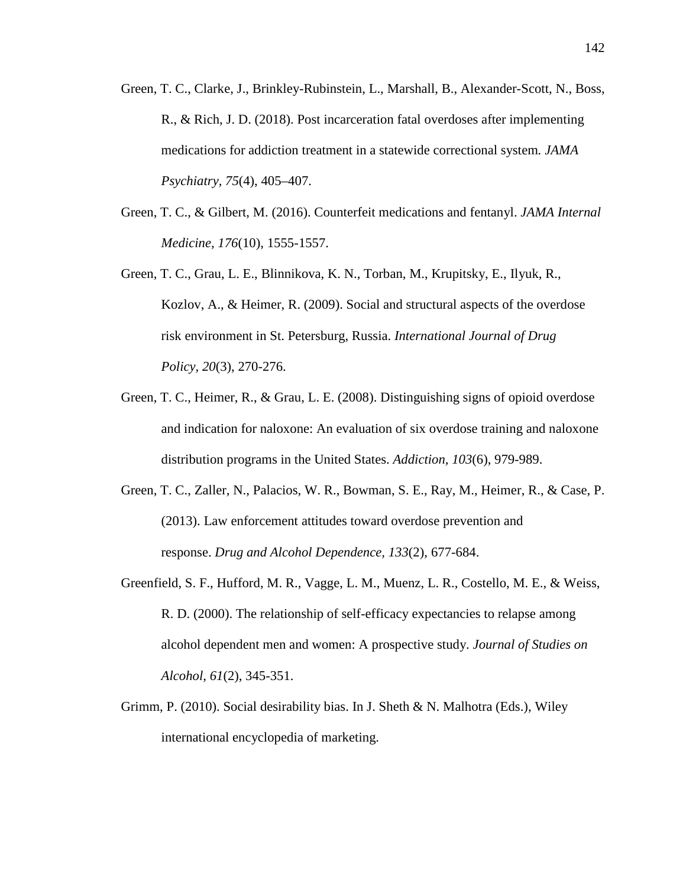- Green, T. C., Clarke, J., Brinkley-Rubinstein, L., Marshall, B., Alexander-Scott, N., Boss, R., & Rich, J. D. (2018). Post incarceration fatal overdoses after implementing medications for addiction treatment in a statewide correctional system*. JAMA Psychiatry, 75*(4), 405–407.
- Green, T. C., & Gilbert, M. (2016). Counterfeit medications and fentanyl. *JAMA Internal Medicine, 176*(10), 1555-1557.
- Green, T. C., Grau, L. E., Blinnikova, K. N., Torban, M., Krupitsky, E., Ilyuk, R., Kozlov, A., & Heimer, R. (2009). Social and structural aspects of the overdose risk environment in St. Petersburg, Russia. *International Journal of Drug Policy, 20*(3), 270-276.
- Green, T. C., Heimer, R., & Grau, L. E. (2008). Distinguishing signs of opioid overdose and indication for naloxone: An evaluation of six overdose training and naloxone distribution programs in the United States. *Addiction, 103*(6), 979-989.
- Green, T. C., Zaller, N., Palacios, W. R., Bowman, S. E., Ray, M., Heimer, R., & Case, P. (2013). Law enforcement attitudes toward overdose prevention and response. *Drug and Alcohol Dependence, 133*(2), 677-684.
- Greenfield, S. F., Hufford, M. R., Vagge, L. M., Muenz, L. R., Costello, M. E., & Weiss, R. D. (2000). The relationship of self-efficacy expectancies to relapse among alcohol dependent men and women: A prospective study. *Journal of Studies on Alcohol, 61*(2), 345-351.
- Grimm, P. (2010). Social desirability bias. In J. Sheth & N. Malhotra (Eds.), Wiley international encyclopedia of marketing.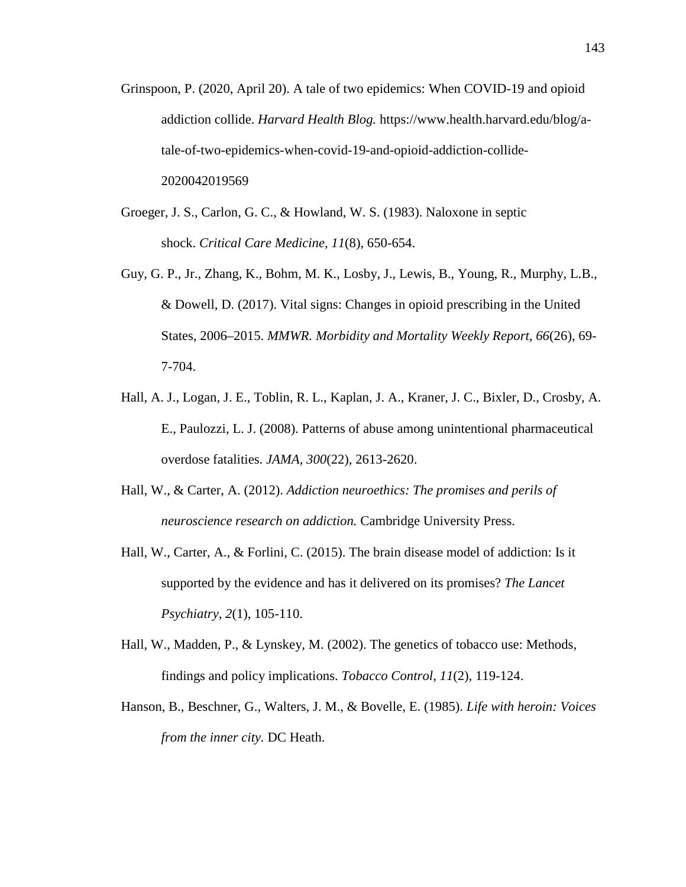- Grinspoon, P. (2020, April 20). A tale of two epidemics: When COVID-19 and opioid addiction collide. *Harvard Health Blog.* https://www.health.harvard.edu/blog/atale-of-two-epidemics-when-covid-19-and-opioid-addiction-collide-2020042019569
- Groeger, J. S., Carlon, G. C., & Howland, W. S. (1983). Naloxone in septic shock. *Critical Care Medicine, 11*(8), 650-654.
- Guy, G. P., Jr., Zhang, K., Bohm, M. K., Losby, J., Lewis, B., Young, R., Murphy, L.B., & Dowell, D. (2017). Vital signs: Changes in opioid prescribing in the United States, 2006–2015. *MMWR. Morbidity and Mortality Weekly Report, 66*(26), 69- 7-704.
- Hall, A. J., Logan, J. E., Toblin, R. L., Kaplan, J. A., Kraner, J. C., Bixler, D., Crosby, A. E., Paulozzi, L. J. (2008). Patterns of abuse among unintentional pharmaceutical overdose fatalities. *JAMA, 300*(22), 2613-2620.
- Hall, W., & Carter, A. (2012). *Addiction neuroethics: The promises and perils of neuroscience research on addiction.* Cambridge University Press.
- Hall, W., Carter, A., & Forlini, C. (2015). The brain disease model of addiction: Is it supported by the evidence and has it delivered on its promises? *The Lancet Psychiatry, 2*(1), 105-110.
- Hall, W., Madden, P., & Lynskey, M. (2002). The genetics of tobacco use: Methods, findings and policy implications. *Tobacco Control, 11*(2), 119-124.
- Hanson, B., Beschner, G., Walters, J. M., & Bovelle, E. (1985). *Life with heroin: Voices from the inner city.* DC Heath.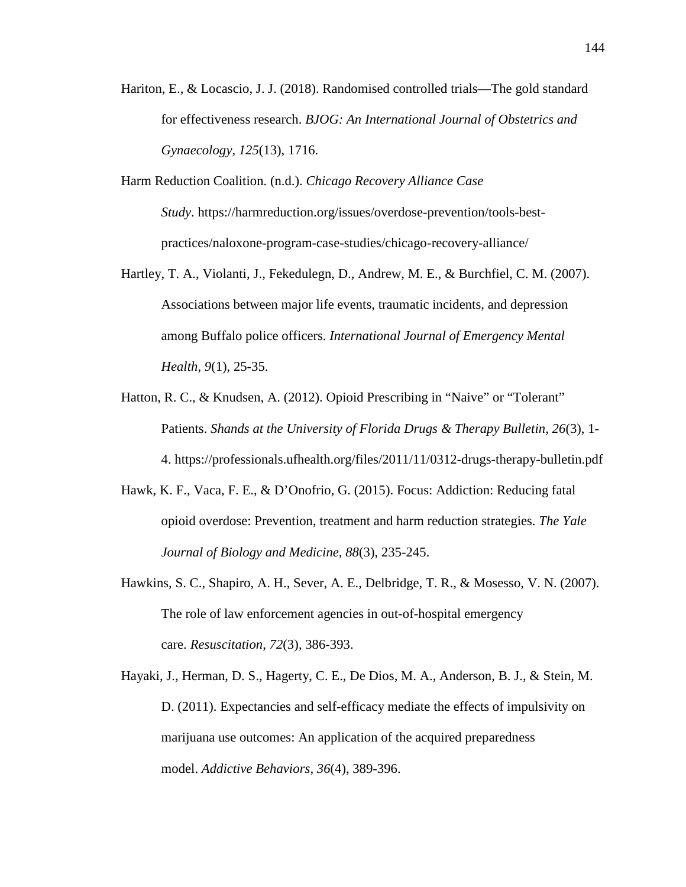- Hariton, E., & Locascio, J. J. (2018). Randomised controlled trials—The gold standard for effectiveness research. *BJOG: An International Journal of Obstetrics and Gynaecology, 125*(13), 1716.
- Harm Reduction Coalition. (n.d.). *Chicago Recovery Alliance Case Study*. https://harmreduction.org/issues/overdose-prevention/tools-bestpractices/naloxone-program-case-studies/chicago-recovery-alliance/
- Hartley, T. A., Violanti, J., Fekedulegn, D., Andrew, M. E., & Burchfiel, C. M. (2007). Associations between major life events, traumatic incidents, and depression among Buffalo police officers. *International Journal of Emergency Mental Health, 9*(1), 25-35.
- Hatton, R. C., & Knudsen, A. (2012). Opioid Prescribing in "Naive" or "Tolerant" Patients. *Shands at the University of Florida Drugs & Therapy Bulletin*, *26*(3), 1- 4. https://professionals.ufhealth.org/files/2011/11/0312-drugs-therapy-bulletin.pdf
- Hawk, K. F., Vaca, F. E., & D'Onofrio, G. (2015). Focus: Addiction: Reducing fatal opioid overdose: Prevention, treatment and harm reduction strategies. *The Yale Journal of Biology and Medicine, 88*(3), 235-245.
- Hawkins, S. C., Shapiro, A. H., Sever, A. E., Delbridge, T. R., & Mosesso, V. N. (2007). The role of law enforcement agencies in out-of-hospital emergency care. *Resuscitation, 72*(3), 386-393.
- Hayaki, J., Herman, D. S., Hagerty, C. E., De Dios, M. A., Anderson, B. J., & Stein, M. D. (2011). Expectancies and self-efficacy mediate the effects of impulsivity on marijuana use outcomes: An application of the acquired preparedness model. *Addictive Behaviors, 36*(4), 389-396.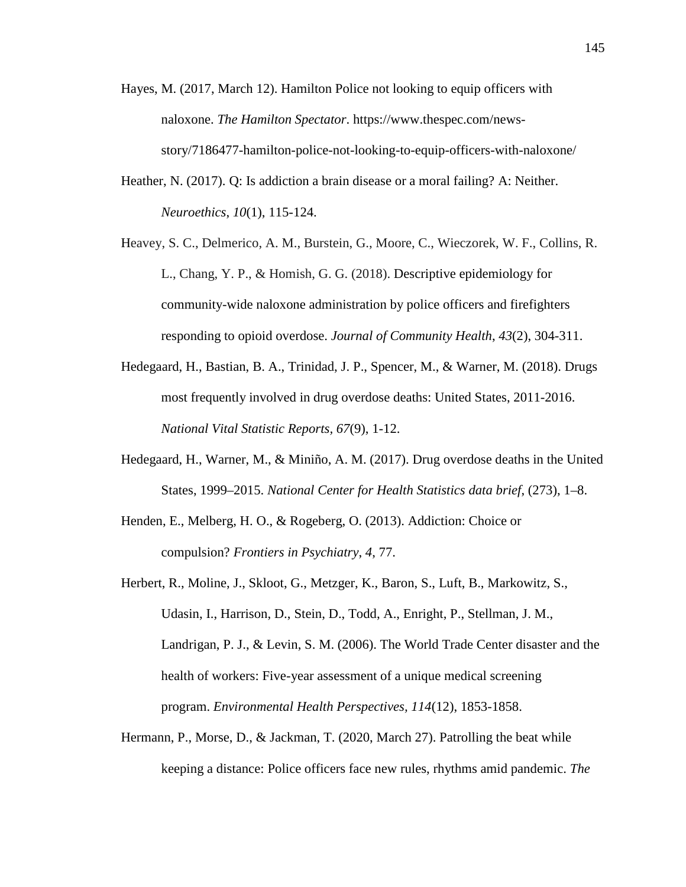- Hayes, M. (2017, March 12). Hamilton Police not looking to equip officers with naloxone. *The Hamilton Spectator*. https://www.thespec.com/newsstory/7186477-hamilton-police-not-looking-to-equip-officers-with-naloxone/
- Heather, N. (2017). Q: Is addiction a brain disease or a moral failing? A: Neither. *Neuroethics*, *10*(1), 115-124.
- Heavey, S. C., Delmerico, A. M., Burstein, G., Moore, C., Wieczorek, W. F., Collins, R. L., Chang, Y. P., & Homish, G. G. (2018). Descriptive epidemiology for community-wide naloxone administration by police officers and firefighters responding to opioid overdose. *Journal of Community Health*, *43*(2), 304-311.
- Hedegaard, H., Bastian, B. A., Trinidad, J. P., Spencer, M., & Warner, M. (2018). Drugs most frequently involved in drug overdose deaths: United States, 2011-2016. *National Vital Statistic Reports, 67*(9), 1-12.
- Hedegaard, H., Warner, M., & Miniño, A. M. (2017). Drug overdose deaths in the United States, 1999–2015. *National Center for Health Statistics data brief*, (273), 1–8.
- Henden, E., Melberg, H. O., & Rogeberg, O. (2013). Addiction: Choice or compulsion? *Frontiers in Psychiatry*, *4*, 77.
- Herbert, R., Moline, J., Skloot, G., Metzger, K., Baron, S., Luft, B., Markowitz, S., Udasin, I., Harrison, D., Stein, D., Todd, A., Enright, P., Stellman, J. M., Landrigan, P. J., & Levin, S. M. (2006). The World Trade Center disaster and the health of workers: Five-year assessment of a unique medical screening program. *Environmental Health Perspectives, 114*(12), 1853-1858.
- Hermann, P., Morse, D., & Jackman, T. (2020, March 27). Patrolling the beat while keeping a distance: Police officers face new rules, rhythms amid pandemic. *The*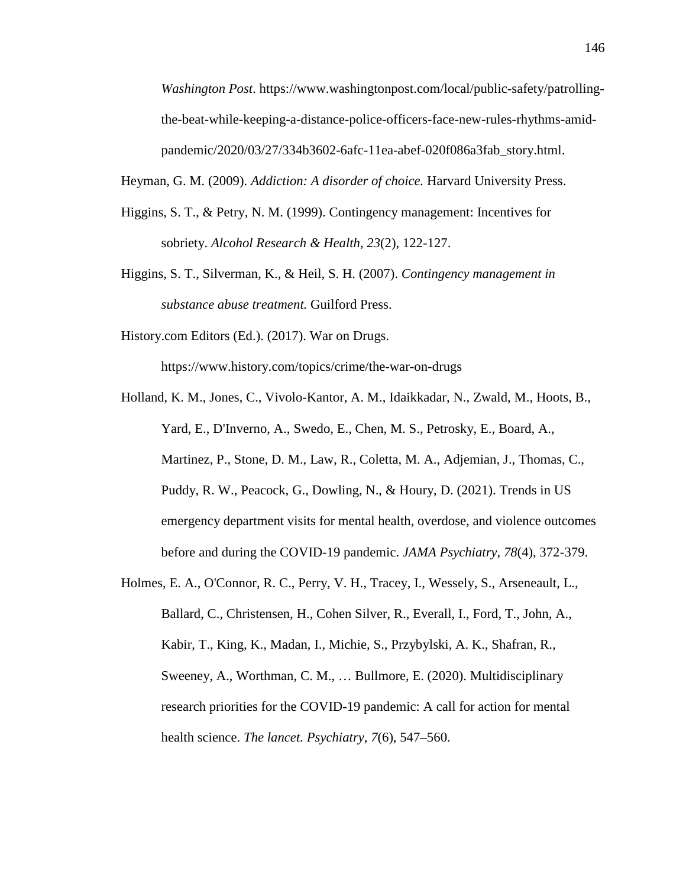*Washington Post*. https://www.washingtonpost.com/local/public-safety/patrollingthe-beat-while-keeping-a-distance-police-officers-face-new-rules-rhythms-amidpandemic/2020/03/27/334b3602-6afc-11ea-abef-020f086a3fab\_story.html.

Heyman, G. M. (2009). *Addiction: A disorder of choice.* Harvard University Press.

- Higgins, S. T., & Petry, N. M. (1999). Contingency management: Incentives for sobriety. *Alcohol Research & Health, 23*(2), 122-127.
- Higgins, S. T., Silverman, K., & Heil, S. H. (2007). *Contingency management in substance abuse treatment.* Guilford Press.
- History.com Editors (Ed.). (2017). War on Drugs.

https://www.history.com/topics/crime/the-war-on-drugs

- Holland, K. M., Jones, C., Vivolo-Kantor, A. M., Idaikkadar, N., Zwald, M., Hoots, B., Yard, E., D'Inverno, A., Swedo, E., Chen, M. S., Petrosky, E., Board, A., Martinez, P., Stone, D. M., Law, R., Coletta, M. A., Adjemian, J., Thomas, C., Puddy, R. W., Peacock, G., Dowling, N., & Houry, D. (2021). Trends in US emergency department visits for mental health, overdose, and violence outcomes before and during the COVID-19 pandemic. *JAMA Psychiatry*, *78*(4), 372-379.
- Holmes, E. A., O'Connor, R. C., Perry, V. H., Tracey, I., Wessely, S., Arseneault, L., Ballard, C., Christensen, H., Cohen Silver, R., Everall, I., Ford, T., John, A., Kabir, T., King, K., Madan, I., Michie, S., Przybylski, A. K., Shafran, R., Sweeney, A., Worthman, C. M., … Bullmore, E. (2020). Multidisciplinary research priorities for the COVID-19 pandemic: A call for action for mental health science. *The lancet. Psychiatry*, *7*(6), 547–560.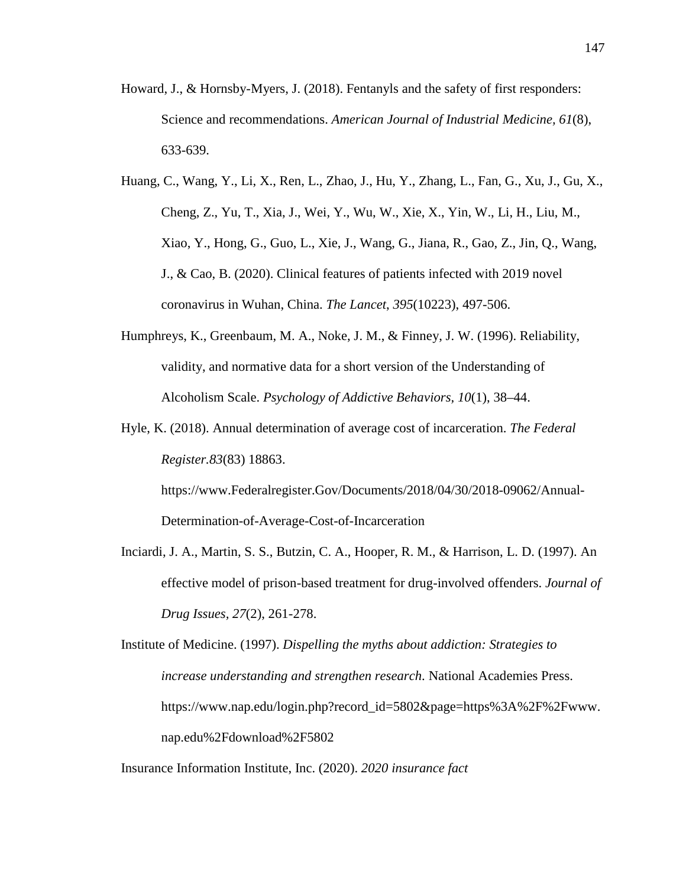- Howard, J., & Hornsby-Myers, J. (2018). Fentanyls and the safety of first responders: Science and recommendations. *American Journal of Industrial Medicine, 61*(8), 633-639.
- Huang, C., Wang, Y., Li, X., Ren, L., Zhao, J., Hu, Y., Zhang, L., Fan, G., Xu, J., Gu, X., Cheng, Z., Yu, T., Xia, J., Wei, Y., Wu, W., Xie, X., Yin, W., Li, H., Liu, M., Xiao, Y., Hong, G., Guo, L., Xie, J., Wang, G., Jiana, R., Gao, Z., Jin, Q., Wang, J., & Cao, B. (2020). Clinical features of patients infected with 2019 novel coronavirus in Wuhan, China. *The Lancet*, *395*(10223), 497-506.
- Humphreys, K., Greenbaum, M. A., Noke, J. M., & Finney, J. W. (1996). Reliability, validity, and normative data for a short version of the Understanding of Alcoholism Scale. *Psychology of Addictive Behaviors, 10*(1), 38–44.
- Hyle, K. (2018). Annual determination of average cost of incarceration. *The Federal Register.83*(83) 18863.

https://www.Federalregister.Gov/Documents/2018/04/30/2018-09062/Annual-Determination-of-Average-Cost-of-Incarceration

Inciardi, J. A., Martin, S. S., Butzin, C. A., Hooper, R. M., & Harrison, L. D. (1997). An effective model of prison-based treatment for drug-involved offenders. *Journal of Drug Issues, 27*(2), 261-278.

Institute of Medicine. (1997). *Dispelling the myths about addiction: Strategies to increase understanding and strengthen research*. National Academies Press. https://www.nap.edu/login.php?record\_id=5802&page=https%3A%2F%2Fwww. nap.edu%2Fdownload%2F5802

Insurance Information Institute, Inc. (2020). *2020 insurance fact*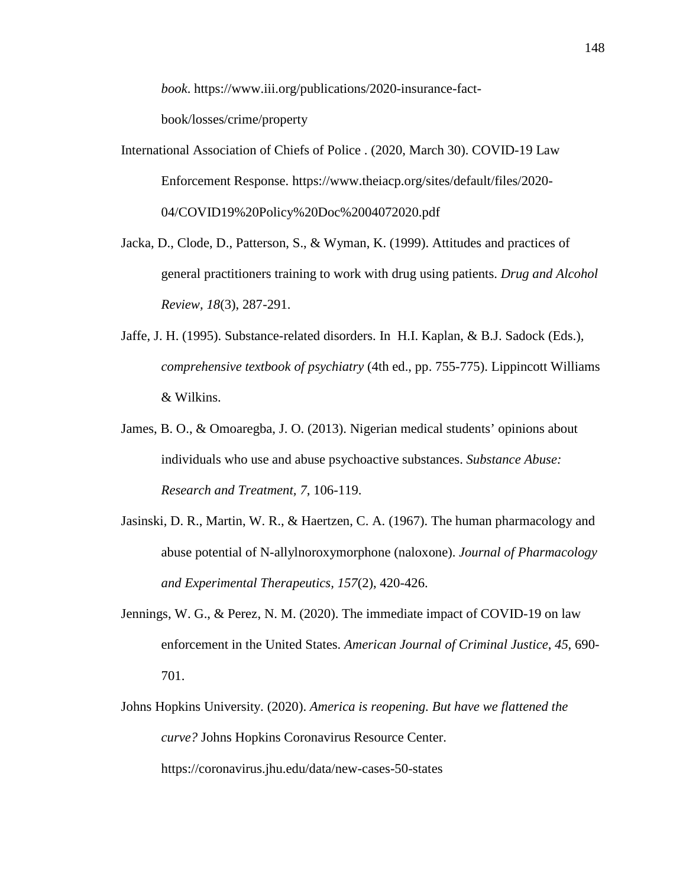*book*. https://www.iii.org/publications/2020-insurance-factbook/losses/crime/property

- International Association of Chiefs of Police . (2020, March 30). COVID-19 Law Enforcement Response. https://www.theiacp.org/sites/default/files/2020- 04/COVID19%20Policy%20Doc%2004072020.pdf
- Jacka, D., Clode, D., Patterson, S., & Wyman, K. (1999). Attitudes and practices of general practitioners training to work with drug using patients. *Drug and Alcohol Review, 18*(3), 287-291.
- Jaffe, J. H. (1995). Substance-related disorders. In H.I. Kaplan, & B.J. Sadock (Eds.)*, comprehensive textbook of psychiatry* (4th ed., pp. 755-775). Lippincott Williams & Wilkins.
- James, B. O., & Omoaregba, J. O. (2013). Nigerian medical students' opinions about individuals who use and abuse psychoactive substances. *Substance Abuse: Research and Treatment, 7*, 106-119.
- Jasinski, D. R., Martin, W. R., & Haertzen, C. A. (1967). The human pharmacology and abuse potential of N-allylnoroxymorphone (naloxone). *Journal of Pharmacology and Experimental Therapeutics, 157*(2), 420-426.
- Jennings, W. G., & Perez, N. M. (2020). The immediate impact of COVID-19 on law enforcement in the United States. *American Journal of Criminal Justice*, *45*, 690- 701.
- Johns Hopkins University. (2020). *America is reopening. But have we flattened the curve?* Johns Hopkins Coronavirus Resource Center. https://coronavirus.jhu.edu/data/new-cases-50-states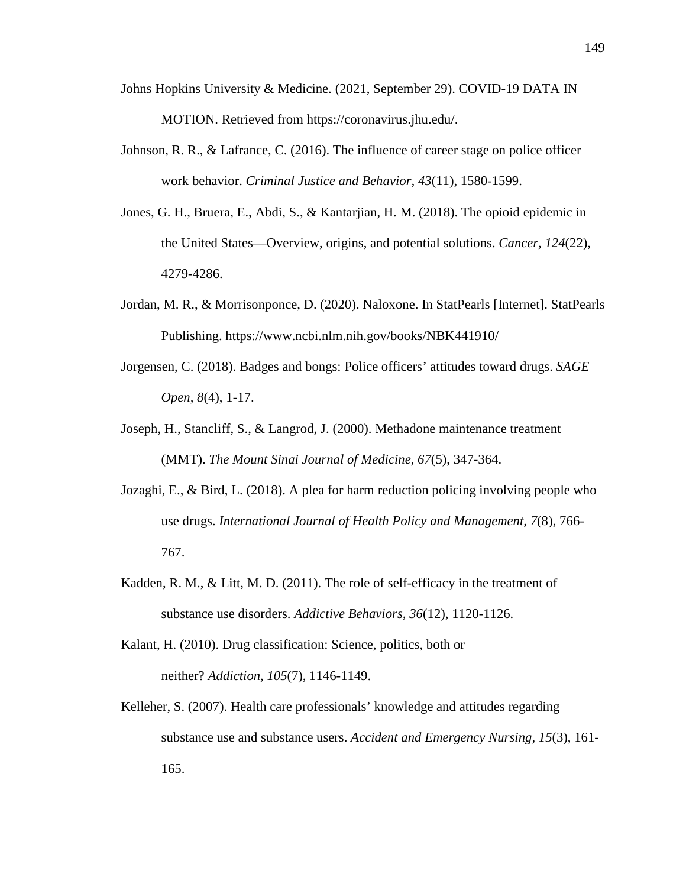- Johns Hopkins University & Medicine. (2021, September 29). COVID-19 DATA IN MOTION. Retrieved from https://coronavirus.jhu.edu/.
- Johnson, R. R., & Lafrance, C. (2016). The influence of career stage on police officer work behavior. *Criminal Justice and Behavior, 43*(11), 1580-1599.
- Jones, G. H., Bruera, E., Abdi, S., & Kantarjian, H. M. (2018). The opioid epidemic in the United States—Overview, origins, and potential solutions. *Cancer, 124*(22), 4279-4286.
- Jordan, M. R., & Morrisonponce, D. (2020). Naloxone. In StatPearls [Internet]. StatPearls Publishing. [h](https://www.ncbi.nlm.nih.gov/books/NBK441910/)ttps://www.ncbi.nlm.nih.gov/books/NBK441910/
- Jorgensen, C. (2018). Badges and bongs: Police officers' attitudes toward drugs. *SAGE Open, 8*(4), 1-17.
- Joseph, H., Stancliff, S., & Langrod, J. (2000). Methadone maintenance treatment (MMT). *The Mount Sinai Journal of Medicine, 67*(5), 347-364.
- Jozaghi, E., & Bird, L. (2018). A plea for harm reduction policing involving people who use drugs. *International Journal of Health Policy and Management, 7*(8), 766- 767.
- Kadden, R. M., & Litt, M. D. (2011). The role of self-efficacy in the treatment of substance use disorders. *Addictive Behaviors, 36*(12), 1120-1126.
- Kalant, H. (2010). Drug classification: Science, politics, both or neither? *Addiction, 105*(7), 1146-1149.
- Kelleher, S. (2007). Health care professionals' knowledge and attitudes regarding substance use and substance users. *Accident and Emergency Nursing, 15*(3), 161- 165.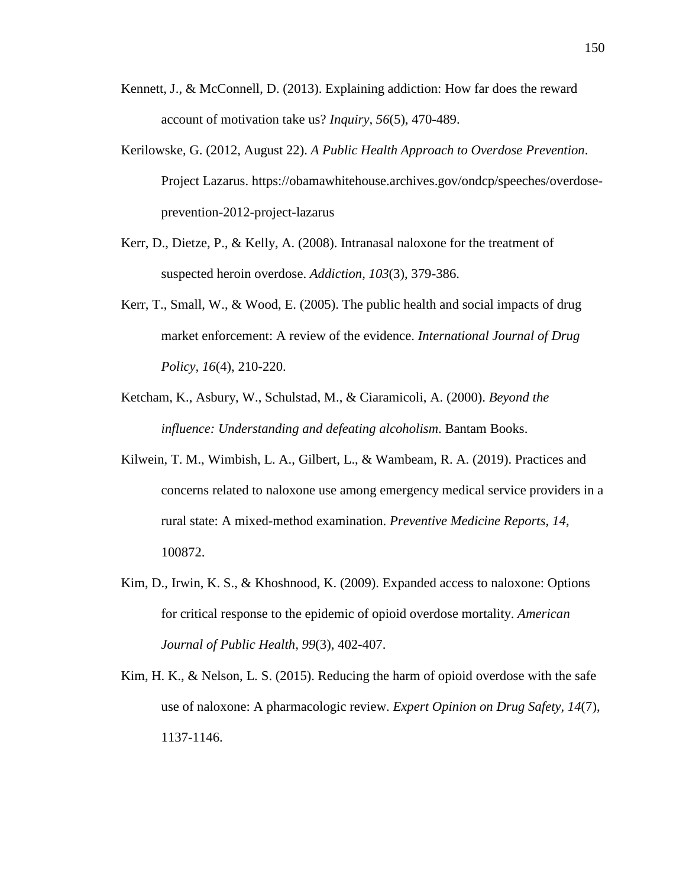- Kennett, J., & McConnell, D. (2013). Explaining addiction: How far does the reward account of motivation take us? *Inquiry, 56*(5), 470-489.
- Kerilowske, G. (2012, August 22). *A Public Health Approach to Overdose Prevention*. Project Lazarus. https://obamawhitehouse.archives.gov/ondcp/speeches/overdoseprevention-2012-project-lazarus
- Kerr, D., Dietze, P., & Kelly, A. (2008). Intranasal naloxone for the treatment of suspected heroin overdose. *Addiction, 103*(3), 379-386.
- Kerr, T., Small, W., & Wood, E. (2005). The public health and social impacts of drug market enforcement: A review of the evidence. *International Journal of Drug Policy, 16*(4), 210-220.
- Ketcham, K., Asbury, W., Schulstad, M., & Ciaramicoli, A. (2000). *Beyond the influence: Understanding and defeating alcoholism*. Bantam Books.
- Kilwein, T. M., Wimbish, L. A., Gilbert, L., & Wambeam, R. A. (2019). Practices and concerns related to naloxone use among emergency medical service providers in a rural state: A mixed-method examination. *Preventive Medicine Reports, 14*, 100872.
- Kim, D., Irwin, K. S., & Khoshnood, K. (2009). Expanded access to naloxone: Options for critical response to the epidemic of opioid overdose mortality. *American Journal of Public Health, 99*(3), 402-407.
- Kim, H. K., & Nelson, L. S. (2015). Reducing the harm of opioid overdose with the safe use of naloxone: A pharmacologic review. *Expert Opinion on Drug Safety, 14*(7), 1137-1146.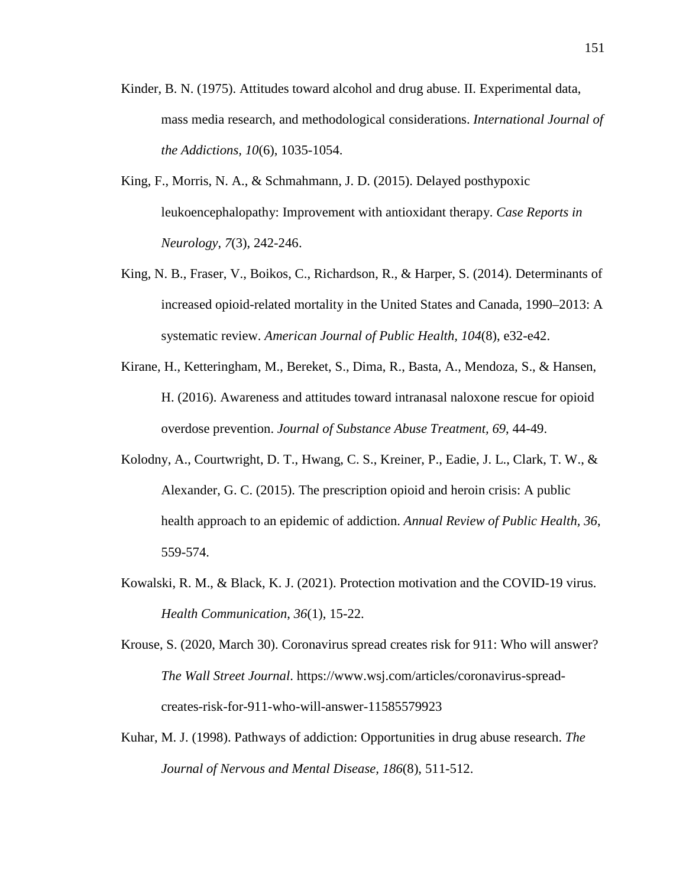- Kinder, B. N. (1975). Attitudes toward alcohol and drug abuse. II. Experimental data, mass media research, and methodological considerations. *International Journal of the Addictions, 10*(6), 1035-1054.
- King, F., Morris, N. A., & Schmahmann, J. D. (2015). Delayed posthypoxic leukoencephalopathy: Improvement with antioxidant therapy. *Case Reports in Neurology*, *7*(3), 242-246.
- King, N. B., Fraser, V., Boikos, C., Richardson, R., & Harper, S. (2014). Determinants of increased opioid-related mortality in the United States and Canada, 1990–2013: A systematic review. *American Journal of Public Health, 104*(8), e32-e42.
- Kirane, H., Ketteringham, M., Bereket, S., Dima, R., Basta, A., Mendoza, S., & Hansen, H. (2016). Awareness and attitudes toward intranasal naloxone rescue for opioid overdose prevention. *Journal of Substance Abuse Treatment, 69*, 44-49.
- Kolodny, A., Courtwright, D. T., Hwang, C. S., Kreiner, P., Eadie, J. L., Clark, T. W., & Alexander, G. C. (2015). The prescription opioid and heroin crisis: A public health approach to an epidemic of addiction. *Annual Review of Public Health, 36*, 559-574.
- Kowalski, R. M., & Black, K. J. (2021). Protection motivation and the COVID-19 virus. *Health Communication*, *36*(1), 15-22.
- Krouse, S. (2020, March 30). Coronavirus spread creates risk for 911: Who will answer? *The Wall Street Journal*. https://www.wsj.com/articles/coronavirus-spreadcreates-risk-for-911-who-will-answer-11585579923
- Kuhar, M. J. (1998). Pathways of addiction: Opportunities in drug abuse research. *The Journal of Nervous and Mental Disease, 186*(8), 511-512.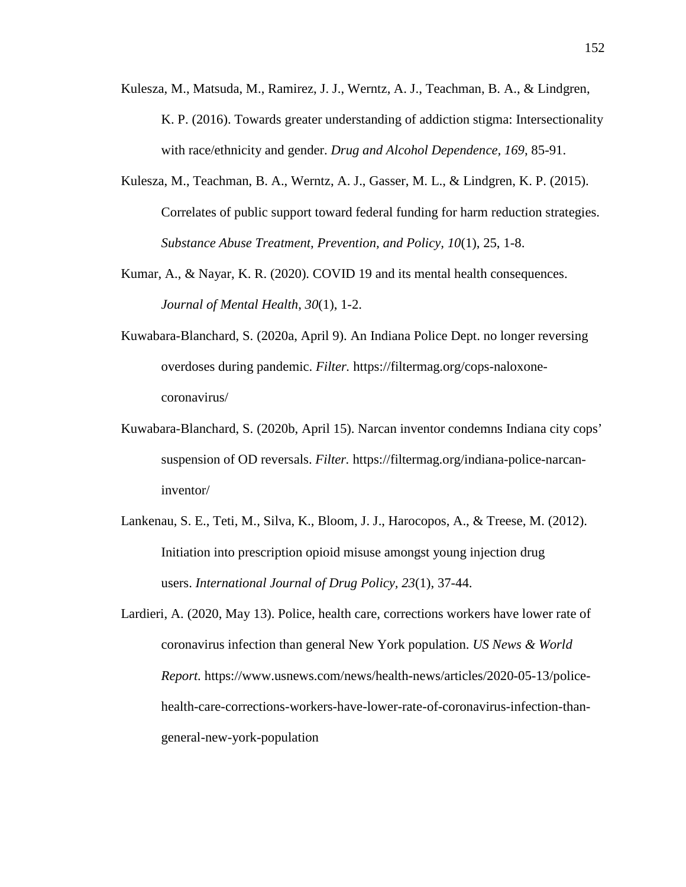- Kulesza, M., Matsuda, M., Ramirez, J. J., Werntz, A. J., Teachman, B. A., & Lindgren, K. P. (2016). Towards greater understanding of addiction stigma: Intersectionality with race/ethnicity and gender. *Drug and Alcohol Dependence, 169*, 85-91.
- Kulesza, M., Teachman, B. A., Werntz, A. J., Gasser, M. L., & Lindgren, K. P. (2015). Correlates of public support toward federal funding for harm reduction strategies. *Substance Abuse Treatment, Prevention, and Policy, 10*(1), 25, 1-8.
- Kumar, A., & Nayar, K. R. (2020). COVID 19 and its mental health consequences. *Journal of Mental Health*, *30*(1), 1-2.
- Kuwabara-Blanchard, S. (2020a, April 9). An Indiana Police Dept. no longer reversing overdoses during pandemic. *Filter.* https://filtermag.org/cops-naloxonecoronavirus/
- Kuwabara-Blanchard, S. (2020b, April 15). Narcan inventor condemns Indiana city cops' suspension of OD reversals. *Filter.* https://filtermag.org/indiana-police-narcaninventor/
- Lankenau, S. E., Teti, M., Silva, K., Bloom, J. J., Harocopos, A., & Treese, M. (2012). Initiation into prescription opioid misuse amongst young injection drug users. *International Journal of Drug Policy, 23*(1), 37-44.
- Lardieri, A. (2020, May 13). Police, health care, corrections workers have lower rate of coronavirus infection than general New York population. *US News & World Report.* https://www.usnews.com/news/health-news/articles/2020-05-13/policehealth-care-corrections-workers-have-lower-rate-of-coronavirus-infection-thangeneral-new-york-population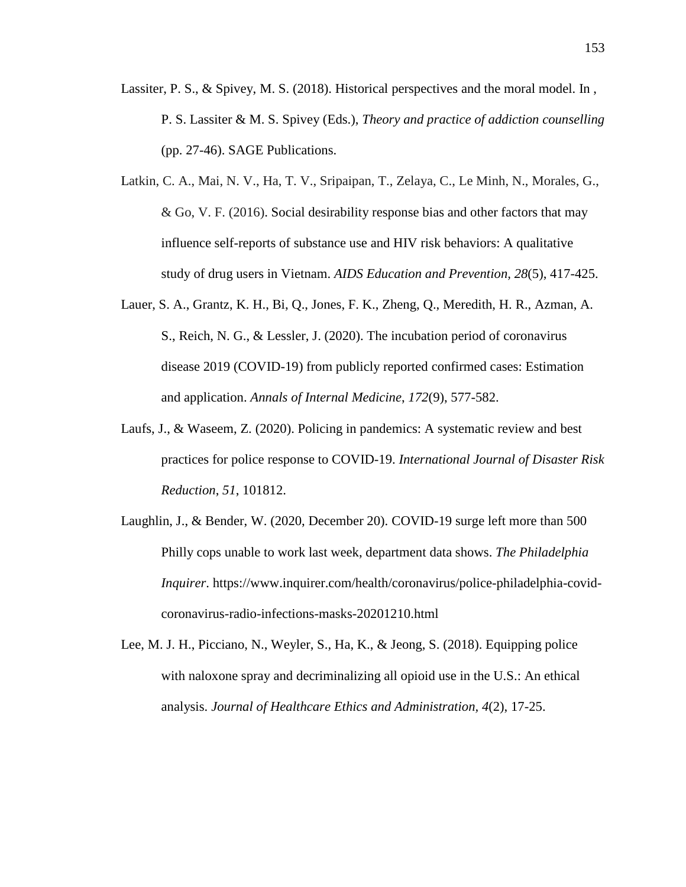- Lassiter, P. S., & Spivey, M. S. (2018). Historical perspectives and the moral model. In , P. S. Lassiter & M. S. Spivey (Eds.), *Theory and practice of addiction counselling* (pp. 27-46). SAGE Publications.
- Latkin, C. A., Mai, N. V., Ha, T. V., Sripaipan, T., Zelaya, C., Le Minh, N., Morales, G., & Go, V. F. (2016). Social desirability response bias and other factors that may influence self-reports of substance use and HIV risk behaviors: A qualitative study of drug users in Vietnam. *AIDS Education and Prevention, 28*(5), 417-425.
- Lauer, S. A., Grantz, K. H., Bi, Q., Jones, F. K., Zheng, Q., Meredith, H. R., Azman, A. S., Reich, N. G., & Lessler, J. (2020). The incubation period of coronavirus disease 2019 (COVID-19) from publicly reported confirmed cases: Estimation and application. *Annals of Internal Medicine*, *172*(9), 577-582.
- Laufs, J., & Waseem, Z. (2020). Policing in pandemics: A systematic review and best practices for police response to COVID-19. *International Journal of Disaster Risk Reduction*, *51*, 101812.
- Laughlin, J., & Bender, W. (2020, December 20). COVID-19 surge left more than 500 Philly cops unable to work last week, department data shows. *The Philadelphia Inquirer*. https://www.inquirer.com/health/coronavirus/police-philadelphia-covidcoronavirus-radio-infections-masks-20201210.html
- Lee, M. J. H., Picciano, N., Weyler, S., Ha, K., & Jeong, S. (2018). Equipping police with naloxone spray and decriminalizing all opioid use in the U.S.: An ethical analysis. *Journal of Healthcare Ethics and Administration, 4*(2), 17-25.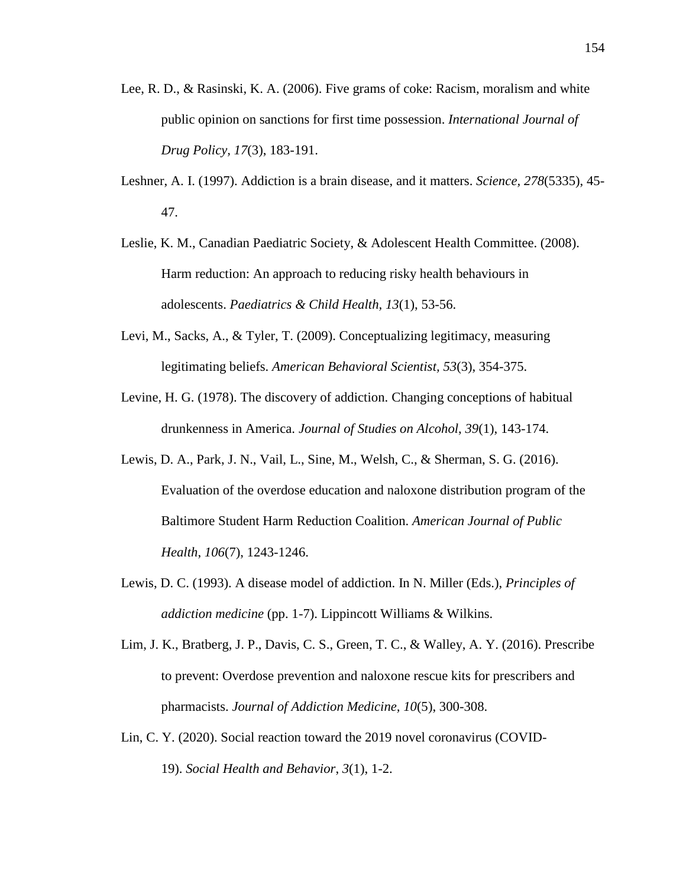- Lee, R. D., & Rasinski, K. A. (2006). Five grams of coke: Racism, moralism and white public opinion on sanctions for first time possession. *International Journal of Drug Policy, 17*(3), 183-191.
- Leshner, A. I. (1997). Addiction is a brain disease, and it matters. *Science, 278*(5335), 45- 47.
- Leslie, K. M., Canadian Paediatric Society, & Adolescent Health Committee. (2008). Harm reduction: An approach to reducing risky health behaviours in adolescents. *Paediatrics & Child Health, 13*(1), 53-56.
- Levi, M., Sacks, A., & Tyler, T. (2009). Conceptualizing legitimacy, measuring legitimating beliefs. *American Behavioral Scientist, 53*(3), 354-375.
- Levine, H. G. (1978). The discovery of addiction. Changing conceptions of habitual drunkenness in America. *Journal of Studies on Alcohol*, *39*(1), 143-174.
- Lewis, D. A., Park, J. N., Vail, L., Sine, M., Welsh, C., & Sherman, S. G. (2016). Evaluation of the overdose education and naloxone distribution program of the Baltimore Student Harm Reduction Coalition. *American Journal of Public Health*, *106*(7), 1243-1246.
- Lewis, D. C. (1993). A disease model of addiction. In N. Miller (Eds.), *Principles of addiction medicine* (pp. 1-7). Lippincott Williams & Wilkins.
- Lim, J. K., Bratberg, J. P., Davis, C. S., Green, T. C., & Walley, A. Y. (2016). Prescribe to prevent: Overdose prevention and naloxone rescue kits for prescribers and pharmacists. *Journal of Addiction Medicine, 10*(5), 300-308.
- Lin, C. Y. (2020). Social reaction toward the 2019 novel coronavirus (COVID-19). *Social Health and Behavior*, *3*(1), 1-2.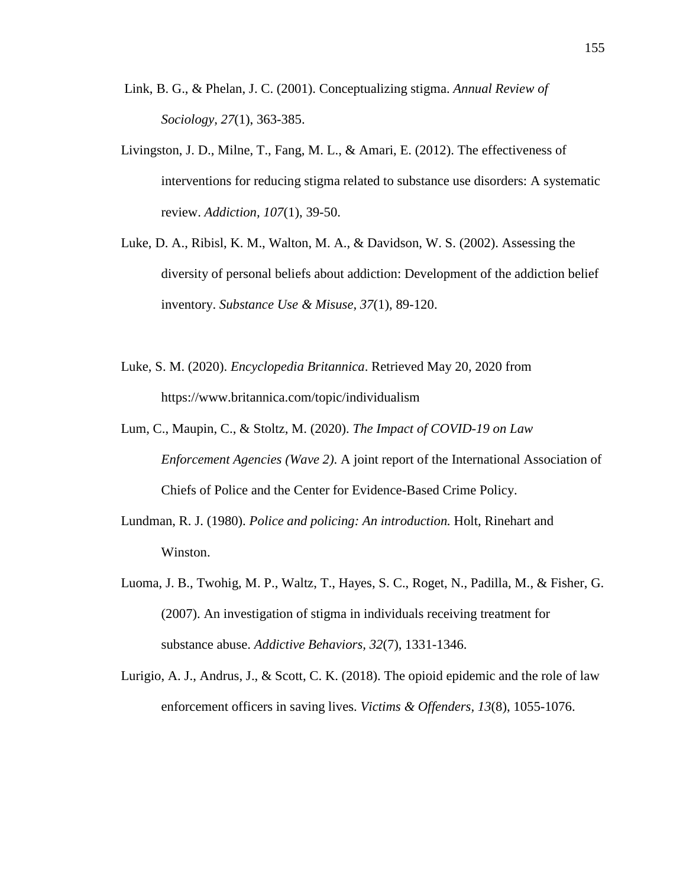- Link, B. G., & Phelan, J. C. (2001). Conceptualizing stigma. *Annual Review of Sociology, 27*(1), 363-385.
- Livingston, J. D., Milne, T., Fang, M. L., & Amari, E. (2012). The effectiveness of interventions for reducing stigma related to substance use disorders: A systematic review. *Addiction, 107*(1), 39-50.
- Luke, D. A., Ribisl, K. M., Walton, M. A., & Davidson, W. S. (2002). Assessing the diversity of personal beliefs about addiction: Development of the addiction belief inventory. *Substance Use & Misuse, 37*(1), 89-120.
- Luke, S. M. (2020). *Encyclopedia Britannica*. Retrieved May 20, 2020 from https://www.britannica.com/topic/individualism
- Lum, C., Maupin, C., & Stoltz, M. (2020). *The Impact of COVID-19 on Law Enforcement Agencies (Wave 2)*. A joint report of the International Association of Chiefs of Police and the Center for Evidence-Based Crime Policy.
- Lundman, R. J. (1980). *Police and policing: An introduction.* Holt, Rinehart and Winston.
- Luoma, J. B., Twohig, M. P., Waltz, T., Hayes, S. C., Roget, N., Padilla, M., & Fisher, G. (2007). An investigation of stigma in individuals receiving treatment for substance abuse. *Addictive Behaviors, 32*(7), 1331-1346.
- Lurigio, A. J., Andrus, J., & Scott, C. K. (2018). The opioid epidemic and the role of law enforcement officers in saving lives. *Victims & Offenders, 13*(8), 1055-1076.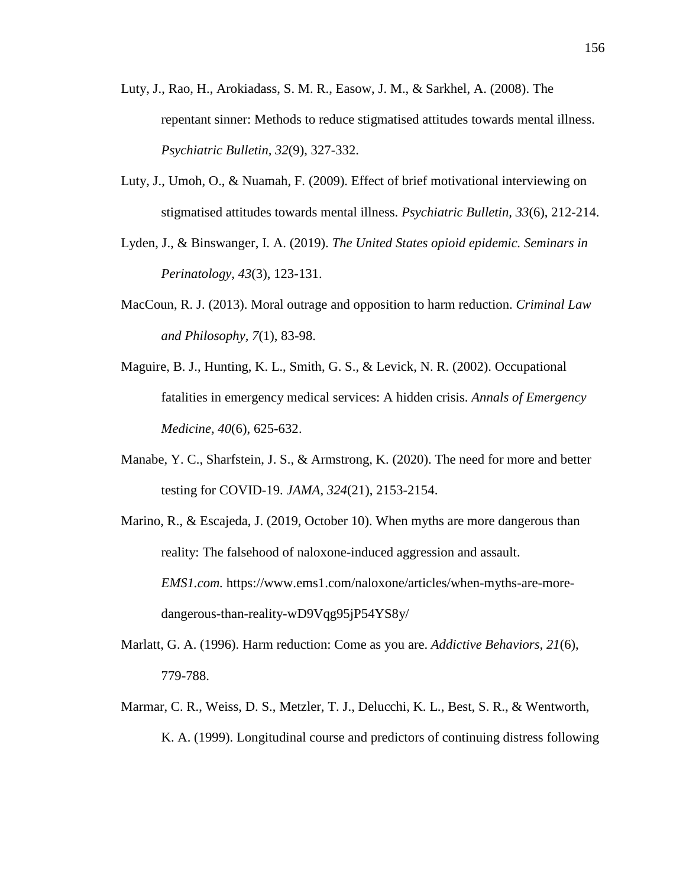- Luty, J., Rao, H., Arokiadass, S. M. R., Easow, J. M., & Sarkhel, A. (2008). The repentant sinner: Methods to reduce stigmatised attitudes towards mental illness. *Psychiatric Bulletin, 32*(9), 327-332.
- Luty, J., Umoh, O., & Nuamah, F. (2009). Effect of brief motivational interviewing on stigmatised attitudes towards mental illness. *Psychiatric Bulletin, 33*(6), 212-214.
- Lyden, J., & Binswanger, I. A. (2019). *The United States opioid epidemic. Seminars in Perinatology, 43*(3), 123-131.
- MacCoun, R. J. (2013). Moral outrage and opposition to harm reduction. *Criminal Law and Philosophy, 7*(1), 83-98.
- Maguire, B. J., Hunting, K. L., Smith, G. S., & Levick, N. R. (2002). Occupational fatalities in emergency medical services: A hidden crisis. *Annals of Emergency Medicine, 40*(6), 625-632.
- Manabe, Y. C., Sharfstein, J. S., & Armstrong, K. (2020). The need for more and better testing for COVID-19. *JAMA*, *324*(21), 2153-2154.
- Marino, R., & Escajeda, J. (2019, October 10). When myths are more dangerous than reality: The falsehood of naloxone-induced aggression and assault. *EMS1.com.* https://www.ems1.com/naloxone/articles/when-myths-are-moredangerous-than-reality-wD9Vqg95jP54YS8y/
- Marlatt, G. A. (1996). Harm reduction: Come as you are. *Addictive Behaviors, 21*(6), 779-788.
- Marmar, C. R., Weiss, D. S., Metzler, T. J., Delucchi, K. L., Best, S. R., & Wentworth, K. A. (1999). Longitudinal course and predictors of continuing distress following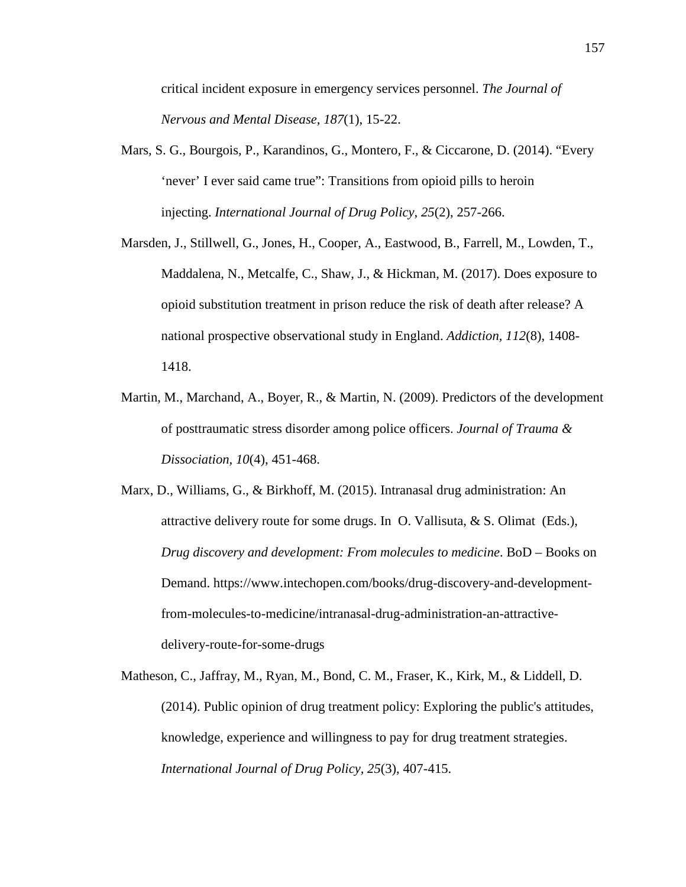critical incident exposure in emergency services personnel. *The Journal of Nervous and Mental Disease, 187*(1), 15-22.

- Mars, S. G., Bourgois, P., Karandinos, G., Montero, F., & Ciccarone, D. (2014). "Every 'never' I ever said came true": Transitions from opioid pills to heroin injecting. *International Journal of Drug Policy, 25*(2), 257-266.
- Marsden, J., Stillwell, G., Jones, H., Cooper, A., Eastwood, B., Farrell, M., Lowden, T., Maddalena, N., Metcalfe, C., Shaw, J., & Hickman, M. (2017). Does exposure to opioid substitution treatment in prison reduce the risk of death after release? A national prospective observational study in England. *Addiction, 112*(8), 1408- 1418.
- Martin, M., Marchand, A., Boyer, R., & Martin, N. (2009). Predictors of the development of posttraumatic stress disorder among police officers. *Journal of Trauma & Dissociation, 10*(4), 451-468.
- Marx, D., Williams, G., & Birkhoff, M. (2015). Intranasal drug administration: An attractive delivery route for some drugs. In O. Vallisuta, & S. Olimat (Eds.), *Drug discovery and development: From molecules to medicine*. BoD – Books on Demand. https://www.intechopen.com/books/drug-discovery-and-developmentfrom-molecules-to-medicine/intranasal-drug-administration-an-attractivedelivery-route-for-some-drugs
- Matheson, C., Jaffray, M., Ryan, M., Bond, C. M., Fraser, K., Kirk, M., & Liddell, D. (2014). Public opinion of drug treatment policy: Exploring the public's attitudes, knowledge, experience and willingness to pay for drug treatment strategies. *International Journal of Drug Policy, 25*(3), 407-415.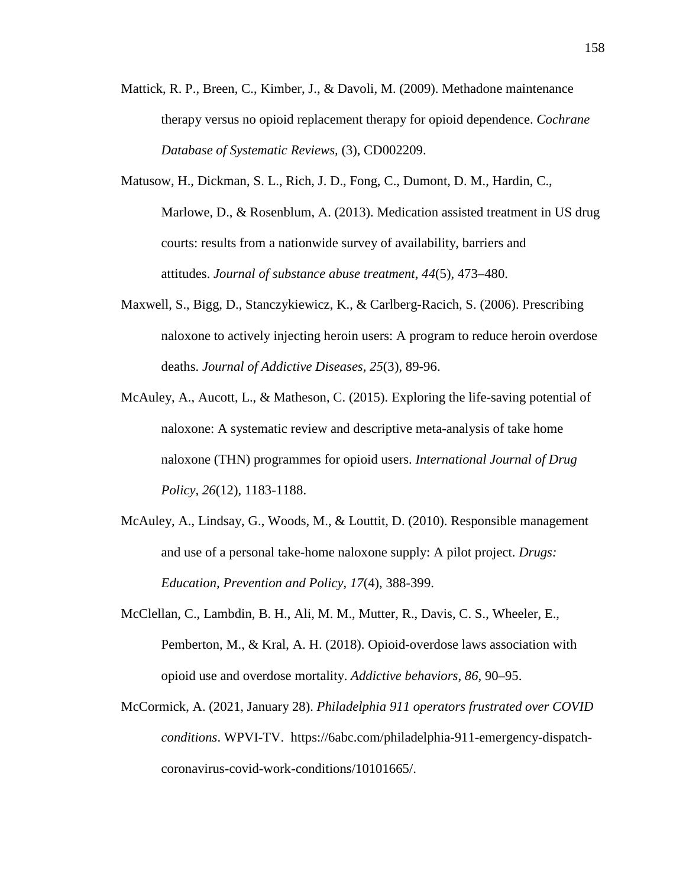- Mattick, R. P., Breen, C., Kimber, J., & Davoli, M. (2009). Methadone maintenance therapy versus no opioid replacement therapy for opioid dependence. *Cochrane Database of Systematic Reviews,* (3), CD002209.
- Matusow, H., Dickman, S. L., Rich, J. D., Fong, C., Dumont, D. M., Hardin, C., Marlowe, D., & Rosenblum, A. (2013). Medication assisted treatment in US drug courts: results from a nationwide survey of availability, barriers and attitudes. *Journal of substance abuse treatment*, *44*(5), 473–480.
- Maxwell, S., Bigg, D., Stanczykiewicz, K., & Carlberg-Racich, S. (2006). Prescribing naloxone to actively injecting heroin users: A program to reduce heroin overdose deaths. *Journal of Addictive Diseases, 25*(3), 89-96.
- McAuley, A., Aucott, L., & Matheson, C. (2015). Exploring the life-saving potential of naloxone: A systematic review and descriptive meta-analysis of take home naloxone (THN) programmes for opioid users. *International Journal of Drug Policy, 26*(12), 1183-1188.
- McAuley, A., Lindsay, G., Woods, M., & Louttit, D. (2010). Responsible management and use of a personal take-home naloxone supply: A pilot project. *Drugs: Education, Prevention and Policy*, *17*(4), 388-399.
- McClellan, C., Lambdin, B. H., Ali, M. M., Mutter, R., Davis, C. S., Wheeler, E., Pemberton, M., & Kral, A. H. (2018). Opioid-overdose laws association with opioid use and overdose mortality. *Addictive behaviors*, *86*, 90–95.
- McCormick, A. (2021, January 28). *Philadelphia 911 operators frustrated over COVID conditions*. WPVI-TV. https://6abc.com/philadelphia-911-emergency-dispatchcoronavirus-covid-work-conditions/10101665/.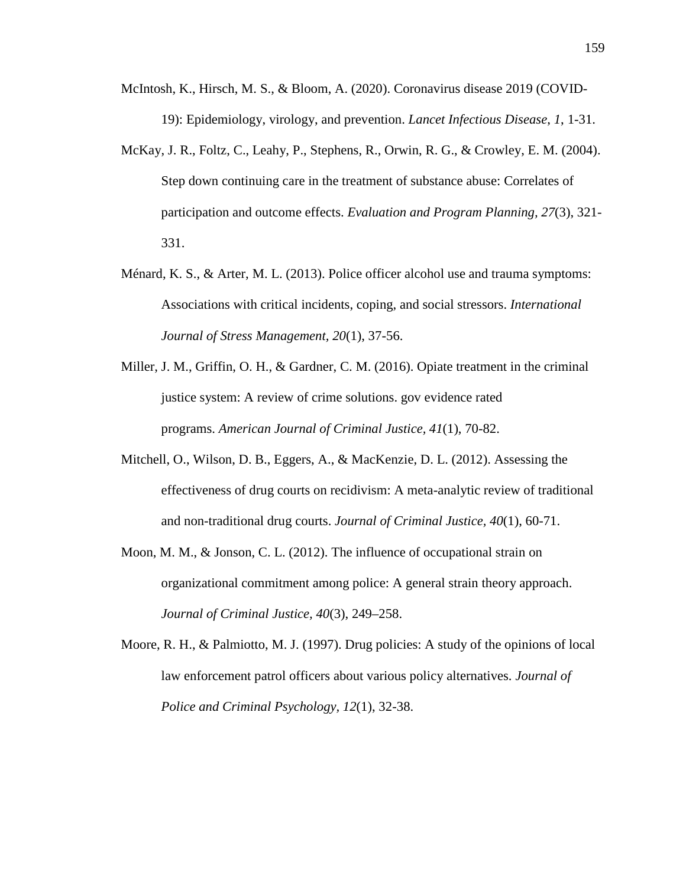- McIntosh, K., Hirsch, M. S., & Bloom, A. (2020). Coronavirus disease 2019 (COVID-19): Epidemiology, virology, and prevention. *Lancet Infectious Disease*, *1*, 1-31.
- McKay, J. R., Foltz, C., Leahy, P., Stephens, R., Orwin, R. G., & Crowley, E. M. (2004). Step down continuing care in the treatment of substance abuse: Correlates of participation and outcome effects. *Evaluation and Program Planning, 27*(3), 321- 331.
- Ménard, K. S., & Arter, M. L. (2013). Police officer alcohol use and trauma symptoms: Associations with critical incidents, coping, and social stressors. *International Journal of Stress Management, 20*(1), 37-56.
- Miller, J. M., Griffin, O. H., & Gardner, C. M. (2016). Opiate treatment in the criminal justice system: A review of crime solutions. gov evidence rated programs. *American Journal of Criminal Justice, 41*(1), 70-82.
- Mitchell, O., Wilson, D. B., Eggers, A., & MacKenzie, D. L. (2012). Assessing the effectiveness of drug courts on recidivism: A meta-analytic review of traditional and non-traditional drug courts. *Journal of Criminal Justice, 40*(1), 60-71.
- Moon, M. M., & Jonson, C. L. (2012). The influence of occupational strain on organizational commitment among police: A general strain theory approach. *Journal of Criminal Justice, 40*(3), 249–258.
- Moore, R. H., & Palmiotto, M. J. (1997). Drug policies: A study of the opinions of local law enforcement patrol officers about various policy alternatives. *Journal of Police and Criminal Psychology, 12*(1), 32-38.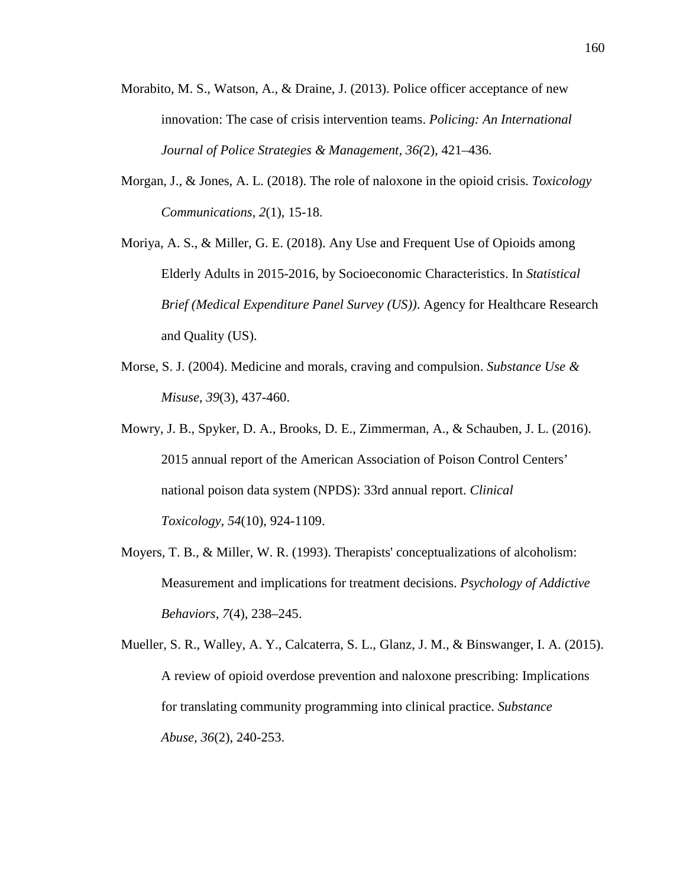- Morabito, M. S., Watson, A., & Draine, J. (2013). Police officer acceptance of new innovation: The case of crisis intervention teams. *Policing: An International Journal of Police Strategies & Management, 36(*2), 421–436.
- Morgan, J., & Jones, A. L. (2018). The role of naloxone in the opioid crisis. *Toxicology Communications, 2*(1), 15-18.
- Moriya, A. S., & Miller, G. E. (2018). Any Use and Frequent Use of Opioids among Elderly Adults in 2015-2016, by Socioeconomic Characteristics. In *Statistical Brief (Medical Expenditure Panel Survey (US))*. Agency for Healthcare Research and Quality (US).
- Morse, S. J. (2004). Medicine and morals, craving and compulsion. *Substance Use & Misuse*, *39*(3), 437-460.
- Mowry, J. B., Spyker, D. A., Brooks, D. E., Zimmerman, A., & Schauben, J. L. (2016). 2015 annual report of the American Association of Poison Control Centers' national poison data system (NPDS): 33rd annual report. *Clinical Toxicology, 54*(10), 924-1109.
- Moyers, T. B., & Miller, W. R. (1993). Therapists' conceptualizations of alcoholism: Measurement and implications for treatment decisions. *Psychology of Addictive Behaviors, 7*(4), 238–245.
- Mueller, S. R., Walley, A. Y., Calcaterra, S. L., Glanz, J. M., & Binswanger, I. A. (2015). A review of opioid overdose prevention and naloxone prescribing: Implications for translating community programming into clinical practice. *Substance Abuse, 36*(2), 240-253.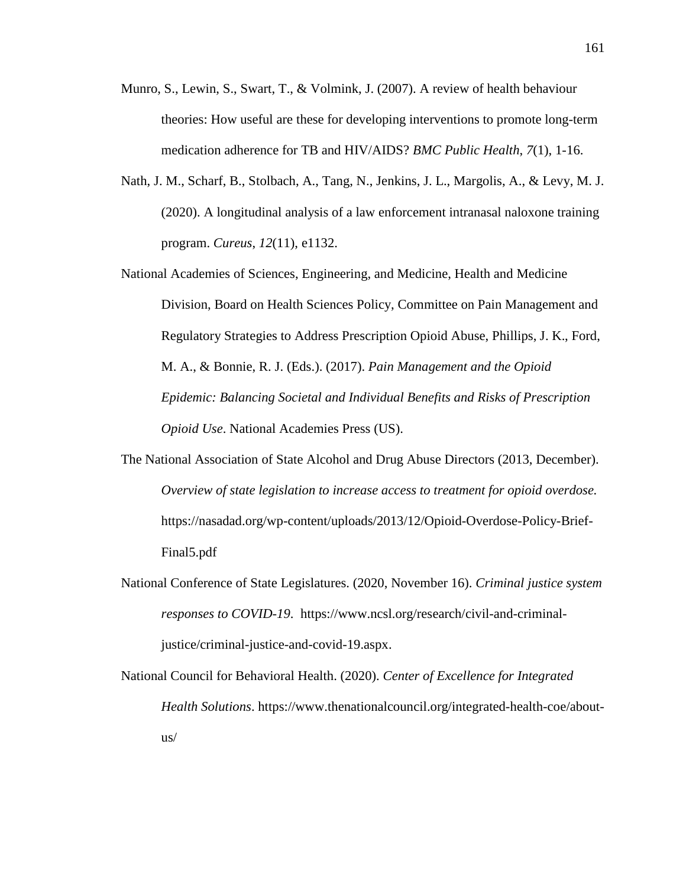- Munro, S., Lewin, S., Swart, T., & Volmink, J. (2007). A review of health behaviour theories: How useful are these for developing interventions to promote long-term medication adherence for TB and HIV/AIDS? *BMC Public Health*, *7*(1), 1-16.
- Nath, J. M., Scharf, B., Stolbach, A., Tang, N., Jenkins, J. L., Margolis, A., & Levy, M. J. (2020). A longitudinal analysis of a law enforcement intranasal naloxone training program. *Cureus*, *12*(11), e1132.
- National Academies of Sciences, Engineering, and Medicine, Health and Medicine Division, Board on Health Sciences Policy, Committee on Pain Management and Regulatory Strategies to Address Prescription Opioid Abuse, Phillips, J. K., Ford, M. A., & Bonnie, R. J. (Eds.). (2017). *Pain Management and the Opioid Epidemic: Balancing Societal and Individual Benefits and Risks of Prescription Opioid Use*. National Academies Press (US).
- The National Association of State Alcohol and Drug Abuse Directors (2013, December). *Overview of state legislation to increase access to treatment for opioid overdose.* https://nasadad.org/wp-content/uploads/2013/12/Opioid-Overdose-Policy-Brief-Final5.pdf
- National Conference of State Legislatures. (2020, November 16). *Criminal justice system responses to COVID-19*. https://www.ncsl.org/research/civil-and-criminaljustice/criminal-justice-and-covid-19.aspx.
- National Council for Behavioral Health. (2020). *Center of Excellence for Integrated Health Solutions*. https://www.thenationalcouncil.org/integrated-health-coe/aboutus/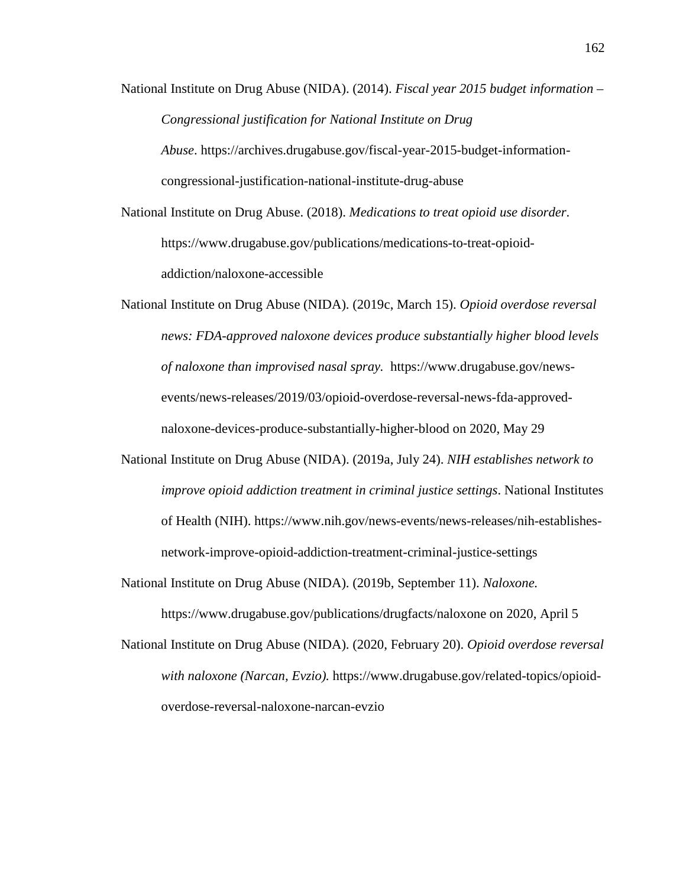National Institute on Drug Abuse (NIDA). (2014). *Fiscal year 2015 budget information – Congressional justification for National Institute on Drug Abuse*. https://archives.drugabuse.gov/fiscal-year-2015-budget-informationcongressional-justification-national-institute-drug-abuse

National Institute on Drug Abuse. (2018). *Medications to treat opioid use disorder*. https://www.drugabuse.gov/publications/medications-to-treat-opioidaddiction/naloxone-accessible

National Institute on Drug Abuse (NIDA). (2019c, March 15). *Opioid overdose reversal news: FDA-approved naloxone devices produce substantially higher blood levels of naloxone than improvised nasal spray.* https://www.drugabuse.gov/newsevents/news-releases/2019/03/opioid-overdose-reversal-news-fda-approvednaloxone-devices-produce-substantially-higher-blood on 2020, May 29

National Institute on Drug Abuse (NIDA). (2019a, July 24). *NIH establishes network to improve opioid addiction treatment in criminal justice settings*. National Institutes of Health (NIH). https://www.nih.gov/news-events/news-releases/nih-establishesnetwork-improve-opioid-addiction-treatment-criminal-justice-settings

National Institute on Drug Abuse (NIDA). (2019b, September 11). *Naloxone.*

https://www.drugabuse.gov/publications/drugfacts/naloxone on 2020, April 5

National Institute on Drug Abuse (NIDA). (2020, February 20). *Opioid overdose reversal with naloxone (Narcan, Evzio).* https://www.drugabuse.gov/related-topics/opioidoverdose-reversal-naloxone-narcan-evzio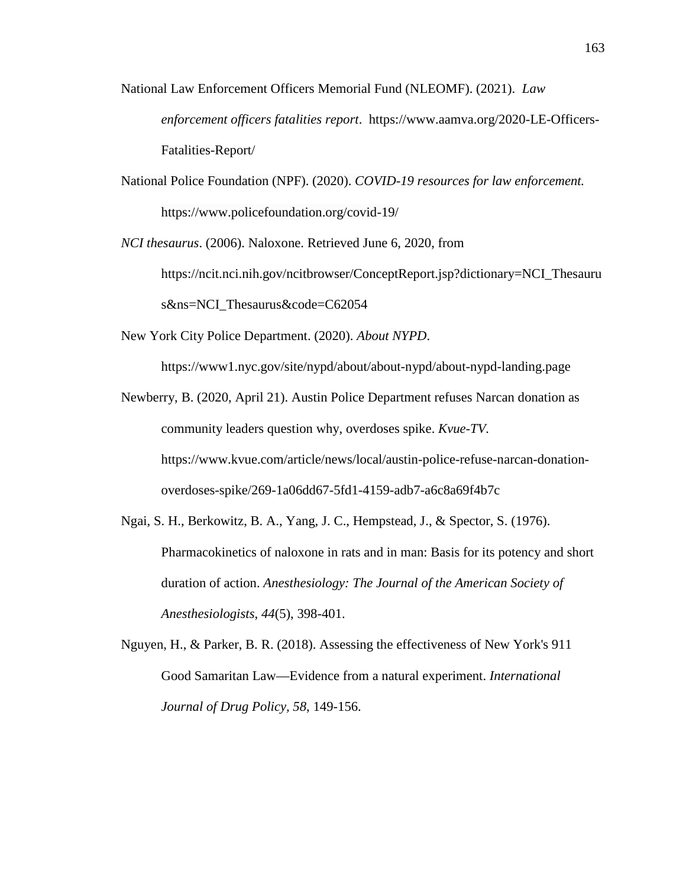- National Law Enforcement Officers Memorial Fund (NLEOMF). (2021). *Law enforcement officers fatalities report*. https://www.aamva.org/2020-LE-Officers-Fatalities-Report/
- National Police Foundation (NPF). (2020). *COVID-19 resources for law enforcement.* https://www.policefoundation.org/covid-19/
- *NCI thesaurus*. (2006). Naloxone. Retrieved June 6, 2020, from https://ncit.nci.nih.gov/ncitbrowser/ConceptReport.jsp?dictionary=NCI\_Thesauru s&ns=NCI\_Thesaurus&code=C62054
- New York City Police Department. (2020). *About NYPD*.

https://www1.nyc.gov/site/nypd/about/about-nypd/about-nypd-landing.page

Newberry, B. (2020, April 21). Austin Police Department refuses Narcan donation as community leaders question why, overdoses spike. *Kvue-TV.*  https://www.kvue.com/article/news/local/austin-police-refuse-narcan-donationoverdoses-spike/269-1a06dd67-5fd1-4159-adb7-a6c8a69f4b7c

- Ngai, S. H., Berkowitz, B. A., Yang, J. C., Hempstead, J., & Spector, S. (1976). Pharmacokinetics of naloxone in rats and in man: Basis for its potency and short duration of action. *Anesthesiology: The Journal of the American Society of Anesthesiologists*, *44*(5), 398-401.
- Nguyen, H., & Parker, B. R. (2018). Assessing the effectiveness of New York's 911 Good Samaritan Law—Evidence from a natural experiment. *International Journal of Drug Policy, 58*, 149-156.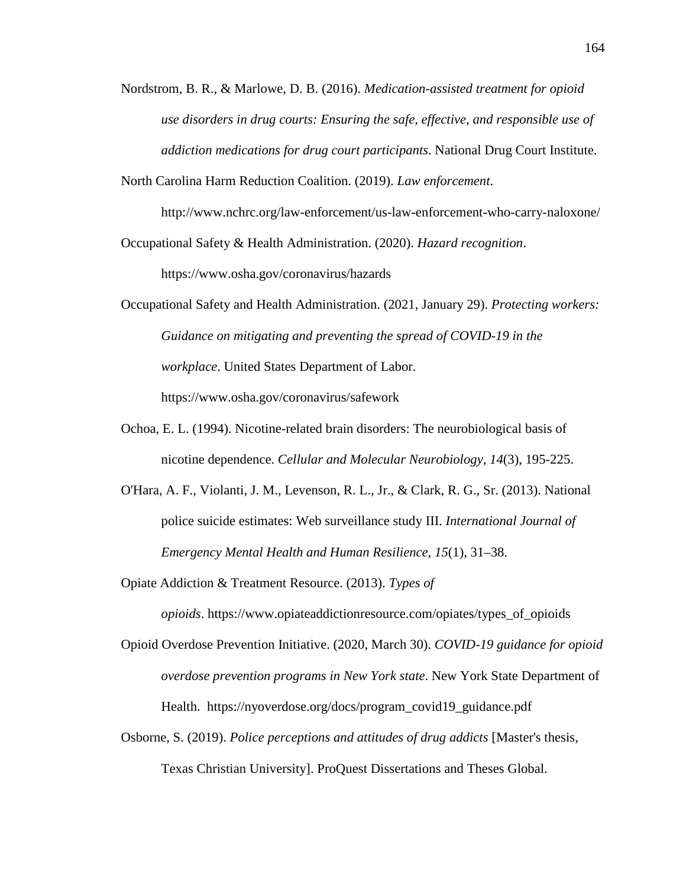- Nordstrom, B. R., & Marlowe, D. B. (2016). *Medication-assisted treatment for opioid use disorders in drug courts: Ensuring the safe, effective, and responsible use of addiction medications for drug court participants.* National Drug Court Institute.
- North Carolina Harm Reduction Coalition. (2019). *Law enforcement*.

http://www.nchrc.org/law-enforcement/us-law-enforcement-who-carry-naloxone/

Occupational Safety & Health Administration. (2020). *Hazard recognition*.

https://www.osha.gov/coronavirus/hazards

Occupational Safety and Health Administration. (2021, January 29). *Protecting workers: Guidance on mitigating and preventing the spread of COVID-19 in the workplace*. United States Department of Labor. https://www.osha.gov/coronavirus/safework

- Ochoa, E. L. (1994). Nicotine-related brain disorders: The neurobiological basis of nicotine dependence. *Cellular and Molecular Neurobiology, 14*(3), 195-225.
- O'Hara, A. F., Violanti, J. M., Levenson, R. L., Jr., & Clark, R. G., Sr. (2013). National police suicide estimates: Web surveillance study III. *International Journal of Emergency Mental Health and Human Resilience, 15*(1), 31–38.

Opiate Addiction & Treatment Resource. (2013). *Types of* 

*opioids*. https://www.opiateaddictionresource.com/opiates/types\_of\_opioids

- Opioid Overdose Prevention Initiative. (2020, March 30). *COVID-19 guidance for opioid overdose prevention programs in New York state*. New York State Department of Health. [https://nyoverdose.org/docs/program\\_covid19\\_guidance.pdf](https://nyoverdose.org/docs/program_covid19_guidance.pdf)
- Osborne, S. (2019). *Police perceptions and attitudes of drug addicts* [Master's thesis, Texas Christian University]. ProQuest Dissertations and Theses Global.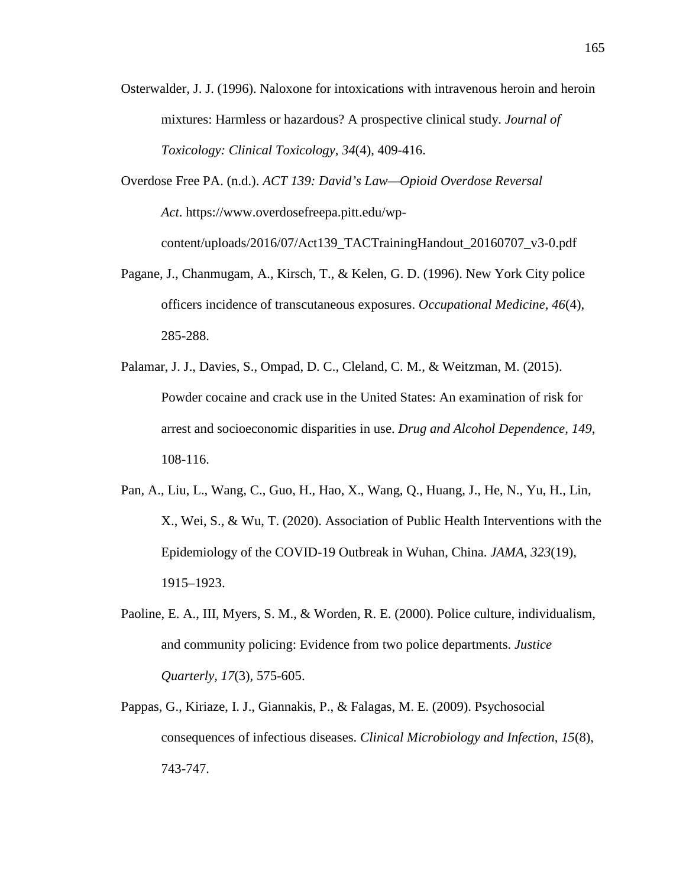- Osterwalder, J. J. (1996). Naloxone for intoxications with intravenous heroin and heroin mixtures: Harmless or hazardous? A prospective clinical study. *Journal of Toxicology: Clinical Toxicology, 34*(4), 409-416.
- Overdose Free PA. (n.d.). *ACT 139: David's Law—Opioid Overdose Reversal Act*. https://www.overdosefreepa.pitt.edu/wpcontent/uploads/2016/07/Act139\_TACTrainingHandout\_20160707\_v3-0.pdf
- Pagane, J., Chanmugam, A., Kirsch, T., & Kelen, G. D. (1996). New York City police officers incidence of transcutaneous exposures. *Occupational Medicine, 46*(4), 285-288.
- Palamar, J. J., Davies, S., Ompad, D. C., Cleland, C. M., & Weitzman, M. (2015). Powder cocaine and crack use in the United States: An examination of risk for arrest and socioeconomic disparities in use. *Drug and Alcohol Dependence, 149*, 108-116.
- Pan, A., Liu, L., Wang, C., Guo, H., Hao, X., Wang, Q., Huang, J., He, N., Yu, H., Lin, X., Wei, S., & Wu, T. (2020). Association of Public Health Interventions with the Epidemiology of the COVID-19 Outbreak in Wuhan, China. *JAMA*, *323*(19), 1915–1923.
- Paoline, E. A., III, Myers, S. M., & Worden, R. E. (2000). Police culture, individualism, and community policing: Evidence from two police departments. *Justice Quarterly, 17*(3), 575-605.
- Pappas, G., Kiriaze, I. J., Giannakis, P., & Falagas, M. E. (2009). Psychosocial consequences of infectious diseases. *Clinical Microbiology and Infection*, *15*(8), 743-747.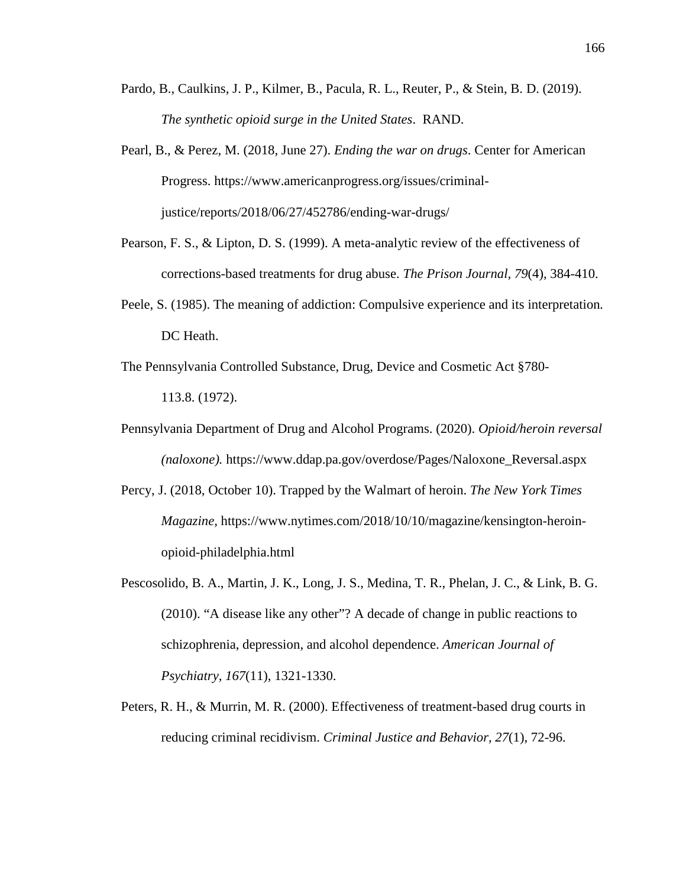- Pardo, B., Caulkins, J. P., Kilmer, B., Pacula, R. L., Reuter, P., & Stein, B. D. (2019). *The synthetic opioid surge in the United States*. RAND.
- Pearl, B., & Perez, M. (2018, June 27). *Ending the war on drugs*. Center for American Progress. https://www.americanprogress.org/issues/criminaljustice/reports/2018/06/27/452786/ending-war-drugs/
- Pearson, F. S., & Lipton, D. S. (1999). A meta-analytic review of the effectiveness of corrections-based treatments for drug abuse. *The Prison Journal, 79*(4), 384-410.
- Peele, S. (1985). The meaning of addiction: Compulsive experience and its interpretation*.* DC Heath.
- The Pennsylvania Controlled Substance, Drug, Device and Cosmetic Act §780- 113.8. (1972).
- Pennsylvania Department of Drug and Alcohol Programs. (2020). *Opioid/heroin reversal (naloxone).* https://www.ddap.pa.gov/overdose/Pages/Naloxone\_Reversal.aspx
- Percy, J. (2018, October 10). Trapped by the Walmart of heroin. *The New York Times Magazine,* https://www.nytimes.com/2018/10/10/magazine/kensington-heroinopioid-philadelphia.html
- Pescosolido, B. A., Martin, J. K., Long, J. S., Medina, T. R., Phelan, J. C., & Link, B. G. (2010). "A disease like any other"? A decade of change in public reactions to schizophrenia, depression, and alcohol dependence. *American Journal of Psychiatry, 167*(11), 1321-1330.
- Peters, R. H., & Murrin, M. R. (2000). Effectiveness of treatment-based drug courts in reducing criminal recidivism. *Criminal Justice and Behavior, 27*(1), 72-96.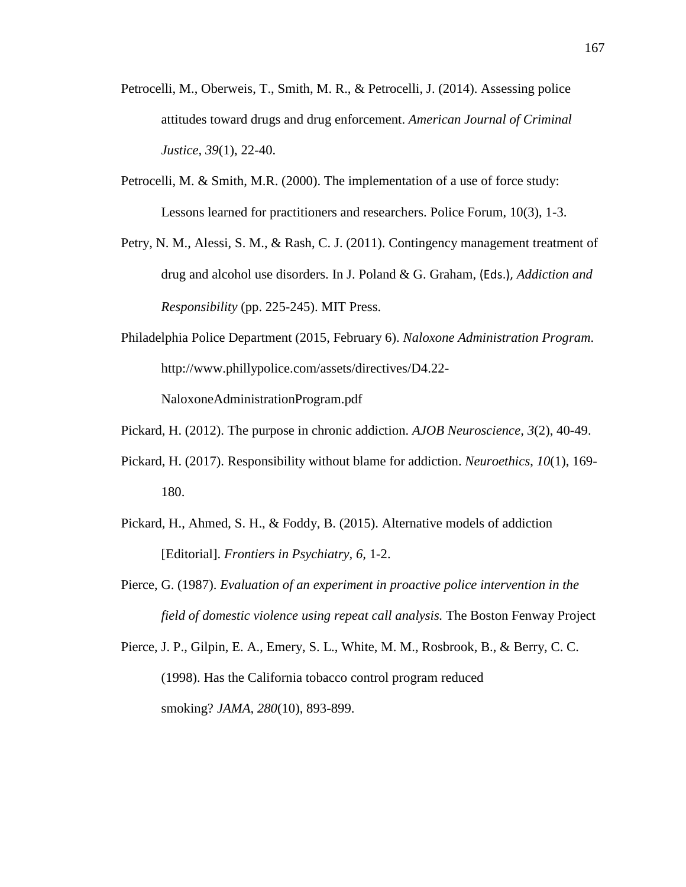- Petrocelli, M., Oberweis, T., Smith, M. R., & Petrocelli, J. (2014). Assessing police attitudes toward drugs and drug enforcement. *American Journal of Criminal Justice, 39*(1), 22-40.
- Petrocelli, M. & Smith, M.R. (2000). The implementation of a use of force study: Lessons learned for practitioners and researchers. Police Forum, 10(3), 1-3.
- Petry, N. M., Alessi, S. M., & Rash, C. J. (2011). Contingency management treatment of drug and alcohol use disorders. In J. Poland & G. Graham, (Eds.), *Addiction and Responsibility* (pp. 225-245). MIT Press.
- Philadelphia Police Department (2015, February 6). *Naloxone Administration Program*. http://www.phillypolice.com/assets/directives/D4.22-

NaloxoneAdministrationProgram.pdf

- Pickard, H. (2012). The purpose in chronic addiction. *AJOB Neuroscience, 3*(2), 40-49.
- Pickard, H. (2017). Responsibility without blame for addiction. *Neuroethics*, *10*(1), 169- 180.
- Pickard, H., Ahmed, S. H., & Foddy, B. (2015). Alternative models of addiction [Editorial]. *Frontiers in Psychiatry, 6,* 1-2.
- Pierce, G. (1987). *Evaluation of an experiment in proactive police intervention in the field of domestic violence using repeat call analysis.* The Boston Fenway Project

Pierce, J. P., Gilpin, E. A., Emery, S. L., White, M. M., Rosbrook, B., & Berry, C. C. (1998). Has the California tobacco control program reduced smoking? *JAMA, 280*(10), 893-899.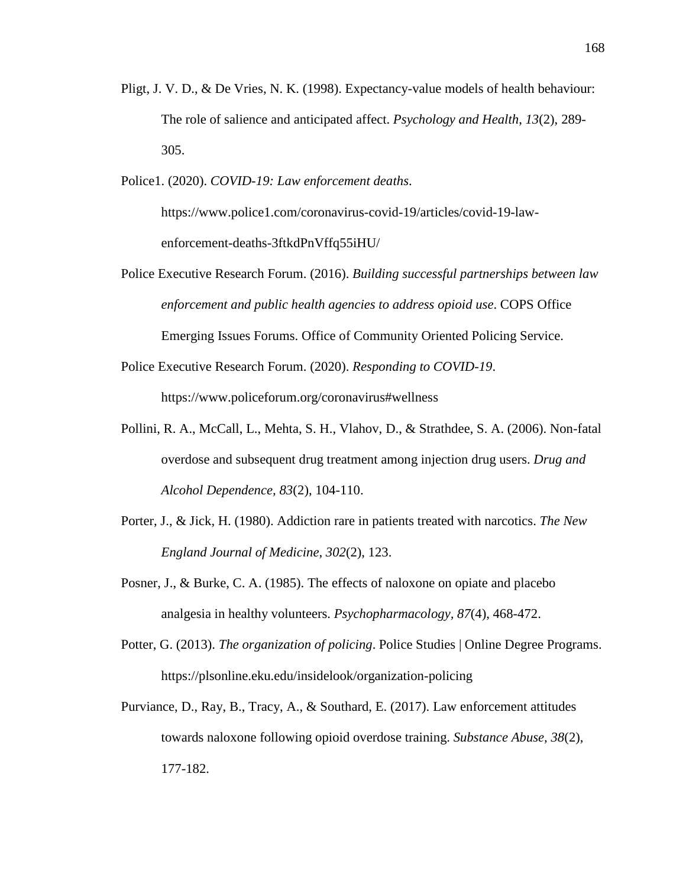- Pligt, J. V. D., & De Vries, N. K. (1998). Expectancy-value models of health behaviour: The role of salience and anticipated affect. *Psychology and Health*, *13*(2), 289- 305.
- Police1. (2020). *COVID-19: Law enforcement deaths*.

https://www.police1.com/coronavirus-covid-19/articles/covid-19-lawenforcement-deaths-3ftkdPnVffq55iHU/

- Police Executive Research Forum. (2016). *Building successful partnerships between law enforcement and public health agencies to address opioid use*. COPS Office Emerging Issues Forums. Office of Community Oriented Policing Service.
- Police Executive Research Forum. (2020). *Responding to COVID-19*. <https://www.policeforum.org/coronavirus#wellness>
- Pollini, R. A., McCall, L., Mehta, S. H., Vlahov, D., & Strathdee, S. A. (2006). Non-fatal overdose and subsequent drug treatment among injection drug users. *Drug and Alcohol Dependence, 83*(2), 104-110.
- Porter, J., & Jick, H. (1980). Addiction rare in patients treated with narcotics. *The New England Journal of Medicine, 302*(2), 123.
- Posner, J., & Burke, C. A. (1985). The effects of naloxone on opiate and placebo analgesia in healthy volunteers. *Psychopharmacology, 87*(4), 468-472.
- Potter, G. (2013). *The organization of policing*. Police Studies | Online Degree Programs. https://plsonline.eku.edu/insidelook/organization-policing
- Purviance, D., Ray, B., Tracy, A., & Southard, E. (2017). Law enforcement attitudes towards naloxone following opioid overdose training. *Substance Abuse, 38*(2), 177-182.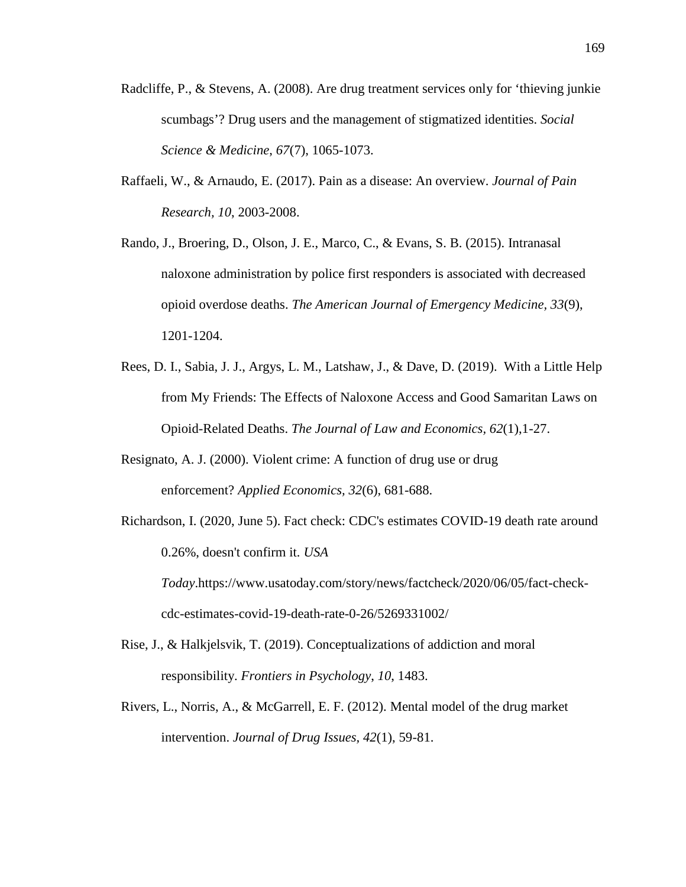- Radcliffe, P., & Stevens, A. (2008). Are drug treatment services only for 'thieving junkie scumbags'? Drug users and the management of stigmatized identities. *Social Science & Medicine*, *67*(7), 1065-1073.
- Raffaeli, W., & Arnaudo, E. (2017). Pain as a disease: An overview. *Journal of Pain Research, 10*, 2003-2008.
- Rando, J., Broering, D., Olson, J. E., Marco, C., & Evans, S. B. (2015). Intranasal naloxone administration by police first responders is associated with decreased opioid overdose deaths. *The American Journal of Emergency Medicine, 33*(9), 1201-1204.
- Rees, D. I., Sabia, J. J., Argys, L. M., Latshaw, J., & Dave, D. (2019). With a Little Help from My Friends: The Effects of Naloxone Access and Good Samaritan Laws on Opioid-Related Deaths. *The Journal of Law and Economics, 62*(1),1-27.
- Resignato, A. J. (2000). Violent crime: A function of drug use or drug enforcement? *Applied Economics, 32*(6), 681-688.
- Richardson, I. (2020, June 5). Fact check: CDC's estimates COVID-19 death rate around 0.26%, doesn't confirm it*. USA Today*.https://www.usatoday.com/story/news/factcheck/2020/06/05/fact-checkcdc-estimates-covid-19-death-rate-0-26/5269331002/
- Rise, J., & Halkjelsvik, T. (2019). Conceptualizations of addiction and moral responsibility. *Frontiers in Psychology*, *10*, 1483.
- Rivers, L., Norris, A., & McGarrell, E. F. (2012). Mental model of the drug market intervention. *Journal of Drug Issues, 42*(1), 59-81.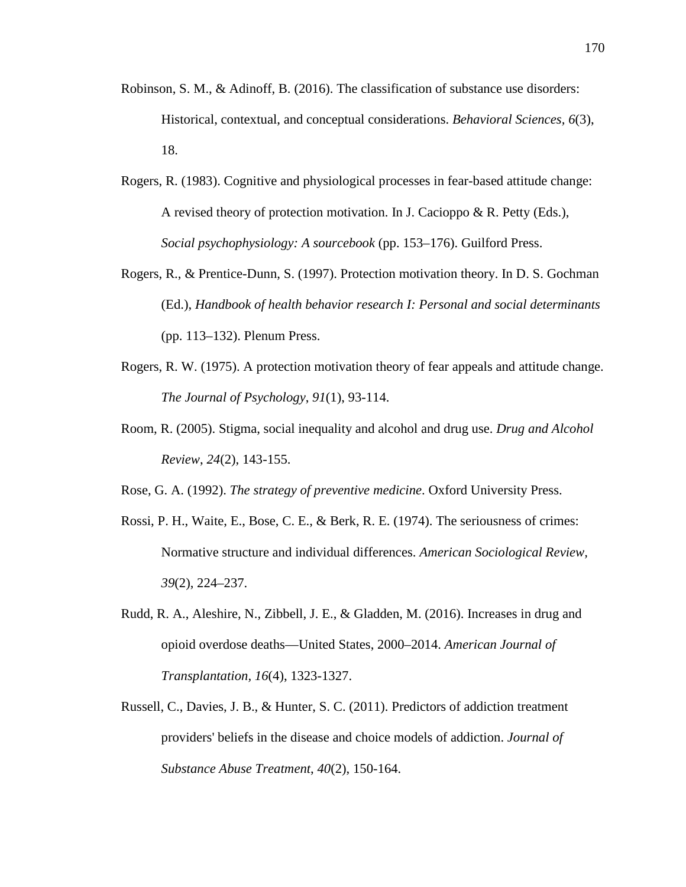- Robinson, S. M., & Adinoff, B. (2016). The classification of substance use disorders: Historical, contextual, and conceptual considerations. *Behavioral Sciences, 6*(3), 18.
- Rogers, R. (1983). Cognitive and physiological processes in fear-based attitude change: A revised theory of protection motivation. In J. Cacioppo & R. Petty (Eds.), *Social psychophysiology: A sourcebook* (pp. 153–176). Guilford Press.
- Rogers, R., & Prentice-Dunn, S. (1997). Protection motivation theory. In D. S. Gochman (Ed.), *Handbook of health behavior research I: Personal and social determinants* (pp. 113–132). Plenum Press.
- Rogers, R. W. (1975). A protection motivation theory of fear appeals and attitude change. *The Journal of Psychology*, *91*(1), 93-114.
- Room, R. (2005). Stigma, social inequality and alcohol and drug use. *Drug and Alcohol Review*, *24*(2), 143-155.
- Rose, G. A. (1992). *The strategy of preventive medicine*. Oxford University Press.
- Rossi, P. H., Waite, E., Bose, C. E., & Berk, R. E. (1974). The seriousness of crimes: Normative structure and individual differences. *American Sociological Review, 39*(2), 224–237.
- Rudd, R. A., Aleshire, N., Zibbell, J. E., & Gladden, M. (2016). Increases in drug and opioid overdose deaths—United States, 2000–2014. *American Journal of Transplantation, 16*(4), 1323-1327.
- Russell, C., Davies, J. B., & Hunter, S. C. (2011). Predictors of addiction treatment providers' beliefs in the disease and choice models of addiction. *Journal of Substance Abuse Treatment*, *40*(2), 150-164.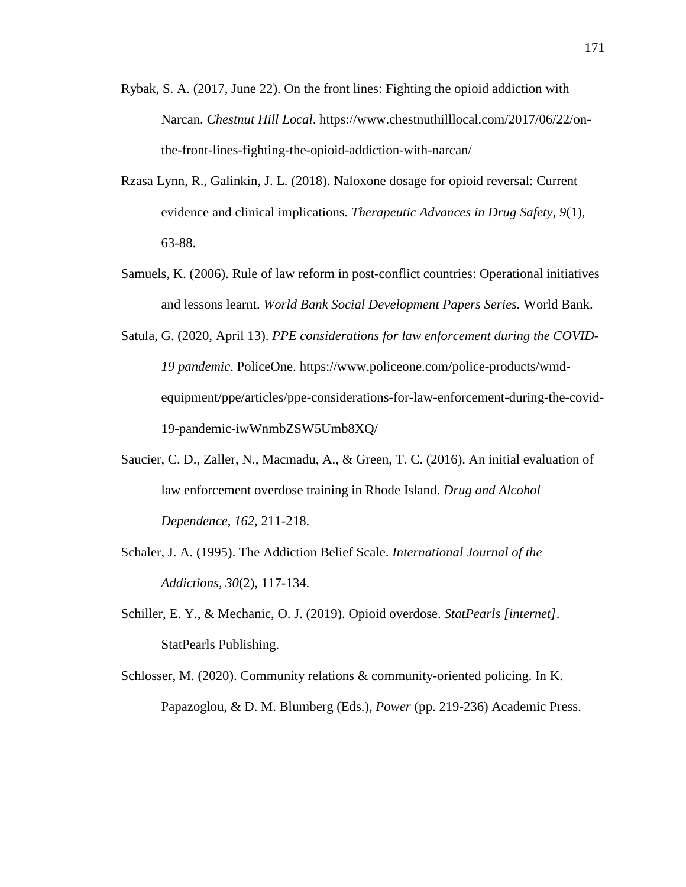- Rybak, S. A. (2017, June 22). On the front lines: Fighting the opioid addiction with Narcan. *Chestnut Hill Local*. https://www.chestnuthilllocal.com/2017/06/22/onthe-front-lines-fighting-the-opioid-addiction-with-narcan/
- Rzasa Lynn, R., Galinkin, J. L. (2018). Naloxone dosage for opioid reversal: Current evidence and clinical implications. *Therapeutic Advances in Drug Safety, 9*(1), 63-88.
- Samuels, K. (2006). Rule of law reform in post-conflict countries: Operational initiatives and lessons learnt. *World Bank Social Development Papers Series.* World Bank.
- Satula, G. (2020, April 13). *PPE considerations for law enforcement during the COVID-19 pandemic*. PoliceOne. https://www.policeone.com/police-products/wmdequipment/ppe/articles/ppe-considerations-for-law-enforcement-during-the-covid-19-pandemic-iwWnmbZSW5Umb8XQ/
- Saucier, C. D., Zaller, N., Macmadu, A., & Green, T. C. (2016). An initial evaluation of law enforcement overdose training in Rhode Island. *Drug and Alcohol Dependence, 162*, 211-218.
- Schaler, J. A. (1995). The Addiction Belief Scale. *International Journal of the Addictions, 30*(2), 117-134.
- Schiller, E. Y., & Mechanic, O. J. (2019). Opioid overdose. *StatPearls [internet]*. StatPearls Publishing.
- Schlosser, M. (2020). Community relations & community-oriented policing. In K. Papazoglou, & D. M. Blumberg (Eds.), *Power* (pp. 219-236) Academic Press.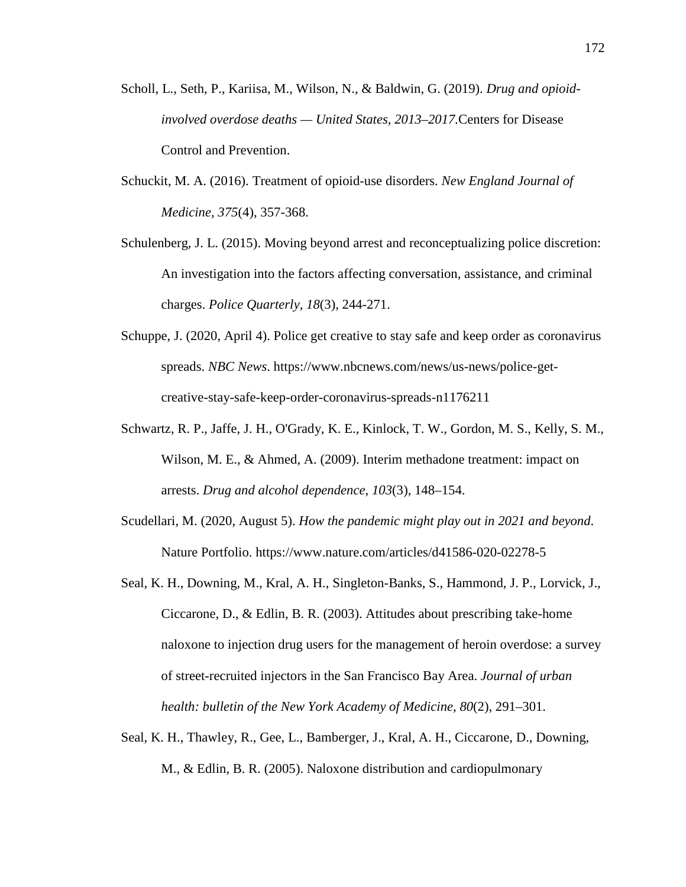- Scholl, L., Seth, P., Kariisa, M., Wilson, N., & Baldwin, G. (2019). *Drug and opioidinvolved overdose deaths — United States, 2013–2017.*Centers for Disease Control and Prevention.
- Schuckit, M. A. (2016). Treatment of opioid-use disorders. *New England Journal of Medicine, 375*(4), 357-368.
- Schulenberg, J. L. (2015). Moving beyond arrest and reconceptualizing police discretion: An investigation into the factors affecting conversation, assistance, and criminal charges. *Police Quarterly, 18*(3), 244-271.
- Schuppe, J. (2020, April 4). Police get creative to stay safe and keep order as coronavirus spreads. *NBC News*. https://www.nbcnews.com/news/us-news/police-getcreative-stay-safe-keep-order-coronavirus-spreads-n1176211
- Schwartz, R. P., Jaffe, J. H., O'Grady, K. E., Kinlock, T. W., Gordon, M. S., Kelly, S. M., Wilson, M. E., & Ahmed, A. (2009). Interim methadone treatment: impact on arrests. *Drug and alcohol dependence*, *103*(3), 148–154.
- Scudellari, M. (2020, August 5). *How the pandemic might play out in 2021 and beyond*. Nature Portfolio. https://www.nature.com/articles/d41586-020-02278-5
- Seal, K. H., Downing, M., Kral, A. H., Singleton-Banks, S., Hammond, J. P., Lorvick, J., Ciccarone, D., & Edlin, B. R. (2003). Attitudes about prescribing take-home naloxone to injection drug users for the management of heroin overdose: a survey of street-recruited injectors in the San Francisco Bay Area. *Journal of urban health: bulletin of the New York Academy of Medicine*, *80*(2), 291–301.
- Seal, K. H., Thawley, R., Gee, L., Bamberger, J., Kral, A. H., Ciccarone, D., Downing, M., & Edlin, B. R. (2005). Naloxone distribution and cardiopulmonary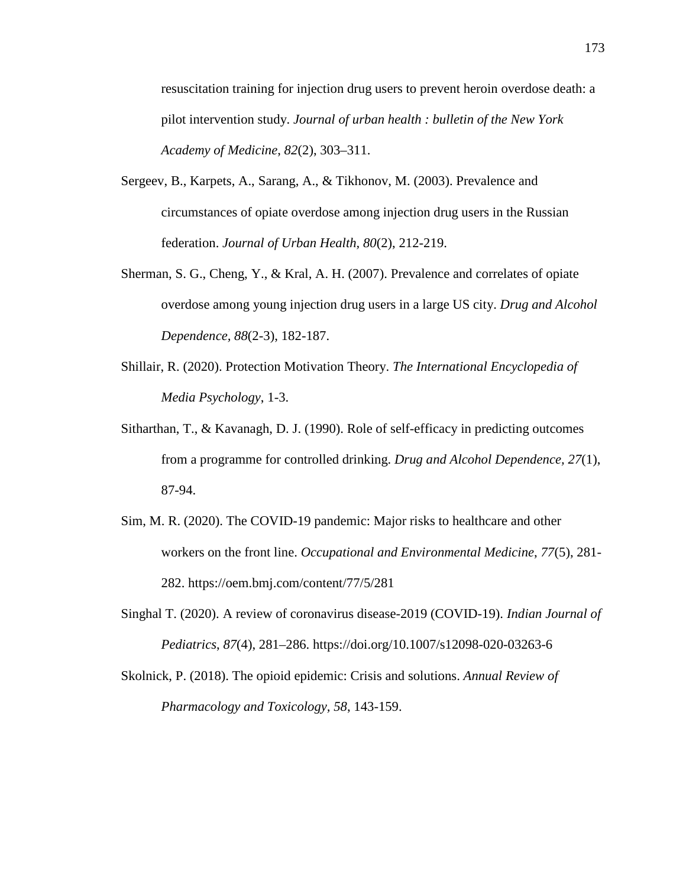resuscitation training for injection drug users to prevent heroin overdose death: a pilot intervention study. *Journal of urban health : bulletin of the New York Academy of Medicine*, *82*(2), 303–311.

- Sergeev, B., Karpets, A., Sarang, A., & Tikhonov, M. (2003). Prevalence and circumstances of opiate overdose among injection drug users in the Russian federation. *Journal of Urban Health, 80*(2), 212-219.
- Sherman, S. G., Cheng, Y., & Kral, A. H. (2007). Prevalence and correlates of opiate overdose among young injection drug users in a large US city. *Drug and Alcohol Dependence, 88*(2-3), 182-187.
- Shillair, R. (2020). Protection Motivation Theory. *The International Encyclopedia of Media Psychology*, 1-3.
- Sitharthan, T., & Kavanagh, D. J. (1990). Role of self-efficacy in predicting outcomes from a programme for controlled drinking. *Drug and Alcohol Dependence, 27*(1), 87-94.
- Sim, M. R. (2020). The COVID-19 pandemic: Major risks to healthcare and other workers on the front line. *Occupational and Environmental Medicine*, *77*(5), 281- 282. https://oem.bmj.com/content/77/5/281
- Singhal T. (2020). A review of coronavirus disease-2019 (COVID-19). *Indian Journal of Pediatrics*, *87*(4), 281–286. https://doi.org/10.1007/s12098-020-03263-6
- Skolnick, P. (2018). The opioid epidemic: Crisis and solutions. *Annual Review of Pharmacology and Toxicology, 58*, 143-159.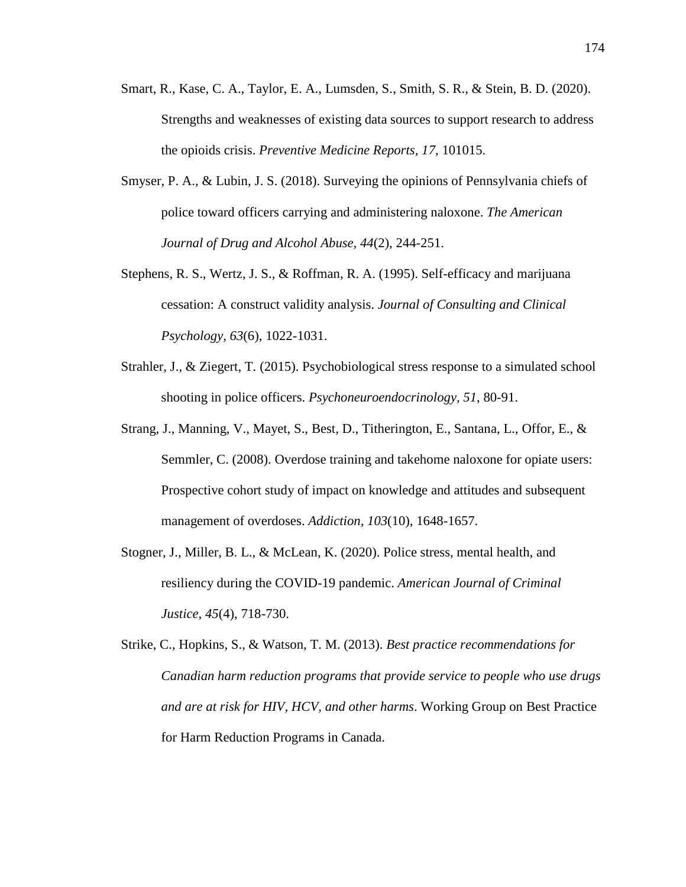- Smart, R., Kase, C. A., Taylor, E. A., Lumsden, S., Smith, S. R., & Stein, B. D. (2020). Strengths and weaknesses of existing data sources to support research to address the opioids crisis. *Preventive Medicine Reports, 17*, 101015.
- Smyser, P. A., & Lubin, J. S. (2018). Surveying the opinions of Pennsylvania chiefs of police toward officers carrying and administering naloxone. *The American Journal of Drug and Alcohol Abuse, 44*(2), 244-251.
- Stephens, R. S., Wertz, J. S., & Roffman, R. A. (1995). Self-efficacy and marijuana cessation: A construct validity analysis. *Journal of Consulting and Clinical Psychology, 63*(6), 1022-1031.
- Strahler, J., & Ziegert, T. (2015). Psychobiological stress response to a simulated school shooting in police officers. *Psychoneuroendocrinology, 51*, 80-91.
- Strang, J., Manning, V., Mayet, S., Best, D., Titherington, E., Santana, L., Offor, E., & Semmler, C. (2008). Overdose training and takehome naloxone for opiate users: Prospective cohort study of impact on knowledge and attitudes and subsequent management of overdoses. *Addiction, 103*(10), 1648-1657.
- Stogner, J., Miller, B. L., & McLean, K. (2020). Police stress, mental health, and resiliency during the COVID-19 pandemic. *American Journal of Criminal Justice*, *45*(4), 718-730.
- Strike, C., Hopkins, S., & Watson, T. M. (2013). *Best practice recommendations for Canadian harm reduction programs that provide service to people who use drugs and are at risk for HIV, HCV, and other harms*. Working Group on Best Practice for Harm Reduction Programs in Canada.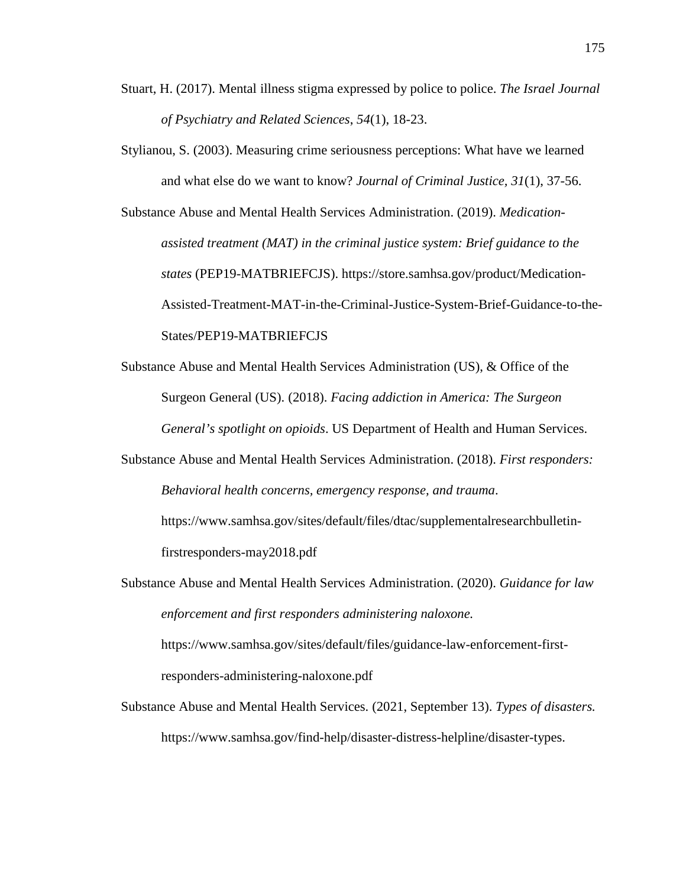- Stuart, H. (2017). Mental illness stigma expressed by police to police. *The Israel Journal of Psychiatry and Related Sciences*, *54*(1), 18-23.
- Stylianou, S. (2003). Measuring crime seriousness perceptions: What have we learned and what else do we want to know? *Journal of Criminal Justice, 31*(1), 37-56.

Substance Abuse and Mental Health Services Administration. (2019). *Medicationassisted treatment (MAT) in the criminal justice system: Brief guidance to the states* (PEP19-MATBRIEFCJS). https://store.samhsa.gov/product/Medication-Assisted-Treatment-MAT-in-the-Criminal-Justice-System-Brief-Guidance-to-the-States/PEP19-MATBRIEFCJS

Substance Abuse and Mental Health Services Administration (US), & Office of the Surgeon General (US). (2018). *Facing addiction in America: The Surgeon General's spotlight on opioids*. US Department of Health and Human Services.

Substance Abuse and Mental Health Services Administration. (2018). *First responders: Behavioral health concerns, emergency response, and trauma*. https://www.samhsa.gov/sites/default/files/dtac/supplementalresearchbulletin-

firstresponders-may2018.pdf

Substance Abuse and Mental Health Services Administration. (2020). *Guidance for law enforcement and first responders administering naloxone.* https://www.samhsa.gov/sites/default/files/guidance-law-enforcement-first-

responders-administering-naloxone.pdf

Substance Abuse and Mental Health Services. (2021, September 13). *Types of disasters.* https://www.samhsa.gov/find-help/disaster-distress-helpline/disaster-types.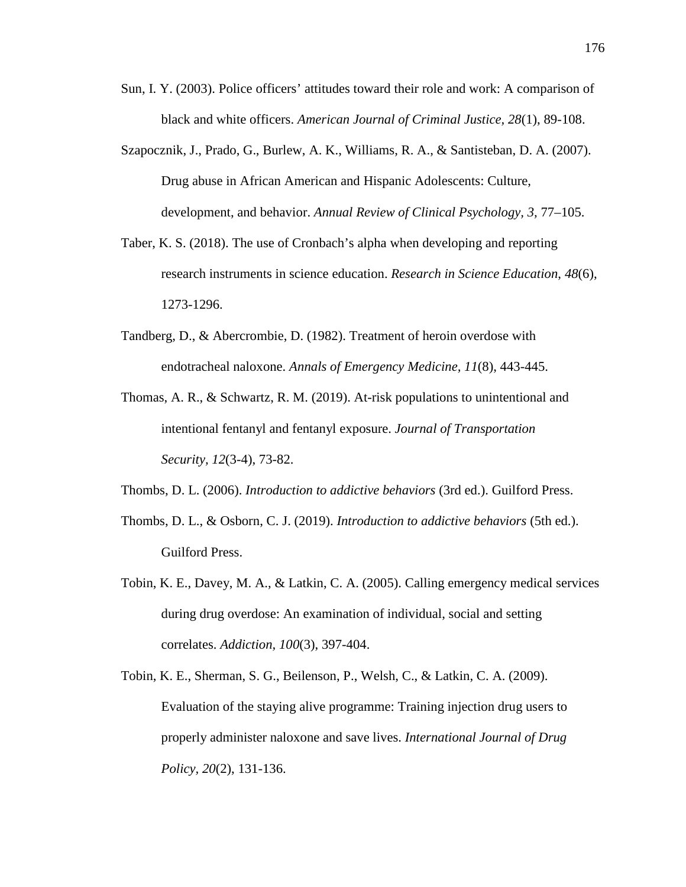- Sun, I. Y. (2003). Police officers' attitudes toward their role and work: A comparison of black and white officers. *American Journal of Criminal Justice, 28*(1), 89-108.
- Szapocznik, J., Prado, G., Burlew, A. K., Williams, R. A., & Santisteban, D. A. (2007). Drug abuse in African American and Hispanic Adolescents: Culture, development, and behavior. *Annual Review of Clinical Psychology, 3,* 77–105.
- Taber, K. S. (2018). The use of Cronbach's alpha when developing and reporting research instruments in science education. *Research in Science Education*, *48*(6), 1273-1296.
- Tandberg, D., & Abercrombie, D. (1982). Treatment of heroin overdose with endotracheal naloxone. *Annals of Emergency Medicine, 11*(8), 443-445.
- Thomas, A. R., & Schwartz, R. M. (2019). At-risk populations to unintentional and intentional fentanyl and fentanyl exposure. *Journal of Transportation Security, 12*(3-4), 73-82.
- Thombs, D. L. (2006). *Introduction to addictive behaviors* (3rd ed.). Guilford Press.
- Thombs, D. L., & Osborn, C. J. (2019). *Introduction to addictive behaviors* (5th ed.). Guilford Press.
- Tobin, K. E., Davey, M. A., & Latkin, C. A. (2005). Calling emergency medical services during drug overdose: An examination of individual, social and setting correlates. *Addiction, 100*(3), 397-404.
- Tobin, K. E., Sherman, S. G., Beilenson, P., Welsh, C., & Latkin, C. A. (2009). Evaluation of the staying alive programme: Training injection drug users to properly administer naloxone and save lives. *International Journal of Drug Policy, 20*(2), 131-136.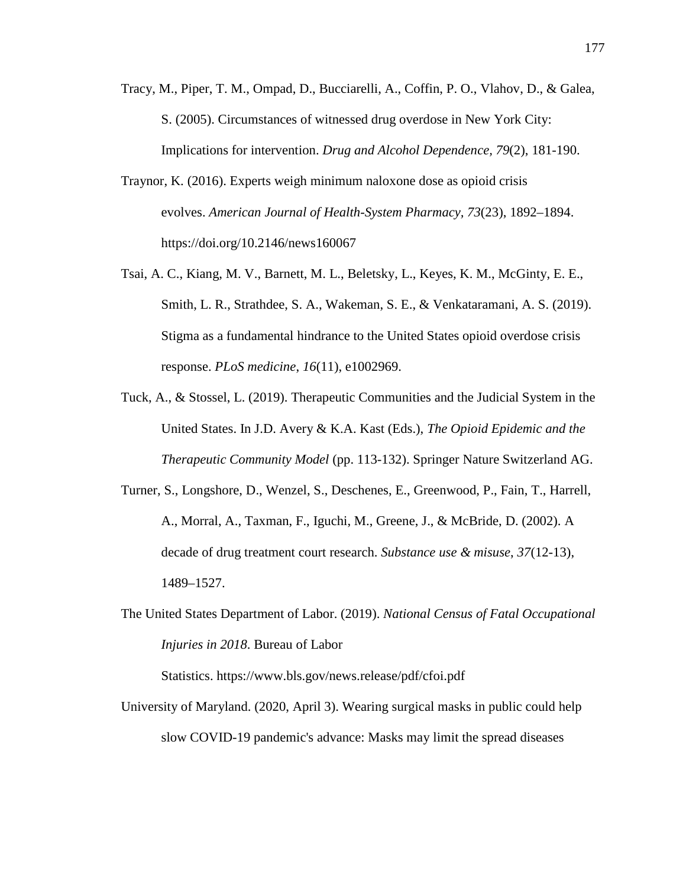- Tracy, M., Piper, T. M., Ompad, D., Bucciarelli, A., Coffin, P. O., Vlahov, D., & Galea, S. (2005). Circumstances of witnessed drug overdose in New York City: Implications for intervention. *Drug and Alcohol Dependence, 79*(2), 181-190.
- Traynor, K. (2016). Experts weigh minimum naloxone dose as opioid crisis evolves. *American Journal of Health-System Pharmacy, 73*(23), 1892–1894. https://doi.org/10.2146/news160067
- Tsai, A. C., Kiang, M. V., Barnett, M. L., Beletsky, L., Keyes, K. M., McGinty, E. E., Smith, L. R., Strathdee, S. A., Wakeman, S. E., & Venkataramani, A. S. (2019). Stigma as a fundamental hindrance to the United States opioid overdose crisis response. *PLoS medicine*, *16*(11), e1002969.
- Tuck, A., & Stossel, L. (2019). Therapeutic Communities and the Judicial System in the United States. In J.D. Avery & K.A. Kast (Eds.), *The Opioid Epidemic and the Therapeutic Community Model* (pp. 113-132). Springer Nature Switzerland AG.
- Turner, S., Longshore, D., Wenzel, S., Deschenes, E., Greenwood, P., Fain, T., Harrell, A., Morral, A., Taxman, F., Iguchi, M., Greene, J., & McBride, D. (2002). A decade of drug treatment court research. *Substance use & misuse*, *37*(12-13), 1489–1527.
- The United States Department of Labor. (2019). *National Census of Fatal Occupational Injuries in 2018*. Bureau of Labor

Statistics. https://www.bls.gov/news.release/pdf/cfoi.pdf

University of Maryland. (2020, April 3). Wearing surgical masks in public could help slow COVID-19 pandemic's advance: Masks may limit the spread diseases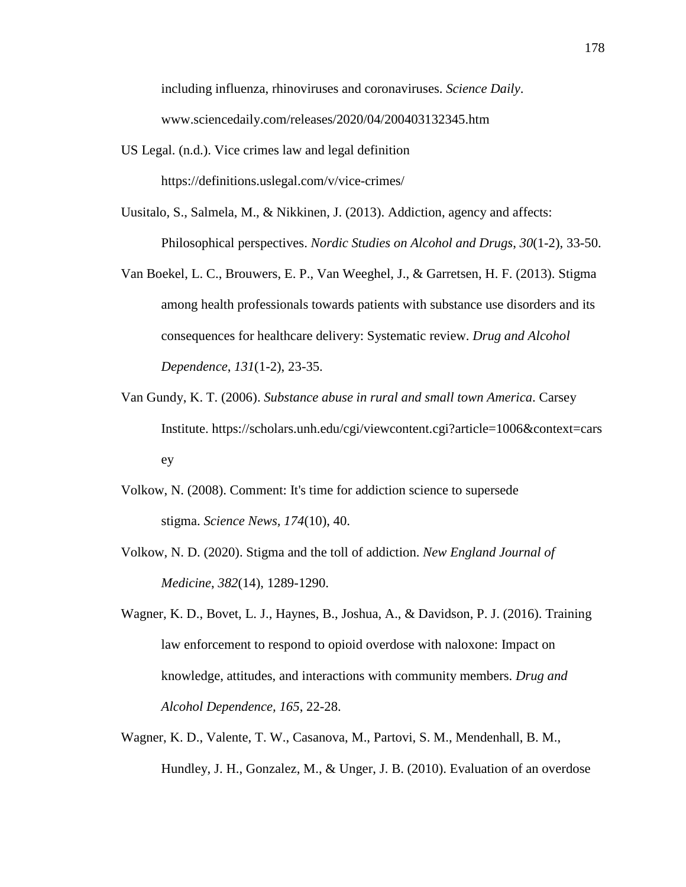including influenza, rhinoviruses and coronaviruses. *Science Daily*. www.sciencedaily.com/releases/2020/04/200403132345.htm

- US Legal. (n.d.). Vice crimes law and legal definition https://definitions.uslegal.com/v/vice-crimes/
- Uusitalo, S., Salmela, M., & Nikkinen, J. (2013). Addiction, agency and affects: Philosophical perspectives. *Nordic Studies on Alcohol and Drugs*, *30*(1-2), 33-50.
- Van Boekel, L. C., Brouwers, E. P., Van Weeghel, J., & Garretsen, H. F. (2013). Stigma among health professionals towards patients with substance use disorders and its consequences for healthcare delivery: Systematic review. *Drug and Alcohol Dependence*, *131*(1-2), 23-35.
- Van Gundy, K. T. (2006). *Substance abuse in rural and small town America*. Carsey Institute. https://scholars.unh.edu/cgi/viewcontent.cgi?article=1006&context=cars ey
- Volkow, N. (2008). Comment: It's time for addiction science to supersede stigma. *Science News, 174*(10), 40.
- Volkow, N. D. (2020). Stigma and the toll of addiction. *New England Journal of Medicine*, *382*(14), 1289-1290.
- Wagner, K. D., Bovet, L. J., Haynes, B., Joshua, A., & Davidson, P. J. (2016). Training law enforcement to respond to opioid overdose with naloxone: Impact on knowledge, attitudes, and interactions with community members. *Drug and Alcohol Dependence, 165*, 22-28.
- Wagner, K. D., Valente, T. W., Casanova, M., Partovi, S. M., Mendenhall, B. M., Hundley, J. H., Gonzalez, M., & Unger, J. B. (2010). Evaluation of an overdose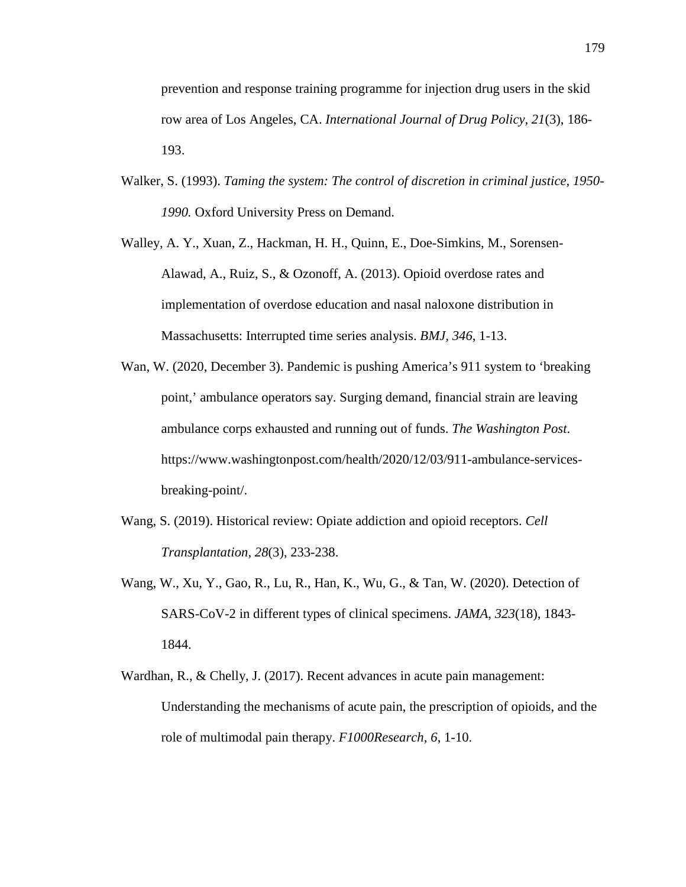prevention and response training programme for injection drug users in the skid row area of Los Angeles, CA. *International Journal of Drug Policy, 21*(3), 186- 193.

- Walker, S. (1993). *Taming the system: The control of discretion in criminal justice, 1950- 1990.* Oxford University Press on Demand.
- Walley, A. Y., Xuan, Z., Hackman, H. H., Quinn, E., Doe-Simkins, M., Sorensen-Alawad, A., Ruiz, S., & Ozonoff, A. (2013). Opioid overdose rates and implementation of overdose education and nasal naloxone distribution in Massachusetts: Interrupted time series analysis. *BMJ, 346*, 1-13.
- Wan, W. (2020, December 3). Pandemic is pushing America's 911 system to 'breaking point,' ambulance operators say. Surging demand, financial strain are leaving ambulance corps exhausted and running out of funds. *The Washington Post*. https://www.washingtonpost.com/health/2020/12/03/911-ambulance-servicesbreaking-point/.
- Wang, S. (2019). Historical review: Opiate addiction and opioid receptors. *Cell Transplantation, 28*(3), 233-238.
- Wang, W., Xu, Y., Gao, R., Lu, R., Han, K., Wu, G., & Tan, W. (2020). Detection of SARS-CoV-2 in different types of clinical specimens. *JAMA*, *323*(18), 1843- 1844.
- Wardhan, R., & Chelly, J. (2017). Recent advances in acute pain management: Understanding the mechanisms of acute pain, the prescription of opioids, and the role of multimodal pain therapy. *F1000Research, 6*, 1-10.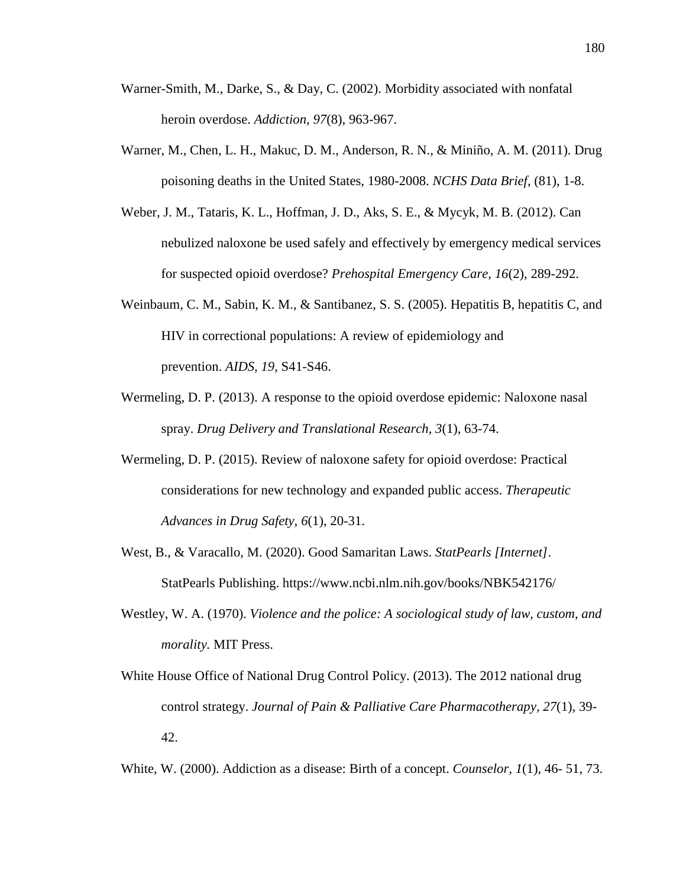- Warner-Smith, M., Darke, S., & Day, C. (2002). Morbidity associated with nonfatal heroin overdose. *Addiction, 97*(8), 963-967.
- Warner, M., Chen, L. H., Makuc, D. M., Anderson, R. N., & Miniño, A. M. (2011). Drug poisoning deaths in the United States, 1980-2008. *NCHS Data Brief,* (81), 1-8.
- Weber, J. M., Tataris, K. L., Hoffman, J. D., Aks, S. E., & Mycyk, M. B. (2012). Can nebulized naloxone be used safely and effectively by emergency medical services for suspected opioid overdose? *Prehospital Emergency Care, 16*(2), 289-292.
- Weinbaum, C. M., Sabin, K. M., & Santibanez, S. S. (2005). Hepatitis B, hepatitis C, and HIV in correctional populations: A review of epidemiology and prevention. *AIDS, 19*, S41-S46.
- Wermeling, D. P. (2013). A response to the opioid overdose epidemic: Naloxone nasal spray. *Drug Delivery and Translational Research, 3*(1), 63-74.
- Wermeling, D. P. (2015). Review of naloxone safety for opioid overdose: Practical considerations for new technology and expanded public access. *Therapeutic Advances in Drug Safety, 6*(1), 20-31.
- West, B., & Varacallo, M. (2020). Good Samaritan Laws. *StatPearls [Internet]*. StatPearls Publishing. https://www.ncbi.nlm.nih.gov/books/NBK542176/
- Westley, W. A. (1970). *Violence and the police: A sociological study of law, custom, and morality.* MIT Press.
- White House Office of National Drug Control Policy. (2013). The 2012 national drug control strategy. *Journal of Pain & Palliative Care Pharmacotherapy, 27*(1), 39- 42.

White, W. (2000). Addiction as a disease: Birth of a concept. *Counselor, 1*(1), 46- 51, 73.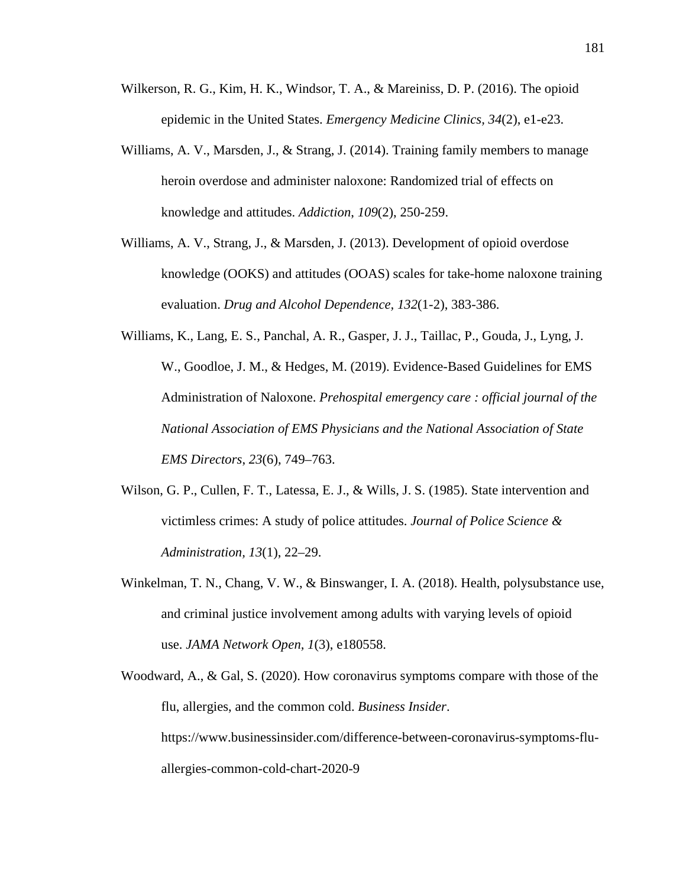- Wilkerson, R. G., Kim, H. K., Windsor, T. A., & Mareiniss, D. P. (2016). The opioid epidemic in the United States. *Emergency Medicine Clinics, 34*(2), e1-e23.
- Williams, A. V., Marsden, J., & Strang, J. (2014). Training family members to manage heroin overdose and administer naloxone: Randomized trial of effects on knowledge and attitudes. *Addiction*, *109*(2), 250-259.
- Williams, A. V., Strang, J., & Marsden, J. (2013). Development of opioid overdose knowledge (OOKS) and attitudes (OOAS) scales for take-home naloxone training evaluation. *Drug and Alcohol Dependence, 132*(1-2), 383-386.
- Williams, K., Lang, E. S., Panchal, A. R., Gasper, J. J., Taillac, P., Gouda, J., Lyng, J. W., Goodloe, J. M., & Hedges, M. (2019). Evidence-Based Guidelines for EMS Administration of Naloxone. *Prehospital emergency care : official journal of the National Association of EMS Physicians and the National Association of State EMS Directors*, *23*(6), 749–763.
- Wilson, G. P., Cullen, F. T., Latessa, E. J., & Wills, J. S. (1985). State intervention and victimless crimes: A study of police attitudes. *Journal of Police Science & Administration, 13*(1), 22–29.
- Winkelman, T. N., Chang, V. W., & Binswanger, I. A. (2018). Health, polysubstance use, and criminal justice involvement among adults with varying levels of opioid use. *JAMA Network Open, 1*(3), e180558.
- Woodward, A., & Gal, S. (2020). How coronavirus symptoms compare with those of the flu, allergies, and the common cold. *Business Insider*. https://www.businessinsider.com/difference-between-coronavirus-symptoms-fluallergies-common-cold-chart-2020-9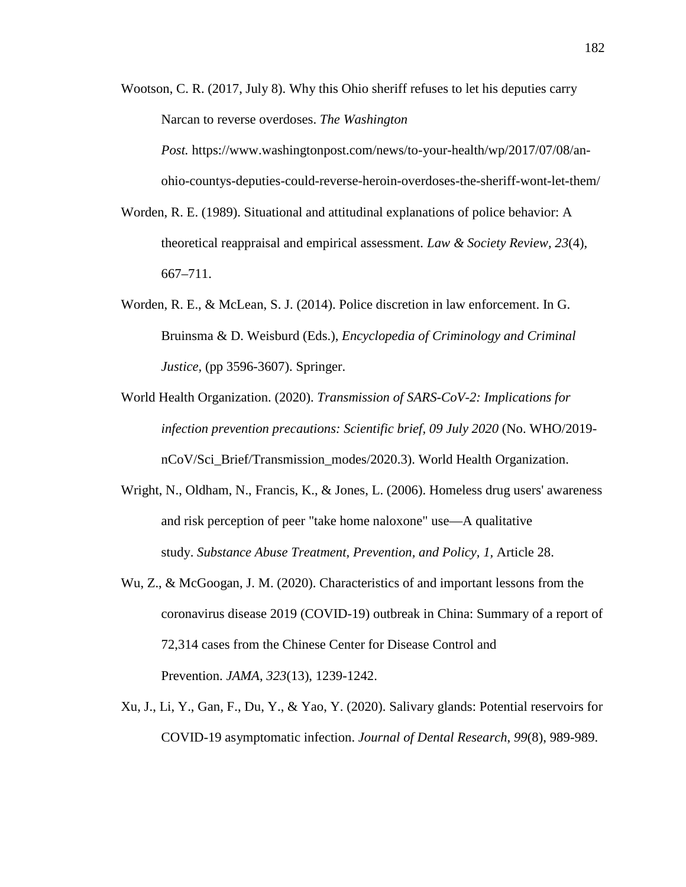Wootson, C. R. (2017, July 8). Why this Ohio sheriff refuses to let his deputies carry Narcan to reverse overdoses. *The Washington*

*Post.* https://www.washingtonpost.com/news/to-your-health/wp/2017/07/08/anohio-countys-deputies-could-reverse-heroin-overdoses-the-sheriff-wont-let-them/

- Worden, R. E. (1989). Situational and attitudinal explanations of police behavior: A theoretical reappraisal and empirical assessment. *Law & Society Review, 23*(4), 667–711.
- Worden, R. E., & McLean, S. J. (2014). Police discretion in law enforcement. In G. Bruinsma & D. Weisburd (Eds.), *Encyclopedia of Criminology and Criminal Justice,* (pp 3596-3607). Springer.
- World Health Organization. (2020). *Transmission of SARS-CoV-2: Implications for infection prevention precautions: Scientific brief, 09 July 2020* (No. WHO/2019 nCoV/Sci\_Brief/Transmission\_modes/2020.3). World Health Organization.
- Wright, N., Oldham, N., Francis, K., & Jones, L. (2006). Homeless drug users' awareness and risk perception of peer "take home naloxone" use—A qualitative study. *Substance Abuse Treatment, Prevention, and Policy, 1,* Article 28.
- Wu, Z., & McGoogan, J. M. (2020). Characteristics of and important lessons from the coronavirus disease 2019 (COVID-19) outbreak in China: Summary of a report of 72,314 cases from the Chinese Center for Disease Control and Prevention. *JAMA*, *323*(13), 1239-1242.
- Xu, J., Li, Y., Gan, F., Du, Y., & Yao, Y. (2020). Salivary glands: Potential reservoirs for COVID-19 asymptomatic infection. *Journal of Dental Research*, *99*(8), 989-989.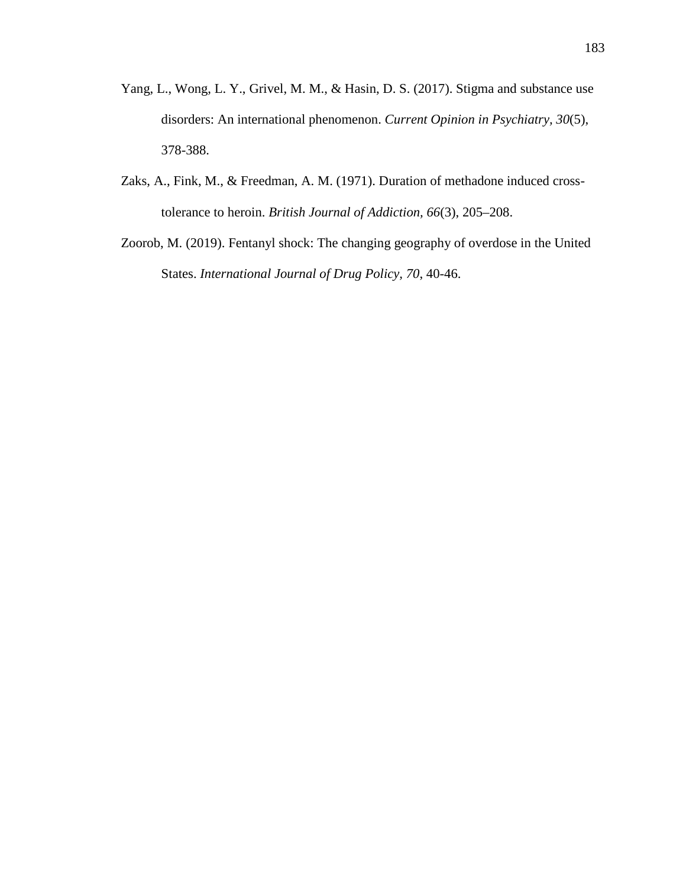- Yang, L., Wong, L. Y., Grivel, M. M., & Hasin, D. S. (2017). Stigma and substance use disorders: An international phenomenon. *Current Opinion in Psychiatry, 30*(5), 378-388.
- Zaks, A., Fink, M., & Freedman, A. M. (1971). Duration of methadone induced crosstolerance to heroin. *British Journal of Addiction, 66*(3), 205–208.
- Zoorob, M. (2019). Fentanyl shock: The changing geography of overdose in the United States. *International Journal of Drug Policy, 70*, 40-46.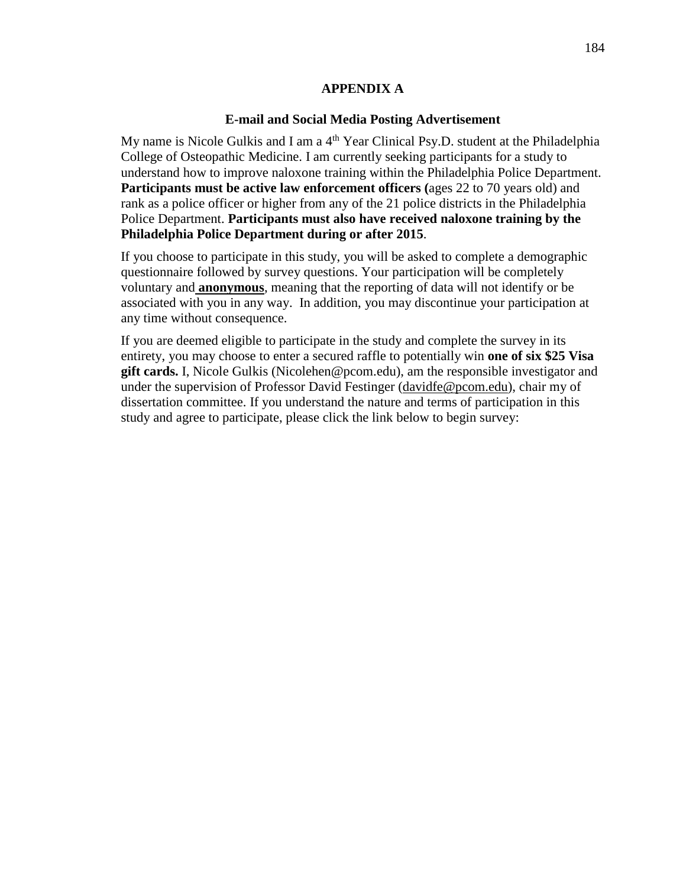#### **APPENDIX A**

#### **E-mail and Social Media Posting Advertisement**

My name is Nicole Gulkis and I am a  $4<sup>th</sup>$  Year Clinical Psy.D. student at the Philadelphia College of Osteopathic Medicine. I am currently seeking participants for a study to understand how to improve naloxone training within the Philadelphia Police Department. **Participants must be active law enforcement officers (ages 22 to 70 years old) and** rank as a police officer or higher from any of the 21 police districts in the Philadelphia Police Department. **Participants must also have received naloxone training by the Philadelphia Police Department during or after 2015**.

If you choose to participate in this study, you will be asked to complete a demographic questionnaire followed by survey questions. Your participation will be completely voluntary and **anonymous**, meaning that the reporting of data will not identify or be associated with you in any way. In addition, you may discontinue your participation at any time without consequence.

If you are deemed eligible to participate in the study and complete the survey in its entirety, you may choose to enter a secured raffle to potentially win **one of six \$25 Visa gift cards.** I, Nicole Gulkis (Nicolehen@pcom.edu), am the responsible investigator and under the supervision of Professor David Festinger [\(davidfe@pcom.edu\)](mailto:davidfe@pcom.edu), chair my of dissertation committee. If you understand the nature and terms of participation in this study and agree to participate, please click the link below to begin survey: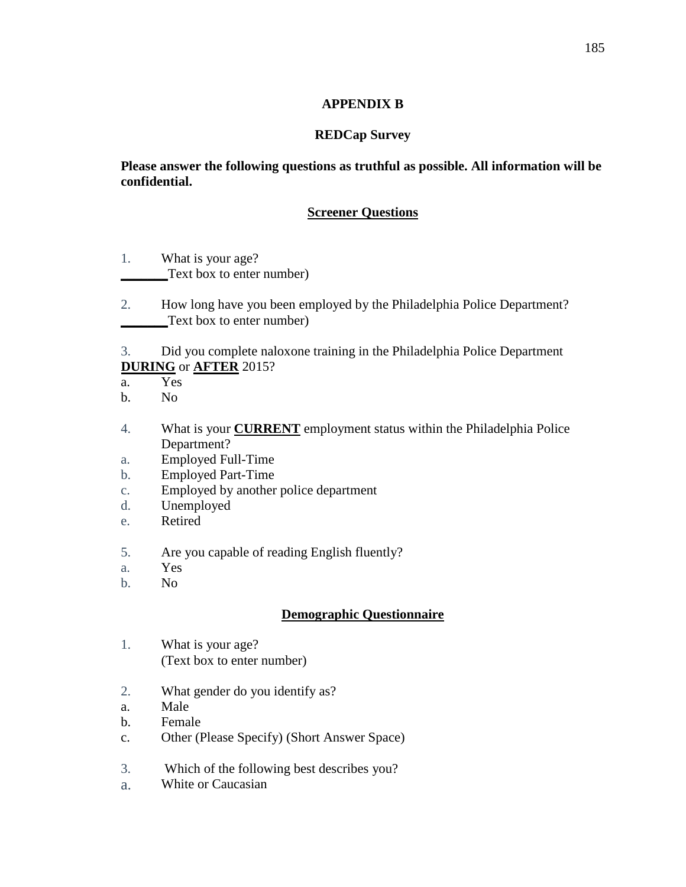### **APPENDIX B**

#### **REDCap Survey**

**Please answer the following questions as truthful as possible. All information will be confidential.** 

### **Screener Questions**

- 1. What is your age? **\_\_\_\_\_\_\_**Text box to enter number)
- 2. How long have you been employed by the Philadelphia Police Department? **\_\_\_\_\_\_\_**Text box to enter number)

3. Did you complete naloxone training in the Philadelphia Police Department **DURING** or **AFTER** 2015?

- a. Yes
- b. No
- 4. What is your **CURRENT** employment status within the Philadelphia Police Department?
- a. Employed Full-Time
- b. Employed Part-Time
- c. Employed by another police department
- d. Unemployed
- e. Retired
- 5. Are you capable of reading English fluently?
- a. Yes
- b. No

## **Demographic Questionnaire**

- 1. What is your age? (Text box to enter number)
- 2. What gender do you identify as?
- a. Male
- b. Female
- c. Other (Please Specify) (Short Answer Space)
- 3. Which of the following best describes you?
- a. White or Caucasian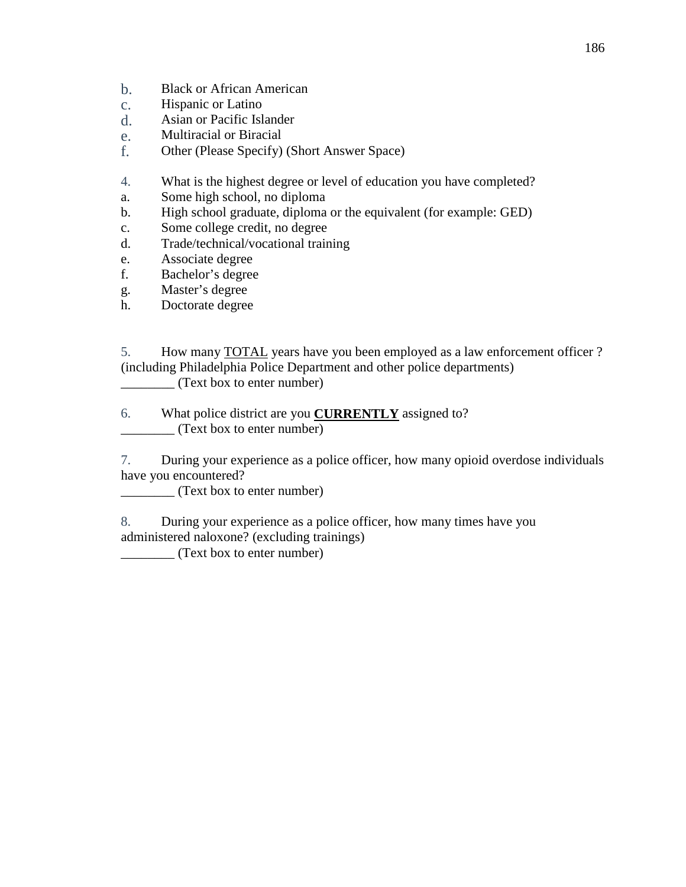- b. Black or African American
- c. Hispanic or Latino<br>d. Asian or Pacific Isl.
- d. Asian or Pacific Islander
- e. Multiracial or Biracial
- f. Other (Please Specify) (Short Answer Space)
- 4. What is the highest degree or level of education you have completed?
- a. Some high school, no diploma
- b. High school graduate, diploma or the equivalent (for example: GED)
- c. Some college credit, no degree
- d. Trade/technical/vocational training
- e. Associate degree
- f. Bachelor's degree
- g. Master's degree
- h. Doctorate degree

5. How many TOTAL years have you been employed as a law enforcement officer ? (including Philadelphia Police Department and other police departments) \_\_\_\_\_\_\_\_ (Text box to enter number)

6. What police district are you **CURRENTLY** assigned to? \_\_\_\_\_\_\_\_ (Text box to enter number)

7. During your experience as a police officer, how many opioid overdose individuals have you encountered?

\_\_\_\_\_\_\_\_ (Text box to enter number)

8. During your experience as a police officer, how many times have you administered naloxone? (excluding trainings)

\_\_\_\_\_\_\_\_ (Text box to enter number)